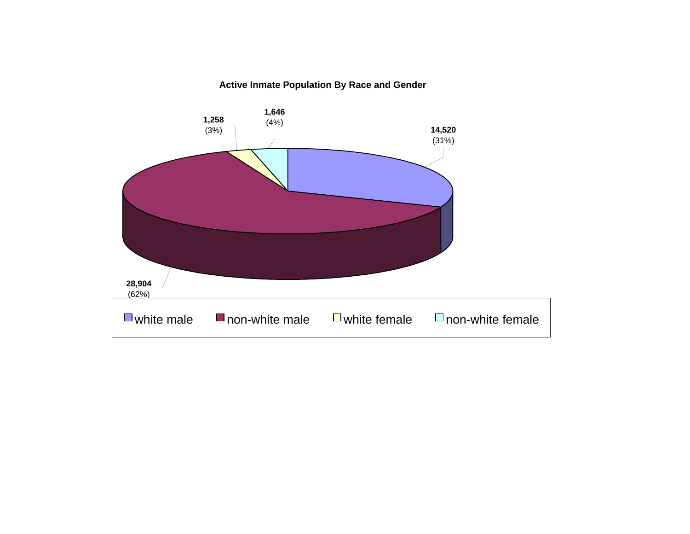### **Active Inmate Population By Race and Gender**

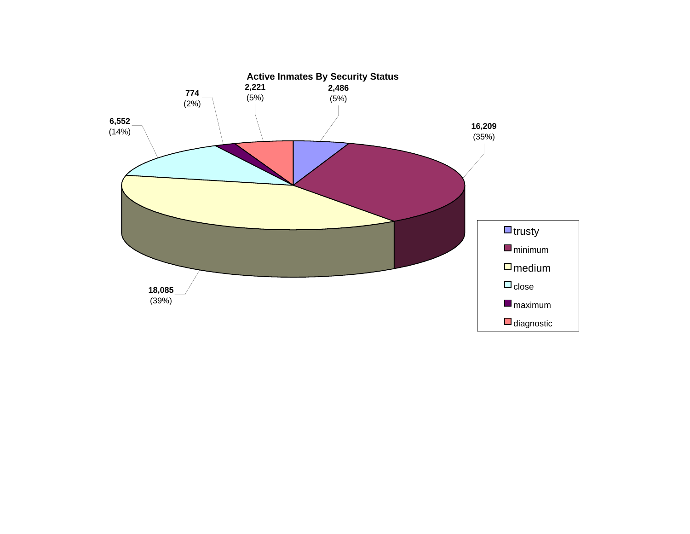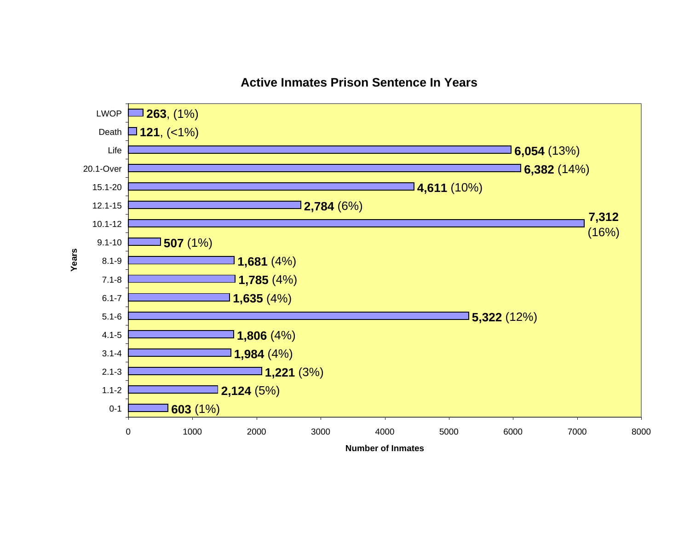

### **Active Inmates Prison Sentence In Years**

**Number of Inmates**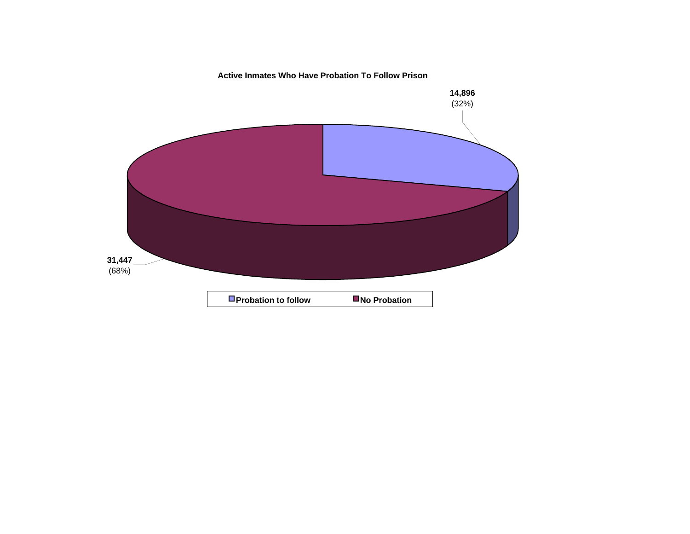**Active Inmates Who Have Probation To Follow Prison**

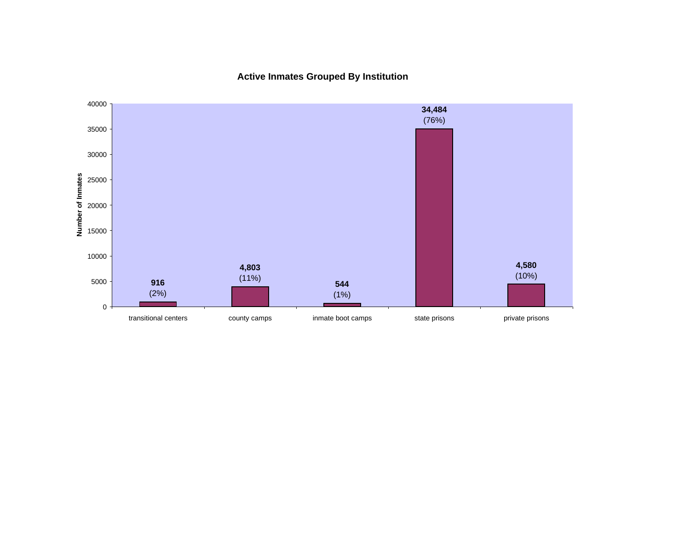**Active Inmates Grouped By Institution**

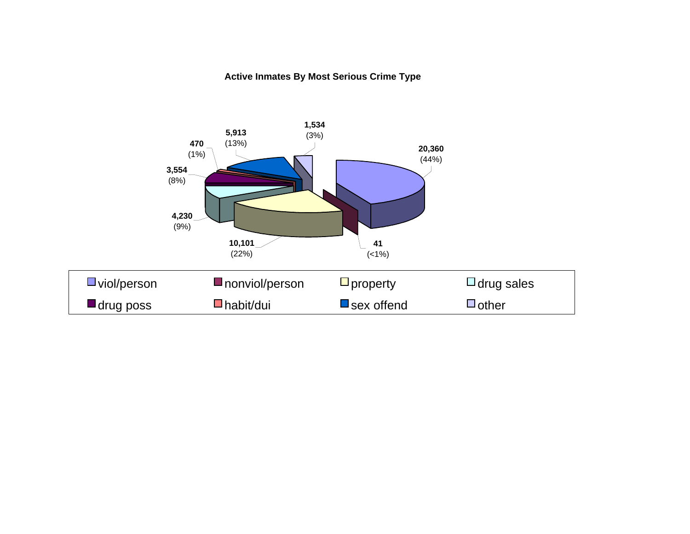### **Active Inmates By Most Serious Crime Type**

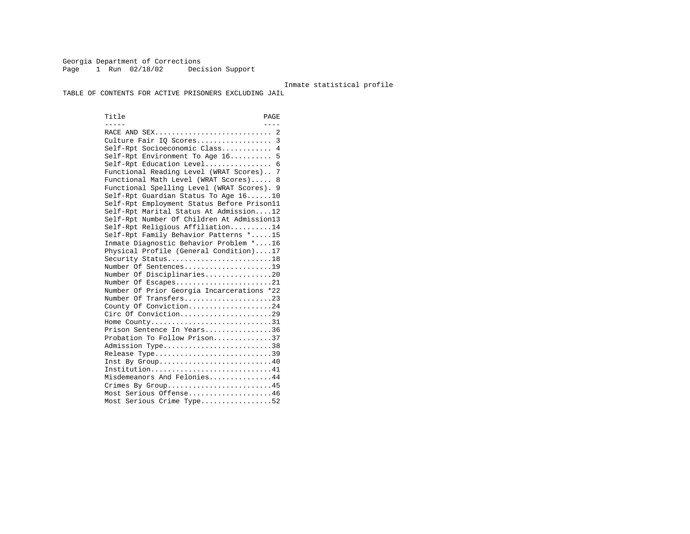Georgia Department of Corrections Page 1 Run 02/18/02 Decision Support

#### Inmate statistical profile

TABLE OF CONTENTS FOR ACTIVE PRISONERS EXCLUDING JAIL

Title PAGE ----- ---- RACE AND SEX............................ 2 Culture Fair IQ Scores.................. 3 Self-Rpt Socioeconomic Class............ 4 Self-Rpt Environment To Age 16.......... 5 Self-Rpt Education Level................ 6 Functional Reading Level (WRAT Scores).. 7 Functional Math Level (WRAT Scores)..... 8 Functional Spelling Level (WRAT Scores). 9 Self-Rpt Guardian Status To Age 16......10 Self-Rpt Employment Status Before Prison11 Self-Rpt Marital Status At Admission....12 Self-Rpt Number Of Children At Admission13 Self-Rpt Religious Affiliation..........14 Self-Rpt Family Behavior Patterns \*.....15 Inmate Diagnostic Behavior Problem \*....16 Physical Profile (General Condition)....17 Security Status...........................18 Number Of Sentences.....................19 Number Of Disciplinaries................20 Number Of Escapes........................21 Number Of Prior Georgia Incarcerations \*22 Number Of Transfers.....................23 County Of Conviction....................24 Circ Of Conviction......................29 Home County.............................31 Prison Sentence In Years................36 Probation To Follow Prison..............37Admission Type.............................38 Release Type...............................39 Inst By Group..............................40 Institution...............................41 Misdemeanors And Felonies...............44 Crimes By Group...........................45 Most Serious Offense....................46 Most Serious Crime Type.................52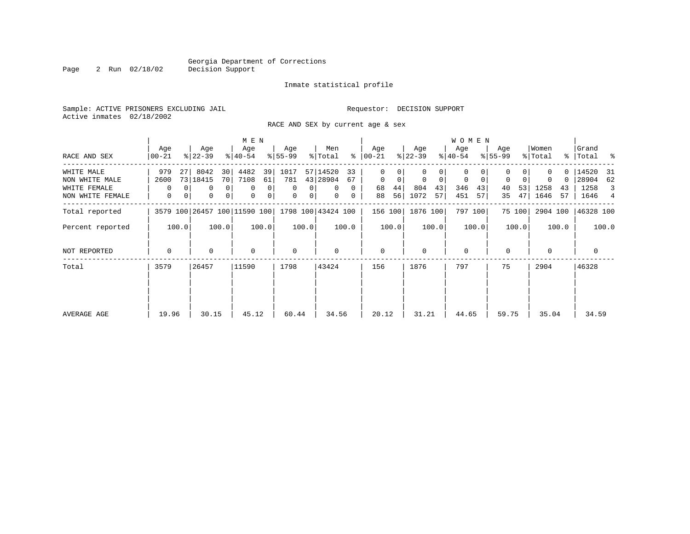Page 2 Run 02/18/02

#### Inmate statistical profile

Sample: ACTIVE PRISONERS EXCLUDING JAIL **Requestor: DECISION SUPPORT** Active inmates 02/18/2002

RACE AND SEX by current age & sex

|                                                                  |                             |                                                                       | M E N                                                        |                                                                               |                                                                                 |                                                 |                                                         | W O M E N                                                 |                                       |                                            |                                                                            |
|------------------------------------------------------------------|-----------------------------|-----------------------------------------------------------------------|--------------------------------------------------------------|-------------------------------------------------------------------------------|---------------------------------------------------------------------------------|-------------------------------------------------|---------------------------------------------------------|-----------------------------------------------------------|---------------------------------------|--------------------------------------------|----------------------------------------------------------------------------|
| RACE AND SEX                                                     | Age<br>$00 - 21$            | Age<br>$ 22-39 $                                                      | Age<br>$8 40-54$                                             | Age<br>$8 55-99$                                                              | Men<br>% Total                                                                  | Age<br>$8   00 - 21$                            | Age<br>$ 22-39 $                                        | Age<br>$ 40-54 $                                          | Age<br>$8 55-99$                      | Women<br>% Total                           | Grand<br>%   Total %                                                       |
| WHITE MALE<br>NON WHITE MALE<br>WHITE FEMALE<br>NON WHITE FEMALE | 979<br>27<br>2600<br>0<br>0 | 8042<br>30<br>73 18415<br>70 <br>0 <sup>1</sup><br>0<br> 0 <br>0<br>0 | 4482<br>39<br>7108<br>61<br>$\mathbf 0$<br>0<br>0<br>$\circ$ | 1017<br>781<br>$\mathbf{0}$<br>$\mathbf{0}$<br>$\mathbf{0}$<br>0 <sup>1</sup> | 57 14520<br>33<br>43 28904<br>67<br>$\Omega$<br>$\Omega$<br>$\overline{0}$<br>0 | 0<br>$\mathbf{0}$<br>0<br>44 <br>68<br>56<br>88 | 0<br>$\mathbf 0$<br>$\Omega$<br>804<br>43<br>1072<br>57 | 0<br>$\mathbf 0$<br>$\mathbf 0$<br>346<br>43<br>451<br>57 | $\Omega$<br>0<br>53<br>40<br>47<br>35 | 0.<br>$\Omega$<br>1258<br>43<br>57<br>1646 | 14520<br>31<br>28904<br>62<br>1258<br>$\overline{\mathbf{3}}$<br>1646<br>4 |
| Total reported                                                   |                             | 3579 100 26457 100 11590 100                                          |                                                              |                                                                               | 1798 100 43424 100                                                              | 156 100                                         | 1876 100                                                | 797 100                                                   | 75 100                                | 2904 100                                   | 46328 100                                                                  |
| Percent reported                                                 | 100.0                       | 100.0                                                                 | 100.0                                                        | 100.0                                                                         | 100.0                                                                           | 100.0                                           | 100.0                                                   | 100.0                                                     | 100.0                                 | 100.0                                      | 100.0                                                                      |
| NOT REPORTED                                                     | $\mathbf 0$                 | 0                                                                     | $\mathbf 0$                                                  | $\mathbf 0$                                                                   | $\Omega$                                                                        | $\mathbf{0}$                                    | $\Omega$                                                | $\mathbf 0$                                               | $\Omega$                              | $\Omega$                                   | 0                                                                          |
| Total                                                            | 3579                        | 26457                                                                 | 11590                                                        | 1798                                                                          | 43424                                                                           | 156                                             | 1876                                                    | 797                                                       | 75                                    | 2904                                       | 46328                                                                      |
| AVERAGE AGE                                                      | 19.96                       | 30.15                                                                 | 45.12                                                        | 60.44                                                                         | 34.56                                                                           | 20.12                                           | 31.21                                                   | 44.65                                                     | 59.75                                 | 35.04                                      | 34.59                                                                      |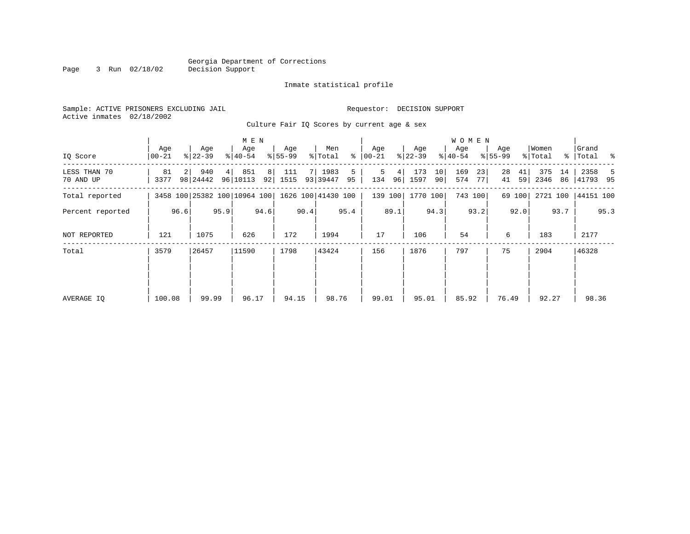#### Inmate statistical profile

Sample: ACTIVE PRISONERS EXCLUDING JAIL **Requestor: DECISION SUPPORT** Active inmates 02/18/2002

Culture Fair IQ Scores by current age & sex

|                           |                |      |                  |      | M E N                                           |      |                  |      |                    |         |                  |         |                  |          | <b>WOMEN</b>     |          |                  |          |                  |          |                      |      |
|---------------------------|----------------|------|------------------|------|-------------------------------------------------|------|------------------|------|--------------------|---------|------------------|---------|------------------|----------|------------------|----------|------------------|----------|------------------|----------|----------------------|------|
| IQ Score                  | Age<br>  00-21 |      | Age<br>$ 22-39 $ |      | Age<br>$ 40-54 $                                |      | Age<br>$ 55-99 $ |      | Men<br>% Total     | ៖       | Age<br>$00 - 21$ |         | Age<br>$ 22-39 $ |          | Age<br>$ 40-54 $ |          | Age<br>$8 55-99$ |          | Women<br>% Total |          | Grand<br>%   Total % |      |
| LESS THAN 70<br>70 AND UP | 81<br>3377     |      | 940<br>98 24442  | 4    | 851<br>96 10113                                 | 8    | 111<br>92 1515   |      | 7 1983<br>93 39447 | 5<br>95 | 5<br>134         | 4<br>96 | 173<br>1597      | 10<br>90 | 169<br>574       | 23<br>77 | 28<br>41         | 41<br>59 | 375<br>2346      | 14<br>86 | 2358<br> 41793 95    | -5   |
| Total reported            |                |      |                  |      | 3458 100 25382 100 10964 100 1626 100 41430 100 |      |                  |      |                    |         |                  | 139 100 | 1770 100         |          |                  | 743 100  |                  | 69 100   | 2721 100         |          | 44151 100            |      |
| Percent reported          |                | 96.6 |                  | 95.9 |                                                 | 94.6 |                  | 90.4 |                    | 95.4    |                  | 89.1    |                  | 94.3     |                  | 93.2     |                  | 92.0     |                  | 93.7     |                      | 95.3 |
| NOT REPORTED              | 121            |      | 1075             |      | 626                                             |      | 172              |      | 1994               |         | 17               |         | 106              |          | 54               |          | 6                |          | 183              |          | 2177                 |      |
| Total                     | 3579           |      | 26457            |      | 11590                                           |      | 1798             |      | 43424              |         | 156              |         | 1876             |          | 797              |          | 75               |          | 2904             |          | 46328                |      |
|                           |                |      |                  |      |                                                 |      |                  |      |                    |         |                  |         |                  |          |                  |          |                  |          |                  |          |                      |      |
|                           |                |      |                  |      |                                                 |      |                  |      |                    |         |                  |         |                  |          |                  |          |                  |          |                  |          |                      |      |
| AVERAGE IQ                | 100.08         |      | 99.99            |      | 96.17                                           |      | 94.15            |      | 98.76              |         | 99.01            |         | 95.01            |          | 85.92            |          | 76.49            |          | 92.27            |          | 98.36                |      |

Page 3 Run 02/18/02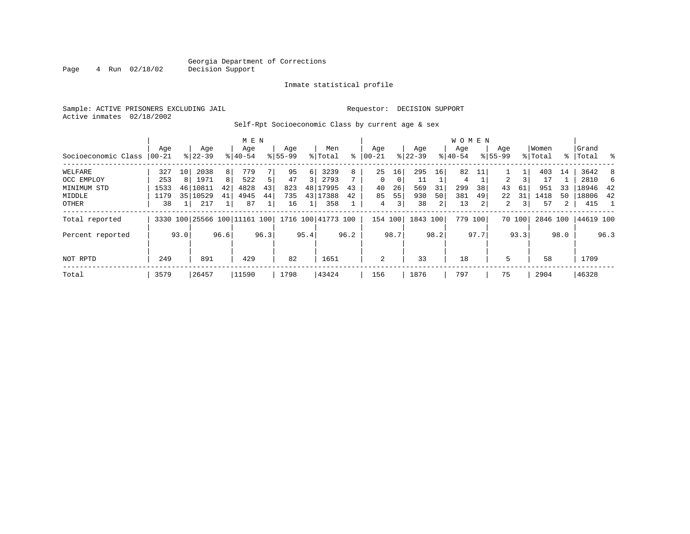#### Georgia Department of Corrections<br>4 Run 02/18/02 Decision Support Page 4 Run 02/18/02 Decision Support

#### Inmate statistical profile

Sample: ACTIVE PRISONERS EXCLUDING JAIL Requestor: DECISION SUPPORT Active inmates 02/18/2002

Self-Rpt Socioeconomic Class by current age & sex

|                     |       |      |                              |      | M E N     |      |             |          |                    |      |           |      |           |      | <b>WOMEN</b> |         |             |        |          |                |             |      |
|---------------------|-------|------|------------------------------|------|-----------|------|-------------|----------|--------------------|------|-----------|------|-----------|------|--------------|---------|-------------|--------|----------|----------------|-------------|------|
|                     | Aqe   |      | Age                          |      | Age       |      | Age         |          | Men                |      | Age       |      | Age       |      | Aqe          |         | Age         |        | Women    |                | Grand       |      |
| Socioeconomic Class | 00-21 |      | $8 22-39$                    |      | $8 40-54$ |      | $8155 - 99$ |          | % Total            | ៖    | $00 - 21$ |      | $ 22-39 $ |      | $8 40-54$    |         | $8155 - 99$ |        | % Total  |                | %   Total % |      |
| WELFARE             | 327   | 10   | 2038                         | 8    | 779       |      | 95          | $6 \mid$ | 3239               | 8    | 25        | 16   | 295       | 16   | 82           | 11      |             |        | 403      | 14             | 3642        | -8   |
| OCC EMPLOY          | 253   | 8    | 1971                         | 8    | 522       | 5    | 47          | 3        | 2793               |      | $\Omega$  | 0    | 11        |      | 4            |         | 2           |        | 17       |                | 2810        | 6    |
| MINIMUM STD         | 1533  | 46   | 10811                        | 42   | 4828      | 43   | 823         |          | 48 17995           | 43   | 40        | 26   | 569       | 31   | 299          | 38      | 43          | 61     | 951      | 33             | 18946       | 42   |
| MIDDLE              | 1179  | 35   | 10529                        | 41   | 4945      | 44   | 735         |          | 43 17388           | 42   | 85        | 55   | 930       | 50   | 381          | 49      | 22          | 31     | 1418     | 50             | 18806       | 42   |
| <b>OTHER</b>        | 38    |      | 217                          |      | 87        |      | 16          |          | 358                |      | 4         | 3    | 38        | 2    | 13           | 2       | 2           | 3      | 57       | $\overline{2}$ | 415         |      |
| Total reported      |       |      | 3330 100 25566 100 11161 100 |      |           |      |             |          | 1716 100 41773 100 |      | 154 100   |      | 1843 100  |      |              | 779 100 |             | 70 100 | 2846 100 |                | 44619 100   |      |
| Percent reported    |       | 93.0 |                              | 96.6 |           | 96.3 |             | 95.4     |                    | 96.2 |           | 98.7 |           | 98.2 |              | 97.7    |             | 93.3   |          | 98.0           |             | 96.3 |
| NOT RPTD            | 249   |      | 891                          |      | 429       |      | 82          |          | 1651               |      | 2         |      | 33        |      | 18           |         | 5           |        | 58       |                | 1709        |      |
| Total               | 3579  |      | 26457                        |      | 11590     |      | 1798        |          | 43424              |      | 156       |      | 1876      |      | 797          |         | 75          |        | 2904     |                | 46328       |      |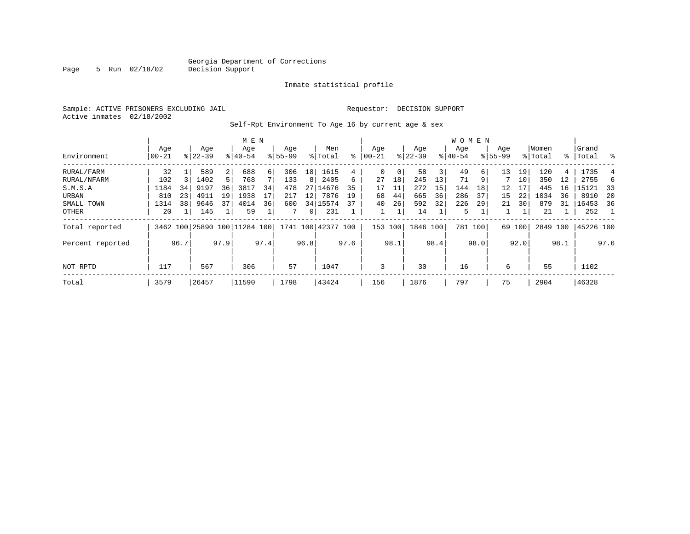Page 5 Run 02/18/02

#### Inmate statistical profile

Sample: ACTIVE PRISONERS EXCLUDING JAIL **Requestor: DECISION SUPPORT** Active inmates 02/18/2002

Self-Rpt Environment To Age 16 by current age & sex

|                  |                  |      |                  |      | M E N                        |      |                    |          |                    |      |                   |      |                  |      | <b>WOMEN</b>    |      |                    |        |                  |      |                 |      |
|------------------|------------------|------|------------------|------|------------------------------|------|--------------------|----------|--------------------|------|-------------------|------|------------------|------|-----------------|------|--------------------|--------|------------------|------|-----------------|------|
| Environment      | Age<br>$00 - 21$ |      | Age<br>$8 22-39$ |      | Age<br>$8140 - 54$           |      | Age<br>$8155 - 99$ |          | Men<br>% Total     | ႜ    | Age<br>$ 00 - 21$ |      | Age<br>$ 22-39 $ |      | Aqe<br>$ 40-54$ |      | Age<br>$8155 - 99$ |        | Women<br>% Total | ႜ    | Grand<br> Total | ႜ    |
| RURAL/FARM       | 32               |      | 589              | 2    | 688                          | 6    | 306                | 18       | 1615               | 4    | 0                 | 0    | 58               | 3    | 49              | 6 I  | 13                 | 19     | 120              | 4    | 1735            |      |
| RURAL/NFARM      | 102              |      | 1402             |      | 768                          |      | 133                | 8        | 2405               | 6    | 27                | 18   | 245              | 13   | 71              | 9    |                    | 10     | 350              | 12   | 2755            |      |
| S.M.S.A          | 1184             | 34   | 9197             | 36   | 3817                         | 34   | 478                | 27       | 14676              | 35   | 17                | 11   | 272              | 15   | 144             | 18   | 12                 |        | 445              | 16   | 15121           | 33   |
| URBAN            | 810              | 23   | 4911             | 19   | 1938                         | 17   | 217                | 12       | 7876               | 19   | 68                | 44   | 665              | 36   | 286             | 37   | 15                 | 22     | 1034             | 36   | 8910            | -20  |
| SMALL TOWN       | 1314             | 38   | 9646             | 37   | 4014                         | 36   | 600                |          | 34 15574           | 37   | 40                | 26   | 592              | 32   | 226             | 29   | 21                 | 30     | 879              | 31   | 16453           | 36   |
| OTHER            | 20               |      | 145              |      | 59                           |      |                    | $\Omega$ | 231                |      |                   |      | 14               |      | 5               |      |                    |        | 21               |      | 252             |      |
| Total reported   |                  |      |                  |      | 3462 100 25890 100 11284 100 |      |                    |          | 1741 100 42377 100 |      | 153 100           |      | 1846 100         |      | 781 100         |      |                    | 69 100 | 2849 100         |      | 45226 100       |      |
| Percent reported |                  | 96.7 |                  | 97.9 |                              | 97.4 |                    | 96.8     |                    | 97.6 |                   | 98.1 |                  | 98.4 |                 | 98.0 |                    | 92.0   |                  | 98.1 |                 | 97.6 |
| NOT RPTD         | 117              |      | 567              |      | 306                          |      | 57                 |          | 1047               |      | 3                 |      | 30               |      | 16              |      | 6                  |        | 55               |      | 1102            |      |
| Total            | 3579             |      | 26457            |      | 11590                        |      | 1798               |          | 43424              |      | 156               |      | 1876             |      | 797             |      | 75                 |        | 2904             |      | 46328           |      |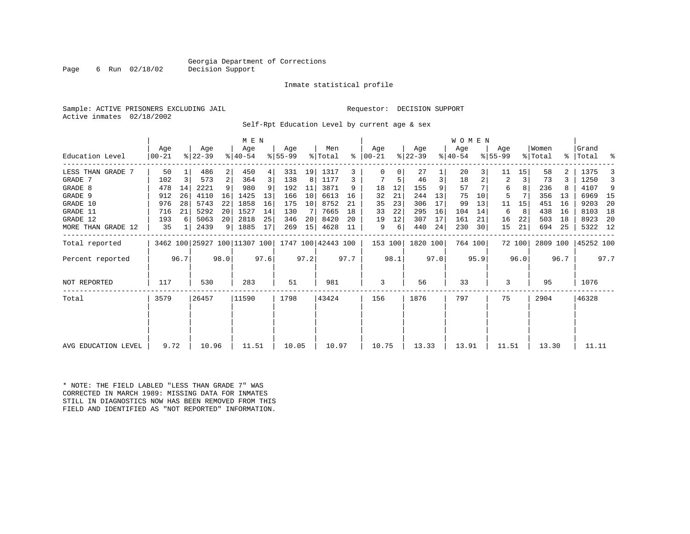### Georgia Department of Corrections<br>Decision Support

Page 6 Run  $02/18/02$ 

#### Inmate statistical profile

Sample: ACTIVE PRISONERS EXCLUDING JAIL Requestor: DECISION SUPPORT Active inmates 02/18/2002

Self-Rpt Education Level by current age & sex

|                     |                  |      | M E N                        |                 |                  |      |                 |      |                    | W O M E N |                 |      |                  |      |                  |         |                  |        |                  |      |                    |      |
|---------------------|------------------|------|------------------------------|-----------------|------------------|------|-----------------|------|--------------------|-----------|-----------------|------|------------------|------|------------------|---------|------------------|--------|------------------|------|--------------------|------|
| Education Level     | Age<br>$00 - 21$ |      | Age<br>$ 22-39 $             |                 | Age<br>$ 40-54 $ |      | Age<br>$ 55-99$ |      | Men<br>% Total     | ႜ         | Age<br>$ 00-21$ |      | Age<br>$ 22-39 $ |      | Age<br>$ 40-54 $ |         | Age<br>$8 55-99$ |        | Women<br>% Total |      | Grand<br>%   Total | ್ಠಿ  |
| LESS THAN GRADE 7   | 50               |      | 486                          | 2               | 450              | 4    | 331             | 19   | 1317               | 3         |                 | 0    | 27               |      | 20               |         | 11               | 15     | 58               |      | 1375               |      |
| GRADE 7             | 102              | 3    | 573                          | $\overline{2}$  | 364              | 3    | 138             | 8    | 1177               | 3         |                 | 5    | 46               | 3    | 18               |         | 2                | 3      | 73               |      | 1250               | 3    |
| GRADE 8             | 478              | 14   | 2221                         | 9 <sup>1</sup>  | 980              |      | 192             | 11   | 3871               | 9         | 18              | 12   | 155              |      | 57               |         | 6                |        | 236              |      | 4107               | 9    |
| GRADE 9             | 912              | 26   | 4110                         | 16              | 1425             | 13   | 166             | 10   | 6613               | 16        | 32              | 21   | 244              | 13   | 75               | 10      | 5                |        | 356              | 13   | 6969               | - 15 |
| GRADE 10            | 976              | 28   | 5743                         | 22              | 1858             | 16   | 175             | 10   | 8752               | 21        | 35              | 23   | 306              | 17   | 99               | 13      | 11               | 15     | 451              | 16   | 9203               | 20   |
| GRADE 11            | 716              | 21   | 5292                         | 20 <sup>1</sup> | 1527             | 14   | 130             | 7    | 7665               | 18        | 33              | 22   | 295              | 16   | 104              | 14      | 6                | 8      | 438              | 16   | 8103               | 18   |
| GRADE 12            | 193              | 6    | 5063                         | 20              | 2818             | 25   | 346             | 20   | 8420               | 20        | 19              | 12   | 307              | 17   | 161              | 21      | 16               | 22     | 503              | 18   | 8923               | -20  |
| MORE THAN GRADE 12  | 35               |      | 2439                         | 9 <sup>1</sup>  | 1885             | 17   | 269             | 15   | 4628               | 11        | 9               | 6    | 440              | 24   | 230              | 30      | 15               | 21     | 694              | 25   | 5322 12            |      |
| Total reported      |                  |      | 3462 100 25927 100 11307 100 |                 |                  |      |                 |      | 1747 100 42443 100 |           | 153 100         |      | 1820 100         |      |                  | 764 100 |                  | 72 100 | 2809 100         |      | 45252 100          |      |
| Percent reported    |                  | 96.7 |                              | 98.0            |                  | 97.6 |                 | 97.2 |                    | 97.7      |                 | 98.1 |                  | 97.0 |                  | 95.9    |                  | 96.0   |                  | 96.7 |                    | 97.7 |
| <b>NOT REPORTED</b> | 117              |      | 530                          |                 | 283              |      | 51              |      | 981                |           | 3               |      | 56               |      | 33               |         | 3                |        | 95               |      | 1076               |      |
| Total               | 3579             |      | 26457                        |                 | 11590            |      | 1798            |      | 43424              |           | 156             |      | 1876             |      | 797              |         | 75               |        | 2904             |      | 46328              |      |
|                     |                  |      |                              |                 |                  |      |                 |      |                    |           |                 |      |                  |      |                  |         |                  |        |                  |      |                    |      |
| AVG EDUCATION LEVEL | 9.72             |      | 10.96                        |                 | 11.51            |      | 10.05           |      | 10.97              |           | 10.75           |      | 13.33            |      | 13.91            |         | 11.51            |        | 13.30            |      | 11.11              |      |

\* NOTE: THE FIELD LABLED "LESS THAN GRADE 7" WAS CORRECTED IN MARCH 1989: MISSING DATA FOR INMATES STILL IN DIAGNOSTICS NOW HAS BEEN REMOVED FROM THIS FIELD AND IDENTIFIED AS "NOT REPORTED" INFORMATION.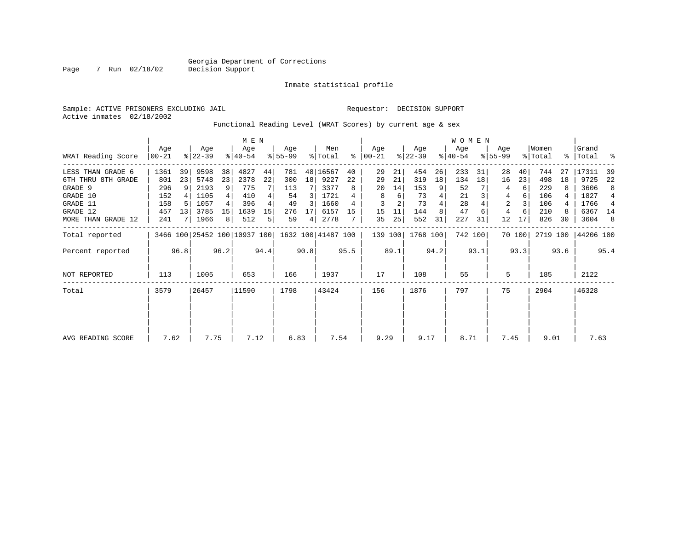Page 7 Run 02/18/02

#### Inmate statistical profile

Sample: ACTIVE PRISONERS EXCLUDING JAIL Requestor: DECISION SUPPORT Active inmates 02/18/2002

Functional Reading Level (WRAT Scores) by current age & sex

|                     |                |      |                  |      | M E N                        |      |                  |      |                    |      |                  |      |                  |      | W O M E N        |         |                    |        |                  |      |                 |      |
|---------------------|----------------|------|------------------|------|------------------------------|------|------------------|------|--------------------|------|------------------|------|------------------|------|------------------|---------|--------------------|--------|------------------|------|-----------------|------|
| WRAT Reading Score  | Age<br>  00-21 |      | Age<br>$ 22-39 $ |      | Age<br>$8140 - 54$           |      | Age<br>$8 55-99$ |      | Men<br>% Total     | ႜ    | Age<br>$ 00-21 $ |      | Age<br>$ 22-39 $ |      | Age<br>$8 40-54$ |         | Age<br>$8155 - 99$ |        | Women<br>% Total | ႜႂ   | Grand<br> Total | ႜ    |
| LESS THAN GRADE 6   | 1361           | 39   | 9598             | 38   | 4827                         | 44   | 781              |      | 48 16567           | 40   | 29               | 21   | 454              | 26   | 233              | 31      | 28                 | 40     | 744              | 27   | 17311           | 39   |
| 6TH THRU 8TH GRADE  | 801            | 23   | 5748             | 23   | 2378                         | 22   | 300              | 18   | 9227               | 22   | 29               | 21   | 319              | 18   | 134              | 18      | 16                 | 23     | 498              | 18   | 9725            | 22   |
| GRADE 9             | 296            | 91   | 2193             | 9    | 775                          |      | 113              |      | 3377               |      | 20               | 14   | 153              | 9    | 52               |         |                    | 6      | 229              |      | 3606            | 8    |
| GRADE 10            | 152            |      | 1105             |      | 410                          |      | 54               | 3    | 1721               |      | 8                | 6    | 73               |      | 21               |         | 4                  | 6      | 106              |      | 1827            | 4    |
| GRADE 11            | 158            | 5    | 1057             |      | 396                          |      | 49               | 3    | 1660               |      | 3                |      | 73               |      | 28               |         | 2                  | 3      | 106              |      | 1766            | 4    |
| GRADE 12            | 457            | 13   | 3785             | 15   | 1639                         | 15   | 276              | 17   | 6157               | 15   | 15               | 11   | 144              |      | 47               |         | 4                  | 6      | 210              | 8    | 6367 14         |      |
| MORE THAN GRADE 12  | 241            |      | 1966             | 8    | 512                          | 5    | 59               | 4    | 2778               |      | 35               | 25   | 552              | 31   | 227              | 31      | 12                 | 17     | 826              | 30   | 3604            | -8   |
| Total reported      |                |      |                  |      | 3466 100 25452 100 10937 100 |      |                  |      | 1632 100 41487 100 |      | 139 100          |      | 1768 100         |      |                  | 742 100 |                    | 70 100 | 2719 100         |      | 44206 100       |      |
| Percent reported    |                | 96.8 |                  | 96.2 |                              | 94.4 |                  | 90.8 |                    | 95.5 |                  | 89.1 |                  | 94.2 |                  | 93.1    |                    | 93.3   |                  | 93.6 |                 | 95.4 |
| <b>NOT REPORTED</b> | 113            |      | 1005             |      | 653                          |      | 166              |      | 1937               |      | 17               |      | 108              |      | 55               |         | 5                  |        | 185              |      | 2122            |      |
| Total               | 3579           |      | 26457            |      | 11590                        |      | 1798             |      | 43424              |      | 156              |      | 1876             |      | 797              |         | 75                 |        | 2904             |      | 46328           |      |
|                     |                |      |                  |      |                              |      |                  |      |                    |      |                  |      |                  |      |                  |         |                    |        |                  |      |                 |      |
|                     |                |      |                  |      |                              |      |                  |      |                    |      |                  |      |                  |      |                  |         |                    |        |                  |      |                 |      |
| AVG READING SCORE   | 7.62           |      | 7.75             |      | 7.12                         |      | 6.83             |      | 7.54               |      | 9.29             |      | 9.17             |      | 8.71             |         | 7.45               |        | 9.01             |      | 7.63            |      |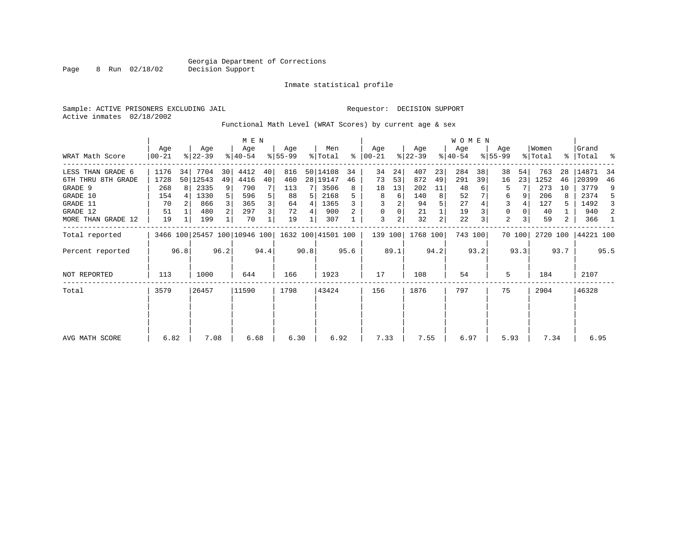Page 8 Run 02/18/02

#### Inmate statistical profile

Sample: ACTIVE PRISONERS EXCLUDING JAIL **Requestor: DECISION SUPPORT** Active inmates 02/18/2002

Functional Math Level (WRAT Scores) by current age & sex

|                     |                |      | M E N            |                |                                                 |      |                  |      | W O M E N      |      |                |      |                  |                |                  |         |                  |        |                  |      |                      |      |
|---------------------|----------------|------|------------------|----------------|-------------------------------------------------|------|------------------|------|----------------|------|----------------|------|------------------|----------------|------------------|---------|------------------|--------|------------------|------|----------------------|------|
| WRAT Math Score     | Age<br>  00-21 |      | Age<br>$ 22-39 $ |                | Age<br>$ 40-54 $                                |      | Aqe<br>$8 55-99$ |      | Men<br>% Total | %    | Aqe<br>  00-21 |      | Age<br>$ 22-39 $ |                | Aqe<br>$ 40-54 $ |         | Age<br>$8 55-99$ |        | Women<br>% Total |      | Grand<br>%   Total % |      |
| LESS THAN GRADE 6   | 1176           | 34   | 7704             | 30             | 4412                                            | 40   | 816              |      | 50 14108       | 34   | 34             | 24   | 407              | 23             | 284              | 38      | 38               | 54     | 763              | 28   | 14871                | 34   |
| 6TH THRU 8TH GRADE  | 1728           |      | 50 12543         | 49             | 4416                                            | 40   | 460              |      | 28 19147       | 46   | 73             | 53   | 872              | 49             | 291              | 39      | 16               | 23     | 1252             | 46   | 20399                | 46   |
| GRADE 9             | 268            | 8 I  | 2335             | 9 <sup>1</sup> | 790                                             |      | 113              | 7 I  | 3506           | 8    | 18             | 13   | 202              | 11             | 48               |         | 5                |        | 273              | 10   | 3779                 | 9    |
| GRADE 10            | 154            |      | 1330             |                | 596                                             |      | 88               | 5    | 2168           |      | 8              | 6    | 140              | 8              | 52               |         | 6                |        | 206              | 8    | 2374                 | .5   |
| GRADE 11            | 70             |      | 866              |                | 365                                             | 3    | 64               | 4    | 1365           |      |                |      | 94               |                | 27               |         |                  |        | 127              |      | 1492                 |      |
| GRADE 12            | 51             |      | 480              | $\overline{2}$ | 297                                             | 3    | 72               |      | 900            |      | 0              | 0    | 21               |                | 19               |         | $\mathbf 0$      |        | 40               |      | 940                  | 2    |
| MORE THAN GRADE 12  | 19             |      | 199              |                | 70                                              |      | 19               |      | 307            |      | 3              | 2    | 32               | $\overline{2}$ | 22               |         | 2                |        | 59               | 2    | 366                  |      |
| Total reported      |                |      |                  |                | 3466 100 25457 100 10946 100 1632 100 41501 100 |      |                  |      |                |      | 139 100        |      | 1768 100         |                |                  | 743 100 |                  | 70 100 | 2720 100         |      | 44221 100            |      |
| Percent reported    |                | 96.8 |                  | 96.2           |                                                 | 94.4 |                  | 90.8 |                | 95.6 |                | 89.1 |                  | 94.2           |                  | 93.2    |                  | 93.3   |                  | 93.7 |                      | 95.5 |
| <b>NOT REPORTED</b> | 113            |      | 1000             |                | 644                                             |      | 166              |      | 1923           |      | 17             |      | 108              |                | 54               |         | 5                |        | 184              |      | 2107                 |      |
| Total               | 3579           |      | 26457            |                | 11590                                           |      | 1798             |      | 43424          |      | 156            |      | 1876             |                | 797              |         | 75               |        | 2904             |      | 46328                |      |
|                     |                |      |                  |                |                                                 |      |                  |      |                |      |                |      |                  |                |                  |         |                  |        |                  |      |                      |      |
|                     | 6.82           |      | 7.08             |                | 6.68                                            |      | 6.30             |      | 6.92           |      | 7.33           |      | 7.55             |                | 6.97             |         | 5.93             |        | 7.34             |      | 6.95                 |      |
| AVG MATH SCORE      |                |      |                  |                |                                                 |      |                  |      |                |      |                |      |                  |                |                  |         |                  |        |                  |      |                      |      |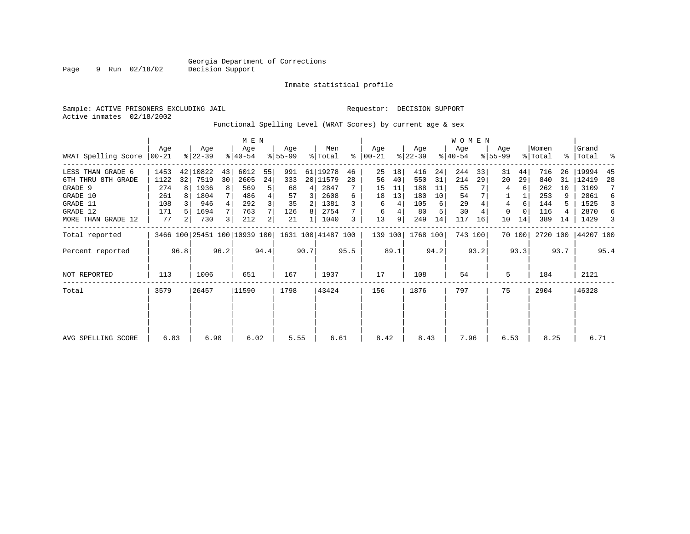Inmate statistical profile

Page 9 Run 02/18/02

Sample: ACTIVE PRISONERS EXCLUDING JAIL **Requestor: DECISION SUPPORT** Active inmates 02/18/2002

#### Functional Spelling Level (WRAT Scores) by current age & sex

|                     |                  |      |                  |      | M E N                        |      |                 |      |                    |      |                  |      |                  |      | <b>WOMEN</b>     |         |                    |        |                  |      |                      |      |
|---------------------|------------------|------|------------------|------|------------------------------|------|-----------------|------|--------------------|------|------------------|------|------------------|------|------------------|---------|--------------------|--------|------------------|------|----------------------|------|
| WRAT Spelling Score | Age<br>$ 00-21 $ |      | Age<br>$ 22-39 $ |      | Age<br>$ 40-54 $             |      | Aqe<br>$ 55-99$ |      | Men<br>% Total     | ి    | Aqe<br>$00 - 21$ |      | Age<br>$ 22-39 $ |      | Age<br>$ 40-54 $ |         | Aqe<br>$8155 - 99$ |        | Women<br>% Total |      | l Grand<br>%   Total | ႜ    |
| LESS THAN GRADE 6   | 1453             |      | 42 10822         | 43   | 6012                         | 55   | 991             |      | 61 19278           | 46   | 25               | 18   | 416              | 24   | 244              | 33      | 31                 | 44     | 716              | 26   | 19994                | 45   |
| 6TH THRU 8TH GRADE  | 1122             | 32   | 7519             | 30   | 2605                         | 24   | 333             |      | 20 11579           | 28   | 56               | 40   | 550              | 31   | 214              | 29      | 20                 | 29     | 840              | 31   | 12419                | 28   |
| GRADE 9             | 274              | 8    | 1936             | 8    | 569                          | 5    | 68              | 4    | 2847               |      | 15               | 11   | 188              | 11   | 55               |         | 4                  | 6      | 262              | 10   | 3109                 | 7    |
| GRADE 10            | 261              |      | 1804             |      | 486                          | 4    | 57              | 3    | 2608               | 6    | 18               | 13   | 180              | 10   | 54               |         |                    |        | 253              |      | 2861                 | 6    |
| GRADE 11            | 108              |      | 946              |      | 292                          | 3    | 35              | 2    | 1381               |      | 6                | 4    | 105              | 6    | 29               |         | 4                  | 6      | 144              |      | 1525                 | 3    |
| GRADE 12            | 171              |      | 1694             |      | 763                          |      | 126             | 8    | 2754               |      | 6                | 4    | 80               | 5    | 30               |         | 0                  |        | 116              |      | 2870                 | 6    |
| MORE THAN GRADE 12  | 77               |      | 730              | 3    | 212                          | 2    | 21              |      | 1040               | 3    | 13               | 9    | 249              | 14   | 117              | 16      | 10                 | 14     | 389              | 14   | 1429                 | 3    |
| Total reported      |                  |      |                  |      | 3466 100 25451 100 10939 100 |      |                 |      | 1631 100 41487 100 |      | 139 100          |      | 1768 100         |      |                  | 743 100 |                    | 70 100 | 2720 100         |      | 44207 100            |      |
| Percent reported    |                  | 96.8 |                  | 96.2 |                              | 94.4 |                 | 90.7 |                    | 95.5 |                  | 89.1 |                  | 94.2 |                  | 93.2    |                    | 93.3   |                  | 93.7 |                      | 95.4 |
| NOT REPORTED        | 113              |      | 1006             |      | 651                          |      | 167             |      | 1937               |      | 17               |      | 108              |      | 54               |         | 5                  |        | 184              |      | 2121                 |      |
| Total               | 3579             |      | 26457            |      | 11590                        |      | 1798            |      | 43424              |      | 156              |      | 1876             |      | 797              |         | 75                 |        | 2904             |      | 46328                |      |
|                     |                  |      |                  |      |                              |      |                 |      |                    |      |                  |      |                  |      |                  |         |                    |        |                  |      |                      |      |
|                     |                  |      |                  |      |                              |      |                 |      |                    |      |                  |      |                  |      |                  |         |                    |        |                  |      |                      |      |
| AVG SPELLING SCORE  | 6.83             |      | 6.90             |      | 6.02                         |      | 5.55            |      | 6.61               |      | 8.42             |      | 8.43             |      | 7.96             |         | 6.53               |        | 8.25             |      | 6.71                 |      |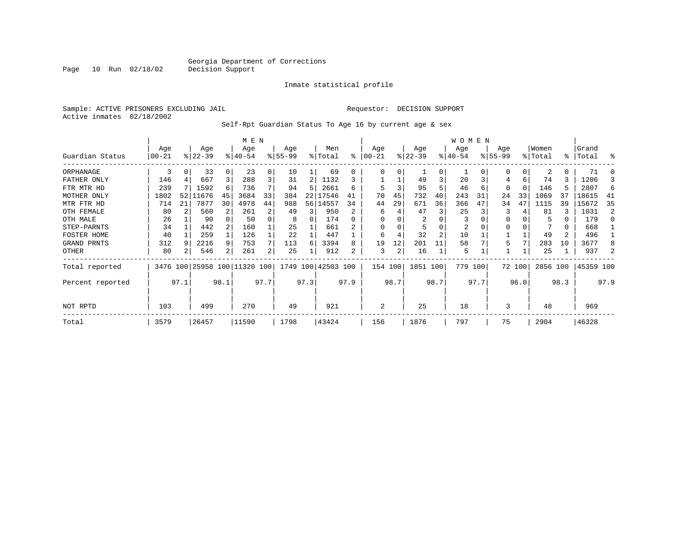Inmate statistical profile

Sample: ACTIVE PRISONERS EXCLUDING JAIL Requestor: DECISION SUPPORT Active inmates 02/18/2002

Page 10 Run 02/18/02

Self-Rpt Guardian Status To Age 16 by current age & sex

|                  |                  |          |                 |          | M E N              |                |                  |      |                |      |                 |      |                 |                | W O M E N          |         |                  |          |                  |              |                |      |
|------------------|------------------|----------|-----------------|----------|--------------------|----------------|------------------|------|----------------|------|-----------------|------|-----------------|----------------|--------------------|---------|------------------|----------|------------------|--------------|----------------|------|
| Guardian Status  | Age<br>$00 - 21$ |          | Age<br>$ 22-39$ |          | Age<br>$8140 - 54$ |                | Age<br>$8 55-99$ |      | Men<br>% Total | ి    | Age<br>$ 00-21$ |      | Age<br>$ 22-39$ |                | Age<br>$8140 - 54$ |         | Age<br>$8 55-99$ |          | Women<br>% Total | န္           | Grand<br>Total | န္   |
| ORPHANAGE        | 3                | $\Omega$ | 33              | $\Omega$ | 23                 | 0              | 10               |      | 69             | 0    | 0               | 0    |                 | 0              |                    |         | $\Omega$         | 0        | 2                | 0            | 71             |      |
| FATHER ONLY      | 146              |          | 667             |          | 288                | $\overline{3}$ | 31               | 2    | 1132           |      |                 |      | 49              | 3              | 20                 |         |                  | 6        | 74               | 3            | 1206           |      |
| FTR MTR HD       | 239              |          | 1592            | 6        | 736                |                | 94               | 5    | 2661           | б    | 5               | 3    | 95              |                | 46                 | 6       | $\Omega$         | $\Omega$ | 146              | 5            | 2807           | 6    |
| MOTHER ONLY      | 1802             | 52       | 11676           | 45       | 3684               | 33             | 384              | 22   | 17546          | 41   | 70              | 45   | 732             | 40             | 243                | 31      | 24               | 33       | 1069             | 37           | 18615          | 41   |
| MTR FTR HD       | 714              | 21       | 7877            | 30       | 4978               | 44             | 988              | 56   | 14557          | 34   | 44              | 29   | 671             | 36             | 366                | 47      | 34               | 47       | 1115             | 39           | 15672          | 35   |
| OTH FEMALE       | 80               |          | 560             |          | 261                | 2              | 49               | 3    | 950            |      | 6               |      | 47              |                | 25                 |         | 3                |          | 81               | 3            | 1031           |      |
| OTH MALE         | 26               |          | 90              |          | 50                 | 0              | 8                |      | 174            |      | $\Omega$        |      | 2               |                | 3                  |         | $\Omega$         |          |                  | 0            | 179            |      |
| STEP-PARNTS      | 34               |          | 442             |          | 160                |                | 25               |      | 661            |      | $\Omega$        |      |                 |                | 2                  |         | $\Omega$         |          |                  | 0            | 668            |      |
| FOSTER HOME      | 40               |          | 259             |          | 126                |                | 22               |      | 447            |      | 6               |      | 32              | $\overline{a}$ | 10                 |         |                  |          | 49               | $\mathbf{2}$ | 496            |      |
| GRAND PRNTS      | 312              |          | 2216            | 9        | 753                | 7 <sup>1</sup> | 113              | 6    | 3394           | 8    | 19              | 12   | 201             | 11             | 58                 |         | 5                |          | 283              | 10           | 3677           |      |
| OTHER            | 80               |          | 546             | 2        | 261                | $\overline{2}$ | 25               |      | 912            | 2    | 3               | 2    | 16              |                | 5                  |         |                  |          | 25               |              | 937            |      |
| Total reported   | 3476 100         |          |                 |          | 25958 100 11320    | 100            | 1749             |      | 100 42503 100  |      | 154 100         |      | 1851 100        |                |                    | 779 100 |                  | 72 100   | 2856 100         |              | 45359 100      |      |
| Percent reported |                  | 97.1     |                 | 98.1     |                    | 97.7           |                  | 97.3 |                | 97.9 |                 | 98.7 |                 | 98.7           |                    | 97.7    |                  | 96.0     |                  | 98.3         |                | 97.9 |
| NOT RPTD         | 103              |          | 499             |          | 270                |                | 49               |      | 921            |      | 2               |      | 25              |                | 18                 |         | 3                |          | 48               |              | 969            |      |
| Total            | 3579             |          | 26457           |          | 11590              |                | 1798             |      | 43424          |      | 156             |      | 1876            |                | 797                |         | 75               |          | 2904             |              | 46328          |      |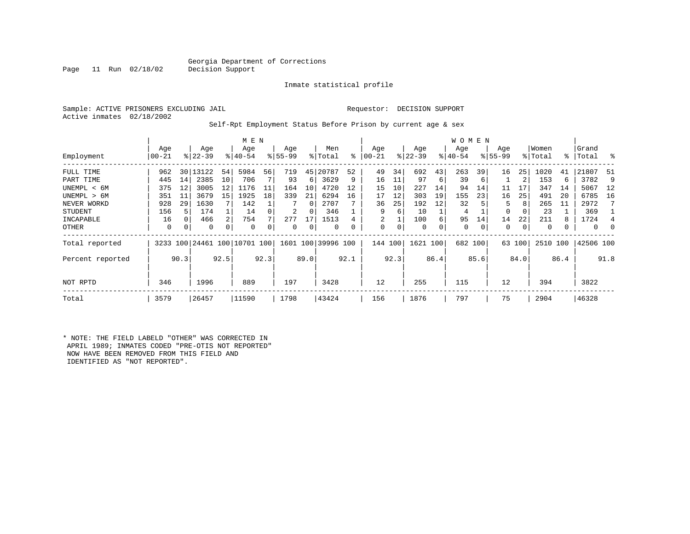### Georgia Department of Corrections<br>Decision Support

Inmate statistical profile

Sample: ACTIVE PRISONERS EXCLUDING JAIL Requestor: DECISION SUPPORT Active inmates 02/18/2002

Page 11 Run  $02/18/02$ 

#### Self-Rpt Employment Status Before Prison by current age & sex

|                  |           |      | M E N      |                |                          |      |           |          | W O M E N          |      |                |      |           |      |           |      |             |        |          |      |              |      |
|------------------|-----------|------|------------|----------------|--------------------------|------|-----------|----------|--------------------|------|----------------|------|-----------|------|-----------|------|-------------|--------|----------|------|--------------|------|
|                  | Age       |      | Age        |                | Age                      |      | Age       |          | Men                |      | Age            |      | Age       |      | Age       |      | Age         |        | Women    |      | Grand        |      |
| Employment       | $00 - 21$ |      | $ 22-39 $  |                | $8 40-54$                |      | $8 55-99$ |          | % Total            | ៖    | $00 - 21$      |      | $ 22-39 $ |      | $ 40-54 $ |      | $8155 - 99$ |        | % Total  |      | %   Total    | ႜ    |
| FULL TIME        | 962       |      | 30   13122 | 54             | 5984                     | 56   | 719       | 45       | 20787              | 52   | 49             | 34   | 692       | 43   | 263       | 39   | 16          | 25     | 1020     | 41   | 21807        | 51   |
| PART TIME        | 445       | 14   | 2385       | 10             | 706                      |      | 93        | 6        | 3629               | 9    | 16             | 11   | 97        | 6    | 39        | 6    |             | 2      | 153      | 6    | 3782         | 9    |
| UNEMPL < 6M      | 375       | 12   | 3005       | 12             | 1176                     | 11   | 164       | 10       | 4720               | 12   | 15             | 10   | 227       | 14   | 94        | 14   | 11          | 17     | 347      | 14   | 5067         | 12   |
| UNEMPL > 6M      | 351       | 11   | 3679       | 15             | 1925                     | 18   | 339       | 21       | 6294               | 16   | 17             | 12   | 303       | 19   | 155       | 23   | 16          | 25     | 491      | 20   | 6785         | 16   |
| NEVER WORKD      | 928       | 29   | 1630       |                | 142                      |      |           | $\Omega$ | 2707               |      | 36             | 25   | 192       | 12   | 32        |      | 5           | 8      | 265      | 11   | 2972         |      |
| <b>STUDENT</b>   | 156       | 5    | 174        |                | 14                       |      | 2         | $\Omega$ | 346                |      | 9              | 6    | 10        |      | 4         |      | 0           | 0      | 23       |      | 369          |      |
| INCAPABLE        | 16        | 0    | 466        | $\overline{2}$ | 754                      |      | 277       | 17       | 1513               |      | $\overline{2}$ |      | 100       | 6    | 95        | 14   | 14          | 22     | 211      | 8    | 1724         | 4    |
| OTHER            | 0         | 0    | 0          | 0              | 0                        |      | 0         | 0        | 0                  |      | 0              | 0    | 0         | 0    | 0         | 0    | 0           | 0      | 0        |      | $\mathbf{0}$ |      |
| Total reported   |           |      |            |                | 3233 100 24461 100 10701 | 100  |           |          | 1601 100 39996 100 |      | 144 100        |      | 1621      | 100  | 682 100   |      |             | 63 100 | 2510 100 |      | 42506 100    |      |
| Percent reported |           | 90.3 |            | 92.5           |                          | 92.3 |           | 89.0     |                    | 92.1 |                | 92.3 |           | 86.4 |           | 85.6 |             | 84.0   |          | 86.4 |              | 91.8 |
| NOT RPTD         | 346       |      | 1996       |                | 889                      |      | 197       |          | 3428               |      | 12             |      | 255       |      | 115       |      | 12          |        | 394      |      | 3822         |      |
| Total            | 3579      |      | 26457      |                | 11590                    |      | 1798      |          | 43424              |      | 156            |      | 1876      |      | 797       |      | 75          |        | 2904     |      | 46328        |      |

\* NOTE: THE FIELD LABELD "OTHER" WAS CORRECTED IN APRIL 1989; INMATES CODED "PRE-OTIS NOT REPORTED" NOW HAVE BEEN REMOVED FROM THIS FIELD AND IDENTIFIED AS "NOT REPORTED".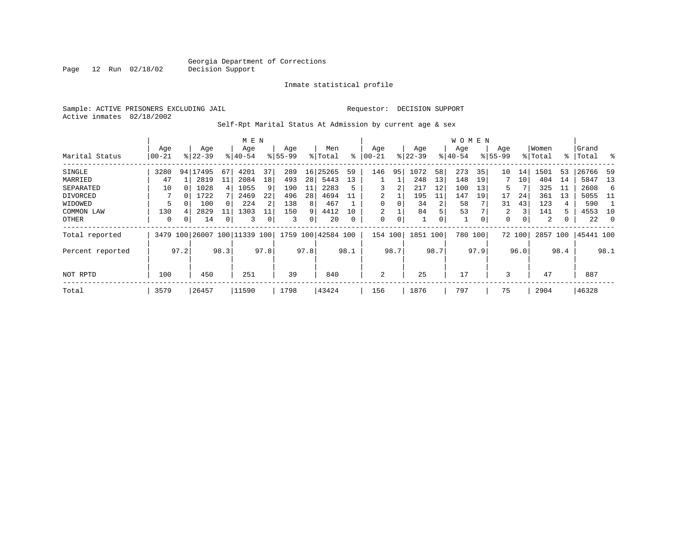Inmate statistical profile

Sample: ACTIVE PRISONERS EXCLUDING JAIL Requestor: DECISION SUPPORT Active inmates 02/18/2002

Self-Rpt Marital Status At Admission by current age & sex

|                  |           |      | M E N     |      |           |      |           |      |               |          | <b>WOMEN</b> |      |          |      |             |      |             |        |         |      |           |      |
|------------------|-----------|------|-----------|------|-----------|------|-----------|------|---------------|----------|--------------|------|----------|------|-------------|------|-------------|--------|---------|------|-----------|------|
|                  | Age       |      | Age       |      | Age       |      | Age       |      | Men           |          | Age          |      | Age      |      | Age         |      | Age         |        | Women   |      | Grand     |      |
| Marital Status   | $00 - 21$ |      | $ 22-39 $ |      | $8 40-54$ |      | $8 55-99$ |      | % Total       | ႜ        | $ 00-21$     |      | $ 22-39$ |      | $8140 - 54$ |      | $8155 - 99$ |        | % Total |      | %   Total | ႜ    |
| SINGLE           | 3280      |      | 94 17495  | 67   | 4201      | 37   | 289       | 16   | 25265         | 59       | 146          | 95   | 1072     | 58   | 273         | 35   | 10          | 14     | 1501    | 53   | 26766     | 59   |
| MARRIED          | 47        |      | 2819      | 11   | 2084      | 18   | 493       | 28   | 5443          | 13       |              |      | 248      | 13   | 148         | 19   |             | 10     | 404     | 14   | 5847      | 13   |
| SEPARATED        | 10        |      | 1028      | 4    | 1055      | 9    | 190       | 11   | 2283          |          | 3            | 2    | 217      | 12   | 100         | 13   | 5           |        | 325     | 11   | 2608      | 6    |
| DIVORCED         |           | 0    | 1722      |      | 2469      | 22   | 496       | 28   | 4694          |          | 2            |      | 195      | 11   | 147         | 19   | 17          | 24     | 361     | 13   | 5055      | -11  |
| WIDOWED          | 5         |      | 100       | 0    | 224       | 2    | 138       | 8    | 467           |          | 0            | 0    | 34       | 2    | 58          |      | 31          | 43     | 123     | 4    | 590       |      |
| COMMON LAW       | 130       |      | 2829      | 11   | 1303      | 11   | 150       | 9    | 4412          | 10       | 2            |      | 84       | 5    | 53          |      | 2           | 3      | 141     | 5    | 4553      | 10   |
| OTHER            | 0         | 0    | 14        | 0    | 3         | 0    | 3         | 0    | 20            | $\Omega$ | 0            | 0    |          | 0    |             | 0    | 0           | 0      | 2       |      | 22        | - 0  |
| Total reported   | 3479      | 100  | 26007     |      | 100 11339 | 100  | 1759      |      | 100 42584 100 |          | 154          | 100  | 1851     | 100  | 780         | 100  |             | 72 100 | 2857    | 100  | 45441 100 |      |
| Percent reported |           | 97.2 |           | 98.3 |           | 97.8 |           | 97.8 |               | 98.1     |              | 98.7 |          | 98.7 |             | 97.9 |             | 96.0   |         | 98.4 |           | 98.1 |
|                  |           |      |           |      |           |      |           |      |               |          |              |      |          |      |             |      |             |        |         |      |           |      |
| NOT RPTD         | 100       |      | 450       |      | 251       |      | 39        |      | 840           |          | 2            |      | 25       |      | 17          |      | 3           |        | 47      |      | 887       |      |
| Total            | 3579      |      | 26457     |      | 11590     |      | 1798      |      | 43424         |          | 156          |      | 1876     |      | 797         |      | 75          |        | 2904    |      | 46328     |      |

Page 12 Run 02/18/02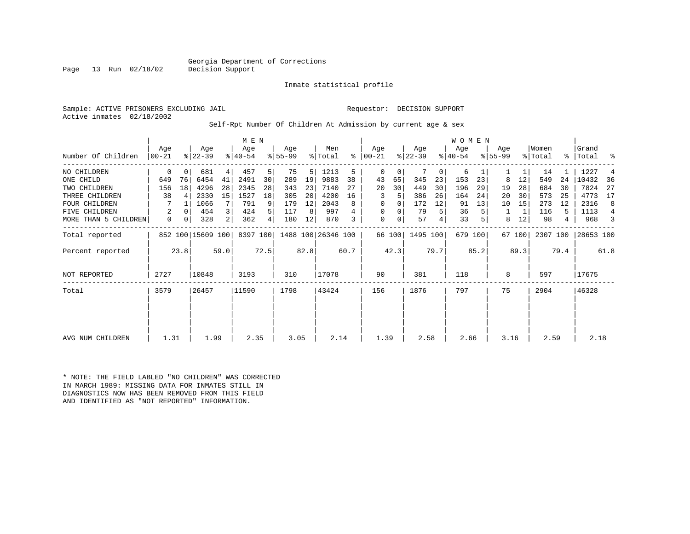### Georgia Department of Corrections<br>Decision Support

Inmate statistical profile

Sample: ACTIVE PRISONERS EXCLUDING JAIL Requestor: DECISION SUPPORT Active inmates 02/18/2002

Page 13 Run 02/18/02

#### Self-Rpt Number Of Children At Admission by current age & sex

|                      | M E N |      |                   |                |           |                |           |      |                             |      |          |          |           |      | W O M E N |         |             |        |          |      |           |                |
|----------------------|-------|------|-------------------|----------------|-----------|----------------|-----------|------|-----------------------------|------|----------|----------|-----------|------|-----------|---------|-------------|--------|----------|------|-----------|----------------|
|                      | Age   |      | Age               |                | Age       |                | Age       |      | Men                         |      | Age      |          | Age       |      | Age       |         | Age         |        | Women    |      | Grand     |                |
| Number Of Children   | 00-21 |      | $ 22-39 $         |                | $ 40-54 $ |                | $8 55-99$ |      | % Total                     | ⊱    | 00-21    |          | $ 22-39 $ |      | $ 40-54 $ |         | $8155 - 99$ |        | % Total  | န္   | Total     | ್ಠಿ            |
| NO CHILDREN          | 0     |      | 681               | 4              | 457       | 5              | 75        | 5    | 1213                        | 5    | $\Omega$ | 0        |           | 0    | 6         |         |             |        | 14       |      | 1227      | $\overline{4}$ |
| ONE CHILD            | 649   | 76   | 6454              | 41             | 2491      | 30             | 289       | 19   | 9883                        | 38   | 43       | 65       | 345       | 23   | 153       | 23      | 8           | 12     | 549      | 24   | 10432     | 36             |
| TWO CHILDREN         | 156   | 18   | 4296              | 28             | 2345      | 28             | 343       | 23   | 7140                        | 27   | 20       | 30       | 449       | 30   | 196       | 29      | 19          | 28     | 684      | 30   | 7824      | 27             |
| THREE CHILDREN       | 38    | 4    | 2330              | 15             | 1527      | 18             | 305       | 20   | 4200                        | 16   | 3        | 5        | 386       | 26   | 164       | 24      | 20          | 30     | 573      | 25   | 4773      | 17             |
| <b>FOUR CHILDREN</b> |       |      | 1066              |                | 791       | 9              | 179       | 12   | 2043                        | 8    | $\Omega$ | $\Omega$ | 172       | 12   | 91        | 13      | 10          | 15     | 273      | 12   | 2316      | 8              |
| FIVE CHILDREN        | 2     |      | 454               | $\overline{3}$ | 424       | 5 <sup>1</sup> | 117       | 8    | 997                         |      | $\Omega$ | 0        | 79        | 5    | 36        |         |             |        | 116      | 5.   | 1113      | $\overline{4}$ |
| MORE THAN 5 CHILDREN | 0     | 0    | 328               | 2              | 362       | 4              | 180       | 12   | 870                         |      | 0        | 0        | 57        |      | 33        |         | 8           | 12     | 98       | 4    | 968       | 3              |
| Total reported       |       |      | 852 100 15609 100 |                |           |                |           |      | 8397 100 1488 100 26346 100 |      |          | 66 100   | 1495 100  |      |           | 679 100 |             | 67 100 | 2307 100 |      | 28653 100 |                |
| Percent reported     |       | 23.8 |                   | 59.0           |           | 72.5           |           | 82.8 |                             | 60.7 |          | 42.3     |           | 79.7 |           | 85.2    |             | 89.3   |          | 79.4 |           | 61.8           |
| NOT REPORTED         | 2727  |      | 10848             |                | 3193      |                | 310       |      | 17078                       |      | 90       |          | 381       |      | 118       |         | 8           |        | 597      |      | 17675     |                |
| Total                | 3579  |      | 26457             |                | 11590     |                | 1798      |      | 43424                       |      | 156      |          | 1876      |      | 797       |         | 75          |        | 2904     |      | 46328     |                |
|                      |       |      |                   |                |           |                |           |      |                             |      |          |          |           |      |           |         |             |        |          |      |           |                |
|                      |       |      |                   |                |           |                |           |      |                             |      |          |          |           |      |           |         |             |        |          |      |           |                |
| AVG NUM CHILDREN     | 1.31  |      | 1.99              |                | 2.35      |                | 3.05      |      | 2.14                        |      | 1.39     |          | 2.58      |      | 2.66      |         | 3.16        |        | 2.59     |      | 2.18      |                |

\* NOTE: THE FIELD LABLED "NO CHILDREN" WAS CORRECTED IN MARCH 1989: MISSING DATA FOR INMATES STILL IN DIAGNOSTICS NOW HAS BEEN REMOVED FROM THIS FIELD AND IDENTIFIED AS "NOT REPORTED" INFORMATION.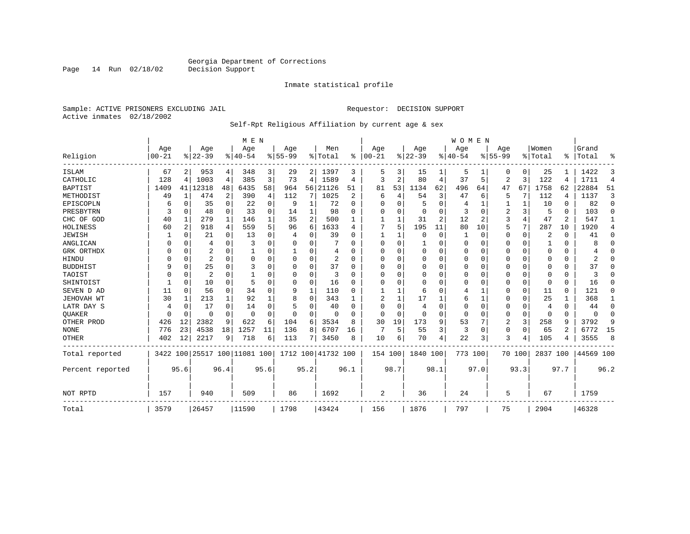Inmate statistical profile

Sample: ACTIVE PRISONERS EXCLUDING JAIL **Requestor: DECISION SUPPORT** Active inmates 02/18/2002

#### Self-Rpt Religious Affiliation by current age & sex

|                  |                  |          |                  |              | M E N                        |          |                  |          |                    |          |                 |              |                 |                | <b>WOMEN</b>    |                |                  |             |                  |                |                |                |
|------------------|------------------|----------|------------------|--------------|------------------------------|----------|------------------|----------|--------------------|----------|-----------------|--------------|-----------------|----------------|-----------------|----------------|------------------|-------------|------------------|----------------|----------------|----------------|
| Religion         | Age<br>$00 - 21$ |          | Age<br>$8 22-39$ |              | Age<br>$8 40-54$             |          | Age<br>$8 55-99$ |          | Men<br>% Total     | %        | Age<br>$ 00-21$ |              | Age<br>$ 22-39$ |                | Aqe<br>$ 40-54$ |                | Age<br>$8 55-99$ |             | Women<br>% Total | ፠              | Grand<br>Total | ዱ              |
|                  |                  |          |                  |              |                              |          |                  |          |                    |          |                 |              |                 |                |                 |                |                  |             |                  |                |                |                |
| ISLAM            | 67               | 2        | 953              | 4            | 348                          | 3        | 29               |          | 2 1397             | 3        | 5               | 3            | 15              |                | 5               |                | U                | 0           | 25               |                | 1422           | 3              |
| CATHOLIC         | 128              | 4        | 1003             | 4            | 385                          | 3        | 73               | 4        | 1589               | 4        | 3               | 2            | 80              | 4              | 37              | 5              | 2                | 3           | 122              | 4              | 1711           | $\overline{4}$ |
| <b>BAPTIST</b>   | 1409             | 41       | 12318            | 48           | 6435                         | 58       | 964              | 56       | 21126              | 51       | 81              | 53           | 1134            | 62             | 496             | 64             | 47               | 67          | 1758             | 62             | 22884          | 51             |
| METHODIST        | 49               | 1        | 474              | 2            | 390                          | 4        | 112              | 7        | 1025               | 2        | 6               | 4            | 54              | 3              | 47              | 6              | 5                | 7           | 112              | 4              | 1137           | 3              |
| EPISCOPLN        | 6                | 0        | 35               | $\mathbf 0$  | 22                           | 0        | 9                | 1        | 72                 | $\Omega$ | U               | O            | 5               | 0              | 4               | 1              |                  | 1           | 10               | 0              | 82             | $\mathbf 0$    |
| PRESBYTRN        | 3                | $\Omega$ | 48               | $\Omega$     | 33                           | $\Omega$ | 14               | 1        | 98                 | O        | U               | $\Omega$     | $\mathbf 0$     | O              | 3               | $\Omega$       | 2                | 3           | 5                | $\Omega$       | 103            | $\Omega$       |
| CHC OF GOD       | 40               | 1        | 279              | $\mathbf{1}$ | 146                          |          | 35               | 2        | 500                |          |                 |              | 31              | $\overline{a}$ | 12              | $\overline{c}$ | 3                | 4           | 47               | 2              | 547            | 1              |
| HOLINESS         | 60               | 2        | 918              | 4            | 559                          |          | 96               | 6        | 1633               | 4        |                 | 5            | 195             | 11             | 80              | 10             | 5                | 7           | 287              | 10             | 1920           | 4              |
| <b>JEWISH</b>    |                  | $\Omega$ | 21               | $\Omega$     | 13                           | O        | 4                | 0        | 39                 |          |                 |              | $\Omega$        | 0              |                 | $\Omega$       | 0                | 0           | 2                | $\Omega$       | 41             | $\Omega$       |
| ANGLICAN         |                  | 0        | 4                | 0            | 3                            |          |                  | U        |                    |          | $\Omega$        | <sup>0</sup> |                 | 0              | $\Omega$        | 0              | 0                | 0           |                  | $\Omega$       | 8              | 0              |
| GRK ORTHDX       |                  | 0        | 2                | $\Omega$     |                              | O        |                  | 0        | 4                  | U        | $\Omega$        | O            | $\Omega$        | O              | $\Omega$        | $\Omega$       | 0                | $\Omega$    | $\Omega$         | $\Omega$       |                | $\Omega$       |
| HINDU            |                  | $\Omega$ | 2                | $\Omega$     | $\Omega$                     | O        |                  | $\Omega$ | 2                  | $\Omega$ | $\Omega$        |              | $\Omega$        | 0              | $\Omega$        | $\Omega$       | 0                | $\Omega$    | $\Omega$         | $\Omega$       | 2              | $\cap$         |
| <b>BUDDHIST</b>  | 9                | $\Omega$ | 25               | $\Omega$     | 3                            | $\Omega$ | O                | 0        | 37                 | O        | U               | U            | $\Omega$        | 0              | $\Omega$        | $\Omega$       | 0                | $\Omega$    | $\Omega$         | $\Omega$       | 37             | $\Omega$       |
| TAOIST           |                  | 0        | $\overline{2}$   | $\Omega$     |                              |          |                  | $\Omega$ | 3                  |          | U               |              | $\Omega$        | 0              | 0               | $\Omega$       | 0                | $\Omega$    | $\Omega$         | $\Omega$       | ζ              | $\Omega$       |
| SHINTOIST        |                  | $\Omega$ | 10               | $\Omega$     | 5                            | $\Omega$ | O                | $\Omega$ | 16                 | O        | U               | $\cap$       | $\Omega$        | O              | O               | $\Omega$       | 0                | $\Omega$    | $\Omega$         | $\Omega$       | 16             | $\Omega$       |
| SEVEN D AD       | 11               | $\Omega$ | 56               | $\Omega$     | 34                           |          | 9                | 1        | 110                | ∩        |                 |              | 6               | O              | 4               | 1              | 0                | 0           | 11               | $\Omega$       | 121            | $\Omega$       |
| JEHOVAH WT       | 30               | 1        | 213              | 1            | 92                           |          | 8                | $\Omega$ | 343                |          |                 |              | 17              |                | 6               | 1              | 0                | 0           | 25               |                | 368            | 1              |
| LATR DAY S       | 4                | 0        | 17               | $\Omega$     | 14                           |          | 5                | 0        | 40                 |          | U               | O            | 4               | 0              | $\Omega$        | 0              | 0                | 0           | 4                | $\Omega$       | 44             | $\Omega$       |
| <b>OUAKER</b>    |                  | 0        | O                | $\Omega$     | $\Omega$                     | $\Omega$ | n                | 0        | n                  | U        | $\cap$          | $\cap$       | 0               | 0              | $\Omega$        | 0              | 0                | $\mathbf 0$ | $\Omega$         | $\Omega$       | $\Omega$       | 0              |
| OTHER PROD       | 426              | 12       | 2382             | 9            | 622                          | 6        | 104              | 6        | 3534               | 8        | 30              | 19           | 173             | 9              | 53              | 7              | 2                | 3           | 258              | 9              | 3792           | 9              |
| <b>NONE</b>      | 776              | 23       | 4538             | 18           | 1257                         | 11       | 136              | 8        | 6707               | 16       | 7               | 5            | 55              | 3              | 3               | 0              | 0                | $\Omega$    | 65               | $\mathfrak{D}$ | 6772           | 15             |
| <b>OTHER</b>     | 402              | 12       | 2217             | 9            | 718                          | 6        | 113              | 7        | 3450               | 8        | 10              | 6            | 70              | 4              | 22              | 3              | 3                | 4           | 105              |                | 3555           | 8              |
| Total reported   |                  |          |                  |              | 3422 100 25517 100 11081 100 |          |                  |          | 1712 100 41732 100 |          | 154 100         |              | 1840 100        |                | 773 100         |                |                  | 70 100      | 2837 100         |                | 44569 100      |                |
| Percent reported |                  | 95.6     |                  | 96.4         |                              | 95.6     |                  | 95.2     |                    | 96.1     |                 | 98.7         |                 | 98.1           |                 | 97.0           |                  | 93.3        |                  | 97.7           |                | 96.2           |
|                  |                  |          |                  |              |                              |          |                  |          |                    |          |                 |              |                 |                |                 |                |                  |             |                  |                |                |                |
| NOT RPTD         | 157              |          | 940              |              | 509                          |          | 86               |          | 1692               |          | 2               |              | 36              |                | 24              |                | 5                |             | 67               |                | 1759           |                |
| Total            | 3579             |          | 26457            |              | 11590                        |          | 1798             |          | 43424              |          | 156             |              | 1876            |                | 797             |                | 75               |             | 2904             |                | 46328          |                |

Page 14 Run 02/18/02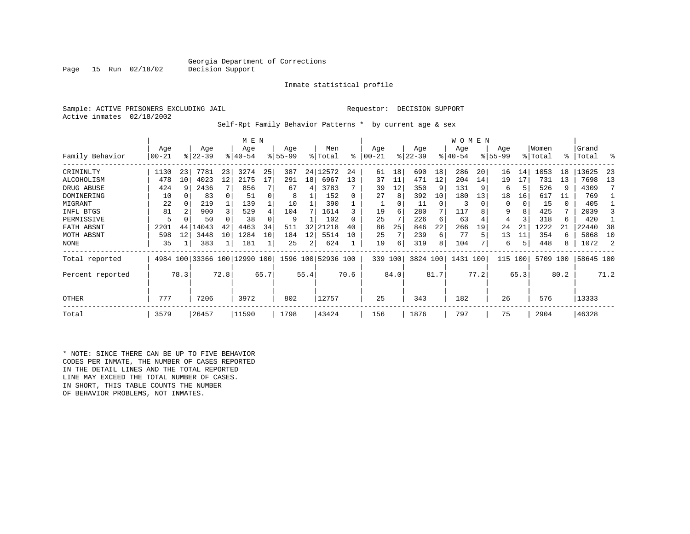### Georgia Department of Corrections<br>Decision Support

Inmate statistical profile

Sample: ACTIVE PRISONERS EXCLUDING JAIL Requestor: DECISION SUPPORT Active inmates 02/18/2002

Page 15 Run 02/18/02

Self-Rpt Family Behavior Patterns \* by current age & sex

|                  |                  |      |                              |      | M E N              |      |                    |      |                    |      |                  |      |                 |          | <b>WOMEN</b>    |      |                    |      |                  |      |                 |      |
|------------------|------------------|------|------------------------------|------|--------------------|------|--------------------|------|--------------------|------|------------------|------|-----------------|----------|-----------------|------|--------------------|------|------------------|------|-----------------|------|
| Family Behavior  | Age<br>$00 - 21$ |      | Age<br>$ 22-39 $             |      | Age<br>$8140 - 54$ |      | Age<br>$8155 - 99$ |      | Men<br>% Total     | နွ   | Age<br>$00 - 21$ |      | Age<br>$ 22-39$ |          | Age<br>$ 40-54$ |      | Age<br>$8155 - 99$ |      | Women<br>% Total | ွေ   | Grand<br> Total | ႜ    |
|                  |                  |      |                              |      |                    |      |                    |      |                    |      |                  |      |                 |          |                 |      |                    |      |                  |      |                 |      |
| CRIMINLTY        | 1130             | 23   | 7781                         | 23   | 3274               | 25   | 387                |      | 24 12572           | 24   | 61               | 18   | 690             | 18       | 286             | 20   | 16                 | 14   | 1053             | 18   | 13625           | -23  |
| ALCOHOLISM       | 478              | 10   | 4023                         | 12   | 2175               | 17   | 291                | 18   | 6967               | 13   | 37               | 11   | 471             | 12       | 204             | 14   | 19                 | 17   | 731              | 13   | 7698            | 13   |
| DRUG ABUSE       | 424              |      | 2436                         |      | 856                |      | 67                 | 4    | 3783               |      | 39               | 12   | 350             | 9        | 131             |      | 6                  |      | 526              | 9    | 4309            |      |
| DOMINERING       | 10               |      | 83                           |      | 51                 |      | 8                  |      | 152                | 0    | 27               | 8    | 392             | 10       | 180             | 13   | 18                 | 16   | 617              | 11   | 769             |      |
| MIGRANT          | 22               |      | 219                          |      | 139                |      | 10                 |      | 390                |      |                  |      | 11              | $\Omega$ | 3               |      | 0                  | 0    | 15               | 0    | 405             |      |
| INFL BTGS        | 81               |      | 900                          |      | 529                |      | 104                |      | 1614               |      | 19               | 6    | 280             | 7        | 117             |      | 9                  | 8    | 425              | 7    | 2039            |      |
| PERMISSIVE       | 5                |      | 50                           |      | 38                 |      | 9                  |      | 102                |      | 25               |      | 226             | 6        | 63              |      | 4                  | 3    | 318              | 6    | 420             |      |
| FATH ABSNT       | 2201             | 44   | 14043                        | 42   | 4463               | 34   | 511                | 32   | 21218              | 40   | 86               | 25   | 846             | 22       | 266             | 19   | 24                 | 21   | 1222             | 21   | 22440           | 38   |
| MOTH ABSNT       | 598              | 12   | 3448                         | 10   | 1284               | 10   | 184                | 12   | 5514               | 10   | 25               |      | 239             | 6        | 77              | 5    | 13                 | 11   | 354              | 6    | 5868            | 10   |
| NONE             | 35               |      | 383                          |      | 181                |      | 25                 | 2    | 624                |      | 19               | 6    | 319             | 8        | 104             |      | 6                  | 5    | 448              | 8    | 1072            | 2    |
| Total reported   |                  |      | 4984 100 33366 100 12990 100 |      |                    |      |                    |      | 1596 100 52936 100 |      | 339 100          |      | 3824 100        |          | 1431 100        |      | 115                | 100  | 5709 100         |      | 58645 100       |      |
| Percent reported |                  | 78.3 |                              | 72.8 |                    | 65.7 |                    | 55.4 |                    | 70.6 |                  | 84.0 |                 | 81.7     |                 | 77.2 |                    | 65.3 |                  | 80.2 |                 | 71.2 |
| OTHER            | 777              |      | 7206                         |      | 3972               |      | 802                |      | 12757              |      | 25               |      | 343             |          | 182             |      | 26                 |      | 576              |      | 13333           |      |
| Total            | 3579             |      | 26457                        |      | 11590              |      | 1798               |      | 43424              |      | 156              |      | 1876            |          | 797             |      | 75                 |      | 2904             |      | 46328           |      |

\* NOTE: SINCE THERE CAN BE UP TO FIVE BEHAVIOR CODES PER INMATE, THE NUMBER OF CASES REPORTED IN THE DETAIL LINES AND THE TOTAL REPORTED LINE MAY EXCEED THE TOTAL NUMBER OF CASES. IN SHORT, THIS TABLE COUNTS THE NUMBER OF BEHAVIOR PROBLEMS, NOT INMATES.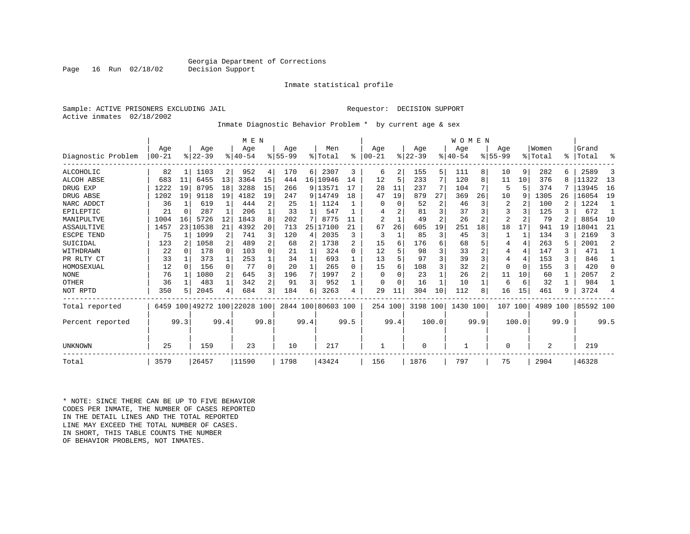### Georgia Department of Corrections<br>Decision Support

Inmate statistical profile

Sample: ACTIVE PRISONERS EXCLUDING JAIL Requestor: DECISION SUPPORT Active inmates 02/18/2002

Inmate Diagnostic Behavior Problem \* by current age & sex

|                    |            |          |           |              | M E N                   |                |             |              |                    |          |                |               |           |                | WOMEN       |      |                |                |                |      |           |                |
|--------------------|------------|----------|-----------|--------------|-------------------------|----------------|-------------|--------------|--------------------|----------|----------------|---------------|-----------|----------------|-------------|------|----------------|----------------|----------------|------|-----------|----------------|
|                    | Age        |          | Age       |              | Age                     |                | Aqe         |              | Men                |          | Age            |               | Age       |                | Age         |      | Aqe            |                | Women          |      | Grand     |                |
| Diagnostic Problem | $100 - 21$ |          | $ 22-39 $ |              | $8140 - 54$             |                | $8155 - 99$ |              | % Total            | ፠        | $100 - 21$     | $\frac{1}{6}$ | $22 - 39$ |                | $8140 - 54$ |      | $8155 - 99$    |                | % Total        | °≈   | Total     | ႜ              |
| ALCOHOLIC          | 82         |          | 1103      | 2            | 952                     | 4              | 170         | 6            | 2307               | 3        | 6              | 2             | 155       | 5              | 111         | 8    | 10             | 9              | 282            |      | 2589      | 3              |
| ALCOH ABSE         | 683        | 11       | 6455      | 13           | 3364                    | 15             | 444         |              | 16 10946           | 14       | 12             | 5             | 233       | 7              | 120         | 8    | 11             | 10             | 376            |      | 11322     | 13             |
| DRUG EXP           | 1222       | 19       | 8795      | 18           | 3288                    | 15             | 266         |              | 9 13571            |          | 28             | 11            | 237       | 7              | 104         | 7    | 5              | 5              | 374            |      | 13945     | 16             |
| DRUG ABSE          | 1202       | 19       | 9118      | 19           | 4182                    | 19             | 247         |              | 9 14749            | 18       | 47             | 19            | 879       | 27             | 369         | 26   | 10             | 9              | 1305           | 26   | 16054     | 19             |
| NARC ADDCT         | 36         |          | 619       | $\mathbf{1}$ | 444                     | 2              | 25          | 1            | 1124               |          |                | $\Omega$      | 52        | $\overline{c}$ | 46          | 3    | 2              |                | 100            |      | 1224      | $\mathbf{1}$   |
| EPILEPTIC          | 21         | $\Omega$ | 287       | $\mathbf{1}$ | 206                     |                | 33          | $\mathbf{1}$ | 547                |          |                |               | 81        | 3              | 37          |      | 3              |                | 125            |      | 672       |                |
| MANIPULTVE         | 1004       | 16       | 5726      | 12           | 1843                    | 8              | 202         |              | 8775               |          | $\overline{2}$ |               | 49        | $\overline{a}$ | 26          |      | $\overline{2}$ |                | 79             |      | 8854      | 10             |
| <b>ASSAULTIVE</b>  | 1457       | 23       | 10538     | 21           | 4392                    | 20             | 713         | 25           | 17100              | 21       | 67             | 26            | 605       | 19             | 251         | 18   | 18             | 17             | 941            | 19   | 18041     | 21             |
| ESCPE TEND         | 75         |          | 1099      | 2            | 741                     | 3              | 120         | 4            | 2035               | 3        | 3              |               | 85        | 3              | 45          | 3    |                |                | 134            |      | 2169      | 3              |
| SUICIDAL           | 123        | 2        | 1058      | $\mathbf{2}$ | 489                     | 2              | 68          | 2            | 1738               | 2        | 15             | 6             | 176       | 6              | 68          |      | 4              | 4              | 263            |      | 2001      | $\overline{a}$ |
| WITHDRAWN          | 22         | $\Omega$ | 178       | $\Omega$     | 103                     | 0              | 21          |              | 324                | $\Omega$ | 12             |               | 98        | ς              | 33          |      | 4              | $\overline{4}$ | 147            | 3    | 471       |                |
| PR RLTY CT         | 33         |          | 373       | $\mathbf{1}$ | 253                     |                | 34          |              | 693                |          | 13             |               | 97        | 3              | 39          |      | 4              | 4              | 153            | ζ    | 846       |                |
| HOMOSEXUAL         | 12         | $\Omega$ | 156       | $\Omega$     | 77                      | $\Omega$       | 20          |              | 265                | $\Omega$ | 15             |               | 108       | 3              | 32          |      | $\Omega$       | $\Omega$       | 155            | ζ    | 420       | $\Omega$       |
| <b>NONE</b>        | 76         |          | 1080      | 2            | 645                     | 3              | 196         | 7            | 1997               | 2        | $\Omega$       |               | 23        |                | 26          |      | 11             | 10             | 60             |      | 2057      | $\overline{a}$ |
| OTHER              | 36         |          | 483       | $\mathbf{1}$ | 342                     | $\overline{a}$ | 91          | 3            | 952                |          | O              | $\Omega$      | 16        |                | 10          |      | 6              | 6              | 32             |      | 984       |                |
| NOT RPTD           | 350        | 5        | 2045      | 4            | 684                     | 3              | 184         | 6            | 3263               | 4        | 29             | 11            | 304       | 10             | 112         | 8    | 16             | 15             | 461            | q    | 3724      | 4              |
| Total reported     | 6459       |          |           |              | 100 49272 100 22028 100 |                |             |              | 2844 100 80603 100 |          | 254 100        |               | 3198 100  |                | 1430 100    |      | 107            | 100            | 4989           | 100  | 85592 100 |                |
| Percent reported   |            | 99.3     |           | 99.4         |                         | 99.8           |             | 99.4         |                    | 99.5     |                | 99.4          |           | 100.0          |             | 99.9 |                | 100.0          |                | 99.9 |           | 99.5           |
| UNKNOWN            | 25         |          | 159       |              | 23                      |                | 10          |              | 217                |          |                |               | 0         |                |             |      | 0              |                | $\overline{2}$ |      | 219       |                |
| Total              | 3579       |          | 26457     |              | 11590                   |                | 1798        |              | 43424              |          | 156            |               | 1876      |                | 797         |      | 75             |                | 2904           |      | 46328     |                |

\* NOTE: SINCE THERE CAN BE UP TO FIVE BEHAVIOR CODES PER INMATE, THE NUMBER OF CASES REPORTED IN THE DETAIL LINES AND THE TOTAL REPORTED LINE MAY EXCEED THE TOTAL NUMBER OF CASES.IN SHORT, THIS TABLE COUNTS THE NUMBER OF BEHAVIOR PROBLEMS, NOT INMATES.

Page 16 Run 02/18/02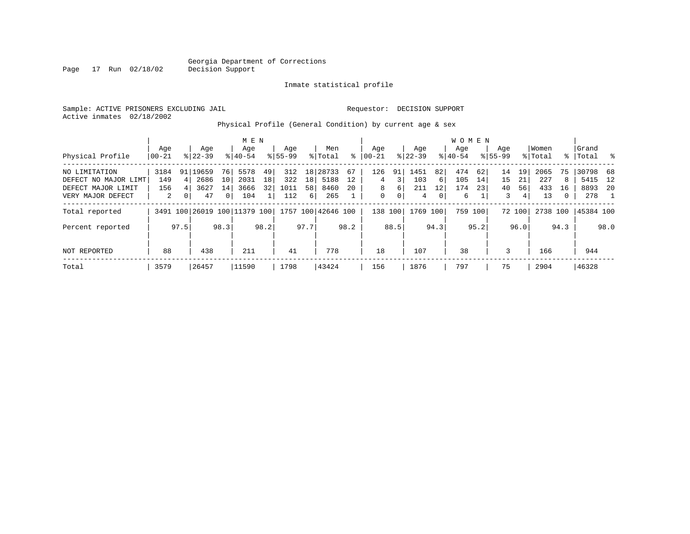Inmate statistical profile

Sample: ACTIVE PRISONERS EXCLUDING JAIL Requestor: DECISION SUPPORT Active inmates 02/18/2002

### Physical Profile (General Condition) by current age & sex

|                      |       |          |                              |                | M E N     |                 |             |                 |                    |      |          |                |             |      | W O M E N |         |             |        |          |              |           |               |
|----------------------|-------|----------|------------------------------|----------------|-----------|-----------------|-------------|-----------------|--------------------|------|----------|----------------|-------------|------|-----------|---------|-------------|--------|----------|--------------|-----------|---------------|
|                      | Age   |          | Age                          |                | Age       |                 | Age         |                 | Men                |      | Age      |                | Aqe         |      | Age       |         | Age         |        | Women    |              | Grand     |               |
| Physical Profile     | 00-21 |          | $8 22-39$                    |                | $8 40-54$ |                 | $8155 - 99$ |                 | % Total            | ి    | $ 00-21$ |                | $8$   22-39 |      | $ 40-54$  |         | $8155 - 99$ |        | % Total  |              | %   Total | $\sim$ $\sim$ |
| NO LIMITATION        | 3184  | 91       | 19659                        | 76             | 5578      | 49              | 312         | 18 <sup>1</sup> | 28733              | 67   | 126      | 91             | 1451        | 82   | 474       | 62      | 14          | 19     | 2065     | 75           | 30798     | - 68          |
| DEFECT NO MAJOR LIMT | 149   | 4        | 2686                         | 10             | 2031      | 18              | 322         | 18              | 5188               | 12   | 4        | 3              | 103         | 6    | 105       | 14      | 15          | 21     | 227      | 8            | 5415      | 12            |
| DEFECT MAJOR LIMIT   | 156   | 4        | 3627                         | 14 I           | 3666      | 32 <sub>1</sub> | 1011        | 58              | 8460               | 2.0  | 8        | 6              | 211         | 12   | 174       | 231     | 40          | 56     | 433      | 16           | 8893      | -20           |
| VERY MAJOR DEFECT    | 2     | $\Omega$ | 47                           | 0 <sup>1</sup> | 104       |                 | 112         | 6               | 265                |      | 0        | $\overline{0}$ | 4           | 0    | 6         |         | 3           | 4      | 13       | $\mathbf{0}$ | 278       |               |
| Total reported       |       |          | 3491 100 26019 100 11379 100 |                |           |                 |             |                 | 1757 100 42646 100 |      | 138      | 100            | 1769        | 100  |           | 759 100 |             | 72 100 | 2738 100 |              | 45384 100 |               |
| Percent reported     |       | 97.5     |                              | 98.3           |           | 98.2            |             | 97.7            |                    | 98.2 |          | 88.5           |             | 94.3 |           | 95.2    |             | 96.0   |          | 94.3         |           | 98.0          |
| NOT REPORTED         | 88    |          | 438                          |                | 211       |                 | 41          |                 | 778                |      | 18       |                | 107         |      | 38        |         | 3           |        | 166      |              | 944       |               |
|                      |       |          |                              |                |           |                 |             |                 |                    |      |          |                |             |      |           |         |             |        |          |              |           |               |
| Total                | 3579  |          | 26457                        |                | 11590     |                 | 1798        |                 | 43424              |      | 156      |                | 1876        |      | 797       |         | 75          |        | 2904     |              | 46328     |               |

Page 17 Run 02/18/02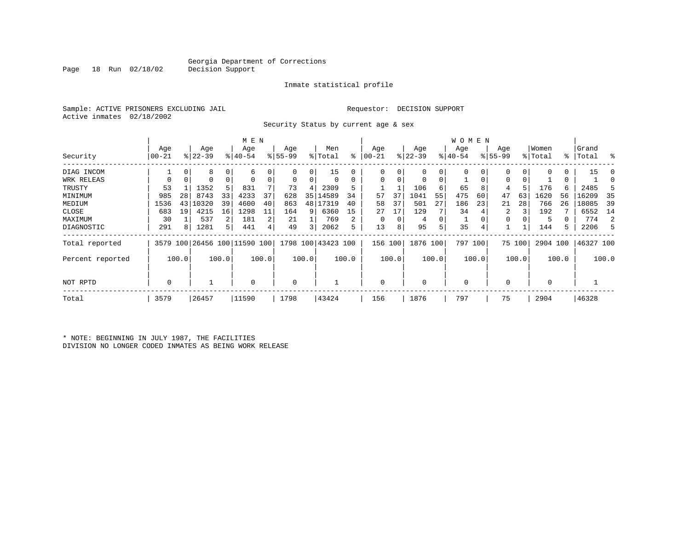Inmate statistical profile

Sample: ACTIVE PRISONERS EXCLUDING JAIL Requestor: DECISION SUPPORT Active inmates 02/18/2002

Security Status by current age & sex

|                  |                  |       |                  |                | M E N                        |       |                    |       |                    |       |                  |               |                  |       | <b>WOMEN</b>    |       |                    |        |                  |       |                    |       |
|------------------|------------------|-------|------------------|----------------|------------------------------|-------|--------------------|-------|--------------------|-------|------------------|---------------|------------------|-------|-----------------|-------|--------------------|--------|------------------|-------|--------------------|-------|
| Security         | Age<br>$00 - 21$ |       | Age<br>$ 22-39 $ |                | Age<br>$8140 - 54$           |       | Age<br>$8155 - 99$ |       | Men<br>% Total     | ႜ     | Age<br>$00 - 21$ | $\frac{1}{6}$ | Age<br>$22 - 39$ |       | Age<br>$ 40-54$ |       | Age<br>$8155 - 99$ |        | Women<br>% Total |       | Grand<br>%   Total | ွေ    |
|                  |                  |       |                  |                |                              |       |                    |       |                    |       |                  |               |                  |       |                 |       |                    |        |                  |       |                    |       |
| DIAG INCOM       |                  |       | 8                | 0              | 6                            |       | $\Omega$           | 0     | 15                 | 0     | $\Omega$         | 0             | 0                |       | 0               | 0     | 0                  |        |                  | 0     | 15                 | C     |
| WRK RELEAS       | $\Omega$         | 0     |                  | 0              |                              |       | 0                  | 0     | 0                  | 0     | $\Omega$         | 0             | 0                | 0     |                 | 0     | $\Omega$           |        |                  | 0     |                    |       |
| TRUSTY           | 53               |       | 1352             | 5              | 831                          |       | 73                 | 4     | 2309               | 5     |                  |               | 106              | 6     | 65              | 8     | 4                  |        | 176              | 6     | 2485               |       |
| MINIMUM          | 985              | 28    | 8743             | 33             | 4233                         | 37    | 628                | 35    | 14589              | 34    | 57               | 37            | 1041             | 55    | 475             | 60    | 47                 | 63     | 1620             | 56    | 16209              | 35    |
| MEDIUM           | 1536             | 43    | 10320            | 39             | 4600                         | 40    | 863                | 48    | 17319              | 40    | 58               | 37            | 501              | 27    | 186             | 23    | 21                 | 28     | 766              | 26    | 18085              | 39    |
| CLOSE            | 683              | 19    | 4215             | 16             | 1298                         | 11    | 164                | 9     | 6360               | 15    | 27               | 17            | 129              |       | 34              |       | 2                  | 3      | 192              |       | 6552               | 14    |
| MAXIMUM          | 30               |       | 537              | $\overline{2}$ | 181                          | 2     | 21                 |       | 769                | 2     | 0                | 0             | 4                | 0     |                 |       | 0                  |        | 5                |       | 774                | 2     |
| DIAGNOSTIC       | 291              | 8     | 1281             | 5              | 441                          | 4     | 49                 | 3     | 2062               | 5     | 13               | 8             | 95               | 5     | 35              |       |                    |        | 144              | 5     | 2206               | 5     |
| Total reported   |                  |       |                  |                | 3579 100 26456 100 11590 100 |       |                    |       | 1798 100 43423 100 |       | 156 100          |               | 1876 100         |       | 797 100         |       |                    | 75 100 | 2904 100         |       | 46327 100          |       |
| Percent reported |                  | 100.0 |                  | 100.0          |                              | 100.0 |                    | 100.0 |                    | 100.0 |                  | 100.0         |                  | 100.0 |                 | 100.0 |                    | 100.0  |                  | 100.0 |                    | 100.0 |
| NOT RPTD         | $\Omega$         |       |                  |                | $\Omega$                     |       | 0                  |       |                    |       | $\Omega$         |               | 0                |       | 0               |       | $\Omega$           |        | $\Omega$         |       |                    |       |
| Total            | 3579             |       | 26457            |                | 11590                        |       | 1798               |       | 43424              |       | 156              |               | 1876             |       | 797             |       | 75                 |        | 2904             |       | 46328              |       |

\* NOTE: BEGINNING IN JULY 1987, THE FACILITIES DIVISION NO LONGER CODED INMATES AS BEING WORK RELEASE

Page 18 Run 02/18/02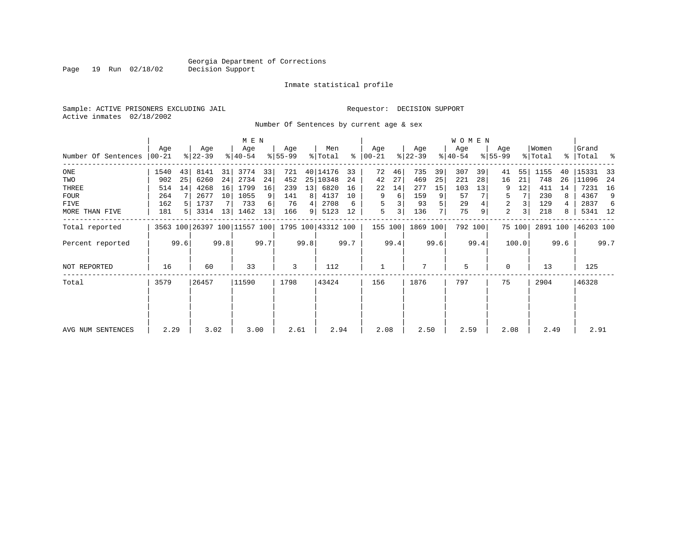Inmate statistical profile

Sample: ACTIVE PRISONERS EXCLUDING JAIL Requestor: DECISION SUPPORT Active inmates 02/18/2002

Page 19 Run 02/18/02

Number Of Sentences by current age & sex

|                     |              |      |                  |      | M E N                        |      |                  |      |                    |      |                      |      |                  |      | W O M E N        |         |                    |                |                  |      |                    |      |
|---------------------|--------------|------|------------------|------|------------------------------|------|------------------|------|--------------------|------|----------------------|------|------------------|------|------------------|---------|--------------------|----------------|------------------|------|--------------------|------|
| Number Of Sentences | Age<br>00-21 |      | Age<br>$ 22-39 $ |      | Age<br>$ 40-54 $             |      | Age<br>$8 55-99$ |      | Men<br>% Total     |      | Age<br>$8   00 - 21$ |      | Age<br>$ 22-39 $ |      | Age<br>$8 40-54$ |         | Age<br>$8155 - 99$ |                | Women<br>% Total |      | Grand<br>%   Total | ႜ    |
| $_{\rm ONE}$        | 1540         | 43   | 8141             | 31   | 3774                         | 33   | 721              |      | 40 14176           | 33   | 72                   | 46   | 735              | 39   | 307              | 39      | 41                 | 55             | 1155             | 40   | 15331              | - 33 |
| TWO                 | 902          | 25   | 6260             | 24   | 2734                         | 24   | 452              |      | 25 10348           | 24   | 42                   | 27   | 469              | 25   | 221              | 28      | 16                 | 21             | 748              | 26   | 11096              | 24   |
| THREE               | 514          | 14   | 4268             | 16   | 1799                         | 16   | 239              | 13   | 6820               | 16   | 22                   | 14   | 277              | 15   | 103              | 13      | 9                  | 12             | 411              | 14   | 7231               | 16   |
| <b>FOUR</b>         | 264          |      | 2677             | 10   | 1055                         | 9    | 141              | 8    | 4137               | 10   | 9                    | 6    | 159              | 9    | 57               |         | 5                  |                | 230              | 8    | 4367               | 9    |
| FIVE                | 162          |      | 1737             |      | 733                          | 6    | 76               |      | 2708               | 6    | 5                    | 3    | 93               |      | 29               |         | 2                  | 3              | 129              | 4    | 2837               | 6    |
| MORE THAN FIVE      | 181          |      | 3314             | 13   | 1462                         | 13   | 166              | 9    | 5123               | 12   | 5                    | 3    | 136              |      | 75               | 9       | 2                  | 3 <sub>1</sub> | 218              | 8    | 5341 12            |      |
| Total reported      |              |      |                  |      | 3563 100 26397 100 11557 100 |      |                  |      | 1795 100 43312 100 |      | 155 100              |      | 1869 100         |      |                  | 792 100 |                    | 75 100         | 2891 100         |      | 46203 100          |      |
| Percent reported    |              | 99.6 |                  | 99.8 |                              | 99.7 |                  | 99.8 |                    | 99.7 |                      | 99.4 |                  | 99.6 |                  | 99.4    |                    | 100.0          |                  | 99.6 |                    | 99.7 |
| NOT REPORTED        | 16           |      | 60               |      | 33                           |      | 3                |      | 112                |      |                      |      | 7                |      | 5                |         | $\mathbf 0$        |                | 13               |      | 125                |      |
| Total               | 3579         |      | 26457            |      | 11590                        |      | 1798             |      | 43424              |      | 156                  |      | 1876             |      | 797              |         | 75                 |                | 2904             |      | 46328              |      |
|                     |              |      |                  |      |                              |      |                  |      |                    |      |                      |      |                  |      |                  |         |                    |                |                  |      |                    |      |
| AVG NUM SENTENCES   | 2.29         |      | 3.02             |      | 3.00                         |      | 2.61             |      | 2.94               |      | 2.08                 |      | 2.50             |      | 2.59             |         | 2.08               |                | 2.49             |      | 2.91               |      |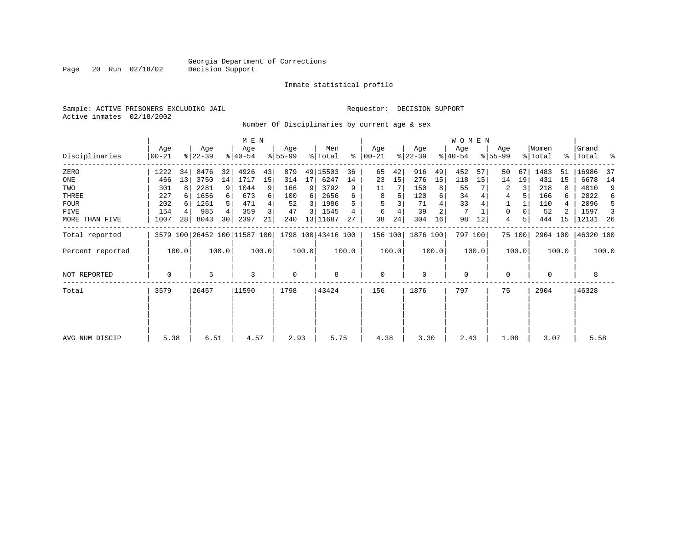Inmate statistical profile

Sample: ACTIVE PRISONERS EXCLUDING JAIL Requestor: DECISION SUPPORT Active inmates 02/18/2002

Page 20 Run 02/18/02

Number Of Disciplinaries by current age & sex

|                     |                 |                 |                  |       | M E N            |       |                 |                |                                                 |       |                  |       |                  |       | <b>WOMEN</b>     |         |                  |        |                  |       |                      |       |
|---------------------|-----------------|-----------------|------------------|-------|------------------|-------|-----------------|----------------|-------------------------------------------------|-------|------------------|-------|------------------|-------|------------------|---------|------------------|--------|------------------|-------|----------------------|-------|
| Disciplinaries      | Age<br>$ 00-21$ |                 | Age<br>$ 22-39 $ |       | Age<br>$8 40-54$ |       | Age<br>$ 55-99$ |                | Men<br>% Total                                  | ∻     | Age<br>$00 - 21$ |       | Age<br>$ 22-39 $ |       | Age<br>$ 40-54 $ |         | Age<br>$8 55-99$ |        | Women<br>% Total |       | Grand<br>%   Total % |       |
| ZERO                | 1222            | 34              | 8476             | 32    | 4926             | 43    | 879             |                | 49 15503                                        | 36    | 65               | 42    | 916              | 49    | 452              | 57      | 50               | 67     | 1483             | 51    | 16986                | -37   |
| ONE                 | 466             | 13              | 3750             | 14    | 1717             | 15    | 314             | 17             | 6247                                            | 14    | 23               | 15    | 276              | 15    | 118              | 15      | 14               | 19     | 431              | 15    | 6678                 | 14    |
| TWO                 | 301             | 8               | 2281             | 9     | 1044             | 9     | 166             | 9              | 3792                                            | 9     | 11               |       | 150              | 8     | 55               |         | 2                | 3      | 218              |       | 4010                 | 9     |
| THREE               | 227             |                 | 1656             |       | 673              | 6     | 100             | 6              | 2656                                            | 6     | 8                |       | 120              | 6     | 34               |         | 4                |        | 166              | 6     | 2822                 | 6     |
| <b>FOUR</b>         | 202             |                 | 1261             |       | 471              |       | 52              | 3              | 1986                                            |       |                  |       | 71               |       | 33               |         |                  |        | 110              |       | 2096                 | -5    |
| FIVE                | 154             |                 | 985              |       | 359              |       | 47              | $\overline{3}$ | 1545                                            |       | 6                |       | 39               |       |                  |         | 0                |        | 52               |       | 1597                 | -3    |
| MORE THAN FIVE      | 1007            | 28 <sub>1</sub> | 8043             | 30    | 2397             | 21    | 240             |                | 13 11687                                        | 27    | 38               | 24    | 304              | 16    | 98               | 12      | 4                | 5      | 444              | 15    | 12131                | -26   |
| Total reported      |                 |                 |                  |       |                  |       |                 |                | 3579 100 26452 100 11587 100 1798 100 43416 100 |       | 156 100          |       | 1876 100         |       |                  | 797 100 |                  | 75 100 | 2904 100         |       | 46320 100            |       |
| Percent reported    |                 | 100.0           |                  | 100.0 |                  | 100.0 |                 | 100.0          |                                                 | 100.0 |                  | 100.0 |                  | 100.0 |                  | 100.0   |                  | 100.0  |                  | 100.0 |                      | 100.0 |
| <b>NOT REPORTED</b> | 0               |                 | 5                |       | 3                |       | $\mathbf 0$     |                | 8                                               |       | $\mathbf{0}$     |       | $\mathbf 0$      |       | $\mathbf 0$      |         | 0                |        | $\mathbf 0$      |       | 8                    |       |
| Total               | 3579            |                 | 26457            |       | 11590            |       | 1798            |                | 43424                                           |       | 156              |       | 1876             |       | 797              |         | 75               |        | 2904             |       | 46328                |       |
|                     |                 |                 |                  |       |                  |       |                 |                |                                                 |       |                  |       |                  |       |                  |         |                  |        |                  |       |                      |       |
| AVG NUM DISCIP      | 5.38            |                 | 6.51             |       | 4.57             |       | 2.93            |                | 5.75                                            |       | 4.38             |       | 3.30             |       | 2.43             |         | 1.08             |        | 3.07             |       | 5.58                 |       |
|                     |                 |                 |                  |       |                  |       |                 |                |                                                 |       |                  |       |                  |       |                  |         |                  |        |                  |       |                      |       |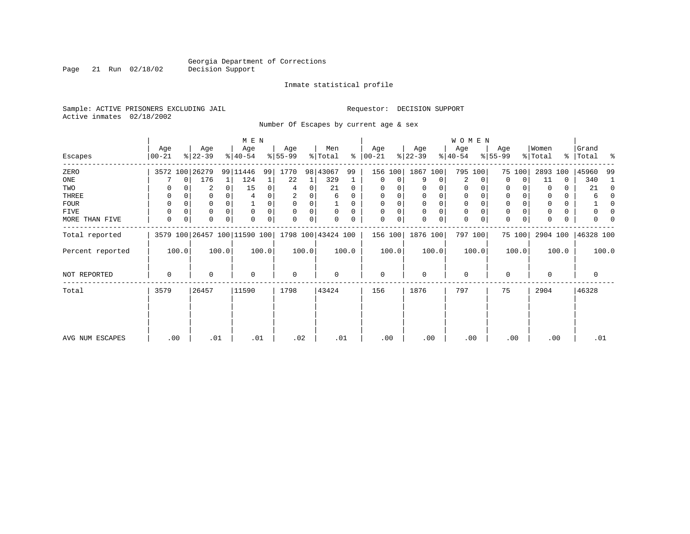Page 21 Run 02/18/02

#### Inmate statistical profile

Sample: ACTIVE PRISONERS EXCLUDING JAIL Requestor: DECISION SUPPORT Active inmates 02/18/2002

Number Of Escapes by current age & sex

|                  |                  |                                                 | M E N                   |       |                 |   |                |          |                 |       |                  |             | <b>WOMEN</b>     |         |                 |        |                  |       |                 |          |
|------------------|------------------|-------------------------------------------------|-------------------------|-------|-----------------|---|----------------|----------|-----------------|-------|------------------|-------------|------------------|---------|-----------------|--------|------------------|-------|-----------------|----------|
| Escapes          | Age<br>$00 - 21$ | Age<br>$ 22-39 $                                | Age<br>$ 40-54 $        |       | Age<br>$ 55-99$ |   | Men<br>% Total | ႜႂ       | Age<br>$ 00-21$ |       | Age<br>$ 22-39 $ |             | Age<br>$ 40-54 $ |         | Age<br>$ 55-99$ |        | Women<br>% Total | ႜၟ    | Grand<br> Total | ႜ        |
| ZERO             |                  | 3572 100 26279                                  | 99 11446                | 99    | 1770            |   | 98 43067       | 99       | 156 100         |       | 1867 100         |             | 795              | 100     |                 | 75 100 | 2893             | 100   | 45960           | 99       |
| ONE              |                  | 176<br>$\Omega$                                 | 124<br>1                | 1     | 22              |   | 329            |          | 0               | 0     | 9                | 0           | 2                | 0       | 0               | 0      | 11               | 0     | 340             |          |
| TWO              |                  | 2                                               | 15<br>0                 | 0     | 4               | 0 | 21             | $\Omega$ | $\Omega$        |       |                  | 0           | 0                |         | 0               |        |                  | 0     | 21              | $\Omega$ |
| THREE            | 0                |                                                 |                         |       | 2               | 0 | 6              |          | 0               | 0     |                  |             | 0                |         | $\mathbf 0$     |        |                  | 0     | 6               |          |
| <b>FOUR</b>      | $\Omega$         | 0                                               |                         | 0     |                 |   |                |          | $\Omega$        |       |                  |             |                  |         | $\mathbf 0$     |        |                  | 0     |                 |          |
| FIVE             | $\Omega$         | 0                                               | $\mathbf 0$<br>$\Omega$ | 0     | $\Omega$        | 0 | $\Omega$       | $\Omega$ | $\Omega$        | 0     | $\Omega$         | $\Omega$    | 0                |         | $\mathbf 0$     |        |                  | 0     |                 |          |
| MORE THAN FIVE   | $\mathbf 0$      | 0<br>0                                          | 0<br>$\mathbf 0$        | 0     | 0               | 0 | 0              | 0        | $\mathbf 0$     | 0     | $\Omega$         | $\mathbf 0$ | 0                |         | $\mathbf 0$     | 0      | $\Omega$         | 0     |                 |          |
| Total reported   |                  | 3579 100 26457 100 11590 100 1798 100 43424 100 |                         |       |                 |   |                |          | 156 100         |       | 1876 100         |             |                  | 797 100 |                 | 75 100 | 2904 100         |       | 46328 100       |          |
| Percent reported | 100.0            | 100.0                                           |                         | 100.0 | 100.0           |   |                | 100.0    |                 | 100.0 |                  | 100.0       |                  | 100.0   |                 | 100.0  |                  | 100.0 |                 | 100.0    |
| NOT REPORTED     | 0                | 0                                               | $\mathbf 0$             |       | $\mathbf 0$     |   | 0              |          | $\mathbf 0$     |       | $\Omega$         |             | $\mathbf 0$      |         | 0               |        | $\Omega$         |       | 0               |          |
| Total            | 3579             | 26457                                           | 11590                   |       | 1798            |   | 43424          |          | 156             |       | 1876             |             | 797              |         | 75              |        | 2904             |       | 46328           |          |
|                  |                  |                                                 |                         |       |                 |   |                |          |                 |       |                  |             |                  |         |                 |        |                  |       |                 |          |
| AVG NUM ESCAPES  | .00              | .01                                             |                         | .01   | .02             |   | .01            |          | .00             |       | .00              |             | .00              |         |                 | .00    | .00              |       | .01             |          |
|                  |                  |                                                 |                         |       |                 |   |                |          |                 |       |                  |             |                  |         |                 |        |                  |       |                 |          |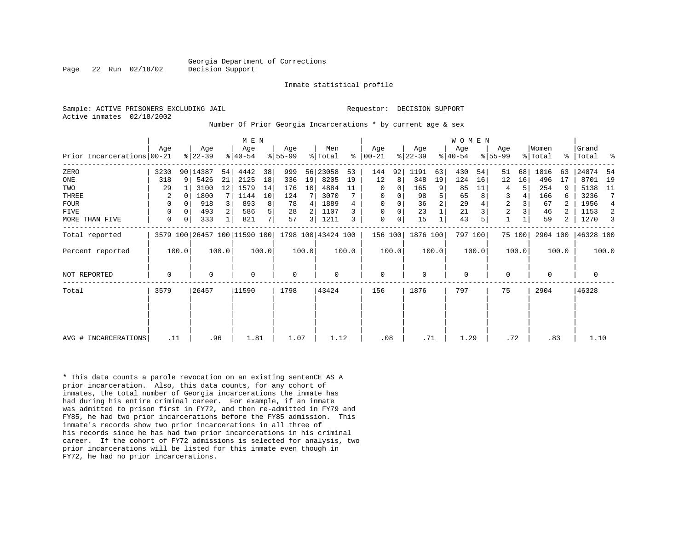Inmate statistical profile

Active inmates 02/18/2002

#### Sample: ACTIVE PRISONERS EXCLUDING JAIL **Requestor: DECISION SUPPORT**

Number Of Prior Georgia Incarcerations \* by current age & sex

|                            |      |                |                  |       | M E N                        |       |                  |                |                    |       |                      |       |                  |                | <b>WOMEN</b>    |       |                  |        |                  |           |                 |       |
|----------------------------|------|----------------|------------------|-------|------------------------------|-------|------------------|----------------|--------------------|-------|----------------------|-------|------------------|----------------|-----------------|-------|------------------|--------|------------------|-----------|-----------------|-------|
| Prior Incarcerations 00-21 | Aqe  |                | Age<br>$ 22-39 $ |       | Age<br>$ 40-54 $             |       | Age<br>$8 55-99$ |                | Men<br>% Total     |       | Aqe<br>$8   00 - 21$ |       | Age<br>$ 22-39 $ |                | Age<br>$ 40-54$ |       | Age<br>$ 55-99 $ |        | Women<br>% Total | $\approx$ | Grand<br> Total | န္    |
| ZERO                       | 3230 |                | 90 14387         | 54    | 4442                         | 38    | 999              |                | 56 23058           | 53    | 144                  | 92    | 1191             | 63             | 430             | 54    | 51               | 68     | 1816             | 63        | 24874           | -54   |
| ONE                        | 318  | 9 <sup>1</sup> | 5426             | 21    | 2125                         | 18    | 336              | 19             | 8205               | 19    | 12                   | 8     | 348              | 19             | 124             | 16    | 12               | 16     | 496              | 17        | 8701            | 19    |
| TWO                        | 29   |                | 3100             | 12    | 1579                         | 14    | 176              | 10             | 4884               | 11    | 0                    | 0     | 165              | 9              | 85              | 11    | 4                | 5      | 254              | 9         | 5138            | 11    |
| THREE                      | 2    |                | 1800             |       | 1144                         | 10    | 124              |                | 3070               |       | 0                    | 0     | 98               | 5              | 65              |       | 3                | 4      | 166              | 6         | 3236            |       |
| <b>FOUR</b>                | 0    |                | 918              |       | 893                          | 8     | 78               | 4              | 1889               |       | $\mathbf 0$          | 0     | 36               | $\overline{c}$ | 29              |       | 2                |        | 67               |           | 1956            | 4     |
| <b>FIVE</b>                | 0    |                | 493              | 2     | 586                          | 5     | 28               |                | 1107               |       | $\mathbf 0$          | 0     | 23               |                | 21              |       | $\overline{c}$   |        | 46               |           | 1153            | 2     |
| MORE THAN FIVE             | 0    |                | 333              |       | 821                          | 7     | 57               | $\overline{3}$ | 1211               | 3     | 0                    | 0     | 15               |                | 43              |       | $\mathbf{1}$     |        | 59               | 2         | 1270            |       |
| Total reported             |      |                |                  |       | 3579 100 26457 100 11590 100 |       |                  |                | 1798 100 43424 100 |       | 156 100              |       | 1876 100         |                | 797 100         |       |                  | 75 100 | 2904 100         |           | 46328 100       |       |
| Percent reported           |      | 100.0          |                  | 100.0 |                              | 100.0 |                  | 100.0          |                    | 100.0 |                      | 100.0 |                  | 100.0          |                 | 100.0 |                  | 100.0  |                  | 100.0     |                 | 100.0 |
| NOT REPORTED               | 0    |                | $\mathbf 0$      |       | $\Omega$                     |       | $\mathbf 0$      |                | 0                  |       | $\mathbf 0$          |       | $\mathbf{0}$     |                | $\mathbf 0$     |       | $\mathbf 0$      |        | $\Omega$         |           | 0               |       |
| Total                      | 3579 |                | 26457            |       | 11590                        |       | 1798             |                | 43424              |       | 156                  |       | 1876             |                | 797             |       | 75               |        | 2904             |           | 46328           |       |
|                            |      |                |                  |       |                              |       |                  |                |                    |       |                      |       |                  |                |                 |       |                  |        |                  |           |                 |       |
|                            |      |                |                  |       |                              |       |                  |                |                    |       |                      |       |                  |                |                 |       |                  |        |                  |           |                 |       |
| AVG # INCARCERATIONS       | .11  |                | .96              |       | 1.81                         |       | 1.07             |                | 1.12               |       | .08                  |       | .71              |                | 1.29            |       | .72              |        | .83              |           | 1.10            |       |

\* This data counts a parole revocation on an existing sentenCE AS A prior incarceration. Also, this data counts, for any cohort of inmates, the total number of Georgia incarcerations the inmate has had during his entire criminal career. For example, if an inmate was admitted to prison first in FY72, and then re-admitted in FY79 and FY85, he had two prior incarcerations before the FY85 admission. This inmate's records show two prior incarcerations in all three of his records since he has had two prior incarcerations in his criminal career. If the cohort of FY72 admissions is selected for analysis, two prior incarcerations will be listed for this inmate even though in FY72, he had no prior incarcerations.

Page 22 Run 02/18/02 Decision Support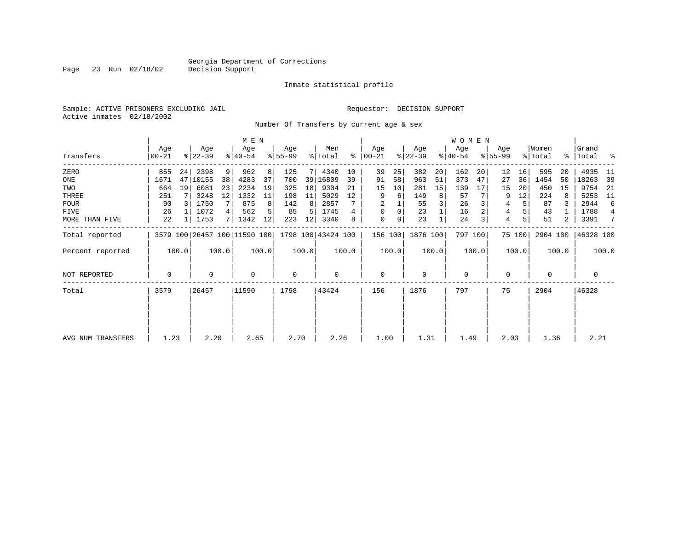Inmate statistical profile

Sample: ACTIVE PRISONERS EXCLUDING JAIL Requestor: DECISION SUPPORT Active inmates 02/18/2002

Page 23 Run 02/18/02

Number Of Transfers by current age & sex

|                   |                |                |                  |                | M E N                        |       |                  |       |                    |       |                 |       |                  |       | <b>WOMEN</b>     |       |                  |        |                  |       |                      |                |
|-------------------|----------------|----------------|------------------|----------------|------------------------------|-------|------------------|-------|--------------------|-------|-----------------|-------|------------------|-------|------------------|-------|------------------|--------|------------------|-------|----------------------|----------------|
| Transfers         | Age<br>  00-21 |                | Age<br>$ 22-39 $ |                | Age<br>$8 40-54$             |       | Age<br>$ 55-99 $ |       | Men<br>% Total     | နွ    | Age<br>$ 00-21$ |       | Age<br>$ 22-39 $ |       | Age<br>$ 40-54 $ |       | Age<br>$8 55-99$ |        | Women<br>% Total |       | Grand<br>%   Total % |                |
| ZERO              | 855            | 24             | 2398             | $\overline{9}$ | 962                          | 8     | 125              |       | 4340               | 10    | 39              | 25    | 382              | 20    | 162              | 20    | 12               | 16     | 595              | 20    | 4935                 | -11            |
| ONE               | 1671           | 47             | 10155            | 38             | 4283                         | 37    | 700              |       | 39 16809           | 39    | 91              | 58    | 963              | 51    | 373              | 47    | 27               | 36     | 1454             | 50    | 18263                | -39            |
| TWO               | 664            | 19             | 6081             | 23             | 2234                         | 19    | 325              | 18    | 9304               | 21    | 15              | 10    | 281              | 15    | 139              | 17    | 15               | 20     | 450              | 15    | 9754                 | - 21           |
| THREE             | 251            |                | 3248             | 12             | 1332                         | 11    | 198              | 11    | 5029               | 12    | 9               | 6     | 149              | 8     | 57               |       | 9                | 12     | 224              | 8     | 5253                 | -11            |
| <b>FOUR</b>       | 90             | $\overline{3}$ | 1750             | 7              | 875                          | 8     | 142              | 8     | 2857               |       |                 |       | 55               | 3     | 26               |       | 4                | 5      | 87               |       | 2944                 | 6              |
| FIVE              | 26             |                | 1072             | 4              | 562                          |       | 85               | 5     | 1745               |       | 0               | 0     | 23               |       | 16               |       | 4                |        | 43               |       | 1788                 | $\overline{4}$ |
| MORE THAN FIVE    | 22             |                | 1753             | 7 L            | 1342                         | 12    | 223              | 12    | 3340               | 8     | 0               | 0     | 23               |       | 24               |       | 4                | 5      | 51               | 2     | 3391                 | 7              |
| Total reported    |                |                |                  |                | 3579 100 26457 100 11590 100 |       |                  |       | 1798 100 43424 100 |       | 156 100         |       | 1876 100         |       | 797 100          |       |                  | 75 100 | 2904 100         |       | 46328 100            |                |
| Percent reported  |                | 100.0          |                  | 100.0          |                              | 100.0 |                  | 100.0 |                    | 100.0 |                 | 100.0 |                  | 100.0 |                  | 100.0 |                  | 100.0  |                  | 100.0 |                      | 100.0          |
| NOT REPORTED      | 0              |                | 0                |                | $\mathbf 0$                  |       | $\mathbf 0$      |       | 0                  |       | 0               |       | $\mathbf 0$      |       | 0                |       | $\Omega$         |        | 0                |       | 0                    |                |
| Total             | 3579           |                | 26457            |                | 11590                        |       | 1798             |       | 43424              |       | 156             |       | 1876             |       | 797              |       | 75               |        | 2904             |       | 46328                |                |
|                   |                |                |                  |                |                              |       |                  |       |                    |       |                 |       |                  |       |                  |       |                  |        |                  |       |                      |                |
| AVG NUM TRANSFERS | 1.23           |                | 2.20             |                | 2.65                         |       | 2.70             |       | 2.26               |       | 1.00            |       | 1.31             |       | 1.49             |       | 2.03             |        | 1.36             |       | 2.21                 |                |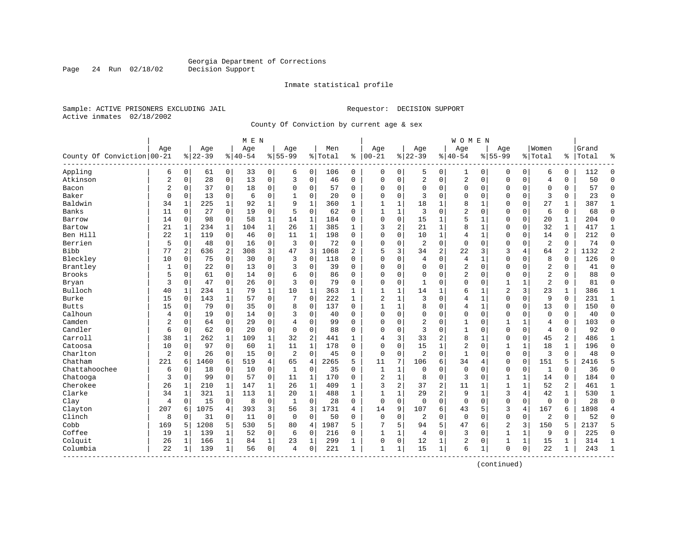Page 24 Run 02/18/02

#### Inmate statistical profile

Sample: ACTIVE PRISONERS EXCLUDING JAIL **Requestor: DECISION SUPPORT** Active inmates 02/18/2002

County Of Conviction by current age & sex

|                            |                |              |           |              | M E N    |                |                |              |         |              |                |              |                |                | W O M E N      |              |                |              |                |              |       |                |
|----------------------------|----------------|--------------|-----------|--------------|----------|----------------|----------------|--------------|---------|--------------|----------------|--------------|----------------|----------------|----------------|--------------|----------------|--------------|----------------|--------------|-------|----------------|
|                            | Age            |              | Age       |              | Age      |                | Age            |              | Men     |              | Age            |              | Age            |                | Age            |              | Age            |              | Women          |              | Grand |                |
| County Of Conviction 00-21 |                |              | $8 22-39$ |              | $ 40-54$ |                | $8155 - 99$    |              | % Total | ి            | $ 00-21$       |              | $ 22-39$       |                | $8140 - 54$    |              | $8 55-99$      |              | % Total        | ి            | Total | ٩,             |
| Appling                    | 6              | $\mathbf 0$  | 61        | 0            | 33       | 0              | 6              | $\mathbf 0$  | 106     | 0            | 0              | 0            | 5              | 0              | $\mathbf{1}$   | 0            | 0              | $\mathbf 0$  | 6              | 0            | 112   | $\Omega$       |
| Atkinson                   | $\overline{2}$ | $\mathbf 0$  | 28        | $\mathsf{O}$ | 13       | $\mathbf 0$    | 3              | $\mathbf 0$  | 46      | $\Omega$     | $\Omega$       | $\mathbf 0$  | $\sqrt{2}$     | 0              | 2              | $\mathbf 0$  | $\Omega$       | 0            | $\overline{4}$ | 0            | 50    | $\Omega$       |
| Bacon                      | $\overline{2}$ | 0            | 37        | 0            | 18       | $\mathbf 0$    | $\Omega$       | 0            | 57      | 0            | $\Omega$       | 0            | $\Omega$       | 0              | 0              | $\mathbf 0$  | $\Omega$       | 0            | $\mathbf 0$    | 0            | 57    | $\mathbf{0}$   |
| Baker                      | $\mathbf 0$    | $\mathbf 0$  | 13        | $\mathbf 0$  | 6        | $\mathsf 0$    | 1              | $\mathbf 0$  | 20      | 0            | $\Omega$       | 0            | 3              | $\Omega$       | 0              | $\Omega$     | $\Omega$       | 0            | 3              | 0            | 23    | $\mathbf{0}$   |
| Baldwin                    | 34             | 1            | 225       | 1            | 92       | $\mathbf{1}$   | 9              | $\mathbf{1}$ | 360     | $\mathbf{1}$ | 1              | 1            | 18             | 1              | 8              | 1            | $\Omega$       | $\Omega$     | 27             | $\mathbf{1}$ | 387   | 1              |
| Banks                      | 11             | 0            | 27        | 0            | 19       | $\mathbf 0$    | 5              | 0            | 62      | 0            | 1              | 1            | 3              | 0              | 2              | $\mathbf 0$  | $\Omega$       | 0            | 6              | 0            | 68    | $\Omega$       |
| Barrow                     | 14             | $\mathbf 0$  | 98        | $\mathbf 0$  | 58       | $\mathbf{1}$   | 14             | $1\,$        | 184     | 0            | $\Omega$       | 0            | 15             | 1              | 5              | $\mathbf{1}$ | $\Omega$       | 0            | 20             | $\mathbf{1}$ | 204   | $\Omega$       |
| Bartow                     | 21             | $\mathbf{1}$ | 234       | $\mathbf{1}$ | 104      | $\mathbf{1}$   | 26             | $\mathbf{1}$ | 385     | $\mathbf{1}$ | 3              | 2            | 21             | 1              | 8              | $\mathbf{1}$ | $\Omega$       | 0            | 32             | $\mathbf{1}$ | 417   | $\mathbf{1}$   |
| Ben Hill                   | 22             | $\mathbf{1}$ | 119       | $\mathbf 0$  | 46       | $\mathbf 0$    | 11             | $\mathbf{1}$ | 198     | $\Omega$     | $\Omega$       | 0            | 10             | 1              | $\overline{4}$ | $\mathbf{1}$ | $\Omega$       | $\Omega$     | 14             | 0            | 212   | $\mathbf{0}$   |
| Berrien                    | 5              | 0            | 48        | 0            | 16       | $\mathsf 0$    | $\overline{3}$ | $\mathbf 0$  | 72      | 0            | $\Omega$       | 0            | $\overline{2}$ | 0              | $\mathbf 0$    | $\mathbf 0$  | $\Omega$       | 0            | $\overline{2}$ | 0            | 74    | $\mathbf{0}$   |
| <b>Bibb</b>                | 77             | 2            | 636       | 2            | 308      | 3              | 47             | 3            | 1068    | 2            | 5              | 3            | 34             | 2              | 22             | 3            | 3              | 4            | 64             | 2            | 1132  | $\overline{2}$ |
| Bleckley                   | 10             | 0            | 75        | 0            | 30       | $\mathbf 0$    | 3              | 0            | 118     | 0            | $\Omega$       | 0            | 4              | 0              | 4              | 1            | $\Omega$       | $\Omega$     | 8              | 0            | 126   | $\Omega$       |
| Brantley                   | 1              | 0            | 22        | 0            | 13       | $\mathbf 0$    | 3              | 0            | 39      | 0            | 0              | 0            | $\Omega$       | 0              | 2              | $\mathbf 0$  | 0              | 0            | 2              | 0            | 41    | $\Omega$       |
| <b>Brooks</b>              | 5              | $\Omega$     | 61        | $\Omega$     | 14       | $\mathbf 0$    | 6              | $\mathbf 0$  | 86      | $\Omega$     | $\Omega$       | 0            | $\Omega$       | $\Omega$       | 2              | $\Omega$     | $\Omega$       | $\Omega$     | 2              | $\Omega$     | 88    | $\Omega$       |
| Bryan                      | 3              | $\Omega$     | 47        | $\mathbf 0$  | 26       | $\mathbf 0$    | 3              | $\mathbf 0$  | 79      | $\Omega$     | $\Omega$       | 0            | 1              | $\Omega$       | $\Omega$       | $\mathbf 0$  | $\mathbf{1}$   | 1            | $\overline{a}$ | 0            | 81    | $\Omega$       |
| Bulloch                    | 40             | $\mathbf{1}$ | 234       | 1            | 79       | $\mathbf 1$    | 10             | 1            | 363     | 1            | $\mathbf{1}$   | 1            | 14             | 1              | б              | 1            | $\overline{2}$ | 3            | 23             | 1            | 386   | 1              |
| <b>Burke</b>               | 15             | $\Omega$     | 143       | 1            | 57       | $\mathbf 0$    | 7              | $\mathbf 0$  | 222     | $\mathbf{1}$ | $\overline{2}$ | 1            | 3              | $\Omega$       | 4              | $\mathbf{1}$ | $\Omega$       | $\Omega$     | 9              | $\Omega$     | 231   | $\mathbf 1$    |
| <b>Butts</b>               | 15             | 0            | 79        | 0            | 35       | 0              | 8              | 0            | 137     | $\Omega$     | $\mathbf{1}$   | 1            | 8              | 0              | 4              | $\mathbf{1}$ | $\Omega$       | $\Omega$     | 13             | 0            | 150   | $\Omega$       |
| Calhoun                    | 4              | 0            | 19        | 0            | 14       | $\mathbf 0$    | 3              | $\mathbf 0$  | 40      | 0            | $\Omega$       | 0            | $\Omega$       | 0              | 0              | $\mathbf 0$  | 0              | 0            | $\mathbf 0$    | 0            | 40    | $\Omega$       |
| Camden                     | $\overline{2}$ | $\Omega$     | 64        | $\Omega$     | 29       | $\Omega$       | 4              | $\mathbf 0$  | 99      | $\Omega$     | $\Omega$       | 0            | $\overline{2}$ | $\Omega$       | $\mathbf{1}$   | $\Omega$     | $\mathbf{1}$   | $\mathbf{1}$ | $\overline{4}$ | $\Omega$     | 103   | $\Omega$       |
| Candler                    | 6              | $\mathbf 0$  | 62        | $\mathbf 0$  | 20       | $\mathbf 0$    | $\mathbf 0$    | $\mathbf 0$  | 88      | $\Omega$     | $\Omega$       | 0            | 3              | $\Omega$       | $\mathbf{1}$   | $\mathbf 0$  | $\Omega$       | $\Omega$     | $\overline{4}$ | 0            | 92    | $\Omega$       |
| Carroll                    | 38             | 1            | 262       | 1            | 109      | $\mathbf 1$    | 32             | 2            | 441     | $\mathbf{1}$ | 4              | 3            | 33             | 2              | 8              | 1            | $\Omega$       | 0            | 45             | 2            | 486   | 1              |
| Catoosa                    | 10             | $\Omega$     | 97        | $\mathbf 0$  | 60       | $\mathbf 1$    | 11             | $\mathbf{1}$ | 178     | $\Omega$     | $\Omega$       | 0            | 15             | 1              | 2              | $\Omega$     | $\mathbf{1}$   | $\mathbf 1$  | 18             | $\mathbf{1}$ | 196   | $\Omega$       |
| Charlton                   | $\overline{2}$ | 0            | 26        | 0            | 15       | 0              | $\overline{c}$ | $\mathbf 0$  | 45      | 0            | $\mathbf 0$    | 0            | $\overline{2}$ | $\Omega$       | $\mathbf 1$    | $\mathbf 0$  | $\Omega$       | $\mathbf 0$  | 3              | 0            | 48    | $\Omega$       |
| Chatham                    | 221            | 6            | 1460      | 6            | 519      | $\overline{4}$ | 65             | 4            | 2265    | 5            | 11             | 7            | 106            | 6              | 34             | 4            | $\mathbf 0$    | 0            | 151            | 5            | 2416  | 5              |
| Chattahoochee              | 6              | 0            | 18        | 0            | 10       | $\mathbf 0$    | $\mathbf{1}$   | 0            | 35      | $\Omega$     | $\mathbf{1}$   | 1            | $\mathbf 0$    | $\Omega$       | $\mathbf 0$    | $\Omega$     | 0              | 0            | 1              | $\Omega$     | 36    | $\Omega$       |
| Chatooga                   | 3              | $\Omega$     | 99        | $\mathbf 0$  | 57       | $\mathbf 0$    | 11             | $\mathbf{1}$ | 170     | $\Omega$     | $\overline{2}$ | $\mathbf{1}$ | 8              | $\Omega$       | 3              | $\mathbf 0$  | $\mathbf{1}$   | 1            | 14             | 0            | 184   | $\Omega$       |
| Cherokee                   | 26             | 1            | 210       | 1            | 147      | $\mathbf 1$    | 26             | 1            | 409     | $\mathbf{1}$ | 3              | 2            | 37             | 2              | 11             | 1            | $\mathbf{1}$   | 1            | 52             | 2            | 461   | 1              |
| Clarke                     | 34             | 1            | 321       | 1            | 113      | $\mathbf{1}$   | 20             | 1            | 488     | $\mathbf{1}$ | $\mathbf{1}$   | $\mathbf{1}$ | 29             | $\overline{2}$ | 9              | -1           | 3              | 4            | 42             | $\mathbf{1}$ | 530   | $\mathbf 1$    |
| Clay                       | 4              | 0            | 15        | 0            | 8        | 0              | 1              | $\mathbf 0$  | 28      | 0            | $\mathbf 0$    | 0            | $\Omega$       | $\Omega$       | $\mathbf{0}$   | $\mathbf 0$  | $\Omega$       | $\mathbf 0$  | $\mathbf 0$    | 0            | 28    | $\Omega$       |
| Clayton                    | 207            | 6            | 1075      | 4            | 393      | 3              | 56             | 3            | 1731    | 4            | 14             | 9            | 107            | 6              | 43             | 5            | 3              | 4            | 167            | 6            | 1898  | $\overline{4}$ |
| Clinch                     | 8              | 0            | 31        | 0            | 11       | $\mathbf 0$    | $\mathbf 0$    | $\mathbf 0$  | 50      | $\Omega$     | $\mathbf 0$    | 0            | $\overline{2}$ | 0              | $\mathbf 0$    | $\Omega$     | $\Omega$       | 0            | 2              | $\Omega$     | 52    | $\Omega$       |
| Cobb                       | 169            | 5            | 1208      | 5            | 530      | 5              | 80             | 4            | 1987    | 5            | 7              | 5            | 94             | 5              | 47             | 6            | $\overline{2}$ | 3            | 150            | 5            | 2137  | 5              |
| Coffee                     | 19             | 1            | 139       | 1            | 52       | $\mathsf 0$    | 6              | 0            | 216     | 0            | $\mathbf{1}$   | 1            | 4              | 0              | 3              | $\mathbf 0$  | $\mathbf{1}$   | 1            | 9              | 0            | 225   | $\mathbf{0}$   |
| Colquit                    | 26             | 1            | 166       | 1            | 84       | $\mathbf 1$    | 23             | 1            | 299     | 1            | $\Omega$       | 0            | 12             | 1              | 2              | $\Omega$     | 1              | 1            | 15             | 1            | 314   | $\mathbf{1}$   |
| Columbia<br>-----------    | 22             | 1            | 139       | 1            | 56       | $\mathsf 0$    | $\overline{4}$ | 0            | 221     | 1            | $\mathbf{1}$   | 1            | 15             | $\mathbf 1$    | 6              | 1            | $\Omega$       | 0            | 22             | 1            | 243   | $\mathbf{1}$   |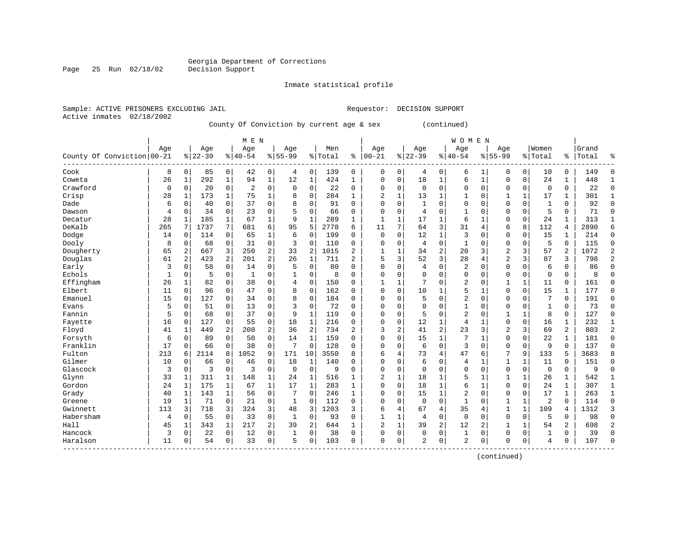Inmate statistical profile

Sample: ACTIVE PRISONERS EXCLUDING JAIL Requestor: DECISION SUPPORT Active inmates 02/18/2002

Page 25 Run 02/18/02

------------------------------------------------------------------------------------------------------------------------------------

County Of Conviction by current age & sex (continued)

|                            |                |              |           |                | M E N          |                |                 |                |         |                |              |             |                |                         | WOMEN          |                |                |                |                |                |       |                |
|----------------------------|----------------|--------------|-----------|----------------|----------------|----------------|-----------------|----------------|---------|----------------|--------------|-------------|----------------|-------------------------|----------------|----------------|----------------|----------------|----------------|----------------|-------|----------------|
|                            | Age            |              | Age       |                | Age            |                | Age             |                | Men     |                | Age          |             | Age            |                         | Age            |                | Age            |                | Women          |                | Grand |                |
| County Of Conviction 00-21 |                |              | $8 22-39$ |                | $8 40-54$      |                | $8155 - 99$     |                | % Total | ႜ              | $ 00 - 21$   |             | $8 22-39$      |                         | $8140 - 54$    |                | $8155 - 99$    |                | % Total        | ႜ              | Total | ႜ              |
| Cook                       | 8              | $\Omega$     | 85        | 0              | 42             | $\mathbf 0$    | $\overline{4}$  | $\Omega$       | 139     | 0              | $\Omega$     | 0           | 4              | $\mathbf 0$             | 6              |                | $\Omega$       | $\Omega$       | 10             | $\mathbf 0$    | 149   | $\mathbf 0$    |
| Coweta                     | 26             | $\mathbf{1}$ | 292       | $\mathbf{1}$   | 94             | $\mathbf{1}$   | 12              | $\mathbf{1}$   | 424     | $\mathbf{1}$   | $\Omega$     | 0           | 18             | 1                       | 6              |                | $\Omega$       | $\mathbf 0$    | 24             | $\mathbf{1}$   | 448   | 1              |
| Crawford                   | 0              | $\Omega$     | 20        | 0              | $\overline{2}$ | $\mathbf 0$    | 0               | $\mathbf 0$    | 22      | 0              | $\Omega$     | 0           | 0              | $\mathbf 0$             | 0              | $\mathbf 0$    | $\Omega$       | 0              | 0              | $\mathbf 0$    | 22    | $\mathbf 0$    |
| Crisp                      | 28             |              | 173       | $\mathbf{1}$   | 75             | $\mathbf{1}$   | 8               | $\mathbf 0$    | 284     | $\mathbf{1}$   | 2            | 1           | 13             | $\mathbf{1}$            | $\mathbf{1}$   | $\Omega$       |                | $\mathbf{1}$   | 17             | $\mathbf{1}$   | 301   |                |
| Dade                       | 6              | $\Omega$     | 40        | 0              | 37             | $\mathbf 0$    | 8               | $\Omega$       | 91      | $\Omega$       | $\Omega$     | 0           | $\mathbf{1}$   | 0                       | $\mathbf 0$    | $\Omega$       | $\Omega$       | $\Omega$       | $\mathbf{1}$   | $\Omega$       | 92    | $\mathbf 0$    |
| Dawson                     | $\overline{4}$ | $\Omega$     | 34        | $\mathbf 0$    | 23             | $\mathbf 0$    | 5               | $\Omega$       | 66      | $\Omega$       | $\Omega$     | 0           | $\overline{4}$ | $\mathbf 0$             | $\mathbf{1}$   | $\Omega$       | $\Omega$       | $\Omega$       | 5              | $\mathbf 0$    | 71    | $\Omega$       |
| Decatur                    | 28             | 1            | 185       | $\mathbf{1}$   | 67             | $\mathbf{1}$   | 9               | $\mathbf{1}$   | 289     | $\mathbf{1}$   | $\mathbf{1}$ | $\mathbf 1$ | 17             | $\mathbf 1$             | 6              |                | $\Omega$       | $\Omega$       | 24             | $\mathbf{1}$   | 313   | $\mathbf{1}$   |
| DeKalb                     | 265            | 7            | 1737      | 7              | 681            | 6              | 95              | 5              | 2778    | 6              | 11           | 7           | 64             | 3                       | 31             | $\overline{4}$ | 6              | 8              | 112            | 4              | 2890  | 6              |
| Dodge                      | 14             | $\Omega$     | 114       | $\Omega$       | 65             | $\mathbf{1}$   | 6               | $\mathbf 0$    | 199     | $\mathbf 0$    | $\mathbf 0$  | 0           | 12             | $\mathbf{1}$            | $\overline{3}$ | $\Omega$       | $\Omega$       | $\Omega$       | 15             | $\mathbf{1}$   | 214   | $\mathbf 0$    |
| Dooly                      | 8              | $\mathbf 0$  | 68        | $\mathbf 0$    | 31             | $\mathbf 0$    | 3               | $\mathbf 0$    | 110     | $\mathbf 0$    | $\Omega$     | 0           | $\overline{4}$ | $\mathbf 0$             | $\mathbf{1}$   | $\mathbf 0$    | $\mathbf 0$    | $\mathbf 0$    | 5              | $\mathbf 0$    | 115   | $\mathbf 0$    |
| Dougherty                  | 65             | $\mathbf{2}$ | 667       | 3              | 250            | $\overline{2}$ | 33              | $\overline{2}$ | 1015    | $\overline{2}$ | $\mathbf{1}$ | 1           | 34             | $\overline{\mathbf{c}}$ | 20             | 3              | 2              | 3              | 57             | $\overline{2}$ | 1072  | $\overline{c}$ |
| Douglas                    | 61             | 2            | 423       | $\overline{a}$ | 201            | 2              | 26              | $\mathbf{1}$   | 711     | 2              | 5            | 3           | 52             | 3                       | 28             | $\overline{4}$ | 2              | 3              | 87             | 3              | 798   | 2              |
| Early                      | 3              | $\Omega$     | 58        | $\mathbf 0$    | 14             | $\mathbf 0$    | 5               | $\mathbf 0$    | 80      | $\Omega$       | $\Omega$     | 0           | 4              | 0                       | $\overline{c}$ | $\Omega$       | $\Omega$       | 0              | 6              | $\Omega$       | 86    | $\mathbf 0$    |
| Echols                     |                | 0            | -5        | 0              | $\mathbf{1}$   | $\mathbf 0$    | 1               | $\mathbf 0$    | 8       | 0              | $\Omega$     | 0           | $\Omega$       | 0                       | $\mathbf 0$    | 0              | $\Omega$       | 0              | 0              | $\mathbf 0$    | 8     | $\mathbf 0$    |
| Effingham                  | 26             | $\mathbf{1}$ | 82        | $\Omega$       | 38             | $\mathbf 0$    | 4               | $\Omega$       | 150     | $\Omega$       | 1            | $\mathbf 1$ | 7              | 0                       | $\overline{c}$ | $\Omega$       | $\mathbf{1}$   | $\mathbf{1}$   | 11             | $\Omega$       | 161   | $\Omega$       |
| Elbert                     | 11             | $\Omega$     | 96        | 0              | 47             | $\mathbf 0$    | 8               | $\Omega$       | 162     | $\Omega$       | $\Omega$     | 0           | 10             | $\mathbf{1}$            | 5              |                | $\Omega$       | $\Omega$       | 15             | 1              | 177   | $\mathbf 0$    |
| Emanuel                    | 15             | $\Omega$     | 127       | O              | 34             | $\mathbf 0$    | 8               | $\Omega$       | 184     | $\Omega$       | $\Omega$     | 0           | 5              | 0                       | $\overline{2}$ | $\Omega$       | $\Omega$       | 0              | 7              | $\Omega$       | 191   | $\Omega$       |
| Evans                      | 5              | $\Omega$     | 51        | $\Omega$       | 13             | $\mathbf 0$    | 3               | $\Omega$       | 72      | $\Omega$       | $\Omega$     | 0           | $\Omega$       | 0                       | $\mathbf{1}$   | $\Omega$       | $\Omega$       | $\Omega$       | $\mathbf{1}$   | $\mathbf 0$    | 73    | $\Omega$       |
| Fannin                     | 5              | $\Omega$     | 68        | $\Omega$       | 37             | $\Omega$       | 9               | $\mathbf{1}$   | 119     | $\Omega$       | $\Omega$     | $\Omega$    | 5              | $\Omega$                | $\overline{2}$ | $\Omega$       | $\mathbf{1}$   | $\mathbf{1}$   | 8              | $\Omega$       | 127   | $\Omega$       |
| Fayette                    | 16             | $\mathbf 0$  | 127       | $\Omega$       | 55             | $\mathsf 0$    | 18              | $\mathbf{1}$   | 216     | 0              | $\Omega$     | 0           | 12             | $\mathbf 1$             | $\overline{4}$ |                | $\mathbf 0$    | $\Omega$       | 16             | $\mathbf{1}$   | 232   | $\mathbf{1}$   |
| Floyd                      | 41             | $\mathbf{1}$ | 449       | $\overline{2}$ | 208            | 2              | 36              | $\overline{2}$ | 734     | $\overline{a}$ | 3            | 2           | 41             | $\overline{a}$          | 23             | 3              | $\overline{2}$ | $\overline{3}$ | 69             | 2              | 803   | $\overline{a}$ |
| Forsyth                    | 6              | $\mathbf 0$  | 89        | $\mathbf 0$    | 50             | $\mathbf 0$    | 14              | $\mathbf{1}$   | 159     | $\mathbf 0$    | $\Omega$     | 0           | 15             | $\mathbf{1}$            | 7              |                | $\Omega$       | $\mathbf 0$    | 22             | $\mathbf{1}$   | 181   | $\mathbf 0$    |
| Franklin                   | 17             | $\mathbf 0$  | 66        | 0              | 38             | $\mathbf 0$    | $7\phantom{.0}$ | $\Omega$       | 128     | $\Omega$       | $\Omega$     | 0           | 6              | $\mathbf 0$             | 3              | $\Omega$       | $\Omega$       | $\Omega$       | 9              | $\Omega$       | 137   | $\mathbf 0$    |
| Fulton                     | 213            | 6            | 2114      | 8              | 1052           | 9              | 171             | 10             | 3550    | 8              | 6            | 4           | 73             | 4                       | 47             | 6              | 7              | 9              | 133            | 5              | 3683  | 8              |
| Gilmer                     | 10             | $\Omega$     | 66        | 0              | 46             | $\mathbf 0$    | 18              | $\mathbf{1}$   | 140     | $\Omega$       | $\Omega$     | 0           | 6              | 0                       | $\overline{4}$ | 1              | $\mathbf{1}$   | $\mathbf{1}$   | 11             | $\Omega$       | 151   | $\Omega$       |
| Glascock                   | 3              | $\Omega$     | 3         | 0              | 3              | $\mathbf 0$    | $\mathbf 0$     | $\mathbf 0$    | q       | $\Omega$       | $\Omega$     | 0           | $\Omega$       | 0                       | 0              | $\Omega$       | $\Omega$       | 0              | $\mathbf 0$    | $\mathbf 0$    | 9     | $\Omega$       |
| Glynn                      | 33             | 1            | 311       | $\mathbf 1$    | 148            | $\mathbf{1}$   | 24              | $\mathbf{1}$   | 516     | $\mathbf{1}$   | 2            | 1           | 18             | 1                       | 5              |                |                | $\mathbf{1}$   | 26             | $\mathbf{1}$   | 542   |                |
| Gordon                     | 24             | $\mathbf 1$  | 175       | 1              | 67             | $\mathbf{1}$   | 17              | $\mathbf 1$    | 283     | 1              | $\Omega$     | 0           | 18             | $\mathbf 1$             | 6              |                | $\Omega$       | $\Omega$       | 24             | 1              | 307   |                |
| Grady                      | 40             | $\mathbf{1}$ | 143       | $\mathbf{1}$   | 56             | $\mathbf 0$    | 7               | $\Omega$       | 246     | $\mathbf{1}$   | $\Omega$     | 0           | 15             | $\mathbf 1$             | $\overline{c}$ | $\Omega$       | $\Omega$       | $\Omega$       | 17             | $\mathbf{1}$   | 263   | $\mathbf{1}$   |
| Greene                     | 19             | $\mathbf{1}$ | 71        | $\Omega$       | 21             | $\mathbf 0$    | $\mathbf{1}$    | $\Omega$       | 112     | $\Omega$       | $\Omega$     | $\Omega$    | 0              | $\Omega$                | $\mathbf{1}$   | $\Omega$       | $\mathbf{1}$   | $\mathbf{1}$   | $\overline{2}$ | $\Omega$       | 114   | $\Omega$       |
| Gwinnett                   | 113            | 3            | 718       | 3              | 324            | 3              | 48              | 3              | 1203    | 3              | 6            | 4           | 67             | 4                       | 35             | 4              | $\mathbf{1}$   | $\mathbf{1}$   | 109            | 4              | 1312  | 3              |
| Habersham                  | $\overline{4}$ | $\Omega$     | 55        | $\Omega$       | 33             | $\mathbf 0$    | 1               | $\Omega$       | 93      | $\Omega$       |              | $\mathbf 1$ | 4              | 0                       | $\mathbf 0$    | $\Omega$       | $\Omega$       | $\Omega$       | 5              | $\mathbf 0$    | 98    | $\Omega$       |
| Hall                       | 45             |              | 343       | $\mathbf{1}$   | 217            | $\overline{a}$ | 39              | $\overline{2}$ | 644     | 1              | 2            | $\mathbf 1$ | 39             | $\overline{a}$          | 12             | 2              |                | $\mathbf{1}$   | 54             | 2              | 698   | $\overline{2}$ |
| Hancock                    | 3              | $\Omega$     | 22        | $\Omega$       | 12             | $\Omega$       | $\overline{1}$  | $\Omega$       | 38      | $\Omega$       | $\Omega$     | $\Omega$    | $\Omega$       | $\Omega$                | $\overline{1}$ | $\Omega$       | $\Omega$       | $\Omega$       | $\mathbf{1}$   | $\Omega$       | 39    | $\Omega$       |

Haralson | 11 0| 54 0| 33 0| 5 0| 103 0 | 0 0| 2 0| 2 0| 0 0| 4 0 | 107 0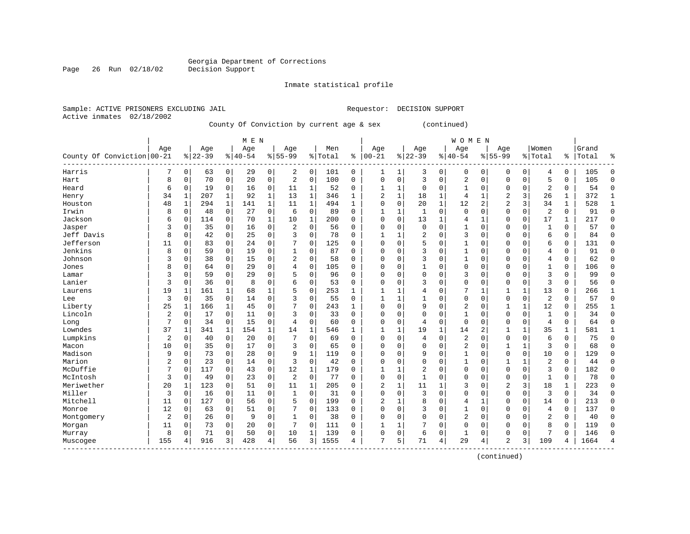Inmate statistical profile

Sample: ACTIVE PRISONERS EXCLUDING JAIL Requestor: DECISION SUPPORT

Page 26 Run 02/18/02

Active inmates 02/18/2002

#### County Of Conviction by current age & sex (continued)

|                            |                |             |          |             | M E N     |              |                |                |         |              |                |              |                |               | W O M E N      |             |              |                |                |             |       |              |
|----------------------------|----------------|-------------|----------|-------------|-----------|--------------|----------------|----------------|---------|--------------|----------------|--------------|----------------|---------------|----------------|-------------|--------------|----------------|----------------|-------------|-------|--------------|
|                            | Age            |             | Age      |             | Age       |              | Age            |                | Men     |              | Age            |              | Age            |               | Age            |             | Age          |                | Women          |             | Grand |              |
| County Of Conviction 00-21 |                |             | $ 22-39$ |             | $8 40-54$ |              | $8155 - 99$    |                | % Total | ి            | $ 00 - 21$     | %            | $ 22 - 39$     | $\frac{1}{6}$ | $ 40 - 54$     |             | $8155 - 99$  |                | % Total        | ႜႜ          | Total | ిక           |
| Harris                     |                | 0           | 63       | 0           | 29        | 0            | 2              | 0              | 101     | 0            | 1              | 1            | 3              | 0             | 0              | 0           | 0            | 0              | 4              | 0           | 105   | 0            |
| Hart                       | 8              | 0           | 70       | $\mathbf 0$ | 20        | $\mathbf 0$  | $\overline{2}$ | $\mathbf 0$    | 100     | 0            | $\Omega$       | $\mathbf 0$  | 3              | $\mathbf 0$   | $\overline{2}$ | $\mathbf 0$ | 0            | 0              | 5              | $\mathbf 0$ | 105   | $\mathbf 0$  |
| Heard                      | 6              | $\Omega$    | 19       | 0           | 16        | $\mathbf 0$  | 11             | 1              | 52      | $\Omega$     | 1              | 1            | $\Omega$       | $\Omega$      | 1              | $\Omega$    | 0            | $\Omega$       | $\overline{2}$ | $\Omega$    | 54    | $\Omega$     |
| Henry                      | 34             | 1           | 207      | 1           | 92        | $\mathbf{1}$ | 13             | 1              | 346     | $\mathbf{1}$ | 2              | $\mathbf{1}$ | 18             | $\mathbf 1$   | 4              | 1           | 2            | $\overline{3}$ | 26             | 1           | 372   | $\mathbf{1}$ |
| Houston                    | 48             | $\mathbf 1$ | 294      | $\mathbf 1$ | 141       | $\mathbf 1$  | 11             | $\mathbf{1}$   | 494     | 1            | $\Omega$       | 0            | 20             | $\mathbf{1}$  | 12             | 2           | 2            | 3              | 34             | $\mathbf 1$ | 528   | $\mathbf{1}$ |
| Irwin                      | 8              | $\mathbf 0$ | 48       | $\mathbf 0$ | 27        | $\mathbf 0$  | 6              | $\mathbf 0$    | 89      | 0            | 1              | $\mathbf 1$  | $\mathbf{1}$   | $\mathbf 0$   | $\mathbf 0$    | $\mathbf 0$ | $\mathbf 0$  | 0              | $\overline{2}$ | $\mathbf 0$ | 91    | $\mathbf 0$  |
| Jackson                    | 6              | 0           | 114      | 0           | 70        | $\mathbf 1$  | 10             | 1              | 200     | $\Omega$     | $\Omega$       | $\Omega$     | 13             | 1             | 4              | 1           | 0            | 0              | 17             | 1           | 217   | $\mathbf 0$  |
| Jasper                     | 3              | 0           | 35       | 0           | 16        | 0            | 2              | 0              | 56      | $\Omega$     | $\Omega$       | 0            | $\mathbf 0$    | 0             | 1              | 0           | 0            | 0              | $\mathbf{1}$   | $\Omega$    | 57    | $\mathbf 0$  |
| Jeff Davis                 | 8              | 0           | 42       | $\mathbf 0$ | 25        | $\mathbf 0$  | 3              | $\mathbf 0$    | 78      | 0            | 1              | 1            | $\overline{2}$ | $\mathbf 0$   | 3              | $\mathbf 0$ | 0            | 0              | 6              | 0           | 84    | $\mathbf 0$  |
| Jefferson                  | 11             | $\Omega$    | 83       | 0           | 24        | 0            |                | $\Omega$       | 125     | 0            | $\Omega$       | $\Omega$     | 5              | $\Omega$      |                | $\mathbf 0$ | 0            | 0              | 6              | $\Omega$    | 131   | $\mathbf 0$  |
| Jenkins                    | 8              | $\Omega$    | 59       | 0           | 19        | $\mathsf 0$  |                | $\mathbf 0$    | 87      | $\Omega$     | $\Omega$       | $\Omega$     | 3              | 0             |                | $\mathbf 0$ | 0            | $\Omega$       | $\overline{4}$ | $\Omega$    | 91    | 0            |
| Johnson                    | 3              | $\Omega$    | 38       | 0           | 15        | $\mathbf 0$  | 2              | $\Omega$       | 58      | $\Omega$     | $\Omega$       | $\Omega$     | 3              | O             |                | $\Omega$    | 0            | $\Omega$       | $\overline{4}$ | $\Omega$    | 62    | $\Omega$     |
| Jones                      | 8              | $\Omega$    | 64       | $\mathbf 0$ | 29        | $\mathbf 0$  | 4              | $\Omega$       | 105     | $\Omega$     | $\Omega$       | 0            | 1              | $\Omega$      | $\Omega$       | $\Omega$    | 0            | $\Omega$       | $\mathbf{1}$   | 0           | 106   | $\Omega$     |
| Lamar                      | 3              | 0           | 59       | $\mathbf 0$ | 29        | $\mathbf 0$  | 5              | $\mathbf 0$    | 96      | 0            | 0              | 0            | $\mathbf 0$    | 0             | 3              | $\mathbf 0$ | 0            | 0              | $\overline{3}$ | 0           | 99    | $\mathbf 0$  |
| Lanier                     | 3              | 0           | 36       | 0           | 8         | $\mathbf 0$  | 6              | $\mathbf 0$    | 53      | $\Omega$     | O              | 0            | 3              | $\Omega$      | 0              | 0           | 0            | 0              | 3              | $\Omega$    | 56    | $\mathbf 0$  |
| Laurens                    | 19             | $\mathbf 1$ | 161      | $\mathbf 1$ | 68        | $\mathbf 1$  | 5              | $\mathbf 0$    | 253     | 1            |                | 1            | 4              | 0             |                | $\mathbf 1$ |              | $\mathbf{1}$   | 13             | $\mathbf 0$ | 266   | $\mathbf{1}$ |
| Lee                        | 3              | 0           | 35       | $\mathbf 0$ | 14        | $\mathbf 0$  | 3              | $\mathbf 0$    | 55      | 0            | $\mathbf{1}$   | $\mathbf{1}$ | $\mathbf{1}$   | 0             | $\Omega$       | 0           | 0            | 0              | $\overline{c}$ | $\Omega$    | 57    | $\mathbf 0$  |
| Liberty                    | 25             | 1           | 166      | 1           | 45        | $\mathbf 0$  | 7              | $\Omega$       | 243     | 1            | $\Omega$       | $\Omega$     | 9              | $\Omega$      | $\overline{2}$ | 0           | $\mathbf{1}$ | $\mathbf{1}$   | 12             | $\Omega$    | 255   | $\mathbf{1}$ |
| Lincoln                    | 2              | 0           | 17       | $\mathbf 0$ | 11        | $\mathbf 0$  | ζ              | $\mathbf 0$    | 33      | 0            | $\Omega$       | 0            | $\Omega$       | 0             |                | $\mathbf 0$ | 0            | 0              | -1             | $\Omega$    | 34    | $\mathbf 0$  |
| Long                       | 7              | 0           | 34       | 0           | 15        | 0            | $\overline{4}$ | $\mathbf 0$    | 60      | $\Omega$     | $\Omega$       | $\Omega$     | 4              | 0             | $\mathbf 0$    | $\mathbf 0$ | 0            | 0              | $\overline{4}$ | $\Omega$    | 64    | $\mathbf 0$  |
| Lowndes                    | 37             | 1           | 341      | 1           | 154       | $\mathbf 1$  | 14             | $\mathbf{1}$   | 546     | 1            | $\mathbf{1}$   | $\mathbf{1}$ | 19             | 1             | 14             | 2           |              | $\mathbf{1}$   | 35             | 1           | 581   | $\mathbf{1}$ |
| Lumpkins                   | $\overline{2}$ | $\Omega$    | 40       | $\Omega$    | 20        | $\mathbf 0$  | 7              | $\Omega$       | 69      | $\Omega$     | $\Omega$       | $\Omega$     | 4              | $\Omega$      | $\overline{2}$ | $\Omega$    | 0            | $\Omega$       | 6              | $\Omega$    | 75    | $\Omega$     |
| Macon                      | 10             | $\Omega$    | 35       | $\mathbf 0$ | 17        | $\mathbf 0$  | 3              | $\Omega$       | 65      | $\Omega$     | $\Omega$       | $\Omega$     | $\Omega$       | $\mathbf 0$   | 2              | $\Omega$    | $\mathbf{1}$ | 1              | 3              | $\Omega$    | 68    | $\Omega$     |
| Madison                    | 9              | 0           | 73       | 0           | 28        | 0            | 9              | $\mathbf{1}$   | 119     | 0            | $\Omega$       | $\Omega$     | 9              | $\mathbf 0$   | 1              | $\mathbf 0$ | 0            | 0              | 10             | 0           | 129   | $\mathbf 0$  |
| Marion                     | $\overline{2}$ | 0           | 23       | $\mathbf 0$ | 14        | 0            | 3              | $\mathbf 0$    | 42      | 0            | 0              | 0            | 0              | 0             |                | $\mathbf 0$ |              | 1              | $\overline{2}$ | $\mathbf 0$ | 44    | $\mathbf 0$  |
| McDuffie                   | 7              | 0           | 117      | 0           | 43        | 0            | 12             | 1              | 179     | $\Omega$     | $\mathbf{1}$   | 1            | $\overline{c}$ | 0             | 0              | $\mathbf 0$ | 0            | 0              | 3              | $\Omega$    | 182   | $\mathbf 0$  |
| McIntosh                   | 3              | $\Omega$    | 49       | 0           | 23        | 0            | $\overline{c}$ | $\mathbf 0$    | 77      | $\Omega$     | $\Omega$       | $\mathbf 0$  | $\mathbf{1}$   | O             | $\Omega$       | 0           | 0            | $\Omega$       | $\mathbf{1}$   | $\Omega$    | 78    | $\mathbf 0$  |
| Meriwether                 | 20             | 1           | 123      | 0           | 51        | $\mathbf 0$  | 11             | 1              | 205     | $\Omega$     | $\overline{c}$ | $\mathbf{1}$ | 11             | $\mathbf{1}$  | 3              | $\mathbf 0$ | 2            | 3              | 18             | 1           | 223   | $\mathbf 0$  |
| Miller                     | 3              | 0           | 16       | $\mathbf 0$ | 11        | 0            | $\mathbf{1}$   | $\mathbf 0$    | 31      | $\Omega$     | $\Omega$       | $\mathbf 0$  | 3              | $\mathbf 0$   | $\Omega$       | $\mathbf 0$ | 0            | 0              | 3              | $\Omega$    | 34    | $\mathbf 0$  |
| Mitchell                   | 11             | $\Omega$    | 127      | 0           | 56        | 0            | 5              | $\Omega$       | 199     | 0            | 2              | 1            | 8              | 0             | 4              | 1           | 0            | $\Omega$       | 14             | 0           | 213   | 0            |
| Monroe                     | 12             | 0           | 63       | 0           | 51        | 0            | 7              | $\mathbf 0$    | 133     | $\Omega$     | $\Omega$       | 0            | 3              | 0             | $\mathbf{1}$   | $\mathbf 0$ | 0            | 0              | $\overline{4}$ | $\Omega$    | 137   | 0            |
| Montgomery                 | $\overline{2}$ | $\Omega$    | 26       | $\mathbf 0$ | 9         | $\mathbf 0$  | 1              | $\mathbf 0$    | 38      | $\Omega$     | $\Omega$       | $\Omega$     | $\Omega$       | $\Omega$      | 2              | $\Omega$    | $\Omega$     | $\Omega$       | $\overline{c}$ | $\Omega$    | 40    | $\mathbf 0$  |
| Morgan                     | 11             | $\Omega$    | 73       | $\Omega$    | 20        | $\mathbf 0$  | 7              | $\Omega$       | 111     | 0            | 1              | 1            |                | 0             | $\Omega$       | $\Omega$    | 0            | 0              | 8              | $\Omega$    | 119   | $\Omega$     |
| Murray                     | 8              | $\Omega$    | 71       | 0           | 50        | $\mathbf 0$  | 10             | $\mathbf{1}$   | 139     | 0            | $\Omega$       | 0            | 6              | 0             | 1              | 0           | 0            | 0              | 7              | $\Omega$    | 146   | $\Omega$     |
| Muscogee                   | 155            | 4           | 916      | 3           | 428       | 4            | 56             | $\overline{3}$ | 1555    | 4            |                | 5            | 71             | 4             | 29             | 4           | 2            | 3              | 109            | 4           | 1664  | 4            |

------------------------------------------------------------------------------------------------------------------------------------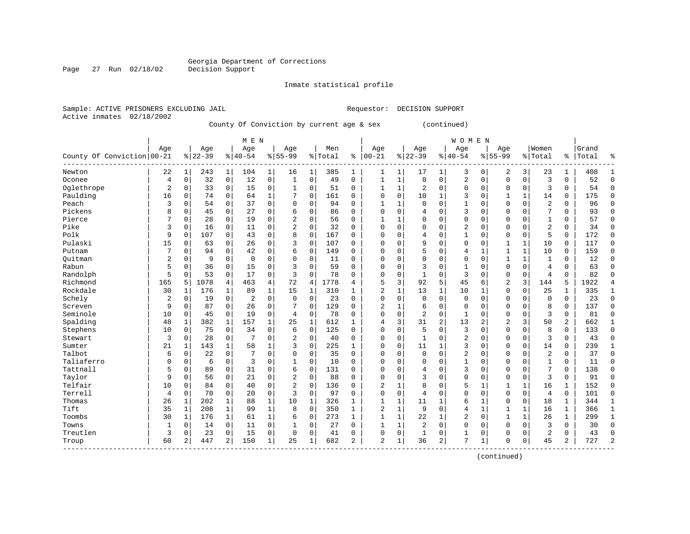#### Georgia Department of Corrections Page 27 Run 02/18/02 Decision Support

------------------------------------------------------------------------------------------------------------------------------------

#### Inmate statistical profile

Talbot | 6 0| 22 0| 7 0| 0 0| 35 0 | 0 0| 0 0| 2 0| 0 0| 2 0 | 37 0 Taliaferro | 0 0| 6 0| 3 0| 1 0| 10 0 | 0 0| 0 0| 1 0| 0 0| 1 0 | 11 0 Tattnall | 5 0| 89 0| 31 0| 6 0| 131 0 | 0 0| 4 0| 3 0| 0 0| 7 0 | 138 0 Taylor | 9 0| 56 0| 21 0| 2 0| 88 0 | 0 0| 3 0| 0 0| 0 0| 3 0 | 91 0 Telfair | 10 0| 84 0| 40 0| 2 0| 136 0 | 2 1| 8 0| 5 1| 1 1| 16 1 | 152 0 Terrell | 4 0| 70 0| 20 0| 3 0| 97 0 | 0 0| 4 0| 0 0| 0 0| 4 0 | 101 0 Thomas | 26 1| 202 1| 88 1| 10 1| 326 1 | 1 1| 11 1| 6 1| 0 0| 18 1 | 344 1 Tift | 35 1| 208 1| 99 1| 8 0| 350 1 | 2 1| 9 0| 4 1| 1 1| 16 1 | 366 1 Toombs | 30 1| 176 1| 61 1| 6 0| 273 1 | 1 1| 22 1| 2 0| 1 1| 26 1 | 299 1 Towns | 1 0| 14 0| 11 0| 1 0| 27 0 | 1 1| 2 0| 0 0| 0 0| 3 0 | 30 0 Treutlen | 3 0| 23 0| 15 0| 0 0| 41 0 | 0 0| 1 0| 1 0| 0 0| 2 0 | 43 0 Troup | 60 2| 447 2| 150 1| 25 1| 682 2 | 2 1| 36 2| 7 1| 0 0| 45 2 | 727 2

| Sample: ACTIVE PRISONERS EXCLUDING JAIL |            |          |          |              |           |   |                                           |             |         |          | Requestor: |          | DECISION SUPPORT |              |                |   |             |             |         |          |       |  |
|-----------------------------------------|------------|----------|----------|--------------|-----------|---|-------------------------------------------|-------------|---------|----------|------------|----------|------------------|--------------|----------------|---|-------------|-------------|---------|----------|-------|--|
| Active inmates                          | 02/18/2002 |          |          |              |           |   | County Of Conviction by current age & sex |             |         |          |            |          |                  |              | (continued)    |   |             |             |         |          |       |  |
|                                         |            |          |          |              |           |   |                                           |             |         |          |            |          |                  |              |                |   |             |             |         |          |       |  |
|                                         |            |          |          |              | M E N     |   |                                           |             |         |          |            |          |                  |              | <b>WOMEN</b>   |   |             |             |         |          |       |  |
|                                         | Age        |          | Age      |              | Age       |   | Age                                       |             | Men     |          | Age        |          | Age              |              | Age            |   | Age         |             | Women   |          | Grand |  |
| County Of Conviction 00-21              |            |          | $ 22-39$ |              | $8 40-54$ |   | $8 55-99$                                 |             | % Total |          | $% 100-21$ |          | $ 22-39$         |              | $ 40-54$       |   | $8155 - 99$ |             | % Total | ႜ        | Total |  |
| Newton                                  | 22         |          | 243      | 1            | 104       | 1 | 16                                        |             | 385     |          |            |          | 17               |              | 3              | 0 | 2           | 3           | 23      |          | 408   |  |
| Oconee                                  |            | 0        | 32       | 0            | 12        | 0 |                                           | 0           | 49      | $\Omega$ |            |          |                  |              | $\overline{2}$ | 0 | $\Omega$    | $\mathbf 0$ | 3       | 0        | 52    |  |
| Oglethrope                              |            | $\Omega$ | 33       | $\Omega$     | 15        | 0 |                                           | $\mathbf 0$ | 51      | $\Omega$ |            |          | 2                |              | $\Omega$       | 0 | O           | 0           | 3       | $\Omega$ | 54    |  |
| Paulding                                | 16         | $\Omega$ | 74       | 0            | 64        |   |                                           | $\mathbf 0$ | 161     | $\Omega$ | U          | $\Omega$ | 10               |              | 3              | 0 |             |             | 14      | 0        | 175   |  |
| Peach                                   |            | $\Omega$ | 54       | $\Omega$     | 37        | 0 | O                                         | 0           | 94      | $\Omega$ |            |          | U                | O            |                | O | O           | $\Omega$    | 2       | $\Omega$ | 96    |  |
| Pickens                                 |            | $\Omega$ | 45       | 0            | 27        | 0 |                                           | 0           | 86      | $\Omega$ | U          | $\Omega$ |                  |              | 3              | 0 |             | $\Omega$    |         | 0        | 93    |  |
| Pierce                                  |            | $\Omega$ | 28       | 0            | 19        | 0 | 2                                         | 0           | 56      | 0        |            |          |                  |              | $\Omega$       | 0 |             | 0           |         | 0        | 57    |  |
| Pike                                    |            | $\Omega$ | 16       | 0            | 11        | 0 | 2                                         | 0           | 32      | $\Omega$ | U          | $\Omega$ | 0                | O            | 2              | 0 |             | C           | 2       | $\Omega$ | 34    |  |
| Polk                                    | 9          | 0        | 107      | 0            | 43        | 0 |                                           | $\mathbf 0$ | 167     | $\Omega$ |            | $\Omega$ |                  | 0            |                | 0 |             | 0           | 5       | 0        | 172   |  |
| Pulaski                                 | 15         | 0        | 63       | $\Omega$     | 26        | 0 | ζ                                         | $\mathbf 0$ | 107     | $\Omega$ | U          | $\Omega$ | 9                | O            | $\Omega$       | O |             |             | 10      | 0        | 117   |  |
| Putnam                                  |            | $\Omega$ | 94       | 0            | 42        | 0 |                                           | 0           | 149     | $\Omega$ | ∩          | $\Omega$ |                  | U            |                |   |             |             | 10      | $\Omega$ | 159   |  |
| Quitman                                 |            |          | 9        | U            | $\Omega$  | 0 |                                           | 0           | 11      | $\Omega$ |            | $\Omega$ |                  |              | $\Omega$       | N |             |             |         | $\Omega$ | 12    |  |
| Rabun                                   |            | $\Omega$ | 36       | $\Omega$     | 15        | 0 |                                           | 0           | 59      | $\Omega$ | U          | $\Omega$ |                  |              |                | 0 |             | $\Omega$    | 4       | $\Omega$ | 63    |  |
| Randolph                                |            | 0        | 53       | $\mathbf 0$  | 17        | 0 | 3                                         | 0           | 78      | $\Omega$ |            | $\Omega$ |                  | O            | 3              | 0 |             | $\mathbf 0$ | 4       | 0        | 82    |  |
| Richmond                                | 165        | 5        | 1078     | 4            | 463       | 4 | 72                                        | 4           | 1778    |          | 5          | 3        | 92               | 5            | 45             | 6 | 2           | 3           | 144     | 5        | 1922  |  |
| Rockdale                                | 30         |          | 176      | $\mathbf 1$  | 89        |   | 15                                        |             | 310     |          |            |          | 13               | $\mathbf{1}$ | 10             |   | 0           | $\mathbf 0$ | 25      |          | 335   |  |
| Schely                                  |            | $\Omega$ | 19       | $\Omega$     | 2         | 0 | $\Omega$                                  | 0           | 23      | $\Omega$ |            | $\Omega$ | U                | U            | 0              | N | O           | 0           | 0       | $\Omega$ | 23    |  |
| Screven                                 | 9          | $\Omega$ | 87       | $\Omega$     | 26        | 0 |                                           | $\Omega$    | 129     | $\Omega$ |            |          | 6                |              | $\Omega$       | N |             | $\Omega$    | 8       | $\Omega$ | 137   |  |
| Seminole                                | 10         | $\Omega$ | 45       | $\Omega$     | 19        | 0 | 4                                         | 0           | 78      | $\Omega$ |            | $\Omega$ | $\overline{2}$   | 0            |                | 0 |             | $\mathbf 0$ | 3       | 0        | 81    |  |
| Spalding                                | 48         |          | 382      | 1            | 157       |   | 25                                        |             | 612     |          |            | 3        | 31               |              | 13             | 2 | z.          | 3           | 50      | 2        | 662   |  |
| Stephens                                | 10         | $\Omega$ | 75       | $\mathbf 0$  | 34        | 0 | 6                                         | 0           | 125     | $\Omega$ | 0          | 0        |                  |              | 3              | 0 |             | 0           | 8       | 0        | 133   |  |
| Stewart                                 |            |          | 28       | U            |           | 0 |                                           | 0           | 40      | $\Omega$ | U          | 0        |                  |              |                |   |             | $\Omega$    | 3       | $\Omega$ | 43    |  |
| Sumter                                  | 21         |          | 143      | $\mathbf{1}$ | 58        |   |                                           | $\Omega$    | 225     |          | $\cap$     | 0        | 11               | $\mathbf{1}$ | 3              | O |             | $\mathbf 0$ | 14      | U        | 239   |  |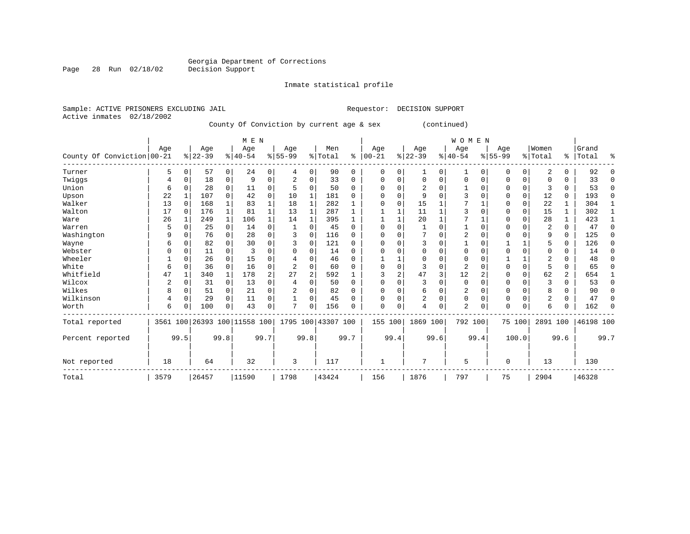# Georgia Department of Corrections<br>Decision Support

### Inmate statistical profile

|                | Sample: ACTIVE PRISONERS EXCLUDING JAIL |     |     |     |                                           | Requestor: | DECISION SUPPORT |              |     |       |       |
|----------------|-----------------------------------------|-----|-----|-----|-------------------------------------------|------------|------------------|--------------|-----|-------|-------|
| Active inmates | 02/18/2002                              |     |     |     |                                           |            |                  |              |     |       |       |
|                |                                         |     |     |     | County Of Conviction by current age & sex |            |                  | (continued)  |     |       |       |
|                |                                         |     |     |     |                                           |            |                  |              |     |       |       |
|                |                                         |     | MEN |     |                                           |            |                  | <b>WOMEN</b> |     |       |       |
|                | Age                                     | Aae | Age | Age | Men                                       | Age        | Aqe              | Aqe          | Age | Women | Grand |

|                            | $-$  |          | $-$                          |          | $-$       |                | $1 - 9 -$ |              |                    |          | - - 7 -  |         | $-$       |             | $1 - 9 -$      |          | $119 -$  |             |                |                |           |          |
|----------------------------|------|----------|------------------------------|----------|-----------|----------------|-----------|--------------|--------------------|----------|----------|---------|-----------|-------------|----------------|----------|----------|-------------|----------------|----------------|-----------|----------|
| County Of Conviction 00-21 |      |          | $ 22-39 $                    |          | $8 40-54$ |                | $8 55-99$ |              | % Total            | ႜ        | $ 00-21$ |         | $ 22-39 $ |             | $ 40-54$       |          | $ 55-99$ |             | % Total        | ႜၟ             | Total     | ႜ        |
| Turner                     | 5    | $\Omega$ | 57                           | 0        | 24        | 0              | 4         | $\Omega$     | 90                 | $\Omega$ | $\Omega$ | 0       |           | $\Omega$    |                | $\Omega$ | $\Omega$ | $\Omega$    | 2              | 0              | 92        |          |
| Twiggs                     |      |          | 18                           | 0        | 9         | 0              |           | $\Omega$     | 33                 | 0        | 0        | 0       |           | $\Omega$    | 0              | $\Omega$ | $\Omega$ | $\Omega$    | $\Omega$       | 0              | 33        | $\Omega$ |
| Union                      | 6    |          | 28                           | 0        | 11        | 0              |           | $\cap$       | 50                 | $\Omega$ | U        | U       |           | U           |                | $\cap$   | $\Omega$ | $\Omega$    |                | 0              | 53        | U        |
| Upson                      | 22   |          | 107                          |          | 42        | $\mathbf 0$    | 10        |              | 181                | O        |          |         |           |             |                |          | $\Omega$ | $\Omega$    | 12             | $\Omega$       | 193       | $\Omega$ |
| Walker                     | 13   |          | 168                          |          | 83        |                | 18        |              | 282                |          | U        | U       | 15        |             |                |          | $\Omega$ | $\Omega$    | 22             |                | 304       |          |
| Walton                     | 17   |          | 176                          |          | 81        | 1              | 13        |              | 287                |          |          |         | 11        |             | 3              |          | $\Omega$ | $\mathbf 0$ | 15             |                | 302       |          |
| Ware                       | 26   |          | 249                          |          | 106       | 1              | 14        |              | 395                |          |          |         | 20        |             |                |          | $\Omega$ |             | 28             | 1              | 423       |          |
| Warren                     |      |          | 25                           | 0        | 14        | $\Omega$       |           | <sup>0</sup> | 45                 | $\Omega$ |          |         |           |             |                |          |          |             | $\overline{2}$ | 0              | 47        |          |
| Washington                 | 9    |          | 76                           |          | 28        | $\Omega$       | ς         | $\cap$       | 116                | O        |          |         |           |             | $\overline{2}$ |          | U        |             | 9              | 0              | 125       |          |
| Wayne                      |      |          | 82                           |          | 30        | $\Omega$       |           | O            | 121                | $\Omega$ |          |         |           |             |                |          |          |             |                | 0              | 126       |          |
| Webster                    |      |          | 11                           |          |           | $\Omega$       |           |              | 14                 | 0        |          |         |           |             | O              |          |          |             |                | 0              | 14        |          |
| Wheeler                    |      |          | 26                           |          | 15        | $\Omega$       |           |              | 46                 | 0        |          |         |           |             | O              |          |          |             |                | U              | 48        |          |
| White                      | 6    |          | 36                           |          | 16        | $\Omega$       |           |              | 60                 | U        |          |         |           | $\Omega$    | $\overline{a}$ |          | $\Omega$ |             | 5              | 0              | 65        |          |
| Whitfield                  | 47   |          | 340                          |          | 178       | $\overline{2}$ | 27        |              | 592                |          |          |         | 47        | ζ           | 12             |          |          |             | 62             | $\overline{a}$ | 654       |          |
| Wilcox                     |      |          | 31                           | $\Omega$ | 13        | $\Omega$       |           |              | 50                 | $\Omega$ |          |         |           |             | $\Omega$       |          | $\Omega$ |             |                | 0              | 53        | U        |
| Wilkes                     |      |          | 51                           | 0        | 21        | $\Omega$       |           | O            | 82                 | 0        | O        |         | 6         | O           | 2              |          | $\Omega$ |             | 8              | 0              | 90        |          |
| Wilkinson                  |      |          | 29                           | $\Omega$ | 11        | $\mathbf 0$    |           | $\Omega$     | 45                 | $\Omega$ |          | 0       | 2         | $\Omega$    | $\Omega$       |          | $\Omega$ |             | 2              | 0              | 47        | U        |
| Worth                      | 6    |          | 100                          | 0        | 43        | $\mathbf 0$    | 7         | $\Omega$     | 156                | $\Omega$ | $\Omega$ | 0       |           | $\mathbf 0$ | 2              | $\Omega$ | $\Omega$ | $\mathbf 0$ | 6              | 0              | 162       |          |
| Total reported             |      |          | 3561 100 26393 100 11558 100 |          |           |                |           |              | 1795 100 43307 100 |          |          | 155 100 | 1869 100  |             | 792 100        |          | 75 100   |             | 2891 100       |                | 46198 100 |          |
| Percent reported           |      | 99.5     |                              | 99.8     |           | 99.7           |           | 99.8         |                    | 99.7     |          | 99.4    |           | 99.6        |                | 99.4     |          | 100.0       |                | 99.6           |           | 99.7     |
| Not reported               | 18   |          | 64                           |          | 32        |                | 3         |              | 117                |          |          |         |           |             | 5              |          | $\Omega$ |             | 13             |                | 130       |          |
| Total                      | 3579 |          | 26457                        |          | 11590     |                | 1798      |              | 43424              |          | 156      |         | 1876      |             | 797            |          | 75       |             | 2904           |                | 46328     |          |

Page 28 Run 02/18/02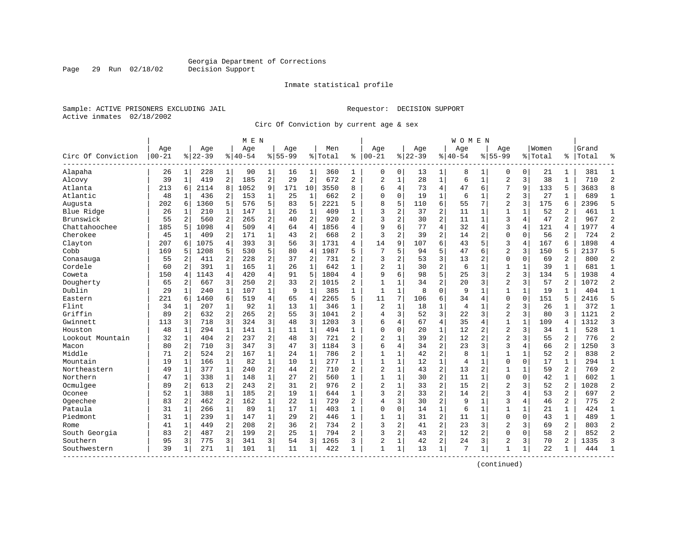Inmate statistical profile

Sample: ACTIVE PRISONERS EXCLUDING JAIL Requestor: DECISION SUPPORT Active inmates 02/18/2002

Page 29 Run 02/18/02

Circ Of Conviction by current age & sex

|                    |           |                |           |                | M E N    |                |             |                |            |                |                |                |           |                | W O M E N      |                |                |                |         |                |       |                |
|--------------------|-----------|----------------|-----------|----------------|----------|----------------|-------------|----------------|------------|----------------|----------------|----------------|-----------|----------------|----------------|----------------|----------------|----------------|---------|----------------|-------|----------------|
|                    | Age       |                | Age       |                | Age      |                | Aqe         |                | Men        |                | Age            |                | Age       |                | Age            |                | Aqe            |                | Women   |                | Grand |                |
| Circ Of Conviction | $00 - 21$ |                | $8 22-39$ |                | $ 40-54$ |                | $8155 - 99$ |                | % Total    | ి              | $ 00-21$       |                | $8 22-39$ |                | $8140 - 54$    |                | $8155 - 99$    |                | % Total | ి              | Total | န္             |
| Alapaha            | 26        | $1\vert$       | 228       | $\mathbf{1}$   | 90       | 1              | 16          | 1              | 360        | 1              | 0              | 0              | 13        | 1              | 8              | 1              | 0              | 0              | 21      | 1              | 381   |                |
| Alcovy             | 39        | 1              | 419       | 2              | 185      | $\overline{a}$ | 29          | $\overline{c}$ | 672        | $\overline{c}$ | $\overline{2}$ | $1\,$          | 28        | $\mathbf{1}$   | 6              | $1\,$          | $\overline{2}$ | 3              | 38      | $\mathbf{1}$   | 710   | $\overline{c}$ |
| Atlanta            | 213       | 6              | 2114      | 8              | 1052     | 9              | 171         | 10             | 3550       | 8              | 6              | 4              | 73        | $\overline{4}$ | 47             | 6              | 7              | 9              | 133     | 5              | 3683  | 8              |
| Atlantic           | 48        |                | 436       | 2              | 153      | $\mathbf{1}$   | 25          | 1              | 662        | 2              | $\Omega$       | 0              | 19        | 1              | 6              | 1              | $\overline{2}$ | 3              | 27      | 1              | 689   | 1              |
| Augusta            | 202       | 6              | 1360      | 5              | 576      | 5.             | 83          | 5              | 2221       | 5              | 8              | 5              | 110       | 6              | 55             | 7              | $\overline{a}$ | 3              | 175     | 6              | 2396  | 5              |
| Blue Ridge         | 26        | $\mathbf{1}$   | 210       | $\mathbf{1}$   | 147      | $\mathbf{1}$   | 26          | $\mathbf{1}$   | 409        | $\mathbf{1}$   | 3              | 2              | 37        | $\overline{2}$ | 11             | 1              | $\mathbf{1}$   | 1              | 52      | $\overline{a}$ | 461   | $\mathbf{1}$   |
| Brunswick          | 55        | 2              | 560       | 2              | 265      | 2              | 40          | 2              | 920        | $\overline{a}$ | 3              | 2              | 30        | $\overline{a}$ | 11             | $\mathbf{1}$   | 3              | $\overline{4}$ | 47      | $\overline{2}$ | 967   | $\overline{2}$ |
| Chattahoochee      | 185       | 5              | 1098      | $\overline{4}$ | 509      | $\overline{4}$ | 64          | 4              | 1856       | 4              | 9              | 6              | 77        | 4              | 32             | 4              | 3              | 4              | 121     | 4              | 1977  | $\overline{4}$ |
| Cherokee           | 45        | $\mathbf{1}$   | 409       | 2              | 171      | $\mathbf{1}$   | 43          | 2              | 668        | $\overline{a}$ | 3              | $\overline{a}$ | 39        | $\overline{2}$ | 14             | 2              | $\Omega$       | $\Omega$       | 56      | 2              | 724   | $\overline{2}$ |
| Clayton            | 207       | 6              | 1075      | 4              | 393      | 3              | 56          | 3              | 1731       | 4              | 14             | 9              | 107       | 6              | 43             | 5              | 3              | 4              | 167     | 6              | 1898  | $\overline{4}$ |
| Cobb               | 169       | 5              | 1208      | 5              | 530      | 5              | 80          | $\overline{4}$ | 1987       | 5              | 7              | 5.             | 94        | 5              | 47             | 6              | $\overline{c}$ | 3              | 150     | 5              | 2137  | 5              |
| Conasauga          | 55        | 2              | 411       | $\overline{a}$ | 228      | 2              | 37          | 2              | 731        | $\overline{2}$ | 3              | 2              | 53        | 3              | 13             | $\overline{c}$ | $\mathbf{0}$   | $\Omega$       | 69      | $\overline{2}$ | 800   | $\overline{2}$ |
| Cordele            | 60        | $\overline{a}$ | 391       | $\mathbf{1}$   | 165      | $\mathbf 1$    | 26          | $\mathbf 1$    | 642        | $\mathbf{1}$   | $\overline{c}$ | 1              | 30        | $\overline{c}$ | 6              | $\mathbf 1$    | 1              | 1              | 39      | $\mathbf{1}$   | 681   | $\mathbf{1}$   |
| Coweta             | 150       | 4              | 1143      | 4              | 420      | 4              | 91          | 5              | 1804       | 4              | 9              | б.             | 98        | 5              | 25             | 3              | $\overline{2}$ | 3              | 134     | 5              | 1938  | $\overline{4}$ |
| Dougherty          | 65        | 2              | 667       | 3              | 250      | 2              | 33          | 2              | 1015       | 2              | $\mathbf{1}$   | 1              | 34        | 2              | 20             | 3              | $\overline{2}$ | 3              | 57      | 2              | 1072  | $\overline{2}$ |
| Dublin             | 29        | 1              | 240       | $\mathbf{1}$   | 107      | $\mathbf{1}$   | 9           | $\mathbf{1}$   | 385        | $\mathbf{1}$   | $\mathbf{1}$   | $\mathbf{1}$   | 8         | $\Omega$       | 9              | $\mathbf{1}$   | $\mathbf{1}$   | $\mathbf 1$    | 19      | 1              | 404   | $\mathbf{1}$   |
| Eastern            | 221       | 6              | 1460      | 6              | 519      | $\overline{4}$ | 65          | 4              | 2265       | 5              | 11             | 7              | 106       | 6              | 34             | $\overline{4}$ | $\Omega$       | $\Omega$       | 151     | 5              | 2416  | 5              |
| Flint              | 34        | 1              | 207       | $\mathbf{1}$   | 92       | $\mathbf 1$    | 13          | $\mathbf{1}$   | 346        | $\mathbf{1}$   | 2              | $\mathbf{1}$   | 18        | 1              | 4              | 1              | $\overline{2}$ | 3              | 26      | 1              | 372   | $\mathbf{1}$   |
| Griffin            | 89        | 2              | 632       | 2              | 265      | 2              | 55          | 3              | 1041       | $\overline{a}$ | 4              | 3              | 52        | 3              | 22             | 3              | $\overline{2}$ | 3              | 80      | 3              | 1121  | $\overline{c}$ |
| Gwinnett           | 113       | 3              | 718       | 3              | 324      | 3              | 48          | 3              | 1203       | 3              | 6              | 4              | 67        | 4              | 35             | 4              | $\overline{1}$ | $\mathbf{1}$   | 109     | 4              | 1312  | $\overline{3}$ |
| Houston            | 48        | 1              | 294       | 1              | 141      | $\mathbf{1}$   | 11          | 1              | 494        | $\mathbf{1}$   | $\Omega$       | 0              | 20        | 1              | 12             | 2              | $\overline{2}$ | 3              | 34      | 1              | 528   | 1              |
| Lookout Mountain   | 32        | 1              | 404       | 2              | 237      | $\overline{a}$ | 48          | 3              | 721        | $\overline{2}$ | $\overline{c}$ | 1              | 39        | $\overline{a}$ | 12             | $\overline{2}$ | $\overline{2}$ | 3              | 55      | $\overline{a}$ | 776   | $\overline{2}$ |
| Macon              | 80        | $\overline{a}$ | 710       | 3              | 347      | 3              | 47          | 3              | 1184       | ς              | 6              | 4              | 34        | $\overline{2}$ | 23             | 3              | 3              | 4              | 66      | 2              | 1250  | $\mathbf{3}$   |
| Middle             | 71        | 2              | 524       | 2              | 167      | $\mathbf 1$    | 24          | $\mathbf 1$    | 786        | $\overline{2}$ | $\mathbf{1}$   | $\mathbf{1}$   | 42        | $\overline{2}$ | 8              | 1              | $\mathbf{1}$   | $\mathbf{1}$   | 52      | $\overline{a}$ | 838   | $\overline{2}$ |
| Mountain           | 19        | $\mathbf{1}$   | 166       | $\mathbf{1}$   | 82       | $\mathbf 1$    | 10          | $\mathbf 1$    | 277        | $\mathbf{1}$   | $\mathbf{1}$   | 1              | 12        | $\mathbf 1$    | $\overline{4}$ | $\mathbf 1$    | 0              | 0              | 17      | 1              | 294   | $\mathbf{1}$   |
| Northeastern       | 49        | $\mathbf{1}$   | 377       | $\mathbf{1}$   | 240      | $\overline{a}$ | 44          | $\overline{2}$ | 710        | 2              | $\overline{2}$ | 1              | 43        | 2              | 13             | 2              | 1              | 1              | 59      | 2              | 769   | $\overline{2}$ |
| Northern           | 47        | 1              | 338       | 1              | 148      | $\mathbf{1}$   | 27          | 2              | 560        | 1              | $\mathbf{1}$   | 1              | 30        | $\overline{2}$ | 11             | 1              | 0              | 0              | 42      | 1              | 602   | 1              |
| Ocmulgee           | 89        | 2              | 613       | 2              | 243      | $\overline{a}$ | 31          | 2              | 976        | $\overline{2}$ | $\overline{a}$ | 1              | 33        | $\overline{a}$ | 15             | $\overline{2}$ | $\overline{2}$ | 3              | 52      | $\overline{a}$ | 1028  | $\overline{c}$ |
| Oconee             | 52        | $\mathbf{1}$   | 388       | $\mathbf{1}$   | 185      | $\overline{2}$ | 19          | $\mathbf 1$    | 644        | 1              | 3              | 2              | 33        | $\overline{2}$ | 14             | 2              | 3              | 4              | 53      | 2              | 697   | $\overline{2}$ |
| Ogeechee           | 83        | 2              | 462       | 2              | 162      | $\mathbf 1$    | 22          | $\mathbf 1$    | 729        | $\overline{a}$ | $\overline{4}$ | 3              | 30        | $\overline{2}$ | 9              | 1              | 3              | 4              | 46      | 2              | 775   | $\overline{2}$ |
| Pataula            | 31        | 1              | 266       | $\mathbf{1}$   | 89       | $\mathbf{1}$   | 17          | $\mathbf 1$    | 403        | 1              | 0              | 0              | 14        | $\mathbf 1$    | 6              | 1              | $\mathbf{1}$   | $\mathbf 1$    | 21      | $\mathbf 1$    | 424   | 1              |
| Piedmont           | 31        | $1\vert$       | 239       | $\mathbf{1}$   | 147      | 1              | 29          | 2              | 446        | $\mathbf{1}$   | $\mathbf{1}$   | 1              | 31        | 2              | 11             | 1              | $\Omega$       | 0              | 43      | $\mathbf{1}$   | 489   | $\mathbf{1}$   |
| Rome               | 41        | 1              | 449       | 2              | 208      | $\overline{a}$ | 36          | 2              | 734        | $\overline{a}$ | 3              | $\overline{2}$ | 41        | $\overline{2}$ | 23             | 3              | $\overline{a}$ | 3              | 69      | $\overline{a}$ | 803   | $\overline{2}$ |
| South Georgia      | 83        | 2              | 487       | 2              | 199      | $\overline{a}$ | 25          | $\mathbf 1$    | 794        | $\overline{2}$ | ζ              | 2              | 43        | $\overline{c}$ | 12             | $\overline{2}$ | $\Omega$       | $\Omega$       | 58      | 2              | 852   | $\overline{2}$ |
| Southern           | 95        | 3              | 775       | 3              | 341      | 3              | 54          | 3              | 1265<br>-1 | 3              | $\overline{2}$ | 1              | 42        | $\overline{c}$ | 24             | 3              | $\overline{2}$ | 3              | 70      | 2              | 1335  | ঽ              |
| Southwestern       | 39        | 1              | 271       | 1              | 101      | $1\vert$       | 11          | 1              | 422        | 1              | $\mathbf{1}$   | 1              | 13        | $\mathbf{1}$   | 7              | $\mathbf{1}$   | 1              | 1              | 22      | 1              | 444   |                |
|                    |           |                |           |                |          |                |             |                |            |                |                |                |           |                |                |                |                |                |         |                |       |                |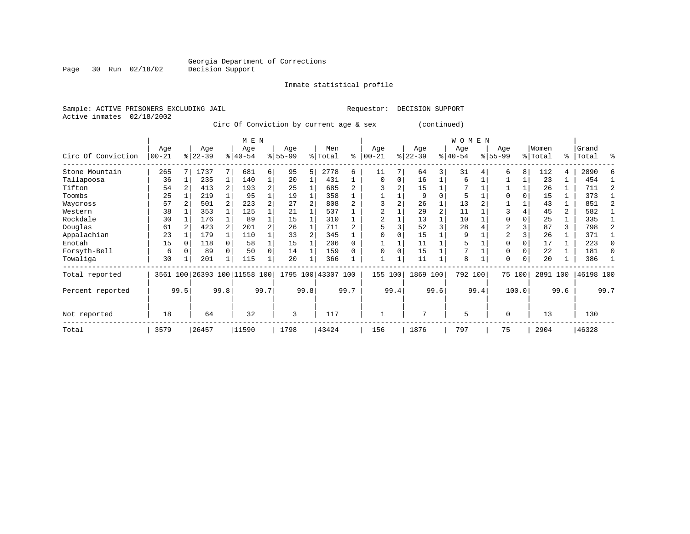# Georgia Department of Corrections<br>Decision Support

Page 30 Run 02/18/02

### Inmate statistical profile

|  | Sample: ACTIVE PRISONERS EXCLUDING JAIL |  |                                         |  |  | Requestor: DECISION SUPPORT |             |
|--|-----------------------------------------|--|-----------------------------------------|--|--|-----------------------------|-------------|
|  | Active inmates 02/18/2002               |  |                                         |  |  |                             |             |
|  |                                         |  | Circ Of Conviction by current age & sex |  |  |                             | (continued) |

|                    |                   | M E N |                 |      |                         |                |                  |      |                |                |                 |               |                    |          | WOMEN            |      |                    |        |                  |      |                |      |
|--------------------|-------------------|-------|-----------------|------|-------------------------|----------------|------------------|------|----------------|----------------|-----------------|---------------|--------------------|----------|------------------|------|--------------------|--------|------------------|------|----------------|------|
| Circ Of Conviction | Age<br>$ 00 - 21$ |       | Age<br>$ 22-39$ |      | Age<br>$8 40-54$        |                | Age<br>$8 55-99$ |      | Men<br>% Total | ి              | Age<br>$ 00-21$ | $\frac{1}{6}$ | Age<br>$ 22 - 39 $ |          | Age<br>$8 40-54$ |      | Age<br>$8155 - 99$ |        | Women<br>% Total | ႜ    | Grand<br>Total | 昙    |
| Stone Mountain     | 265               |       | 1737            |      | 681                     | 6              | 95               | 5    | 2778           | 6              | 11              | 7             | 64                 | 3        | 31               |      | б.                 | 8      | 112              | 4    | 2890           |      |
| Tallapoosa         | 36                |       | 235             |      | 140                     | $\mathbf 1$    | 20               |      | 431            |                | $\Omega$        | 0             | 16                 |          | 6                |      |                    |        | 23               |      | 454            |      |
| Tifton             | 54                |       | 413             | 2    | 193                     | $\overline{a}$ | 25               |      | 685            | $\overline{a}$ |                 |               | 15                 |          | 7                |      |                    |        | 26               |      | 711            |      |
| Toombs             | 25                |       | 219             |      | 95                      | 1              | 19               |      | 358            |                |                 |               | 9                  | $\Omega$ | 5                |      | $\Omega$           | O      | 15               |      | 373            |      |
| Waycross           | 57                |       | 501             | 2    | 223                     | $\overline{a}$ | 27               |      | 808            | $\mathfrak{D}$ |                 |               | 26                 |          | 13               |      |                    |        | 43               |      | 851            |      |
| Western            | 38                |       | 353             |      | 125                     |                | 21               |      | 537            |                |                 |               | 29                 | 2        | 11               |      | 3                  |        | 45               | 2    | 582            |      |
| Rockdale           | 30                |       | 176             |      | 89                      | 1              | 15               |      | 310            |                | 2               |               | 13                 |          | 10               |      | $\mathbf 0$        | 0      | 25               |      | 335            |      |
| Douglas            | 61                |       | 423             | 2    | 201                     | $\overline{a}$ | 26               |      | 711            |                | 5               |               | 52                 |          | 28               |      | 2                  |        | 87               | 3    | 798            |      |
| Appalachian        | 23                |       | 179             |      | 110                     |                | 33               |      | 345            |                |                 |               | 15                 |          | 9                |      | 2                  |        | 26               |      | 371            |      |
| Enotah             | 15                |       | 118             |      | 58                      |                | 15               |      | 206            | 0              |                 |               | 11                 |          | 5                |      | $\mathbf 0$        |        | 17               |      | 223            |      |
| Forsyth-Bell       | 6                 |       | 89              |      | 50                      | 0              | 14               |      | 159            |                |                 | 0             | 15                 |          | 7                |      | 0                  | 0      | 22               |      | 181            |      |
| Towaliga           | 30                |       | 201             |      | 115                     |                | 20               |      | 366            |                |                 |               | 11                 |          | 8                |      | $\mathbf 0$        | 0      | 20               |      | 386            |      |
| Total reported     | 3561              |       |                 |      | 100 26393 100 11558 100 |                | 1795             |      | 100 43307 100  |                | 155             | 100           | 1869               | 100      | 792 100          |      |                    | 75 100 | 2891 100         |      | 46198 100      |      |
| Percent reported   |                   | 99.5  |                 | 99.8 |                         | 99.7           |                  | 99.8 |                | 99.7           |                 | 99.4          |                    | 99.6     |                  | 99.4 |                    | 100.0  |                  | 99.6 |                | 99.7 |
| Not reported       | 18                | 64    |                 |      | 32                      |                | 3                |      | 117            |                |                 |               |                    |          | 5                |      | $\mathbf 0$        |        | 13               |      | 130            |      |
| Total              | 3579              |       | 26457           |      | 11590                   |                | 1798             |      | 43424          |                | 156             |               | 1876               |          | 797              |      | 75                 |        | 2904             |      | 46328          |      |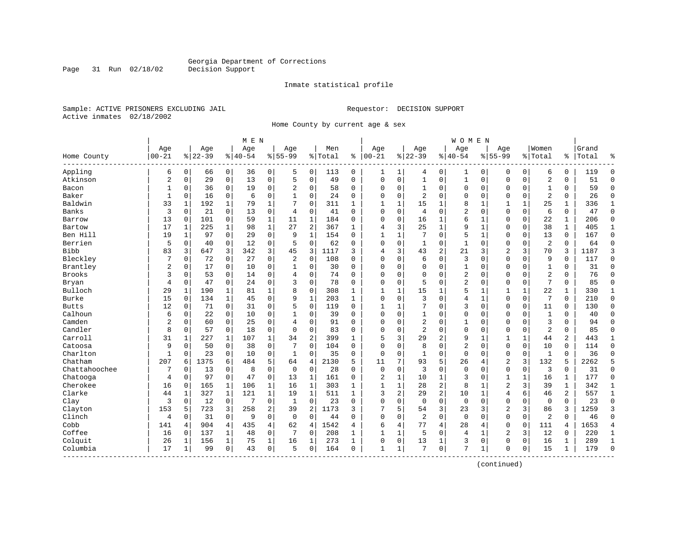Inmate statistical profile

Sample: ACTIVE PRISONERS EXCLUDING JAIL Requestor: DECISION SUPPORT Active inmates 02/18/2002

Page 31 Run 02/18/02

Home County by current age & sex

|                          |                |              |           |                | M E N     |                |                |                |         |              |                |              |                |                | <b>WOMEN</b>   |              |                |              |                |              |       |                |
|--------------------------|----------------|--------------|-----------|----------------|-----------|----------------|----------------|----------------|---------|--------------|----------------|--------------|----------------|----------------|----------------|--------------|----------------|--------------|----------------|--------------|-------|----------------|
|                          | Age            |              | Age       |                | Age       |                | Age            |                | Men     |              | Age            |              | Age            |                | Age            |              | Age            |              | Women          |              | Grand |                |
| Home County<br>--------- | $00 - 21$      |              | $8 22-39$ |                | $8 40-54$ |                | $8155 - 99$    |                | % Total | ి            | $ 00-21$       |              | $8 22-39$      |                | $ 40-54$       |              | $8155 - 99$    |              | % Total        | ႜ            | Total |                |
| Appling                  | 6              | 0            | 66        | 0              | 36        | 0              | 5              | 0              | 113     | 0            | 1              | 1            | 4              | 0              | 1              | 0            | 0              | 0            | 6              | 0            | 119   | $\Omega$       |
| Atkinson                 | $\overline{c}$ | $\mathbf 0$  | 29        | 0              | 13        | $\mathsf 0$    | 5              | $\mathbf 0$    | 49      | $\Omega$     | $\Omega$       | $\mathsf 0$  | $\mathbf{1}$   | $\mathsf 0$    | $\mathbf{1}$   | $\mathbf 0$  | $\Omega$       | 0            | $\overline{2}$ | 0            | 51    | $\Omega$       |
| Bacon                    | 1              | 0            | 36        | 0              | 19        | 0              | 2              | $\mathbf 0$    | 58      | 0            | $\Omega$       | 0            | 1              | 0              | 0              | 0            | $\Omega$       | 0            | 1              | 0            | 59    | $\Omega$       |
| Baker                    | $\mathbf{1}$   | $\Omega$     | 16        | 0              | 6         | $\mathbf 0$    | 1              | $\mathbf 0$    | 24      | $\Omega$     | $\Omega$       | $\Omega$     | 2              | $\Omega$       | 0              | $\mathbf 0$  | $\Omega$       | $\Omega$     | $\overline{2}$ | 0            | 26    | $\Omega$       |
| Baldwin                  | 33             | 1            | 192       | 1              | 79        | $\mathbf{1}$   | 7              | $\mathbf 0$    | 311     | $\mathbf{1}$ | $\mathbf{1}$   | 1            | 15             | 1              | 8              | -1           | 1              | $\mathbf{1}$ | 25             | $\mathbf{1}$ | 336   | $\mathbf{1}$   |
| Banks                    | 3              | $\Omega$     | 21        | $\mathbf 0$    | 13        | $\mathbf 0$    | 4              | $\mathbf 0$    | 41      | $\Omega$     | $\Omega$       | $\Omega$     | $\overline{4}$ | $\Omega$       | $\overline{2}$ | $\Omega$     | $\Omega$       | $\Omega$     | 6              | $\Omega$     | 47    | $\Omega$       |
| Barrow                   | 13             | $\Omega$     | 101       | 0              | 59        | $\mathbf 1$    | 11             | 1              | 184     | $\Omega$     | 0              | 0            | 16             | 1              | 6              | 1            | $\Omega$       | $\mathbf 0$  | 22             | 1            | 206   | $\Omega$       |
| Bartow                   | 17             | 1            | 225       | 1              | 98        | $\mathbf 1$    | 27             | 2              | 367     | $\mathbf{1}$ | 4              | 3            | 25             | 1              | 9              | 1            | $\Omega$       | 0            | 38             | $\mathbf{1}$ | 405   | $\mathbf{1}$   |
| Ben Hill                 | 19             | $\mathbf{1}$ | 97        | $\mathbf 0$    | 29        | $\mathbf 0$    | 9              | $\mathbf{1}$   | 154     | $\Omega$     | $\mathbf{1}$   | $\mathbf{1}$ | 7              | $\Omega$       | 5              | $\mathbf{1}$ | $\Omega$       | $\Omega$     | 13             | $\Omega$     | 167   | $\Omega$       |
| Berrien                  | 5              | $\Omega$     | 40        | 0              | 12        | $\mathbf 0$    | 5              | $\mathbf 0$    | 62      | $\Omega$     | $\Omega$       | 0            | 1              | $\mathbf 0$    | $\mathbf{1}$   | $\mathbf 0$  | $\Omega$       | $\Omega$     | $\overline{2}$ | 0            | 64    | $\Omega$       |
| Bibb                     | 83             | 3            | 647       | 3              | 342       | 3              | 45             | 3              | 1117    | 3            | 4              | 3            | 43             | $\overline{2}$ | 21             | 3            | $\overline{2}$ | 3            | 70             | 3            | 1187  | 3              |
| Bleckley                 | 7              | $\Omega$     | 72        | 0              | 27        | $\mathbf 0$    | $\overline{a}$ | $\mathbf 0$    | 108     | $\Omega$     | $\Omega$       | $\Omega$     | 6              | $\Omega$       | 3              | $\Omega$     | $\Omega$       | $\Omega$     | 9              | $\Omega$     | 117   | $\Omega$       |
| Brantley                 | 2              | 0            | 17        | 0              | 10        | $\mathbf 0$    | 1              | 0              | 30      | $\Omega$     | 0              | 0            | $\Omega$       | $\mathbf 0$    | 1              | $\mathbf 0$  | $\Omega$       | $\Omega$     | $\mathbf{1}$   | 0            | 31    | $\Omega$       |
| Brooks                   | 3              | 0            | 53        | 0              | 14        | $\mathbf 0$    | 4              | $\mathbf 0$    | 74      | $\Omega$     | $\Omega$       | 0            | $\Omega$       | $\Omega$       | 2              | 0            | $\Omega$       | 0            | $\overline{2}$ | 0            | 76    | $\Omega$       |
| Bryan                    | $\overline{4}$ | 0            | 47        | 0              | 24        | $\mathbf 0$    | 3              | $\mathbf 0$    | 78      | 0            | $\Omega$       | 0            | 5              | $\Omega$       | 2              | $\Omega$     | $\Omega$       | 0            | 7              | 0            | 85    | $\Omega$       |
| Bulloch                  | 29             | 1            | 190       | 1              | 81        | $\mathbf 1$    | 8              | $\mathbf 0$    | 308     | 1            | -1             | 1            | 15             | 1              | 5              | 1            | $\mathbf{1}$   |              | 22             | 1            | 330   | 1              |
| Burke                    | 15             | $\Omega$     | 134       | 1              | 45        | $\mathbf 0$    | 9              | $\mathbf 1$    | 203     | $\mathbf{1}$ | $\Omega$       | $\Omega$     | 3              | $\Omega$       | 4              | -1           | $\Omega$       | 0            | 7              | $\Omega$     | 210   | $\Omega$       |
| <b>Butts</b>             | 12             | $\Omega$     | 71        | 0              | 31        | $\mathbf 0$    | 5              | $\mathbf 0$    | 119     | $\Omega$     | -1             | 1            | 7              | $\Omega$       | 3              | $\Omega$     | $\Omega$       | $\Omega$     | 11             | $\Omega$     | 130   | $\Omega$       |
| Calhoun                  | 6              | 0            | 22        | $\mathbf 0$    | 10        | $\mathbf 0$    | 1              | $\mathbf 0$    | 39      | $\Omega$     | $\Omega$       | $\Omega$     |                | 0              | 0              | $\mathbf 0$  | $\Omega$       | 0            | $\mathbf{1}$   | 0            | 40    | $\Omega$       |
| Camden                   | 2              | 0            | 60        | 0              | 25        | $\mathbf 0$    | 4              | $\mathbf 0$    | 91      | 0            | $\Omega$       | 0            | $\overline{2}$ | 0              | 1              | 0            | $\Omega$       | 0            | 3              | 0            | 94    | $\Omega$       |
| Candler                  | 8              | $\Omega$     | 57        | $\mathbf 0$    | 18        | $\mathbf 0$    | $\Omega$       | $\mathbf 0$    | 83      | $\Omega$     | $\Omega$       | $\Omega$     | 2              | $\Omega$       | $\Omega$       | $\mathbf 0$  | $\Omega$       | $\Omega$     | 2              | $\Omega$     | 85    | $\Omega$       |
| Carroll                  | 31             | 1            | 227       | 1              | 107       | $\mathbf 1$    | 34             | $\overline{2}$ | 399     | $\mathbf{1}$ | 5              | 3            | 29             | $\overline{2}$ | 9              | $\mathbf{1}$ | 1              | 1            | 44             | 2            | 443   | 1              |
| Catoosa                  | 9              | 0            | 50        | 0              | 38        | $\mathbf 0$    |                | $\mathbf 0$    | 104     | $\Omega$     | $\Omega$       | $\Omega$     | 8              | $\Omega$       | 2              | $\Omega$     | $\Omega$       | 0            | 10             | 0            | 114   | $\Omega$       |
| Charlton                 | $\mathbf{1}$   | $\Omega$     | 23        | 0              | 10        | $\mathbf 0$    | $\mathbf{1}$   | $\mathbf 0$    | 35      | 0            | $\mathbf 0$    | 0            | $\mathbf{1}$   | $\Omega$       | $\mathbf 0$    | $\Omega$     | $\Omega$       | 0            | $\mathbf{1}$   | 0            | 36    | $\Omega$       |
| Chatham                  | 207            | 6            | 1375      | 6              | 484       | 5              | 64             | 4              | 2130    | 5            | 11             | 7            | 93             | 5              | 26             | 4            | 2              | 3            | 132            | 5            | 2262  | 5              |
| Chattahoochee            | 7              | $\Omega$     | 13        | $\mathbf 0$    | 8         | $\mathbf 0$    | $\mathbf 0$    | $\mathbf 0$    | 28      | $\Omega$     | $\mathbf 0$    | 0            | 3              | $\mathbf 0$    | $\Omega$       | $\Omega$     | $\Omega$       | 0            | 3              | $\Omega$     | 31    | $\Omega$       |
| Chatooga                 | $\overline{4}$ | $\Omega$     | 97        | $\mathbf 0$    | 47        | $\mathbf 0$    | 13             | $\mathbf{1}$   | 161     | $\Omega$     | $\overline{a}$ | 1            | 10             | 1              | 3              | $\Omega$     | $\mathbf{1}$   | 1            | 16             | 1            | 177   | $\Omega$       |
| Cherokee                 | 16             | $\Omega$     | 165       | 1              | 106       | $\mathbf 1$    | 16             | 1              | 303     | 1            | -1             | 1            | 28             | $\overline{2}$ | 8              | 1            | $\overline{2}$ | 3            | 39             | 1            | 342   | 1              |
| Clarke                   | 44             |              | 327       | 1              | 121       | 1              | 19             | 1              | 511     | 1            | 3              | 2            | 29             | $\overline{2}$ | 10             | 1            | $\overline{4}$ | 6            | 46             | 2            | 557   | 1              |
| Clay                     | 3              | 0            | 12        | 0              | 7         | $\mathbf 0$    | 1              | $\mathbf 0$    | 23      | 0            | 0              | 0            | $\mathbf 0$    | $\mathbf 0$    | $\mathbf 0$    | $\Omega$     | $\Omega$       | 0            | $\mathbf 0$    | 0            | 23    | $\Omega$       |
| Clayton                  | 153            | 5            | 723       | 3              | 258       | 2              | 39             | $\overline{2}$ | 1173    | 3            |                | 5            | 54             | 3              | 23             | 3            | 2              | 3            | 86             | 3            | 1259  | 3              |
| Clinch                   | $\overline{4}$ | $\Omega$     | 31        | 0              | 9         | $\mathbf 0$    | $\mathbf 0$    | $\mathbf 0$    | 44      | $\Omega$     | $\Omega$       | $\Omega$     | 2              | $\Omega$       | $\mathbf 0$    | $\Omega$     | $\Omega$       | 0            | 2              | $\Omega$     | 46    | $\Omega$       |
| Cobb                     | 141            | 4            | 904       | $\overline{4}$ | 435       | $\overline{4}$ | 62             | 4              | 1542    | 4            | 6              | 4            | 77             | 4              | 28             | 4            | $\Omega$       | 0            | 111            | 4            | 1653  | $\overline{4}$ |
| Coffee                   | 16             | $\Omega$     | 137       | 1              | 48        | 0              | 7              | 0              | 208     | 1            |                | 1            | 5              | 0              | 4              | 1            | $\overline{2}$ | 3            | 12             | 0            | 220   | 1              |
| Colquit                  | 26             |              | 156       | 1              | 75        | $\mathbf 1$    | 16             | 1              | 273     | 1            | $\Omega$       | 0            | 13             | 1              | 3              | $\mathbf 0$  | $\Omega$       | 0            | 16             | 1            | 289   | $\mathbf{1}$   |
| Columbia                 | 17             | 1            | 99        | 0              | 43        | $\mathbf 0$    | 5              | $\mathbf 0$    | 164     | 0            | $\mathbf{1}$   | 1            | 7              | $\mathbf 0$    | 7              | 1            | $\Omega$       | 0            | 15             | $\mathbf 1$  | 179   | $\Omega$       |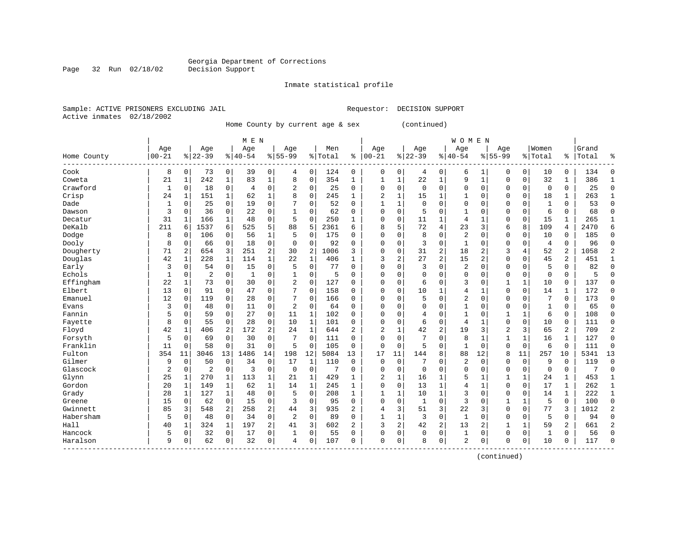Inmate statistical profile

Sample: ACTIVE PRISONERS EXCLUDING JAIL Requestor: DECISION SUPPORT Active inmates 02/18/2002

Page 32 Run 02/18/02

Home County by current age & sex (continued)

|                         |                |             |                |                | M E N     |             |                |              |         |                |              |                |              |                | <b>WOMEN</b>   |                |                |             |              |              |       |                |
|-------------------------|----------------|-------------|----------------|----------------|-----------|-------------|----------------|--------------|---------|----------------|--------------|----------------|--------------|----------------|----------------|----------------|----------------|-------------|--------------|--------------|-------|----------------|
|                         | Age            |             | Age            |                | Age       |             | Age            |              | Men     |                | Age          |                | Age          |                | Age            |                | Age            |             | Women        |              | Grand |                |
| Home County<br>-------- | $ 00 - 21$     |             | $8 22-39$      |                | $8 40-54$ |             | $8 55-99$      |              | % Total | ి              | $ 00 - 21$   |                | $8 22-39$    |                | $8 40-54$      |                | $8155 - 99$    |             | % Total      | ွေ           | Total | ႜ              |
| Cook                    | 8              | $\mathbf 0$ | 73             | 0              | 39        | 0           | 4              | 0            | 124     | 0              | $\mathbf 0$  | 0              | 4            | 0              | 6              |                | $\Omega$       | 0           | 10           | 0            | 134   | $\Omega$       |
| Coweta                  | 21             | 1           | 242            | 1              | 83        | $\mathbf 1$ | 8              | $\Omega$     | 354     | $\mathbf{1}$   | 1            | 1              | 22           | 1              | 9              | $\mathbf{1}$   | $\Omega$       | $\Omega$    | 32           | 1            | 386   | $\mathbf{1}$   |
| Crawford                | $\mathbf 1$    | $\mathbf 0$ | 18             | 0              | 4         | 0           | 2              | $\mathbf 0$  | 25      | $\Omega$       | $\Omega$     | $\Omega$       | $\Omega$     | $\Omega$       | $\Omega$       | $\mathbf 0$    | $\Omega$       | 0           | 0            | 0            | 25    | $\Omega$       |
| Crisp                   | 24             | 1           | 151            | 1              | 62        | 1           | 8              | $\mathbf 0$  | 245     | $\mathbf{1}$   | 2            | 1              | 15           | 1              | 1              | $\mathbf 0$    | $\Omega$       | $\mathbf 0$ | 18           | 1            | 263   | 1              |
| Dade                    | 1              | $\mathbf 0$ | 25             | 0              | 19        | $\mathbf 0$ |                | $\mathbf 0$  | 52      | 0              | 1            | $\mathbf{1}$   | $\mathbf{0}$ | 0              | $\Omega$       | $\Omega$       | $\Omega$       | $\mathbf 0$ | $\mathbf{1}$ | 0            | 53    | $\Omega$       |
| Dawson                  | 3              | $\mathbf 0$ | 36             | 0              | 22        | 0           |                | $\mathbf 0$  | 62      | $\Omega$       | $\Omega$     | 0              | 5            | $\Omega$       |                | $\Omega$       | $\Omega$       | $\mathbf 0$ | 6            | 0            | 68    | $\bigcap$      |
| Decatur                 | 31             | 1           | 166            | 1              | 48        | 0           | 5              | $\mathbf 0$  | 250     | 1              | $\Omega$     | 0              | 11           | $\mathbf{1}$   | 4              | 1              | $\Omega$       | $\mathbf 0$ | 15           | 1            | 265   | $\mathbf{1}$   |
| DeKalb                  | 211            | 6           | 1537           | 6              | 525       | 5           | 88             | 5            | 2361    | 6              | 8            | 5              | 72           | 4              | 23             | 3              | 6              | 8           | 109          | 4            | 2470  | 6              |
| Dodge                   | 8              | $\Omega$    | 106            | $\Omega$       | 56        | 1           | 5              | $\Omega$     | 175     | 0              | $\Omega$     | 0              | 8            | $\Omega$       | 2              | 0              | $\Omega$       | $\Omega$    | 10           | 0            | 185   | $\Omega$       |
| Dooly                   | 8              | 0           | 66             | 0              | 18        | 0           | $\Omega$       | $\Omega$     | 92      | $\Omega$       | $\Omega$     | 0              | 3            | $\Omega$       | $\mathbf{1}$   | $\Omega$       | $\Omega$       | $\Omega$    | 4            | 0            | 96    | $\Omega$       |
| Dougherty               | 71             | 2           | 654            | 3              | 251       | 2           | 30             | 2            | 1006    | 3              | $\Omega$     | O              | 31           | 2              | 18             | 2              | 3              | 4           | 52           | 2            | 1058  |                |
| Douglas                 | 42             | 1           | 228            | 1              | 114       | $\mathbf 1$ | 22             | $\mathbf{1}$ | 406     | 1              | 3            | $\overline{2}$ | 27           | $\overline{2}$ | 15             | $\overline{c}$ | $\Omega$       | $\Omega$    | 45           | 2            | 451   | 1              |
| Early                   | 3              | $\Omega$    | 54             | 0              | 15        | 0           | 5              | $\mathbf 0$  | 77      | $\Omega$       | $\Omega$     | O              | 3            | $\Omega$       | 2              | $\Omega$       | $\Omega$       | $\Omega$    | 5            | 0            | 82    | $\Omega$       |
| Echols                  | 1              | $\mathbf 0$ | 2              | 0              | 1         | 0           |                | 0            | 5       | $\Omega$       | $\Omega$     | O              | $\mathbf 0$  | $\Omega$       | $\Omega$       | $\mathbf 0$    | $\Omega$       | $\mathbf 0$ | $\mathbf 0$  | 0            | 5     | $\cap$         |
| Effingham               | 22             | 1           | 73             | 0              | 30        | 0           | 2              | 0            | 127     | $\Omega$       | $\Omega$     | $\Omega$       | 6            | $\Omega$       | 3              | $\Omega$       | $\mathbf{1}$   | 1           | 10           | 0            | 137   | $\cap$         |
| Elbert                  | 13             | $\mathbf 0$ | 91             | 0              | 47        | 0           | 7              | $\mathbf 0$  | 158     | $\Omega$       | $\Omega$     | $\Omega$       | 10           | 1              | 4              | 1              | $\Omega$       | $\mathbf 0$ | 14           | $\mathbf 1$  | 172   | $\bigcap$      |
| Emanuel                 | 12             | $\mathbf 0$ | 119            | 0              | 28        | 0           | 7              | $\mathbf 0$  | 166     | $\Omega$       | $\Omega$     | 0              | 5            | $\Omega$       | $\overline{2}$ | $\mathbf 0$    | $\Omega$       | $\mathbf 0$ | 7            | $\mathbf 0$  | 173   | $\mathbf 0$    |
| Evans                   | 3              | $\mathbf 0$ | 48             | 0              | 11        | $\mathbf 0$ | 2              | $\mathbf 0$  | 64      | 0              | $\Omega$     | 0              | 0            | $\Omega$       | 1              | 0              | $\Omega$       | 0           |              | 0            | 65    | $\mathbf 0$    |
| Fannin                  | 5              | $\Omega$    | 59             | 0              | 27        | 0           | 11             | 1            | 102     | 0              | $\Omega$     | 0              | 4            | $\Omega$       | 1              | $\Omega$       | $\mathbf{1}$   |             | 6            | 0            | 108   | $\mathbf 0$    |
| Fayette                 | 8              | $\Omega$    | 55             | 0              | 28        | 0           | 10             | 1            | 101     | 0              | $\Omega$     | $\Omega$       | 6            | 0              | 4              | $\mathbf{1}$   | $\Omega$       | $\Omega$    | 10           | 0            | 111   | $\Omega$       |
| Floyd                   | 42             | 1           | 406            | 2              | 172       | 2           | 24             | $\mathbf{1}$ | 644     | 2              | 2            | 1              | 42           | $\overline{2}$ | 19             | 3              | $\overline{2}$ | 3           | 65           | 2            | 709   | $\overline{2}$ |
| Forsyth                 | 5              | $\Omega$    | 69             | $\Omega$       | 30        | $\mathbf 0$ | 7              | $\Omega$     | 111     | $\Omega$       | $\Omega$     | $\Omega$       | 7            | $\Omega$       | 8              | $\mathbf{1}$   | 1              | 1           | 16           | 1            | 127   | $\mathbf 0$    |
| Franklin                | 11             | $\mathbf 0$ | 58             | 0              | 31        | $\mathbf 0$ | 5              | $\mathbf 0$  | 105     | 0              | $\mathbf 0$  | $\mathbf 0$    | 5            | 0              | 1              | $\mathbf 0$    | $\Omega$       | $\mathbf 0$ | 6            | 0            | 111   | $\mathbf 0$    |
| Fulton                  | 354            | 11          | 3046           | 13             | 1486      | 14          | 198            | 12           | 5084    | 13             | 17           | 11             | 144          | 8              | 88             | 12             | 8              | 11          | 257          | 10           | 5341  | 13             |
| Gilmer                  | 9              | $\mathbf 0$ | 50             | 0              | 34        | $\mathsf 0$ | 17             | $\mathbf{1}$ | 110     | $\mathbf 0$    | $\mathbf 0$  | $\mathbf 0$    | 7            | $\Omega$       | 2              | $\Omega$       | $\Omega$       | $\mathbf 0$ | 9            | $\Omega$     | 119   | $\mathbf 0$    |
| Glascock                | $\overline{2}$ | $\mathbf 0$ | $\overline{c}$ | 0              | 3         | 0           | $\Omega$       | $\mathbf 0$  | 7       | 0              | $\Omega$     | $\mathbf 0$    | $\mathbf 0$  | $\Omega$       | $\Omega$       | $\Omega$       | $\Omega$       | $\mathbf 0$ | $\Omega$     | 0            | 7     | $\mathbf 0$    |
| Glynn                   | 25             | 1           | 270            | 1              | 113       | 1           | 21             | 1            | 429     | 1              | 2            | 1              | 16           | 1              | 5              |                | 1              |             | 24           | 1            | 453   | $\mathbf{1}$   |
| Gordon                  | 20             | 1           | 149            | 1              | 62        | 1           | 14             | 1            | 245     | 1              | $\Omega$     | $\Omega$       | 13           | 1              | 4              | $\mathbf{1}$   | $\Omega$       | $\Omega$    | 17           | 1            | 262   | 1              |
| Grady                   | 28             | 1           | 127            | $\mathbf{1}$   | 48        | 0           | 5              | $\Omega$     | 208     | $\mathbf{1}$   | $\mathbf{1}$ | 1              | 10           | 1              | 3              | $\Omega$       | $\Omega$       | $\Omega$    | 14           | $\mathbf{1}$ | 222   | $\mathbf{1}$   |
| Greene                  | 15             | $\Omega$    | 62             | $\Omega$       | 1.5       | 0           | 3              | $\Omega$     | 95      | $\Omega$       | $\Omega$     | $\Omega$       | $\mathbf{1}$ | $\Omega$       | 3              | $\Omega$       | $\mathbf{1}$   | 1           | 5            | $\Omega$     | 100   | $\Omega$       |
| Gwinnett                | 85             | 3           | 548            | $\overline{a}$ | 258       | 2           | 44             | 3            | 935     | $\overline{a}$ | 4            | 3              | 51           | 3              | 22             | 3              | $\Omega$       | $\Omega$    | 77           | 3            | 1012  | $\overline{2}$ |
| Habersham               | 5              | 0           | 48             | 0              | 34        | 0           | $\overline{2}$ | $\mathbf 0$  | 89      | $\Omega$       | 1            | $\mathbf{1}$   | 3            | 0              | $\mathbf{1}$   | $\mathbf 0$    | $\Omega$       | $\Omega$    | 5            | 0            | 94    | $\Omega$       |
| Hall                    | 40             | 1           | 324            | $\mathbf 1$    | 197       | 2           | 41             | 3            | 602     | 2              | 3            | 2              | 42           | 2              | 13             | 2              | 1              |             | 59           | 2            | 661   |                |
| Hancock                 | 5              | 0           | 32             | 0              | 17        | 0           |                | $\mathbf 0$  | 55      | $\Omega$       | $\Omega$     | 0              | $\mathbf 0$  | $\mathbf 0$    | $\mathbf{1}$   | 0              | $\Omega$       | $\mathbf 0$ | $\mathbf{1}$ | 0            | 56    | $\cap$         |
| Haralson                | 9              | $\Omega$    | 62             | 0              | 32        | 0           | 4              | 0            | 107     | $\Omega$       | $\Omega$     | 0              | 8            | 0              | 2              | $\Omega$       | $\Omega$       | 0           | 10           | 0            | 117   | $\cap$         |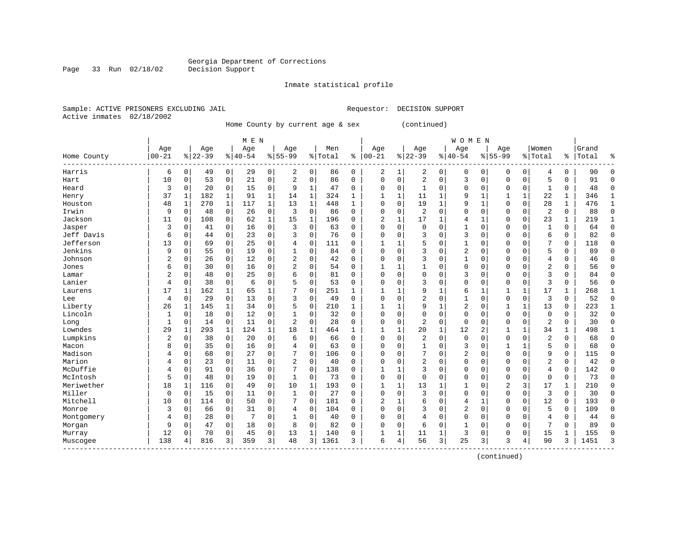Inmate statistical profile

Sample: ACTIVE PRISONERS EXCLUDING JAIL Requestor: DECISION SUPPORT Active inmates 02/18/2002

Page 33 Run 02/18/02

Home County by current age & sex (continued)

|                    |                |              |           |              | M E N     |             |                |             |         |              |                |              |                |              | <b>WOMEN</b>   |                |                |              |                |              |       |              |
|--------------------|----------------|--------------|-----------|--------------|-----------|-------------|----------------|-------------|---------|--------------|----------------|--------------|----------------|--------------|----------------|----------------|----------------|--------------|----------------|--------------|-------|--------------|
|                    | Age            |              | Age       |              | Age       |             | Age            |             | Men     |              | Age            |              | Age            |              | Age            |                | Age            |              | Women          |              | Grand |              |
| Home County        | $00 - 21$      |              | $8 22-39$ |              | $8 40-54$ |             | $8155 - 99$    |             | % Total | ి            | $ 00 - 21$     |              | $8 22-39$      |              | $8140 - 54$    |                | $8155 - 99$    |              | % Total        | ႜ            | Total | 우            |
| Harris             | 6              | 0            | 49        | 0            | 29        | 0           | 2              | 0           | 86      | 0            | 2              | 1            | 2              | 0            | $\Omega$       | 0              | $\Omega$       | 0            | 4              | 0            | 90    | 0            |
| Hart               | 10             | $\Omega$     | 53        | 0            | 21        | 0           | $\overline{c}$ | $\Omega$    | 86      | $\Omega$     | $\Omega$       | 0            | $\overline{2}$ | $\Omega$     | 3              | $\Omega$       | $\Omega$       | $\mathbf 0$  | 5              | 0            | 91    | $\Omega$     |
| Heard              | 3              | $\mathbf 0$  | 20        | 0            | 15        | 0           | 9              | 1           | 47      | $\Omega$     | $\Omega$       | 0            | $\mathbf{1}$   | $\Omega$     | $\Omega$       | $\Omega$       | $\Omega$       | $\Omega$     | 1              | 0            | 48    | $\Omega$     |
| Henry              | 37             | $\mathbf{1}$ | 182       | $\mathbf{1}$ | 91        | 1           | 14             | 1           | 324     | $\mathbf{1}$ | -1             | $\mathbf{1}$ | 11             | 1            | 9              | $\mathbf{1}$   |                | 1            | 22             | 1            | 346   |              |
| Houston            | 48             | $\mathbf 1$  | 270       | 1            | 117       | $\mathbf 1$ | 13             | $\mathbf 1$ | 448     | $\mathbf{1}$ | $\Omega$       | 0            | 19             |              | 9              | $\mathbf{1}$   | $\Omega$       | $\mathbf 0$  | 28             | 1            | 476   |              |
| Irwin              | 9              | $\mathbf 0$  | 48        | $\mathbf 0$  | 26        | 0           | 3              | $\mathbf 0$ | 86      | $\Omega$     | 0              | 0            | $\overline{2}$ | $\mathbf 0$  | $\Omega$       | $\Omega$       | $\Omega$       | $\mathbf 0$  | $\overline{2}$ | 0            | 88    | $\Omega$     |
| Jackson            | 11             | $\Omega$     | 108       | $\mathbf 0$  | 62        | $\mathbf 1$ | 15             | $\mathbf 1$ | 196     | $\Omega$     | $\overline{2}$ | 1            | 17             | 1            | 4              | 1              | $\Omega$       | $\mathbf 0$  | 23             | $\mathbf{1}$ | 219   | $\mathbf{1}$ |
| Jasper             | 3              | $\Omega$     | 41        | $\mathbf 0$  | 16        | 0           | 3              | $\mathbf 0$ | 63      | $\Omega$     | $\Omega$       | 0            | $\Omega$       | $\Omega$     | 1              | $\Omega$       | $\Omega$       | 0            | $\mathbf{1}$   | 0            | 64    | $\Omega$     |
| Jeff Davis         | 6              | $\mathbf 0$  | 44        | 0            | 23        | 0           | 3              | 0           | 76      | $\Omega$     | $\Omega$       | 0            | 3              | $\Omega$     | 3              | $\Omega$       | $\Omega$       | 0            | 6              | 0            | 82    | $\Omega$     |
| Jefferson          | 13             | 0            | 69        | 0            | 25        | 0           |                | 0           | 111     | U            |                |              | 5              | $\Omega$     | 1              | 0              | $\Omega$       | $\Omega$     | 7              | 0            | 118   | $\Omega$     |
| Jenkins            | 9              | $\Omega$     | 55        | 0            | 19        | 0           |                | $\Omega$    | 84      | $\Omega$     | $\Omega$       | O            | 3              | $\Omega$     | $\overline{2}$ | C              | $\Omega$       | $\Omega$     | 5              | 0            | 89    | $\Omega$     |
| Johnson            | 2              | $\Omega$     | 26        | 0            | 12        | 0           | $\overline{c}$ | $\Omega$    | 42      | $\Omega$     | <sup>0</sup>   | 0            | २              | $\Omega$     | 1              | O              | $\Omega$       | $\Omega$     | $\overline{4}$ | 0            | 46    | ∩            |
| Jones              | 6              | $\Omega$     | 30        | $\Omega$     | 16        | 0           | 2              | $\Omega$    | 54      | $\Omega$     |                |              |                | $\Omega$     | $\Omega$       | O              | $\Omega$       | $\Omega$     | 2              | $\Omega$     | 56    | ∩            |
| Lamar              | 2              | $\mathbf 0$  | 48        | $\Omega$     | 25        | 0           | б              | $\Omega$    | 81      | $\Omega$     | 0              | 0            | $\Omega$       | $\Omega$     | 3              | 0              | $\Omega$       | $\Omega$     | 3              | 0            | 84    | ∩            |
| Lanier             | 4              | $\Omega$     | 38        | $\mathbf 0$  | 6         | 0           |                | $\mathbf 0$ | 53      | $\Omega$     | 0              | 0            | 3              | $\Omega$     | $\Omega$       | 0              | $\Omega$       | $\Omega$     | 3              | 0            | 56    | ſ            |
| Laurens            | 17             | 1            | 162       | 1            | 65        | 1           |                | $\Omega$    | 251     | 1            | $\mathbf{1}$   | 1            | 9              |              | 6              | $\mathbf{1}$   | $\mathbf{1}$   | 1            | 17             | 1            | 268   | $\mathbf{1}$ |
| Lee                | 4              | $\mathbf 0$  | 29        | $\mathbf 0$  | 13        | 0           | 3              | $\Omega$    | 49      | $\Omega$     | $\Omega$       | 0            | 2              | $\Omega$     | 1              | $\Omega$       | $\Omega$       | $\mathbf 0$  | 3              | 0            | 52    | $\Omega$     |
| Liberty            | 26             | 1            | 145       | 1            | 34        | 0           | 5              | 0           | 210     | 1            |                |              | 9              |              | 2              | $\Omega$       |                | 1            | 13             | 0            | 223   | 1            |
| Lincoln            |                | 0            | 18        | 0            | 12        | 0           |                | 0           | 32      | $\Omega$     | $\Omega$       | 0            | $\Omega$       | $\Omega$     | $\Omega$       | $\Omega$       | $\Omega$       | 0            | $\mathbf 0$    | 0            | 32    | $\Omega$     |
| Long               | 1              | $\Omega$     | 14        | 0            | 11        | 0           | 2              | $\Omega$    | 28      | $\Omega$     | $\Omega$       | 0            | 2              | $\Omega$     | 0              | $\Omega$       | $\Omega$       | $\Omega$     | 2              | 0            | 30    | $\Omega$     |
| Lowndes            | 29             | 1            | 293       | 1            | 124       | $\mathbf 1$ | 18             | $\mathbf 1$ | 464     | 1            | -1             | 1            | 20             | $\mathbf{1}$ | 12             | $\overline{a}$ | $\mathbf{1}$   | $\mathbf{1}$ | 34             | $\mathbf 1$  | 498   |              |
| Lumpkins           | 2              | $\mathbf 0$  | 38        | $\mathbf 0$  | 20        | 0           | 6              | $\Omega$    | 66      | $\Omega$     | $\Omega$       | 0            | $\overline{2}$ | $\mathbf 0$  | $\mathbf 0$    | $\Omega$       | $\Omega$       | $\mathbf 0$  | $\overline{2}$ | 0            | 68    | $\Omega$     |
| Macon              | 8              | $\mathbf 0$  | 35        | $\mathbf 0$  | 16        | 0           | 4              | $\mathbf 0$ | 63      | $\Omega$     | 0              | 0            |                | $\mathbf 0$  | 3              | $\Omega$       |                | 1            | 5              | 0            | 68    | $\Omega$     |
| Madison            | 4              | 0            | 68        | $\mathbf 0$  | 27        | 0           |                | $\mathbf 0$ | 106     | 0            | 0              | 0            |                | $\Omega$     | $\overline{2}$ | $\Omega$       | $\Omega$       | $\mathbf 0$  | 9              | 0            | 115   | $\Omega$     |
| Marion             | 4              | 0            | 23        | $\mathbf 0$  | 11        | 0           | $\overline{2}$ | 0           | 40      | $\Omega$     | $\Omega$       | 0            | $\overline{2}$ | $\Omega$     | $\Omega$       | 0              | $\Omega$       | $\Omega$     | 2              | 0            | 42    | $\Omega$     |
| McDuffie           | $\overline{4}$ | $\mathbf 0$  | 91        | $\mathbf 0$  | 36        | 0           | 7              | 0           | 138     | 0            | $\mathbf{1}$   | 1            | 3              | $\Omega$     | 0              | 0              | $\Omega$       | 0            | 4              | 0            | 142   | $\Omega$     |
| McIntosh           | 5              | $\mathbf 0$  | 48        | 0            | 19        | 0           | 1              | 0           | 73      | 0            | $\Omega$       | 0            | $\Omega$       | $\Omega$     | 0              | 0              | $\Omega$       | 0            | $\Omega$       | 0            | 73    | $\mathbf 0$  |
| Meriwether         | 18             | 1            | 116       | $\Omega$     | 49        | 0           | 10             | 1           | 193     | U            | -1             | 1            | 13             |              |                | O              | $\overline{c}$ | 3            | 17             | 1            | 210   | $\Omega$     |
| Miller             | $\mathbf 0$    | $\Omega$     | 15        | $\Omega$     | 11        | 0           | 1              | $\Omega$    | 27      | O            | $\Omega$       | O            | ζ              | $\Omega$     | $\Omega$       | $\sqrt{ }$     | $\Omega$       | $\Omega$     | 3              | 0            | 30    | $\Omega$     |
| Mitchell           | 10             | $\Omega$     | 114       | $\Omega$     | 50        | 0           | 7              | $\Omega$    | 181     | $\Omega$     | 2              | 1            | 6              | $\Omega$     | 4              | $\mathbf{1}$   | $\Omega$       | $\Omega$     | 12             | $\Omega$     | 193   | $\Omega$     |
| Monroe             | 3              | $\Omega$     | 66        | 0            | 31        | 0           | 4              | $\Omega$    | 104     | $\Omega$     | $\Omega$       | 0            | ζ              | $\Omega$     | $\overline{2}$ | $\Omega$       | $\Omega$       | $\Omega$     | 5              | 0            | 109   | $\Omega$     |
| Montgomery         | 4              | 0            | 28        | $\Omega$     | 7         | 0           |                | 0           | 40      | O            | 0              | 0            | 4              | 0            | $\Omega$       | $\Omega$       | $\Omega$       | $\Omega$     | 4              | 0            | 44    | $\Omega$     |
| Morgan             | 9              | $\mathbf 0$  | 47        | $\mathbf 0$  | 18        | 0           | 8              | $\mathbf 0$ | 82      | O            | 0              | 0            | 6              | $\mathbf 0$  |                | $\Omega$       | $\Omega$       | $\mathbf 0$  | 7              | 0            | 89    | Λ            |
| Murray             | 12             | 0            | 70        | 0            | 45        | 0           | 13             | $\mathbf 1$ | 140     | 0            | $\mathbf{1}$   | 1            | 11             | 1            | 3              | $\Omega$       | $\Omega$       | $\mathbf 0$  | 15             | 1            | 155   | ſ            |
| Muscogee<br>------ | 138            | 4            | 816       | 3            | 359       | 3           | 48             | 3           | 1361    | 3            | 6              | 4            | 56             | 3            | 25             | 3              | 3              | 4            | 90             | 3            | 1451  | p            |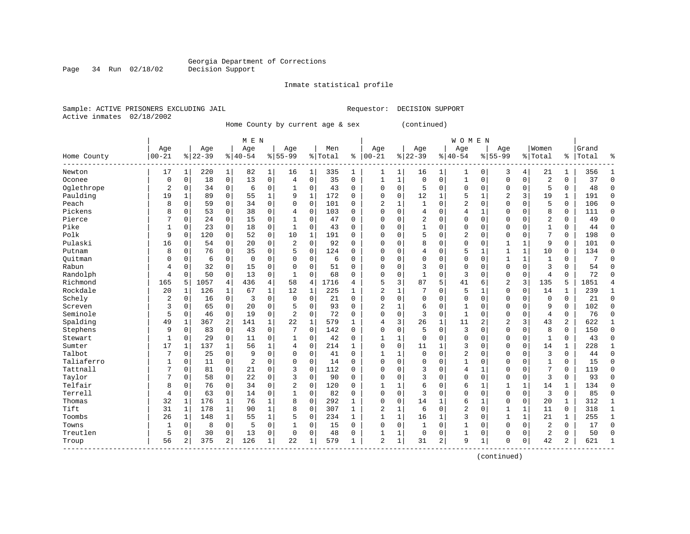Inmate statistical profile

Sample: ACTIVE PRISONERS EXCLUDING JAIL Requestor: DECISION SUPPORT Active inmates 02/18/2002

Home County by current age & sex (continued)

|             | M E N          |              |           |                |                |              |                |             |           |              |                |              |           | <b>WOMEN</b> |                |              |                |              |              |              |       |              |
|-------------|----------------|--------------|-----------|----------------|----------------|--------------|----------------|-------------|-----------|--------------|----------------|--------------|-----------|--------------|----------------|--------------|----------------|--------------|--------------|--------------|-------|--------------|
|             | Age            |              | Age       |                | Age            |              | Age            |             | Men       |              | Age            |              | Age       |              | Age            |              | Age            |              | Women        |              | Grand |              |
| Home County | $00 - 21$      |              | $8 22-39$ |                | $ 40-54$       |              | $8155 - 99$    |             | %   Total | ి            | $ 00 - 21$     |              | $8 22-39$ |              | $8140 - 54$    |              | $8155 - 99$    |              | % Total      | ႜ            | Total | 우            |
| Newton      | 17             |              | 220       | 1              | 82             | $\mathbf{1}$ | 16             | 1           | 335       | 1            | 1              | 1            | 16        |              | 1              | 0            | 3              | 4            | 21           | 1            | 356   |              |
| Oconee      | 0              | 0            | 18        | $\mathbf 0$    | 13             | 0            | $\overline{4}$ | $\mathbf 0$ | 35        | $\Omega$     | $\mathbf{1}$   | $\mathbf{1}$ | $\Omega$  | $\Omega$     | $\mathbf{1}$   | $\Omega$     | $\Omega$       | $\mathbf 0$  | 2            | $\Omega$     | 37    | $\Omega$     |
| Oglethrope  | 2              | $\Omega$     | 34        | $\Omega$       | 6              | 0            | 1              | 0           | 43        | $\Omega$     | $\Omega$       | $\Omega$     | 5         | $\Omega$     | 0              | $\Omega$     | $\Omega$       | $\Omega$     | 5            | $\Omega$     | 48    | $\cap$       |
| Paulding    | 19             | $\mathbf{1}$ | 89        | $\Omega$       | 55             | $\mathbf{1}$ | 9              | 1           | 172       | $\Omega$     | $\Omega$       | $\Omega$     | 12        | 1            | 5              | $\mathbf{1}$ | $\overline{2}$ | 3            | 19           | 1            | 191   | $\Omega$     |
| Peach       | 8              | $\Omega$     | 59        | $\Omega$       | 34             | 0            | $\Omega$       | $\mathbf 0$ | 101       | 0            | $\overline{2}$ | $\mathbf{1}$ |           | $\Omega$     | 2              | $\Omega$     | $\Omega$       | $\Omega$     | 5            | 0            | 106   | $\cap$       |
| Pickens     | 8              | 0            | 53        | $\mathbf 0$    | 38             | 0            | 4              | $\mathbf 0$ | 103       | 0            | $\Omega$       | 0            | 4         | $\Omega$     | $\overline{4}$ | $\mathbf 1$  | $\Omega$       | $\mathbf 0$  | 8            | 0            | 111   | $\Omega$     |
| Pierce      | 7              | 0            | 24        | $\mathbf 0$    | 15             | 0            | 1              | $\mathbf 0$ | 47        | $\Omega$     | $\cap$         | $\Omega$     | 2         | $\Omega$     | 0              | $\Omega$     | $\Omega$       | $\Omega$     | 2            | 0            | 49    | $\Omega$     |
| Pike        | 1              | 0            | 23        | $\mathbf 0$    | 18             | 0            | 1              | 0           | 43        | 0            | $\Omega$       | 0            | 1         | $\Omega$     | 0              | O            | $\Omega$       | $\Omega$     | $\mathbf{1}$ | 0            | 44    | $\Omega$     |
| Polk        | 9              | $\Omega$     | 120       | 0              | 52             | 0            | 10             | 1           | 191       | $\Omega$     | $\Omega$       | 0            | 5         | $\Omega$     | 2              | 0            | $\mathbf 0$    | 0            | 7            | 0            | 198   | $\mathbf 0$  |
| Pulaski     | 16             | 0            | 54        | 0              | 20             | 0            | 2              | $\mathbf 0$ | 92        | 0            | $\Omega$       | 0            | 8         | $\Omega$     | 0              | O            | $\mathbf{1}$   | 1            | 9            | 0            | 101   | 0            |
| Putnam      | 8              | O            | 76        | $\Omega$       | 35             | 0            | 5              | $\mathbf 0$ | 124       | O            | C              | $\Omega$     | 4         | $\Omega$     | 5              | 1            | $\mathbf{1}$   | $\mathbf{1}$ | 10           | 0            | 134   | ∩            |
| Ouitman     | 0              | O            | 6         | $\Omega$       | $\mathbf 0$    | 0            | $\Omega$       | $\Omega$    | 6         | 0            | $\Omega$       | $\Omega$     | $\Omega$  | $\Omega$     | $\Omega$       | $\Omega$     | 1              | 1            | $\mathbf{1}$ | 0            | 7     |              |
| Rabun       | 4              | $\Omega$     | 32        | $\Omega$       | 15             | 0            | $\Omega$       | $\Omega$    | 51        | $\Omega$     | $\Omega$       | $\Omega$     | 3         | $\Omega$     | $\Omega$       | O            | $\Omega$       | $\Omega$     | 3            | $\Omega$     | 54    | ſ            |
| Randolph    | 4              | $\Omega$     | 50        | $\Omega$       | 13             | $\Omega$     | 1              | $\Omega$    | 68        | 0            | $\Omega$       | $\Omega$     |           | $\Omega$     | 3              | 0            | $\mathbf 0$    | $\Omega$     | 4            | 0            | 72    | ſ            |
| Richmond    | 165            | 5            | 1057      | 4              | 436            | 4            | 58             | 4           | 1716      | 4            | 5              | 3            | 87        | 5            | 41             | 6            | $\overline{2}$ | 3            | 135          | 5            | 1851  |              |
| Rockdale    | 20             | 1            | 126       | 1              | 67             | $\mathbf{1}$ | 12             | 1           | 225       | $\mathbf{1}$ | $\overline{2}$ | 1            |           | $\Omega$     | 5              | 1            | $\Omega$       | $\Omega$     | 14           | 1            | 239   | $\mathbf{1}$ |
| Schely      | $\overline{2}$ | $\Omega$     | 16        | $\overline{0}$ | 3              | 0            | $\Omega$       | 0           | 21        | $\Omega$     | $\Omega$       | $\Omega$     | $\Omega$  | $\Omega$     | 0              | $\Omega$     | $\Omega$       | $\Omega$     | $\Omega$     | 0            | 21    | $\Omega$     |
| Screven     | 3              | $\Omega$     | 65        | $\Omega$       | 20             | 0            | 5              | 0           | 93        | $\Omega$     | 2              |              | 6         | $\Omega$     | $\mathbf{1}$   | $\Omega$     | $\Omega$       | $\Omega$     | 9            | 0            | 102   | $\Omega$     |
| Seminole    | 5              | $\Omega$     | 46        | 0              | 19             | 0            | $\overline{2}$ | $\mathbf 0$ | 72        | O            | $\Omega$       | $\Omega$     | 3         | $\Omega$     | 1              | $\Omega$     | $\Omega$       | $\Omega$     | 4            | 0            | 76    | $\Omega$     |
| Spalding    | 49             | 1            | 367       | 2              | 141            | $\mathbf 1$  | 22             | 1           | 579       | $\mathbf{1}$ | 4              | 3            | 26        | $\mathbf{1}$ | 11             | 2            | $\overline{2}$ | 3            | 43           | 2            | 622   |              |
| Stephens    | 9              | $\Omega$     | 83        | $\mathbf 0$    | 43             | 0            | 7              | $\mathbf 0$ | 142       | $\Omega$     | $\Omega$       | $\Omega$     | 5         | $\Omega$     | 3              | $\Omega$     | $\Omega$       | $\Omega$     | 8            | 0            | 150   | $\Omega$     |
| Stewart     | 1              | $\Omega$     | 29        | $\mathbf 0$    | 11             | 0            | 1              | $\mathbf 0$ | 42        | 0            | -1             | $\mathbf{1}$ | $\Omega$  | $\Omega$     | 0              | 0            | $\Omega$       | $\mathbf 0$  | 1            | 0            | 43    | ∩            |
| Sumter      | 17             | 1            | 137       | 1              | 56             | $\mathbf 1$  | 4              | $\mathbf 0$ | 214       | $\mathbf{1}$ | 0              | 0            | 11        | 1            | 3              | $\Omega$     | $\Omega$       | $\Omega$     | 14           | 1            | 228   |              |
| Talbot      | 7              | 0            | 25        | $\mathbf 0$    | 9              | 0            | $\Omega$       | $\mathbf 0$ | 41        | $\mathbf 0$  | $\mathbf{1}$   | 1            | $\Omega$  | $\Omega$     | 2              | $\Omega$     | $\Omega$       | $\mathbf 0$  | 3            | 0            | 44    | $\Omega$     |
| Taliaferro  | $\mathbf{1}$   | 0            | 11        | $\mathbf 0$    | $\overline{c}$ | 0            | $\Omega$       | $\mathbf 0$ | 14        | $\Omega$     | $\cap$         | 0            | $\Omega$  | $\Omega$     | $\mathbf{1}$   | 0            | $\Omega$       | $\Omega$     | $\mathbf{1}$ | 0            | 15    | $\Omega$     |
| Tattnall    | 7              | $\Omega$     | 81        | 0              | 21             | 0            | 3              | $\mathbf 0$ | 112       | 0            | $\Omega$       | 0            | 3         | $\Omega$     | 4              | 1            | $\mathbf 0$    | 0            | 7            | 0            | 119   | $\Omega$     |
| Taylor      | 7              | $\Omega$     | 58        | 0              | 22             | 0            | 3              | $\mathbf 0$ | 90        | 0            | $\Omega$       | 0            | 3         | $\Omega$     | 0              | $\Omega$     | $\Omega$       | $\mathbf 0$  | 3            | 0            | 93    | $\mathbf 0$  |
| Telfair     | 8              | 0            | 76        | $\Omega$       | 34             | 0            | $\overline{2}$ | 0           | 120       | U            |                | 1            | 6         | $\Omega$     | 6              | 1            |                | 1            | 14           | 1            | 134   | $\Omega$     |
| Terrell     | $\overline{4}$ | 0            | 63        | 0              | 14             | 0            | $\mathbf{1}$   | $\mathbf 0$ | 82        | O            | $\Omega$       | $\Omega$     | 3         | $\Omega$     | $\Omega$       | $\Omega$     | $\Omega$       | $\mathbf 0$  | 3            | 0            | 85    | $\Omega$     |
| Thomas      | 32             | $\mathbf{1}$ | 176       | 1              | 76             | $\mathbf{1}$ | $\mathsf{R}$   | $\Omega$    | 292       | $\mathbf{1}$ | $\Omega$       | $\Omega$     | 14        | 1            | 6              | $\mathbf{1}$ | $\Omega$       | $\Omega$     | 20           | $\mathbf{1}$ | 312   | $\mathbf{1}$ |
| Tift        | 31             | $\mathbf{1}$ | 178       | $\mathbf{1}$   | 90             | $\mathbf{1}$ | 8              | $\mathbf 0$ | 307       | $\mathbf{1}$ | 2              | $\mathbf{1}$ | 6         | $\Omega$     | 2              | $\Omega$     | $\mathbf{1}$   | 1            | 11           | 0            | 318   |              |
| Toombs      | 26             | 1            | 148       | $\mathbf{1}$   | 55             | $\mathbf 1$  | 5              | $\mathbf 0$ | 234       | $\mathbf{1}$ | $\mathbf{1}$   | $\mathbf 1$  | 16        | 1            | 3              | $\Omega$     | $\mathbf{1}$   | $\mathbf{1}$ | 21           | 1            | 255   |              |
| Towns       | 1              | 0            | 8         | $\mathbf 0$    | 5              | 0            |                | $\mathbf 0$ | 15        | 0            | $\Omega$       | 0            |           | $\Omega$     | 1              | 0            | $\mathbf 0$    | $\mathbf 0$  | 2            | 0            | 17    | $\Omega$     |
| Treutlen    | 5              | 0            | 30        | $\mathbf 0$    | 13             | 0            | $\Omega$       | $\mathbf 0$ | 48        | 0            | 1              | $\mathbf 1$  | $\Omega$  | 0            | $\mathbf 1$    | 0            | $\mathbf 0$    | $\mathbf 0$  | 2            | 0            | 50    | $\sqrt{ }$   |
| Troup       | 56             | 2            | 375       | 2              | 126            | 1            | 22             | 1           | 579       | $\mathbf{1}$ | $\overline{a}$ | 1            | 31        | 2            | 9              | 1            | $\Omega$       | 0            | 42           | 2            | 621   | -1           |

(continued)

Page 34 Run 02/18/02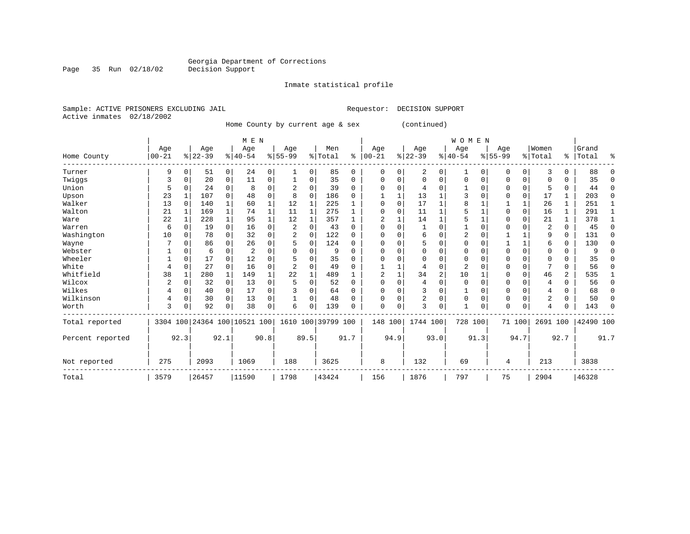Inmate statistical profile

Active inmates 02/18/2002

Sample: ACTIVE PRISONERS EXCLUDING JAIL Requestor: DECISION SUPPORT

Home County by current age & sex (continued)

|                  |           |          |          |              |                              |      |           |          |                    |             |              |          |                |      | WOMEN     |          |           |          |                |               |           |          |
|------------------|-----------|----------|----------|--------------|------------------------------|------|-----------|----------|--------------------|-------------|--------------|----------|----------------|------|-----------|----------|-----------|----------|----------------|---------------|-----------|----------|
|                  | Age       |          | Age      |              | Age                          |      | Age       |          | Men                |             | Age          |          | Age            |      | Age       |          | Age       |          | Women          |               | Grand     |          |
| Home County      | $00 - 21$ |          | $ 22-39$ |              | $8 40-54$                    |      | $8 55-99$ |          | % Total            | ៖           | $ 00 - 21$   |          | $ 22-39 $      |      | $8 40-54$ |          | $8 55-99$ |          | % Total        | $\frac{1}{6}$ | Total     | ៖        |
| Turner           | 9         | 0        | 51       | 0            | 24                           | 0    | 1         | 0        | 85                 | $\mathbf 0$ | 0            | 0        | 2              | 0    | 1         | 0        | 0         | 0        | 3              | 0             | 88        | $\Omega$ |
| Twiggs           | 3         | $\Omega$ | 20       | 0            | 11                           | 0    |           | 0        | 35                 | $\Omega$    | <sup>0</sup> |          | $\Omega$       | U    | 0         | $\Omega$ | 0         | 0        | O              | U             | 35        | $\Omega$ |
| Union            |           | 0        | 24       | 0            | 8                            | 0    |           | 0        | 39                 | $\Omega$    | <sup>0</sup> |          | $\overline{4}$ |      |           |          |           | $\Omega$ | 5              | 0             | 44        | $\Omega$ |
| Upson            | 23        |          | 107      | $\Omega$     | 48                           | 0    | 8         | 0        | 186                | $\Omega$    |              |          | 13             |      |           |          |           | 0        | 17             | 1             | 203       | 0        |
| Walker           | 13        | $\Omega$ | 140      | $\mathbf{1}$ | 60                           | 1    | 12        | 1        | 225                |             | <sup>0</sup> | $\Omega$ | 17             |      |           |          |           | 1        | 26             | 1             | 251       | 1        |
| Walton           | 21        |          | 169      | $\mathbf{1}$ | 74                           | 1    | 11        | 1        | 275                |             |              |          | 11             |      |           |          |           | 0        | 16             | 1             | 291       | 1        |
| Ware             | 22        | 1        | 228      | $\mathbf{1}$ | 95                           | 1    | 12        | 1        | 357                | 1           | 2            |          | 14             |      |           |          | O         | $\Omega$ | 21             | 1             | 378       | 1        |
| Warren           | 6         | 0        | 19       | 0            | 16                           | 0    | 2         | 0        | 43                 | $\mathbf 0$ | $\Omega$     |          |                | O    |           | n        |           | O        | 2              | 0             | 45        | $\Omega$ |
| Washington       | 10        | 0        | 78       | $\Omega$     | 32                           | 0    |           | $\Omega$ | 122                | $\Omega$    |              |          | 6              | U    | 2         | O        |           |          | 9              | 0             | 131       | $\Omega$ |
| Wayne            |           |          | 86       | 0            | 26                           | 0    | 5         | 0        | 124                | $\Omega$    |              |          | 5              | U    |           |          |           | 1        | 6              | 0             | 130       | 0        |
| Webster          |           |          | 6        | 0            | 2                            | 0    |           | 0        | 9                  | $\Omega$    |              |          |                | U    |           |          |           | 0        |                | U             |           | $\Omega$ |
| Wheeler          |           | 0        | 17       | $\Omega$     | 12                           | 0    |           | 0        | 35                 | $\Omega$    |              |          | $\Omega$       | U    | $\Omega$  |          | O         | $\Omega$ | $\Omega$       | O             | 35        | $\Omega$ |
| White            | 4         | 0        | 27       | 0            | 16                           | 0    | 2         | 0        | 49                 | $\Omega$    |              |          | 4              | 0    | 2         |          |           | 0        |                | 0             | 56        | $\Omega$ |
| Whitfield        | 38        |          | 280      | 1            | 149                          |      | 22        | 1        | 489                |             | 2            |          | 34             | 2    | 10        |          |           | $\Omega$ | 46             | 2             | 535       | 1        |
| Wilcox           | 2         |          | 32       | 0            | 13                           | 0    | 5         | 0        | 52                 | $\Omega$    |              |          | $\overline{4}$ | O    | $\Omega$  |          | U         | U        | $\overline{4}$ | 0             | 56        | $\Omega$ |
| Wilkes           |           | 0        | 40       | 0            | 17                           | 0    |           | 0        | 64                 | 0           |              |          | 3              |      |           | O        | 0         | 0        |                | 0             | 68        | $\Omega$ |
| Wilkinson        | 4         | 0        | 30       | 0            | 13                           | 0    |           | 0        | 48                 | $\Omega$    |              |          | 2              | 0    | $\Omega$  | $\Omega$ | 0         | 0        | 2              | 0             | 50        | $\Omega$ |
| Worth            | 3         | 0        | 92       | 0            | 38                           | 0    | 6         | 0        | 139                | $\Omega$    | 0            | 0        | 3              | 0    |           | 0        | 0         | 0        |                | 0             | 143       | $\Omega$ |
| Total reported   |           |          |          |              | 3304 100 24364 100 10521 100 |      |           |          | 1610 100 39799 100 |             | 148 100      |          | 1744 100       |      | 728 100   |          |           | 71 100   | 2691 100       |               | 42490 100 |          |
| Percent reported |           | 92.3     |          | 92.1         |                              | 90.8 |           | 89.5     |                    | 91.7        |              | 94.9     |                | 93.0 |           | 91.3     |           | 94.7     |                | 92.7          |           | 91.7     |
| Not reported     | 275       |          | 2093     |              | 1069                         |      | 188       |          | 3625               |             | 8            |          | 132            |      | 69        |          | 4         |          | 213            |               | 3838      |          |
| Total            | 3579      |          | 26457    |              | 11590                        |      | 1798      |          | 43424              |             | 156          |          | 1876           |      | 797       |          | 75        |          | 2904           |               | 46328     |          |

Page 35 Run 02/18/02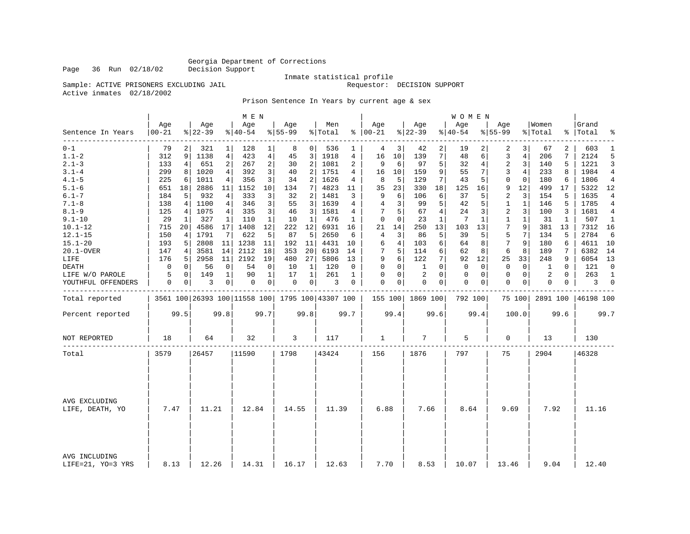Page 36 Run 02/18/02

## Inmate statistical profile<br>Requestor: DECISION SUPPORT

Sample: ACTIVE PRISONERS EXCLUDING JAIL Active inmates 02/18/2002

### Prison Sentence In Years by current age & sex

|                                    |                  |                |                  |                | M E N            |                |                 |                |                                                 |              |                      |             |                 |             | <b>WOMEN</b>    |      |                  |                |                  |              |                    |                |
|------------------------------------|------------------|----------------|------------------|----------------|------------------|----------------|-----------------|----------------|-------------------------------------------------|--------------|----------------------|-------------|-----------------|-------------|-----------------|------|------------------|----------------|------------------|--------------|--------------------|----------------|
| Sentence In Years                  | Age<br>$00 - 21$ |                | Age<br>$ 22-39 $ |                | Age<br>$ 40-54 $ |                | Age<br>$ 55-99$ |                | Men<br>% Total                                  |              | Age<br>$8   00 - 21$ |             | Age<br>$ 22-39$ |             | Age<br>$ 40-54$ |      | Age<br>$8 55-99$ |                | Women<br>% Total |              | Grand<br>%   Total | ٩,             |
| $0 - 1$                            | 79               | $\overline{2}$ | 321              | $\mathbf 1$    | 128              | $\mathbf{1}$   | 8               | $\mathbf{0}$   | 536                                             | 1            | 4                    | 3           | 42              | 2           | 19              |      | 2                | 3              | 67               | 2            | 603                | 1              |
| $1.1 - 2$                          | 312              | 9              | 1138             | 4              | 423              | $\overline{4}$ | 45              | 3              | 1918                                            | 4            | 16                   | 10          | 139             | 7           | 48              | 6    | 3                | $\overline{4}$ | 206              | 7            | 2124               | 5              |
| $2.1 - 3$                          | 133              | 4              | 651              | $\overline{a}$ | 267              | 2              | 30              | 2              | 1081                                            | 2            | 9                    | 6           | 97              | 5           | 32              | 4    | $\overline{c}$   | 3              | 140              | 5            | 1221               | 3              |
| $3.1 - 4$                          | 299              | 8              | 1020             | 4              | 392              | 3              | 40              | 2              | 1751                                            | 4            | 16                   | 10          | 159             | 9           | 55              | 7    | 3                | 4              | 233              | 8            | 1984               | 4              |
| $4.1 - 5$                          | 225              | 6              | 1011             | 4              | 356              | 3              | 34              | 2              | 1626                                            | 4            | 8                    | 5           | 129             | 7           | 43              | 5    | $\mathbf{0}$     | $\mathbf 0$    | 180              | 6            | 1806               | $\overline{4}$ |
| $5.1 - 6$                          | 651              | 18             | 2886             | 11             | 1152             | 10             | 134             | 7              | 4823                                            | 11           | 35                   | 23          | 330             | 18          | 125             | 16   | 9                | 12             | 499              | 17           | 5322               | 12             |
| $6.1 - 7$                          | 184              | 5              | 932              | 4              | 333              | 3              | 32              | 2              | 1481                                            | 3            | 9                    | 6           | 106             | 6           | 37              | 5    | 2                | 3              | 154              | 5            | 1635               | 4              |
| $7.1 - 8$                          | 138              | 4              | 1100             | 4              | 346              | 3              | 55              | 3              | 1639                                            | 4            | 4                    | 3           | 99              | 5           | 42              | 5    | $\mathbf{1}$     | $\mathbf{1}$   | 146              | 5            | 1785               | 4              |
| $8.1 - 9$                          | 125              | 4              | 1075             | 4              | 335              | 3              | 46              | 3              | 1581                                            | 4            |                      | 5           | 67              | 4           | 24              | 3    | 2                | 3              | 100              | 3            | 1681               | 4              |
| $9.1 - 10$                         | 29               | 1              | 327              | 1              | 110              | $\mathbf 1$    | 10              | 1              | 476                                             | $\mathbf{1}$ | 0                    | $\mathbf 0$ | 23              | 1           | 7               | 1    | 1                | 1              | 31               | $\mathbf{1}$ | 507                | $\mathbf{1}$   |
| $10.1 - 12$                        | 715              | 20             | 4586             | 17             | 1408             | 12             | 222             | 12             | 6931                                            | 16           | 21                   | 14          | 250             | 13          | 103             | 13   | 7                | 9              | 381              | 13           | 7312 16            |                |
| $12.1 - 15$                        | 150              | 4              | 1791             | 7              | 622              | 5              | 87              | 5              | 2650                                            | 6            | 4                    | 3           | 86              | 5           | 39              | 5    | 5                | 7              | 134              | 5            | 2784               | 6              |
| $15.1 - 20$                        | 193              | 5              | 2808             | 11             | 1238             | 11             | 192             | 11             | 4431                                            | 10           | 6                    | 4           | 103             | 6           | 64              | 8    | 7                | 9              | 180              | 6            | 4611 10            |                |
| 20.1-OVER                          | 147              | 4              | 3581             | 14             | 2112             | 18             | 353             | 20             | 6193                                            | 14           | 7                    | 5           | 114             | 6           | 62              | 8    | 6                | 8              | 189              | 7            | 6382               | 14             |
| LIFE                               | 176              | 5              | 2958             | 11             | 2192             | 19             | 480             | 27             | 5806                                            | 13           | 9                    | 6           | 122             | 7           | 92              | 12   | 25               | 33             | 248              | 9            | 6054 13            |                |
| DEATH                              | 0                | 0              | 56               | 0              | 54               | 0              | 10              | 1              | 120                                             | 0            | 0                    | $\mathbf 0$ | 1               | $\Omega$    | 0               | 0    | $\mathbf 0$      | $\mathbf 0$    | 1                | $\Omega$     | 121                | $\Omega$       |
| LIFE W/O PAROLE                    | 5                | $\mathbf 0$    | 149              | $\mathbf{1}$   | 90               | $\mathbf{1}$   | 17              | $\mathbf{1}$   | 261                                             | $\mathbf 1$  | 0                    | $\mathbf 0$ | $\overline{2}$  | $\Omega$    | $\mathbf 0$     | 0    | $\mathbf{0}$     | $\mathbf 0$    | 2                | $\Omega$     | 263                | $\mathbf{1}$   |
| YOUTHFUL OFFENDERS                 | 0                | 0              | 3                | $\overline{0}$ | $\mathbf 0$      | $\overline{0}$ | 0               | 0 <sup>1</sup> | 3                                               | 0            | $\Omega$             | 0           | $\mathbf 0$     | $\mathbf 0$ | $\Omega$        | 0    | $\mathbf 0$      | 0              | 0                | $\mathbf 0$  | 3                  | $\mathbf 0$    |
| Total reported                     |                  |                |                  |                |                  |                |                 |                | 3561 100 26393 100 11558 100 1795 100 43307 100 |              | 155 100              |             | 1869 100        |             | 792 100         |      |                  | 75 100         | 2891 100         |              | 46198 100          |                |
| Percent reported                   |                  | 99.5           |                  | 99.8           |                  | 99.7           |                 | 99.8           |                                                 | 99.7         |                      | 99.4        |                 | 99.6        |                 | 99.4 |                  | 100.0          |                  | 99.6         |                    | 99.7           |
| NOT REPORTED                       | 18               |                | 64               |                | 32               |                | 3               |                | 117                                             |              | 1                    |             | 7               |             | 5               |      | $\mathbf 0$      |                | 13               |              | 130                |                |
| Total                              | 3579             |                | 26457            |                | 11590            |                | 1798            |                | 43424                                           |              | 156                  |             | 1876            |             | 797             |      | 75               |                | 2904             |              | 46328              |                |
| AVG EXCLUDING<br>LIFE, DEATH, YO   | 7.47             |                | 11.21            |                | 12.84            |                | 14.55           |                | 11.39                                           |              | 6.88                 |             | 7.66            |             | 8.64            |      | 9.69             |                | 7.92             |              | 11.16              |                |
| AVG INCLUDING<br>LIFE=21, YO=3 YRS | 8.13             |                | 12.26            |                | 14.31            |                | 16.17           |                | 12.63                                           |              | 7.70                 |             | 8.53            |             | 10.07           |      | 13.46            |                | 9.04             |              | 12.40              |                |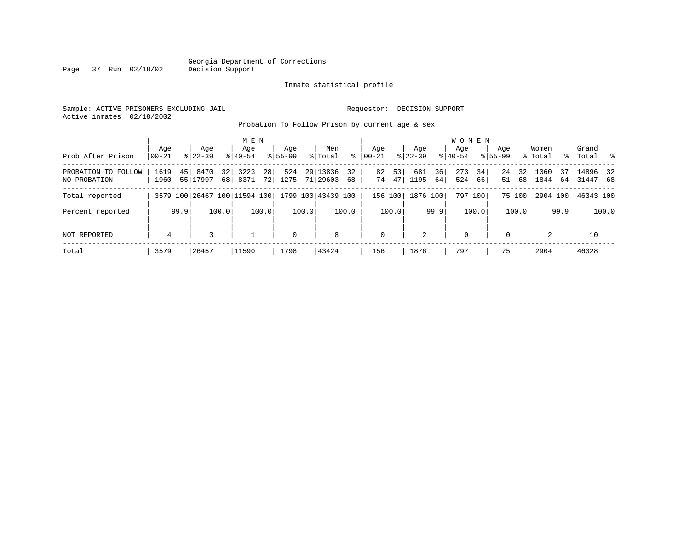#### Georgia Department of Corrections Page 37 Run 02/18/02

#### Inmate statistical profile

Sample: ACTIVE PRISONERS EXCLUDING JAIL Requestor: DECISION SUPPORT Active inmates 02/18/2002

Probation To Follow Prison by current age & sex

|                                     |                  |                              |                       | M E N                      |                    |       |                      |          |                  |          |                  |          | W O M E N          |          |                    |          |                  |           |                       |       |
|-------------------------------------|------------------|------------------------------|-----------------------|----------------------------|--------------------|-------|----------------------|----------|------------------|----------|------------------|----------|--------------------|----------|--------------------|----------|------------------|-----------|-----------------------|-------|
| Prob After Prison                   | Age<br>$00 - 21$ | Age<br>$8122 - 39$           |                       | Age<br>$8140 - 54$         | Age<br>$8155 - 99$ |       | Men<br>% Total       | ႜ        | Age<br>$ 00-21 $ |          | Age<br>$ 22-39 $ |          | Aqe<br>$8140 - 54$ |          | Age<br>$8155 - 99$ |          | Women<br>% Total | % $\vert$ | Grand<br> Total %     |       |
| PROBATION TO FOLLOW<br>NO PROBATION | 1619<br>1960     | 45 8470<br>55 17997          | 32 <sub>1</sub><br>68 | 28<br>3223<br>72 l<br>8371 | 524<br>1275        |       | 29 13836<br>71 29603 | 32<br>68 | 82<br>74         | 53<br>47 | 681<br>1195      | 36<br>64 | 273<br>524         | 34<br>66 | 24<br>51           | 32<br>68 | 1060<br>1844     | 37<br>64  | 14896 32<br> 31447 68 |       |
| Total reported                      |                  | 3579 100 26467 100 11594 100 |                       |                            |                    |       | 1799 100 43439 100   |          | 156 100          |          | 1876 100         |          | 797 100            |          |                    | 75 100   | 2904 100         |           | 46343 100             |       |
| Percent reported                    |                  | 99.9                         | 100.0                 | 100.0                      |                    | 100.0 |                      | 100.0    |                  | 100.0    |                  | 99.9     |                    | 100.0    |                    | 100.0    |                  | 99.9      |                       | 100.0 |
| NOT REPORTED                        | 4                | 3                            |                       |                            | $\mathbf 0$        |       | 8                    |          | $\mathbf{0}$     |          | 2                |          | 0                  |          | $\Omega$           |          | 2                |           | 10                    |       |
| Total                               | 3579             | 26457                        |                       | 11590                      | 1798               |       | 43424                |          | 156              |          | 1876             |          | 797                |          | 75                 |          | 2904             |           | 46328                 |       |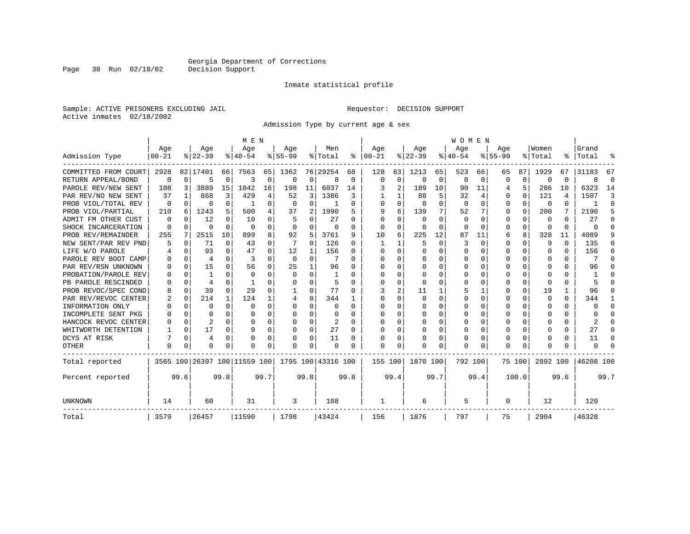Inmate statistical profile

Sample: ACTIVE PRISONERS EXCLUDING JAIL Requestor: DECISION SUPPORT Active inmates 02/18/2002

Admission Type by current age & sex

|                      |           |             |                |          | M E N                        |          |          |             |                    |          |              |             |          |      | <b>WOMEN</b> |             |           |          |              |          |           |          |
|----------------------|-----------|-------------|----------------|----------|------------------------------|----------|----------|-------------|--------------------|----------|--------------|-------------|----------|------|--------------|-------------|-----------|----------|--------------|----------|-----------|----------|
|                      | Age       |             | Age            |          | Age                          |          | Age      |             | Men                |          | Age          |             | Age      |      | Age          |             | Age       |          | Women        |          | Grand     |          |
| Admission Type       | $00 - 21$ |             | $ 22-39$       |          | $8 40-54$                    |          | $ 55-99$ |             | % Total            | ႜ        | $ 00-21$     |             | $ 22-39$ |      | $ 40-54$     |             | $8 55-99$ |          | % Total      |          | %   Total |          |
| COMMITTED FROM COURT | 2928      |             | 82 17401       | 66       | 7563                         | 65       | 1362     |             | 76 29254           | 68       | 128          | 83          | 1213     | 65   | 523          | 66          | 65        | 87       | 1929         | 67       | 31183     | 67       |
| RETURN APPEAL/BOND   | 0         | $\mathbf 0$ | 5              | 0        | २                            | 0        | $\Omega$ | 0           | 8                  | 0        | $\Omega$     | $\mathbf 0$ | $\Omega$ | 0    | $\Omega$     | 0           | O         | 0        | 0            | $\Omega$ |           | $\Omega$ |
| PAROLE REV/NEW SENT  | 108       | 3           | 3889           | 15       | 1842                         | 16       | 198      | 11          | 6037               | 14       |              | 2           | 189      | 10   | 90           | 11          | 4         | 5        | 286          | 10       | 6323      | 14       |
| PAR REV/NO NEW SENT  | 37        |             | 868            | 3        | 429                          | 4        | 52       | 3           | 1386               | 3        |              |             | 88       | 5    | 32           | 4           | 0         | $\Omega$ | 121          | 4        | 1507      | 3        |
| PROB VIOL/TOTAL REV  | 0         | $\Omega$    | 0              | $\Omega$ | -1                           | 0        | 0        | $\Omega$    |                    | 0        |              | 0           | 0        | O    | $\Omega$     | 0           | 0         | $\Omega$ | 0            | 0        |           | ∩        |
| PROB VIOL/PARTIAL    | 210       | 6           | 1243           | 5        | 500                          | 4        | 37       | 2           | 1990               | 5        | 9            | 6           | 139      | 7    | 52           |             | 0         | $\Omega$ | 200          |          | 2190      | 5        |
| ADMIT FM OTHER CUST  | 0         | $\Omega$    | 12             | $\Omega$ | 10                           | 0        |          | 0           | 27                 | O        | <sup>0</sup> | 0           | $\Omega$ | U    | 0            | 0           | 0         | $\Omega$ | 0            | $\Omega$ | 27        | ∩        |
| SHOCK INCARCERATION  | $\Omega$  | $\Omega$    | $\Omega$       | $\Omega$ | $\Omega$                     | $\Omega$ | $\Omega$ | $\Omega$    | $\Omega$           | $\Omega$ | $\Omega$     | $\Omega$    | $\Omega$ | O    | $\Omega$     | $\Omega$    | $\Omega$  | $\Omega$ | $\Omega$     | $\Omega$ | ∩         | ∩        |
| PROB REV/REMAINDER   | 255       | 7           | 2515           | 10       | 899                          | 8        | 92       | 5           | 3761               | 9        | 10           | 6           | 225      | 12   | 87           | 11          | 6         | 8        | 328          | 11       | 4089      | 9        |
| NEW SENT/PAR REV PND | 5         | $\mathbf 0$ | 71             | $\Omega$ | 43                           | 0        |          | $\mathbf 0$ | 126                | 0        |              |             | 5        | O    | 3            | $\mathbf 0$ | 0         | $\Omega$ | 9            | $\Omega$ | 135       |          |
| LIFE W/O PAROLE      |           | $\Omega$    | 93             | $\Omega$ | 47                           | $\Omega$ | 12       | 1           | 156                | 0        | <sup>0</sup> | $\Omega$    | $\Omega$ | O    |              | $\Omega$    | 0         | 0        | $\Omega$     | $\Omega$ | 156       |          |
| PAROLE REV BOOT CAMP |           | $\Omega$    | $\overline{4}$ | 0        | २                            | O        | $\Omega$ | $\mathbf 0$ |                    | O        |              | O           | $\Omega$ | O    |              | $\Omega$    | U         | 0        | 0            | 0        |           | ∩        |
| PAR REV/RSN UNKNOWN  |           | $\Omega$    | 15             | U        | 56                           | 0        | 25       | 1           | 96                 | U        |              | 0           | $\Omega$ | U    |              | $\Omega$    | U         | 0        | <sup>0</sup> | 0        | 96        |          |
| PROBATION/PAROLE REV |           | $\Omega$    | $\mathbf{1}$   | U        | $\Omega$                     | O        | $\Omega$ | $\cap$      |                    | U        |              | U           | ∩        | U    |              | $\Omega$    | ∩         | U        | $\Omega$     | 0        |           |          |
| PB PAROLE RESCINDED  | U         | 0           | 4              | U        |                              | 0        | U        | $\Omega$    | 5                  | O        | <sup>0</sup> | O           | $\Omega$ | U    | $\Omega$     | 0           | 0         | $\Omega$ | $\Omega$     | 0        |           |          |
| PROB REVOC/SPEC COND | 8         | 0           | 39             | $\Omega$ | 29                           | O        |          | O           | 77                 | O        |              | 2           | 11       | 1    |              | 1           | U         | 0        | 19           |          | 96        |          |
| PAR REV/REVOC CENTER | 2         | 0           | 214            | 1        | 124                          |          |          | 0           | 344                |          |              |             | $\Omega$ | U    |              | 0           | 0         | 0        | 0            | 0        | 344       |          |
| INFORMATION ONLY     | U         | $\mathbf 0$ | O              | $\Omega$ | $\Omega$                     | 0        | U        | 0           | 0                  | 0        | ∩            | 0           | 0        | O    | O            | 0           | 0         | $\Omega$ | 0            | 0        |           | $\Omega$ |
| INCOMPLETE SENT PKG  |           | $\Omega$    | O              | 0        | O                            | 0        | U        | $\Omega$    | 0                  | U        | ∩            | $\Omega$    | 0        | O    | O            | $\Omega$    | O         | $\Omega$ | O            | 0        |           | $\cap$   |
| HANCOCK REVOC CENTER |           | $\Omega$    | 2              | 0        | $\Omega$                     | 0        | O        | $\Omega$    | 2                  | $\Omega$ |              | $\Omega$    | $\Omega$ | 0    | $\Omega$     | $\Omega$    | O         | 0        | <sup>0</sup> | 0        |           | $\cap$   |
| WHITWORTH DETENTION  |           | $\mathbf 0$ | 17             | $\Omega$ | q                            | 0        | O        | 0           | 27                 | $\Omega$ |              | $\Omega$    | $\Omega$ | 0    | $\Omega$     | 0           | 0         | $\Omega$ | <sup>0</sup> | 0        | 27        | $\cap$   |
| DCYS AT RISK         |           | 0           | 4              | U        | $\Omega$                     | 0        |          | 0           | 11                 | 0        |              | $\Omega$    |          | 0    | C            | 0           | 0         | 0        | 0            | 0        | 11        | ∩        |
| OTHER                | $\Omega$  | $\Omega$    | $\Omega$       | 0        | $\Omega$                     | 0        | U        | $\Omega$    | $\Omega$           | O        | $\cap$       | O           | U        | 0    | $\Omega$     | $\Omega$    | $\Omega$  | $\Omega$ | <sup>0</sup> | 0        |           |          |
| Total reported       |           |             |                |          | 3565 100 26397 100 11559 100 |          |          |             | 1795 100 43316 100 |          | 155 100      |             | 1870 100 |      | 792 100      |             |           | 75 100   | 2892 100     |          | 46208 100 |          |
| Percent reported     |           | 99.6        |                | 99.8     |                              | 99.7     |          | 99.8        |                    | 99.8     |              | 99.4        |          | 99.7 |              | 99.4        |           | 100.0    |              | 99.6     |           | 99.7     |
| <b>UNKNOWN</b>       | 14        |             | 60             |          | 31                           |          | 3        |             | 108                |          | -1           |             | 6        |      | 5            |             | 0         |          | 12           |          | 120       |          |
| Total                | 3579      |             | 26457          |          | 11590                        |          | 1798     |             | 43424              |          | 156          |             | 1876     |      | 797          |             | 75        |          | 2904         |          | 46328     |          |

Page 38 Run 02/18/02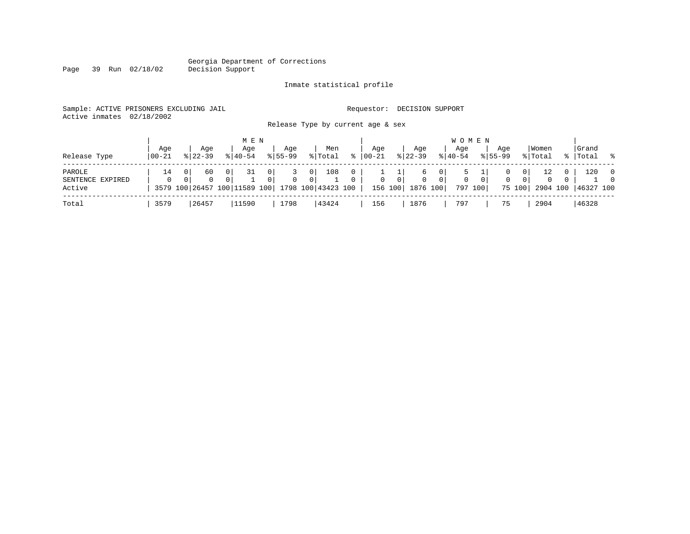# Georgia Department of Corrections<br>Decision Support

### Inmate statistical profile

|  | Sample: ACTIVE PRISONERS EXCLUDING JAIL | Requestor: DECISION SUPPORT |  |
|--|-----------------------------------------|-----------------------------|--|
|  | Active inmates 02/18/2002               |                             |  |

Page 39 Run 02/18/02

Release Type by current age & sex

| Release Type                         | Aqe<br>  00-21 | Aqe<br>$8122 - 39$ | M E N<br>Aqe<br>$8140 - 54$                                            | Aqe<br>$8155 - 99$                      |                                  | Men<br>% Total            | $\approx$         | Aqe<br>  00-21 |                | Aqe<br>$8 \mid 22 - 39$               |                                  | W O M E N<br>Aqe<br>$8140 - 54$ |          | Aqe<br>$8155 - 99$ |                         | Women<br>% Total           | Grand<br>%   Total | . %                        |
|--------------------------------------|----------------|--------------------|------------------------------------------------------------------------|-----------------------------------------|----------------------------------|---------------------------|-------------------|----------------|----------------|---------------------------------------|----------------------------------|---------------------------------|----------|--------------------|-------------------------|----------------------------|--------------------|----------------------------|
| PAROLE<br>SENTENCE EXPIRED<br>Active | 14             | 60<br>$\Omega$     | 31<br>0 <sup>1</sup><br>0 <sup>1</sup><br>3579 100 26457 100 11589 100 | $\mathbf{0}$<br>3.<br>0<br>$\mathbf{0}$ | 0 <sup>1</sup><br>0 <sup>1</sup> | 108<br>1798 100 43423 100 | 0<br>$\mathbf{0}$ | $\overline{0}$ | $\overline{0}$ | 6<br>$\mathbf{0}$<br>156 100 1876 100 | 0 <sup>1</sup><br>0 <sup>1</sup> | 0<br>797 100                    | $\Omega$ | 0<br>$\mathbf{0}$  | 0<br>$\Omega$<br>75 100 | 12<br>$\Omega$<br>2904 100 | 120<br>46327 100   | $\overline{0}$<br>$\Omega$ |
| Total                                | 3579           | 26457              | 11590                                                                  | 1798                                    |                                  | 43424                     |                   | 156            |                | 1876                                  |                                  | 797                             |          | 75                 |                         | 2904                       | 46328              |                            |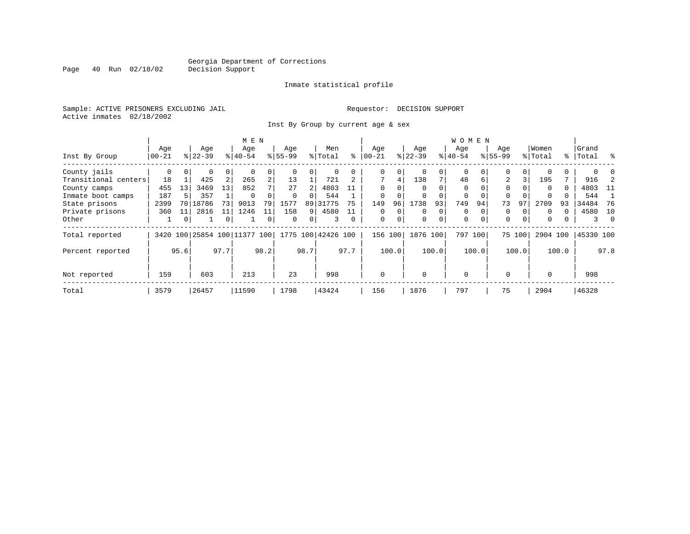Inmate statistical profile

Sample: ACTIVE PRISONERS EXCLUDING JAIL **Requestor: DECISION SUPPORT** Active inmates 02/18/2002

Inst By Group by current age & sex

|          |             | Age                       |                    | Age      |                    | Age                                           |          | Men   |                                                                            | Age                        |             | Age              |          | Age               |           | Age              |                           |          |                           | Grand             |          |
|----------|-------------|---------------------------|--------------------|----------|--------------------|-----------------------------------------------|----------|-------|----------------------------------------------------------------------------|----------------------------|-------------|------------------|----------|-------------------|-----------|------------------|---------------------------|----------|---------------------------|-------------------|----------|
| $ 00-21$ |             |                           |                    |          |                    |                                               |          |       | ႜ                                                                          |                            |             |                  |          |                   |           |                  |                           |          |                           | Total             | ွေ       |
| 0        | $\Omega$    | $\Omega$                  | 0                  | $\Omega$ | 0                  |                                               |          |       |                                                                            | $\Omega$                   | 0           |                  | $\Omega$ | $\Omega$          |           | 0                | 0 <sup>1</sup>            |          | 0                         |                   |          |
| 18       |             | 425                       | 2                  | 265      | $\overline{a}$     | 13                                            |          | 721   | $\mathbf{2}$                                                               | 7                          | 4           | 138              | 7        | 48                | 6         | 2                | 3                         | 195      | 7                         | 916               |          |
|          | 13          | 3469                      | 13                 | 852      | 7                  | 27                                            |          | 4803  | 11                                                                         | $\Omega$                   | 0           | $\Omega$         | $\Omega$ | $\Omega$          |           | $\Omega$         |                           | $\Omega$ | 0                         | 4803              | - 11     |
| 187      |             | 357                       |                    | $\Omega$ | 0                  |                                               |          | 544   |                                                                            |                            | 0           |                  |          | 0                 |           |                  |                           |          |                           | 544               |          |
| 2399     | 70          | 18786                     | 73                 | 9013     | 79                 | 1577                                          |          |       | 75                                                                         | 149                        | 96          | 1738             | 93       | 749               | 94        | 73               | 97                        | 2709     | 93                        | 34484             | -76      |
| 360      | 11          | 2816                      | 11                 | 1246     | 11                 | 158                                           |          | 4580  | 11                                                                         | $\Omega$                   | $\Omega$    | $\Omega$         | $\Omega$ | $\Omega$          |           | $\Omega$         | $\Omega$                  | $\Omega$ | 0                         | 4580              | 10       |
|          | $\mathbf 0$ |                           | 0                  |          | 0                  | $\Omega$                                      |          |       | $\Omega$                                                                   | $\mathbf 0$                | $\mathbf 0$ | $\Omega$         | $\Omega$ | $\mathbf 0$       | $\Omega$  | $\mathbf 0$      | $\overline{0}$            | 0        |                           | 3                 | $\Omega$ |
|          |             |                           |                    |          |                    |                                               |          |       |                                                                            |                            |             |                  |          |                   |           |                  |                           |          |                           | 45330 100         |          |
|          |             |                           |                    |          |                    |                                               |          |       |                                                                            |                            |             |                  |          |                   |           |                  |                           |          |                           |                   | 97.8     |
|          |             | 603                       |                    | 213      |                    | 23                                            |          | 998   |                                                                            | $\Omega$                   |             |                  |          | $\Omega$          |           | $\Omega$         |                           | $\Omega$ |                           | 998               |          |
|          |             |                           |                    |          |                    | 1798                                          |          | 43424 |                                                                            | 156                        |             | 1876             |          | 797               |           | 75               |                           | 2904     |                           | 46328             |          |
|          | 3579        | Age<br>455<br>95.6<br>159 | $ 22-39 $<br>26457 | 97.7     | $8 40-54$<br>11590 | M E N<br>3420 100 25854 100 11377 100<br>98.2 | $ 55-99$ |       | % Total<br>$\Omega$<br>2 <sup>1</sup><br>89 31775<br>9<br>$\Omega$<br>98.7 | 1775 100 42426 100<br>97.7 | $ 00-21$    | 156 100<br>100.0 | $ 22-39$ | 1876 100<br>100.0 | $ 40-54 $ | 797 100<br>100.0 | <b>WOMEN</b><br>$8 55-99$ | 75 100   | Women<br>% Total<br>100.0 | 2904 100<br>100.0 | ႜႜၟ      |

Page 40 Run 02/18/02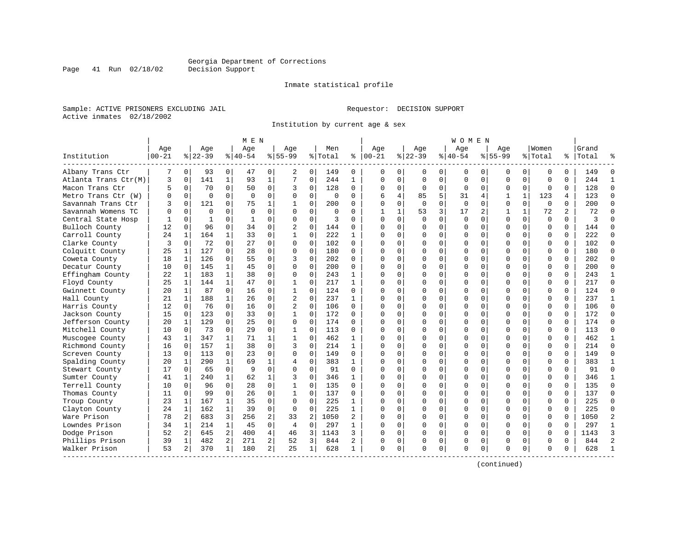Inmate statistical profile

Sample: ACTIVE PRISONERS EXCLUDING JAIL **Requestor: DECISION SUPPORT** Active inmates 02/18/2002

Institution by current age & sex

|                      |                    |             |                  |              | M E N            |                |                    |                |                |                |                   |              |                  |                | W O M E N          |             |                    |              |                  |          |                    |                |
|----------------------|--------------------|-------------|------------------|--------------|------------------|----------------|--------------------|----------------|----------------|----------------|-------------------|--------------|------------------|----------------|--------------------|-------------|--------------------|--------------|------------------|----------|--------------------|----------------|
| Institution          | Age<br>$ 00 - 21 $ |             | Age<br>$8 22-39$ |              | Aqe<br>$8 40-54$ |                | Aqe<br>$8155 - 99$ |                | Men<br>% Total | ႜ              | Aqe<br>$ 00 - 21$ |              | Aqe<br>$8 22-39$ |                | Aqe<br>$8140 - 54$ |             | Aqe<br>$8155 - 99$ |              | Women<br>% Total |          | Grand<br>%   Total |                |
| Albany Trans Ctr     |                    | 0           | 93               | 0            | 47               | 0              | 2                  | 0              | 149            | 0              | $\Omega$          | 0            | 0                | 0              | 0                  | 0           | 0                  | 0            | $\mathbf 0$      | $\Omega$ | 149                | $\Omega$       |
| Atlanta Trans Ctr(M) | 3                  | $\Omega$    | 141              | $\mathbf{1}$ | 93               | $\mathbf{1}$   | 7                  | 0              | 244            | 1              | $\Omega$          | $\mathbf 0$  | $\mathbf 0$      | $\mathbf 0$    | $\Omega$           | $\mathbf 0$ | $\mathbf 0$        | $\Omega$     | $\mathbf 0$      | $\Omega$ | 244                | $\mathbf{1}$   |
| Macon Trans Ctr      | 5                  | $\mathbf 0$ | 70               | $\Omega$     | 50               | 0              | 3                  | 0              | 128            | 0              | $\mathbf 0$       | 0            | $\mathbf 0$      | 0              | $\mathbf 0$        | $\mathbf 0$ | 0                  | 0            | $\mathbf 0$      | 0        | 128                | $\Omega$       |
| Metro Trans Ctr (W)  | O                  | $\Omega$    | $\Omega$         | $\Omega$     | $\Omega$         | 0              | $\Omega$           | $\Omega$       | $\Omega$       | 0              | 6                 | 4            | 85               | 5              | 31                 | 4           | 1                  | $\mathbf{1}$ | 123              | 4        | 123                | $\Omega$       |
| Savannah Trans Ctr   | ς                  | $\Omega$    | 121              | $\Omega$     | 75               | $\mathbf{1}$   |                    | $\Omega$       | 200            | 0              | $\Omega$          | $\Omega$     | $\Omega$         | $\Omega$       | $\Omega$           | $\Omega$    | $\Omega$           | $\Omega$     | $\Omega$         | $\Omega$ | 200                | $\Omega$       |
| Savannah Womens TC   | U                  | $\Omega$    | $\Omega$         | $\Omega$     | $\Omega$         | 0              | $\Omega$           | $\Omega$       | $\Omega$       | 0              | 1                 | $\mathbf{1}$ | 53               | $\overline{3}$ | 17                 | 2           | 1                  | $\mathbf{1}$ | 72               | 2        | 72                 | $\Omega$       |
| Central State Hosp   |                    | $\mathbf 0$ | $\mathbf{1}$     | 0            | 1                | 0              | $\Omega$           | 0              | 3              | O              | $\Omega$          | $\mathbf 0$  | 0                | $\mathbf 0$    | $\mathbf 0$        | $\mathbf 0$ | $\mathbf 0$        | 0            | $\mathbf 0$      | $\Omega$ | ζ                  | $\cap$         |
| Bulloch County       | 12                 | $\Omega$    | 96               | $\Omega$     | 34               | $\Omega$       | $\overline{c}$     | 0              | 144            | 0              | $\cap$            | $\Omega$     | $\Omega$         | $\Omega$       | $\Omega$           | $\Omega$    | $\Omega$           | $\Omega$     | $\Omega$         | $\Omega$ | 144                | $\Omega$       |
| Carroll County       | 24                 | 1           | 164              | $\mathbf{1}$ | 33               | 0              | 1                  | 0              | 222            | $\mathbf{1}$   | $\Omega$          | 0            | $\Omega$         | 0              | $\Omega$           | 0           | $\Omega$           | $\Omega$     | $\Omega$         | $\Omega$ | 222                | $\Omega$       |
| Clarke County        | 3                  | 0           | 72               | $\Omega$     | 27               | 0              | $\Omega$           | 0              | 102            | 0              | $\cap$            | 0            | U                | 0              | $\Omega$           | 0           | $\Omega$           | $\Omega$     | $\Omega$         | $\Omega$ | 102                | $\Omega$       |
| Colquitt County      | 25                 | 1           | 127              | $\Omega$     | 28               | 0              | $\Omega$           | $\Omega$       | 180            | 0              | $\cap$            | $\Omega$     | $\Omega$         | $\Omega$       | $\Omega$           | $\Omega$    | $\Omega$           | $\Omega$     | $\Omega$         | $\Omega$ | 180                | $\Omega$       |
| Coweta County        | 18                 | 1           | 126              | $\Omega$     | 55               | $\Omega$       | 3                  | $\Omega$       | 202            | 0              | $\cap$            | $\Omega$     | $\Omega$         | $\Omega$       | $\Omega$           | $\Omega$    | $\Omega$           | $\Omega$     | $\Omega$         | $\Omega$ | 202                | $\Omega$       |
| Decatur County       | 10                 | $\Omega$    | 145              | $\mathbf{1}$ | 4.5              | 0              | $\Omega$           | $\mathbf 0$    | 200            | 0              | $\cap$            | $\Omega$     | $\Omega$         | $\mathbf 0$    | $\Omega$           | $\mathbf 0$ | $\Omega$           | $\Omega$     | $\Omega$         | $\Omega$ | 200                | $\Omega$       |
| Effingham County     | 22                 | 1           | 183              | $\mathbf{1}$ | 38               | $\Omega$       | $\Omega$           | $\Omega$       | 243            | $\mathbf{1}$   | $\Omega$          | $\Omega$     | $\Omega$         | $\Omega$       | U                  | $\Omega$    | $\Omega$           | $\Omega$     | $\Omega$         | $\Omega$ | 243                | $\mathbf{1}$   |
| Floyd County         | 25                 | 1           | 144              | 1            | 47               | 0              | 1                  | $\Omega$       | 217            | 1              | $\Omega$          | $\Omega$     | $\Omega$         | 0              | $\Omega$           | 0           | $\Omega$           | $\Omega$     | $\Omega$         | 0        | 217                | $\Omega$       |
| Gwinnett County      | 20                 | 1           | 87               | $\Omega$     | 16               | 0              |                    | $\Omega$       | 124            | $\Omega$       | $\cap$            | $\Omega$     | $\Omega$         | $\Omega$       | $\Omega$           | $\Omega$    | $\Omega$           | $\Omega$     | $\Omega$         | $\Omega$ | 124                | $\Omega$       |
| Hall County          | 21                 | 1           | 188              | $\mathbf{1}$ | 26               | 0              | $\overline{2}$     | $\Omega$       | 237            | $\mathbf{1}$   | $\cap$            | $\Omega$     | $\Omega$         | $\Omega$       | $\Omega$           | $\Omega$    | $\Omega$           | $\Omega$     | $\Omega$         | $\Omega$ | 237                | $\mathbf{1}$   |
| Harris County        | 12                 | $\Omega$    | 76               | $\Omega$     | 16               | $\Omega$       | $\overline{2}$     | $\Omega$       | 106            | $\Omega$       | n                 | $\Omega$     | $\Omega$         | $\Omega$       | $\Omega$           | $\Omega$    | $\Omega$           | $\Omega$     | $\Omega$         | $\Omega$ | 106                | $\Omega$       |
| Jackson County       | 15                 | 0           | 123              | 0            | 33               | 0              |                    | 0              | 172            | 0              | C                 | $\mathbf 0$  | $\Omega$         | $\mathbf 0$    | $\Omega$           | $\mathbf 0$ | $\Omega$           | $\Omega$     | $\mathbf 0$      | $\Omega$ | 172                | $\Omega$       |
| Jefferson County     | 20                 | 1           | 129              | $\Omega$     | 25               | 0              | 0                  | 0              | 174            | $\Omega$       | $\cap$            | $\Omega$     | $\Omega$         | 0              | $\Omega$           | $\mathbf 0$ | $\Omega$           | $\Omega$     | $\Omega$         | $\Omega$ | 174                | $\Omega$       |
| Mitchell County      | 10                 | $\Omega$    | 73               | $\Omega$     | 29               | $\Omega$       | 1                  | $\Omega$       | 113            | 0              | $\Omega$          | $\Omega$     | $\Omega$         | $\Omega$       | $\Omega$           | $\Omega$    | $\Omega$           | $\Omega$     | $\Omega$         | $\Omega$ | 113                | $\Omega$       |
| Muscogee County      | 43                 | 1           | 347              | 1            | 71               | 1              |                    | $\Omega$       | 462            | 1              | $\Omega$          | $\Omega$     | U                | 0              | $\Omega$           | 0           | $\Omega$           | $\Omega$     | $\Omega$         | $\Omega$ | 462                | 1              |
| Richmond County      | 16                 | 0           | 157              | 1            | 38               | 0              | 3                  | $\Omega$       | 214            | 1              | n                 | $\Omega$     | $\Omega$         | $\Omega$       | $\Omega$           | $\Omega$    | $\Omega$           | $\Omega$     | $\Omega$         | $\Omega$ | 214                | $\Omega$       |
| Screven County       | 13                 | $\Omega$    | 113              | 0            | 23               | 0              | 0                  | 0              | 149            | 0              | $\Omega$          | $\Omega$     | $\Omega$         | $\mathbf 0$    | $\Omega$           | 0           | $\Omega$           | $\Omega$     | $\mathbf 0$      | $\Omega$ | 149                | $\Omega$       |
| Spalding County      | 20                 | 1           | 290              | $\mathbf{1}$ | 69               | 1              | $\overline{4}$     | $\mathbf 0$    | 383            | $\mathbf{1}$   | $\Omega$          | $\Omega$     | $\Omega$         | $\Omega$       | $\Omega$           | $\Omega$    | $\Omega$           | $\Omega$     | $\Omega$         | $\Omega$ | 383                | $\mathbf{1}$   |
| Stewart County       | 17                 | $\Omega$    | 65               | $\Omega$     | q                | $\Omega$       | $\Omega$           | $\Omega$       | 91             | $\Omega$       | $\bigcap$         | $\Omega$     | $\Omega$         | $\Omega$       | $\Omega$           | $\Omega$    | $\Omega$           | $\Omega$     | $\mathbf 0$      | $\Omega$ | 91                 | $\Omega$       |
| Sumter County        | 41                 | 1           | 240              | $\mathbf{1}$ | 62               | 1              | 3                  | $\Omega$       | 346            | 1              | $\Omega$          | 0            | $\Omega$         | 0              | U                  | 0           | $\Omega$           | $\Omega$     | $\mathbf 0$      | $\Omega$ | 346                | $\mathbf{1}$   |
| Terrell County       | 10                 | $\Omega$    | 96               | $\Omega$     | 28               | 0              |                    | $\Omega$       | 135            | $\Omega$       | $\cap$            | $\Omega$     | $\Omega$         | $\Omega$       | $\Omega$           | $\Omega$    | $\Omega$           | $\Omega$     | $\Omega$         | $\Omega$ | 135                | $\Omega$       |
| Thomas County        | 11                 | $\Omega$    | 99               | $\Omega$     | 26               | 0              |                    | $\Omega$       | 137            | U              | $\cap$            | $\Omega$     | $\Omega$         | $\Omega$       | $\Omega$           | $\Omega$    | $\Omega$           | $\Omega$     | $\Omega$         | $\Omega$ | 137                | $\Omega$       |
| Troup County         | 23                 | 1           | 167              | 1            | 35               | 0              | $\Omega$           | $\Omega$       | 225            | $\mathbf{1}$   | n                 | $\Omega$     | $\Omega$         | $\Omega$       | $\Omega$           | $\Omega$    | $\Omega$           | $\Omega$     | $\Omega$         | $\Omega$ | 225                | $\Omega$       |
| Clayton County       | 24                 | 1           | 162              | 1            | 39               | 0              | 0                  | $\mathbf 0$    | 225            | $\mathbf{1}$   | C                 | $\Omega$     | $\Omega$         | $\mathbf 0$    | $\Omega$           | 0           | $\Omega$           | $\Omega$     | $\mathbf 0$      | $\Omega$ | 225                | $\Omega$       |
| Ware Prison          | 78                 | 2           | 683              | 3            | 256              | 2              | 33                 | $\overline{2}$ | 1050           | $\overline{a}$ | $\cap$            | $\mathbf 0$  | $\Omega$         | 0              | $\Omega$           | 0           | $\Omega$           | $\Omega$     | $\mathbf 0$      | $\Omega$ | 1050               | $\overline{c}$ |
| Lowndes Prison       | 34                 | 1           | 214              | $\mathbf{1}$ | 45               | 0              | $\overline{4}$     | $\Omega$       | 297            | $\mathbf{1}$   | $\cap$            | $\Omega$     | $\Omega$         | $\Omega$       | $\Omega$           | $\mathbf 0$ | $\Omega$           | $\Omega$     | $\Omega$         | $\Omega$ | 297                | $\mathbf{1}$   |
| Dodge Prison         | 52                 | 2           | 645              | 2            | 400              | 4              | 46                 | 3              | 1143           | 3              | $\Omega$          | 0            | $\Omega$         | 0              | $\Omega$           | $\mathbf 0$ | $\Omega$           | $\Omega$     | $\Omega$         | 0        | 1143               | 3              |
| Phillips Prison      | 39                 | 1           | 482              | 2            | 271              | 2              | 52                 | 3              | 844            | 2              | O                 | 0            | 0                | 0              | 0                  | 0           | $\Omega$           | 0            | 0                | 0        | 844                | $\overline{2}$ |
| Walker Prison        | 53                 | 2           | 370              | 1            | 180              | $\overline{a}$ | 25                 | 1              | 628            | $\mathbf{1}$   | $\Omega$          | 0            | $\Omega$         | 0              | $\Omega$           | $\mathbf 0$ | $\cap$             | 0            | $\Omega$         | 0        | 628                |                |

(continued)

Page 41 Run 02/18/02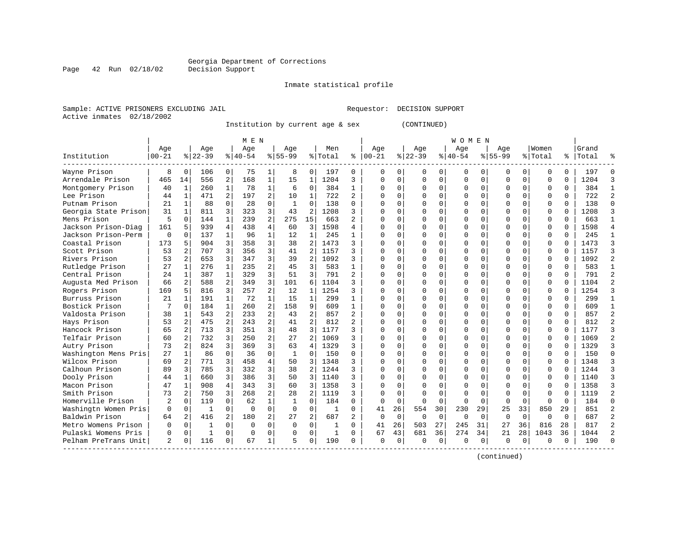# Georgia Department of Corrections<br>Decision Support

Page 42 Run 02/18/02

#### Inmate statistical profile

Sample: ACTIVE PRISONERS EXCLUDING JAIL Requestor: DECISION SUPPORT Active inmates 02/18/2002

Institution by current age & sex (CONTINUED)

|                      |          |                |              |                | M E N    |                |              |                |              |                |           |             |             |             | W O M E N   |             |              |             |          |          |       |  |
|----------------------|----------|----------------|--------------|----------------|----------|----------------|--------------|----------------|--------------|----------------|-----------|-------------|-------------|-------------|-------------|-------------|--------------|-------------|----------|----------|-------|--|
|                      | Age      |                | Age          |                | Age      |                | Age          |                | Men          |                | Age       |             | Age         |             | Age         |             | Age          |             | Women    |          | Grand |  |
| Institution          | $ 00-21$ |                | $ 22-39$     |                | $ 40-54$ |                | $8 55-99$    |                | % Total      | ⊱              | $ 00-21 $ |             | $8$   22-39 |             | $8 40-54$   |             | $8 55-99$    |             | % Total  | ွေ       | Total |  |
| Wayne Prison         | 8        | $\Omega$       | 106          | $\Omega$       | 75       | $\mathbf{1}$   | 8            | $\Omega$       | 197          | $\Omega$       | 0         | 0           | U           | $\Omega$    | $\Omega$    | $\Omega$    | $\Omega$     | $\Omega$    | $\Omega$ | $\Omega$ | 197   |  |
| Arrendale Prison     | 465      | 14             | 556          | 2              | 168      | $\mathbf 1$    | 15           | 1              | 1204         | 3              | $\Omega$  | $\Omega$    |             | $\Omega$    | $\Omega$    | $\Omega$    | 0            | $\Omega$    | $\Omega$ | $\Omega$ | 1204  |  |
| Montgomery Prison    | 40       | 1              | 260          |                | 78       | $\mathbf{1}$   | 6            | $\Omega$       | 384          | $\mathbf{1}$   | O         | 0           |             | $\Omega$    | $\Omega$    | $\Omega$    | 0            | $\Omega$    | $\Omega$ | $\Omega$ | 384   |  |
| Lee Prison           | 44       | 1              | 471          | $\overline{2}$ | 197      | 2              | 10           | $\mathbf{1}$   | 722          | 2              | U         | U           |             | $\Omega$    | $\Omega$    | $\Omega$    | <sup>0</sup> | 0           | $\Omega$ | $\Omega$ | 722   |  |
| Putnam Prison        | 21       | 1              | 88           | $\Omega$       | 28       | $\Omega$       | 1            | $\Omega$       | 138          | 0              | U         | 0           | U           | $\Omega$    | $\Omega$    | $\Omega$    | <sup>0</sup> | 0           | $\Omega$ | $\Omega$ | 138   |  |
| Georgia State Prison | 31       | $\mathbf{1}$   | 811          | 3              | 323      | 3              | 43           | 2              | 1208         | 3              | O         | $\Omega$    |             | $\Omega$    | $\Omega$    | $\Omega$    | 0            | 0           | $\Omega$ | $\Omega$ | 1208  |  |
| Mens Prison          | 5        | $\Omega$       | 144          | $\mathbf{1}$   | 239      | 2              | 275          | 15             | 663          | 2              |           | 0           |             | $\Omega$    | $\Omega$    | 0           | 0            | 0           | $\Omega$ | $\Omega$ | 663   |  |
| Jackson Prison-Diag  | 161      | 5              | 939          | $\overline{4}$ | 438      | 4              | 60           | 3              | 1598         | 4              |           | 0           |             | $\Omega$    | $\Omega$    | $\Omega$    | $\Omega$     | 0           | $\Omega$ | $\Omega$ | 1598  |  |
| Jackson Prison-Perm  | $\Omega$ | $\Omega$       | 137          | $\mathbf{1}$   | 96       | $\mathbf{1}$   | 12           | $\mathbf{1}$   | 245          | 1              | $\cap$    | 0           |             | $\Omega$    | $\Omega$    | $\Omega$    | $\Omega$     | $\Omega$    | $\Omega$ | $\Omega$ | 245   |  |
| Coastal Prison       | 173      | 5              | 904          | 3              | 358      | 3              | 38           | $\overline{2}$ | 1473         | ζ              | U         | U           | U           | $\Omega$    | $\Omega$    | $\Omega$    | $\Omega$     | 0           | $\Omega$ | $\Omega$ | 1473  |  |
| Scott Prison         | 53       |                | 707          | 3              | 356      | 3              | 41           | 2              | 1157         | ς              |           | O           |             | $\Omega$    | $\Omega$    | $\Omega$    | $\Omega$     | $\Omega$    | $\Omega$ | $\Omega$ | 1157  |  |
| Rivers Prison        | 53       |                | 653          | 3              | 347      | 3              | 39           | 2              | 1092         |                | $\cap$    | U           |             | $\Omega$    | $\Omega$    | $\Omega$    | $\Omega$     | O           | $\Omega$ | $\Omega$ | 1092  |  |
| Rutledge Prison      | 27       | 1              | 276          | 1              | 235      | 2              | 45           | 3              | 583          | 1              | U         | U           | U           | $\Omega$    | 0           | O           | 0            | $\Omega$    | $\Omega$ | $\Omega$ | 583   |  |
| Central Prison       | 24       | 1              | 387          | $\mathbf{1}$   | 329      | 3              | 51           | $\overline{3}$ | 791          | $\overline{2}$ | Ω         | 0           |             | $\Omega$    | $\Omega$    | $\Omega$    | 0            | 0           | $\Omega$ | $\Omega$ | 791   |  |
| Augusta Med Prison   | 66       | 2              | 588          | 2              | 349      | 3              | 101          | 6              | 1104         | ς              |           | 0           |             | $\mathbf 0$ | $\Omega$    | 0           | 0            | 0           | $\Omega$ | $\Omega$ | 1104  |  |
| Rogers Prison        | 169      | 5              | 816          | 3              | 257      | $\overline{a}$ | 12           | $\mathbf{1}$   | 1254         | ς              |           | O           |             | $\Omega$    | $\Omega$    | $\Omega$    | $\Omega$     | $\Omega$    | $\Omega$ | $\Omega$ | 1254  |  |
| Burruss Prison       | 21       | $\mathbf{1}$   | 191          | $\mathbf{1}$   | 72       | $\mathbf{1}$   | 15           | $\mathbf{1}$   | 299          | 1              |           | O           |             | $\Omega$    | $\Omega$    | $\Omega$    | $\Omega$     | $\Omega$    | $\Omega$ | $\Omega$ | 299   |  |
| Bostick Prison       | 7        | $\Omega$       | 184          | $\mathbf{1}$   | 260      | $\overline{a}$ | 158          | 9              | 609          | $\mathbf{1}$   | $\cap$    | 0           |             | $\Omega$    | $\Omega$    | $\Omega$    | $\Omega$     | 0           | ∩        | $\Omega$ | 609   |  |
| Valdosta Prison      | 38       | 1              | 543          | 2              | 233      | 2              | 43           | 2              | 857          | $\overline{2}$ | $\cap$    | U           |             | $\Omega$    | $\Omega$    | $\Omega$    | $\Omega$     | 0           | $\Omega$ | $\Omega$ | 857   |  |
| Hays Prison          | 53       | 2              | 475          |                | 243      | 2              | 41           | $\overline{2}$ | 812          |                | $\cap$    | $\cap$      | $\cap$      | $\Omega$    | $\cap$      | $\cap$      | $\Omega$     | U           | $\Omega$ | $\cap$   | 812   |  |
| Hancock Prison       | 65       | 2              | 713          | 3              | 351      | 3              | 48           | 3              | 1177         | 3              | $\Omega$  | O           | $\cap$      | $\Omega$    | $\Omega$    | $\Omega$    | $\Omega$     | 0           | $\Omega$ | $\Omega$ | 1177  |  |
| Telfair Prison       | 60       | $\overline{2}$ | 732          | 3              | 250      | 2              | 27           | $\overline{2}$ | 1069         | 3              | U         | $\Omega$    | U           | $\Omega$    | $\Omega$    | $\Omega$    | <sup>0</sup> | 0           | ∩        | $\Omega$ | 1069  |  |
| Autry Prison         | 73       | $\overline{2}$ | 824          | 3              | 369      | 3              | 63           | 4              | 1329         | 3              | O         | 0           |             | $\Omega$    | $\Omega$    | $\Omega$    | $\Omega$     | $\Omega$    | $\Omega$ | $\Omega$ | 1329  |  |
| Washington Mens Pris | 27       | $\mathbf{1}$   | 86           | $\Omega$       | 36       | $\Omega$       | $\mathbf{1}$ | $\Omega$       | 150          | 0              |           | 0           |             | $\Omega$    | $\Omega$    | $\Omega$    | $\Omega$     | 0           | $\Omega$ | $\Omega$ | 150   |  |
| Wilcox Prison        | 69       | $\overline{2}$ | 771          | 3              | 458      | 4              | 50           | 3              | 1348         | 3              |           | 0           |             | $\Omega$    | $\Omega$    | $\Omega$    | $\Omega$     | $\Omega$    | $\Omega$ | $\Omega$ | 1348  |  |
| Calhoun Prison       | 89       | 3              | 785          | 3              | 332      | 3              | 38           | 2              | 1244         | ς              | U         | 0           |             | $\Omega$    | $\Omega$    | $\Omega$    | $\Omega$     | 0           | $\Omega$ | $\Omega$ | 1244  |  |
| Dooly Prison         | 44       | 1              | 660          | 3              | 386      | 3              | 50           | 3              | 1140         | ς              | U         | 0           |             | $\Omega$    | $\Omega$    | O           | $\Omega$     | $\Omega$    | $\Omega$ | $\Omega$ | 1140  |  |
| Macon Prison         | 47       | 1              | 908          | 4              | 343      | 3              | 60           | 3              | 1358         | ς              |           | U           |             | $\Omega$    | U           | O           | <sup>0</sup> | $\Omega$    | $\Omega$ | $\cap$   | 1358  |  |
| Smith Prison         | 73       |                | 750          | 3              | 268      | $\overline{a}$ | 28           | 2              | 1119         | 3              | U         | $\Omega$    | n           | $\Omega$    | $\Omega$    | U           | $\Omega$     | $\Omega$    | $\Omega$ | $\cap$   | 1119  |  |
| Homerville Prison    | 2        | $\Omega$       | 119          | $\Omega$       | 62       | $\mathbf{1}$   | 1            | $\Omega$       | 184          | 0              | $\Omega$  | 0           | ∩           | $\Omega$    | 0           | $\Omega$    | $\Omega$     | 0           | $\Omega$ | $\Omega$ | 184   |  |
| Washingtn Women Pris | 0        | $\mathbf 0$    | $\mathbf{1}$ | $\Omega$       | $\Omega$ | $\Omega$       | $\Omega$     | $\overline{0}$ | 1            | 0              | 41        | 26          | 554         | 30          | 230         | 29          | 25           | 33          | 850      | 29       | 851   |  |
| Baldwin Prison       | 64       | 2              | 416          | 2              | 180      | 2              | 27           | $\overline{2}$ | 687          |                | $\Omega$  | $\mathbf 0$ | $\Omega$    | $\mathbf 0$ | $\mathbf 0$ | $\mathbf 0$ | $\mathbf 0$  | $\mathbf 0$ | $\Omega$ | $\Omega$ | 687   |  |
| Metro Womens Prison  | $\cap$   | $\Omega$       | -1           | $\Omega$       | $\Omega$ | $\Omega$       | $\Omega$     | $\Omega$       | $\mathbf{1}$ | $\Omega$       | 41        | 26          | 503         | 27          | 245         | 31          | 27           | 36          | 816      | 28       | 817   |  |
| Pulaski Womens Pris  | O        | $\Omega$       | $\mathbf{1}$ | $\Omega$       | $\Omega$ | 0              | $\cap$       | $\Omega$       | $\mathbf{1}$ | $\Omega$       | 67        | 43          | 681         | 36          | 274         | 34          | 21           | 28          | 1043     | 36       | 1044  |  |
| Pelham PreTrans Unit | 2        | $\Omega$       | 116          | $\Omega$       | 67       | 1              | 5            | $\Omega$       | 190          | O              | $\Omega$  | 0           | $\Omega$    | $\Omega$    | $\Omega$    | $\Omega$    | $\Omega$     | $\Omega$    | $\Omega$ | $\Omega$ | 190   |  |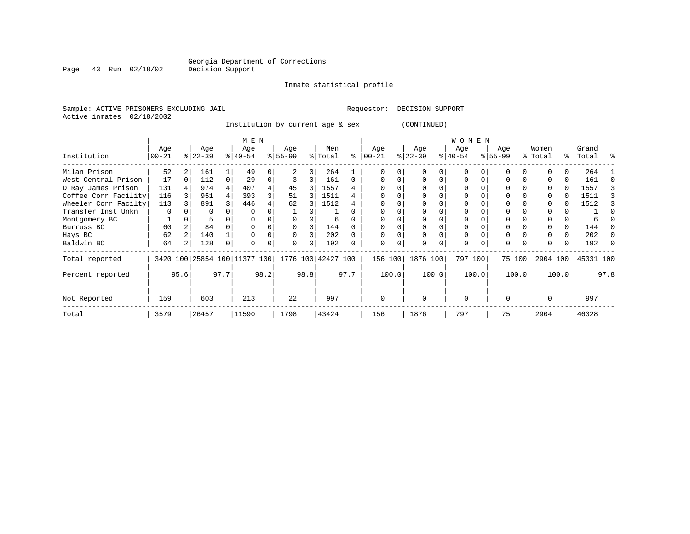Inmate statistical profile

Sample: ACTIVE PRISONERS EXCLUDING JAIL **Requestor: DECISION SUPPORT** Active inmates 02/18/2002

Institution by current age & sex (CONTINUED)

|                      |                 |      |                  |      | M E N                   |      |                    |      |                |          |                  |       |                  |       | <b>WOMEN</b>     |          |                 |          |                  |       |                    |      |
|----------------------|-----------------|------|------------------|------|-------------------------|------|--------------------|------|----------------|----------|------------------|-------|------------------|-------|------------------|----------|-----------------|----------|------------------|-------|--------------------|------|
| Institution          | Age<br>$ 00-21$ |      | Age<br>$ 22-39 $ |      | Age<br>$ 40-54 $        |      | Age<br>$ 55-99$    |      | Men<br>% Total | ႜ        | Age<br>$00 - 21$ |       | Age<br>$ 22-39 $ |       | Age<br>$ 40-54 $ |          | Age<br>$ 55-99$ |          | Women<br>% Total |       | Grand<br>%   Total | ႜ    |
| Milan Prison         | 52              |      | 161              |      | 49                      |      |                    | 0    | 264            |          |                  |       |                  |       | U                |          |                 |          |                  |       | 264                |      |
| West Central Prison  | 17              |      | 112              |      | 29                      |      |                    | 0    | 161            | $\Omega$ |                  |       |                  |       | $\Omega$         |          | O               |          |                  |       | 161                |      |
| D Ray James Prison   | 131             |      | 974              |      | 407                     |      | 45                 | 3    | 1557           |          |                  |       |                  |       | 0                |          |                 |          |                  | 0     | 1557               |      |
| Coffee Corr Facility | 116             |      | 951              |      | 393                     |      | 51                 | 3    | 1511           | 4        |                  |       |                  |       | U                |          |                 |          |                  | 0     | 1511               |      |
| Wheeler Corr Facilty | 113             |      | 891              |      | 446                     |      | 62                 | 3    | 1512           |          | $\Omega$         |       |                  |       | U                |          | $\Omega$        |          |                  | 0     | 1512               |      |
| Transfer Inst Unkn   | $\Omega$        |      | O                |      |                         |      |                    |      |                |          |                  |       |                  |       |                  |          |                 |          |                  |       |                    |      |
| Montgomery BC        |                 |      |                  |      |                         |      |                    |      | 6              |          |                  |       |                  |       |                  |          |                 |          |                  |       |                    |      |
| Burruss BC           | 60              |      | 84               |      |                         |      | 0                  | 0    | 144            |          |                  |       |                  |       | $\Omega$         |          | $\Omega$        |          |                  | 0     | 144                |      |
| Hays BC              | 62              |      | 140              |      |                         |      | O                  | 0    | 202            |          | $\Omega$         |       |                  |       | 0                |          | $\Omega$        |          |                  | 0     | 202                |      |
| Baldwin BC           | 64              |      | 128              | 0    | $\Omega$                |      | O                  | 0    | 192            |          | $\Omega$         | 0     | $\Omega$         | 0     | 0                | $\Omega$ | $\Omega$        | $\Omega$ | O                | 0     | 192                |      |
| Total reported       | 3420            |      |                  |      | 100 25854 100 11377 100 |      | 1776 100 42427 100 |      |                |          | 156 100          |       | 1876 100         |       | 797 100          |          |                 | 75 100   | 2904 100         |       | 45331 100          |      |
| Percent reported     |                 | 95.6 |                  | 97.7 |                         | 98.2 |                    | 98.8 |                | 97.7     |                  | 100.0 |                  | 100.0 |                  | 100.0    |                 | 100.0    |                  | 100.0 |                    | 97.8 |
| Not Reported         | 159             |      | 603              |      | 213                     |      | 22                 |      | 997            |          | 0                |       | $\Omega$         |       | $\mathbf 0$      |          | $\Omega$        |          | $\Omega$         |       | 997                |      |
| Total                | 3579            |      | 26457            |      | 11590                   |      | 1798               |      | 43424          |          | 156              |       | 1876             |       | 797              |          | 75              |          | 2904             |       | 46328              |      |

Page 43 Run 02/18/02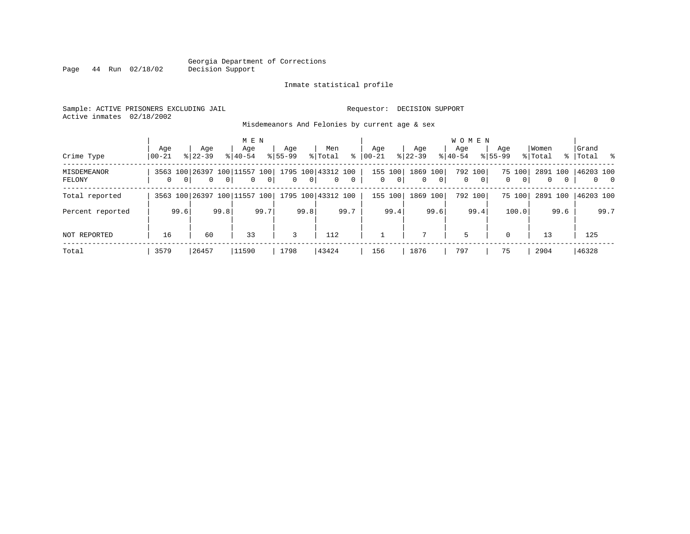#### Georgia Department of Corrections Page 44 Run 02/18/02

#### Inmate statistical profile

Sample: ACTIVE PRISONERS EXCLUDING JAIL Requestor: DECISION SUPPORT Active inmates 02/18/2002

Misdemeanors And Felonies by current age & sex

| Crime Type                   | Aqe<br>$00 - 21$ |                | Age<br>$8122 - 39$                             |                | M E N<br>Age<br>$8140 - 54$ |                | Age<br>$8155 - 99$ |                | Men<br>% Total                         | ွေ             | Age<br>$00 - 21$ |                         | Aqe<br>$ 22-39 $    |                | <b>WOMEN</b><br>Aqe<br>$8 40-54$ |                           | Age<br>$8155 - 99$ |                          | Women<br>% Total |                          | Grand<br>%   Total % |             |
|------------------------------|------------------|----------------|------------------------------------------------|----------------|-----------------------------|----------------|--------------------|----------------|----------------------------------------|----------------|------------------|-------------------------|---------------------|----------------|----------------------------------|---------------------------|--------------------|--------------------------|------------------|--------------------------|----------------------|-------------|
| <b>MISDEMEANOR</b><br>FELONY | $\mathbf{0}$     | 0 <sup>1</sup> | 3563 100 26397 100 11557 100<br>$\overline{0}$ | 0 <sup>1</sup> | $\mathbf{0}$                | 0 <sup>1</sup> | $\overline{0}$     | 0 <sup>1</sup> | 1795 100 43312 100  <br>$\overline{0}$ | $\overline{0}$ | $\mathbf{0}$     | 155 100<br>$\mathbf{0}$ | 1869 100<br>$\circ$ | $\overline{0}$ | 0                                | 792 100<br>$\overline{0}$ | 0                  | 75 100<br>0 <sup>1</sup> | $\mathbf{0}$     | 2891 100<br>$\mathbf{0}$ | 46203 100            | $0\qquad 0$ |
| Total reported               |                  |                | 3563 100 26397 100 11557 100                   |                |                             |                |                    |                | 1795 100 43312 100                     |                |                  | 155 100                 | 1869 100            |                |                                  | 792 100                   |                    | 75 100                   | 2891 100         |                          | 46203 100            |             |
| Percent reported             |                  | 99.6           |                                                | 99.8           |                             | 99.7           |                    | 99.8           |                                        | 99.7           |                  | 99.4                    |                     | 99.6           |                                  | 99.4                      |                    | 100.0                    |                  | 99.6                     |                      | 99.7        |
| NOT REPORTED                 | 16               |                | 60                                             |                | 33                          |                | 3                  |                | 112                                    |                |                  |                         | 7                   |                | 5                                |                           | $\Omega$           |                          | 13               |                          | 125                  |             |
| Total                        | 3579             |                | 26457                                          |                | 11590                       |                | 1798               |                | 43424                                  |                | 156              |                         | 1876                |                | 797                              |                           | 75                 |                          | 2904             |                          | 46328                |             |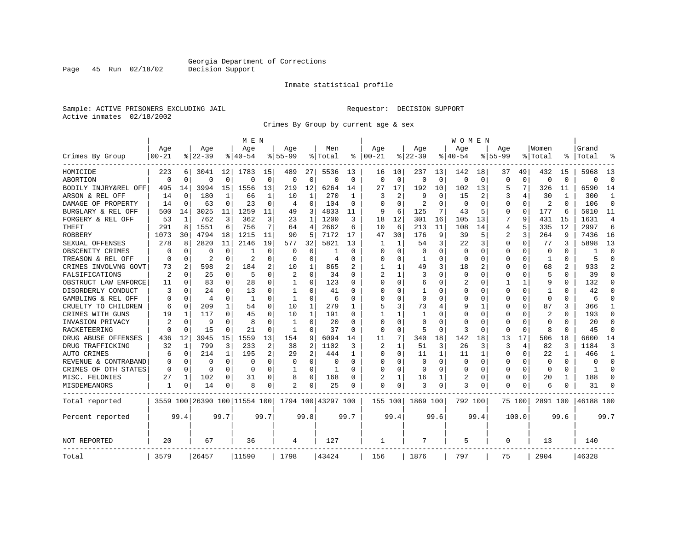Page 45 Run 02/18/02

#### Inmate statistical profile

Sample: ACTIVE PRISONERS EXCLUDING JAIL Requestor: DECISION SUPPORT Active inmates 02/18/2002

Crimes By Group by current age & sex

|                      |                |             |                |              | M E N                        |             |                |                |                    |             |                |              |                |              | W O M E N   |             |             |          |                |          |           |                |
|----------------------|----------------|-------------|----------------|--------------|------------------------------|-------------|----------------|----------------|--------------------|-------------|----------------|--------------|----------------|--------------|-------------|-------------|-------------|----------|----------------|----------|-----------|----------------|
|                      | Age            |             | Age            |              | Age                          |             | Aqe            |                | Men                |             | Aqe            |              | Aqe            |              | Aqe         |             | Aqe         |          | Women          |          | Grand     |                |
| Crimes By Group      | $00 - 21$      |             | $8 22-39$      |              | % 40-54                      |             | $8155 - 99$    |                | % Total            | ႜ           | $ 00-21$       |              | $ 22-39$       |              | $8140 - 54$ |             | $8155 - 99$ |          | % Total        | ႜ        | Total     |                |
| HOMICIDE             | 223            | 6           | 3041           | 12           | 1783                         | 15          | 489            | 27             | 5536               | 13          | 16             | 10           | 237            | 13           | 142         | 18          | 37          | 49       | 432            | 15       | 5968      | 13             |
| ABORTION             | $\Omega$       | $\mathbf 0$ | $\Omega$       | $\mathbf 0$  | $\Omega$                     | $\mathbf 0$ | $\Omega$       | $\mathbf 0$    | $\Omega$           | $\mathbf 0$ | $\Omega$       | $\mathbf 0$  | $\Omega$       | $\mathbf 0$  | $\Omega$    | $\mathbf 0$ | $\Omega$    | $\Omega$ | $\mathbf 0$    | $\Omega$ | $\Omega$  | $\Omega$       |
| BODILY INJRY&REL OFF | 495            | 14          | 3994           | 15           | 1556                         | 13          | 219            | 12             | 6264               | 14          | 27             | 17           | 192            | 10           | 102         | 13          | 5           | 7        | 326            | 11       | 6590      | 14             |
| ARSON & REL OFF      | 14             | 0           | 180            | 1            | 66                           | 1           | 10             | 1              | 270                | 1           | 3              | 2            | 9              | 0            | 15          | 2           | 3           | 4        | 30             | 1        | 300       | 1              |
| DAMAGE OF PROPERTY   | 14             | $\mathbf 0$ | 63             | 0            | 23                           | 0           | 4              | 0              | 104                | $\Omega$    | $\Omega$       | $\Omega$     | $\overline{2}$ | $\Omega$     | $\Omega$    | 0           | $\Omega$    | $\Omega$ | 2              | $\Omega$ | 106       | $\Omega$       |
| BURGLARY & REL OFF   | 500            | 14          | 3025           | 11           | 1259                         | 11          | 49             | 3              | 4833               | 11          | 9              | 6            | 125            | 7            | 43          | 5           | $\Omega$    | 0        | 177            | 6        | 5010      | 11             |
| FORGERY & REL OFF    | 53             | 1           | 762            | 3            | 362                          | 3           | 23             | $\mathbf{1}$   | 1200               | 3           | 18             | 12           | 301            | 16           | 105         | 13          | 7           | 9        | 431            | 15       | 1631      | $\overline{4}$ |
| THEFT                | 291            | 8           | 1551           | 6            | 756                          | 7           | 64             | 4              | 2662               | 6           | 10             | 6            | 213            | 11           | 108         | 14          | 4           | 5        | 335            | 12       | 2997      | 6              |
| ROBBERY              | 1073           | 30          | 4794           | 18           | 1215                         | 11          | 90             | 5              | 7172               | 17          | 47             | 30           | 176            | 9            | 39          | 5           | 2           | 3        | 264            | 9        | 7436      | 16             |
| SEXUAL OFFENSES      | 278            | 8           | 2820           | 11           | 2146                         | 19          | 577            | 32             | 5821               | 13          |                | 1            | 54             | 3            | 22          | 3           | $\Omega$    | O        | 77             | 3        | 5898      | 13             |
| OBSCENITY CRIMES     | 0              | 0           | $\Omega$       | 0            |                              | $\Omega$    | 0              | 0              |                    | $\Omega$    | <sup>0</sup>   | $\Omega$     | $\Omega$       | O            | 0           | 0           | $\Omega$    | $\Omega$ | $\mathbf 0$    | $\Omega$ | -1        | $\Omega$       |
| TREASON & REL OFF    | $\Omega$       | 0           | $\overline{2}$ | $\Omega$     | $\overline{2}$               | $\Omega$    | $\Omega$       | $\Omega$       | $\overline{4}$     | $\Omega$    | 0              | $\Omega$     | -1             | 0            | $\Omega$    | $\Omega$    | $\Omega$    | $\Omega$ | 1              | $\Omega$ | 5         | $\Omega$       |
| CRIMES INVOLVNG GOVT | 73             | 2           | 598            | 2            | 184                          | 2           | 10             | $\mathbf{1}$   | 865                |             |                | $\mathbf{1}$ | 49             | 3            | 18          | 2           | $\Omega$    | $\Omega$ | 68             | 2        | 933       | $\mathfrak{D}$ |
| FALSIFICATIONS       | $\overline{2}$ | 0           | 25             | $\Omega$     | -5                           | $\Omega$    | $\overline{c}$ | $\Omega$       | 34                 | 0           | $\overline{a}$ | 1            | 3              | O            | $\Omega$    | 0           | $\Omega$    | $\Omega$ | 5              | 0        | 39        | $\Omega$       |
| OBSTRUCT LAW ENFORCE | 11             | 0           | 83             | 0            | 28                           | 0           | 1              | 0              | 123                | O           | $\cap$         | $\Omega$     | 6              | U            | 2           | 0           | 1           | 1        | 9              | 0        | 132       | ∩              |
| DISORDERLY CONDUCT   | 3              | 0           | 24             | O            | 13                           | 0           | 1              | 0              | 41                 | O           | <sup>0</sup>   | O            | -1             | 0            | $\Omega$    | 0           | $\Omega$    | $\Omega$ |                |          | 42        |                |
| GAMBLING & REL OFF   | $\Omega$       | $\Omega$    | 4              | 0            | $\mathbf{1}$                 | $\Omega$    | 1              | $\Omega$       | 6                  | $\Omega$    | $\Omega$       | $\Omega$     | $\Omega$       | O            | $\Omega$    | $\Omega$    | $\Omega$    | $\Omega$ | $\Omega$       | $\Omega$ | 6         | ∩              |
| CRUELTY TO CHILDREN  | 6              | 0           | 209            | $\mathbf{1}$ | 54                           | 0           | 10             | 1              | 279                | 1           | 5              | 3            | 73             | 4            | 9           | 1           | $\Omega$    | $\Omega$ | 87             | 3        | 366       |                |
| CRIMES WITH GUNS     | 19             | 1           | 117            | 0            | 45                           | 0           | 10             | $\mathbf{1}$   | 191                | O           |                | $\mathbf{1}$ | 1              | O            | $\Omega$    | $\mathbf 0$ | 0           | $\Omega$ | $\overline{c}$ | 0        | 193       | $\Omega$       |
| INVASION PRIVACY     | $\overline{2}$ | 0           | 9              | $\Omega$     | 8                            | 0           | 1              | $\mathbf 0$    | 20                 | $\Omega$    | $\Omega$       | $\Omega$     | $\Omega$       | U            | $\Omega$    | 0           | 0           | $\Omega$ | $\Omega$       | $\Omega$ | 20        | $\Omega$       |
| RACKETEERING         | $\Omega$       | 0           | 15             | 0            | 21                           | $\Omega$    | 1              | 0              | 37                 | $\Omega$    | $\Omega$       | $\Omega$     | 5              | 0            | 3           | 0           | O           | $\Omega$ | 8              | $\Omega$ | 45        | ∩              |
| DRUG ABUSE OFFENSES  | 436            | 12          | 3945           | 15           | 1559                         | 13          | 154            | 9              | 6094               | 14          | 11             | 7            | 340            | 18           | 142         | 18          | 13          | 17       | 506            | 18       | 6600      | 14             |
| DRUG TRAFFICKING     | 32             | 1           | 799            | 3            | 233                          | 2           | 38             | $\overline{2}$ | 1102               | 3           | $\overline{2}$ | $\mathbf{1}$ | 51             | 3            | 26          | 3           | 3           | 4        | 82             | ζ        | 1184      | 3              |
| AUTO CRIMES          | 6              | 0           | 214            | 1            | 195                          | 2           | 29             | $\overline{2}$ | 444                | 1           | <sup>0</sup>   | $\Omega$     | 11             | $\mathbf{1}$ | 11          | 1           | $\Omega$    | $\Omega$ | 22             | 1        | 466       | -1             |
| REVENUE & CONTRABAND | 0              | 0           | 0              | 0            | 0                            | 0           | 0              | $\mathbf 0$    | 0                  | $\Omega$    | 0              | 0            | $\mathbf 0$    | $\mathbf 0$  | 0           | $\mathbf 0$ | $\Omega$    | 0        | $\mathbf 0$    | $\Omega$ | $\Omega$  | $\Omega$       |
| CRIMES OF OTH STATES | 0              | 0           | 0              | $\Omega$     | 0                            | 0           | 1              | 0              | 1                  | 0           | $\Omega$       | 0            | $\Omega$       | $\Omega$     | $\Omega$    | 0           | 0           | $\Omega$ | $\Omega$       | $\Omega$ | 1         | ∩              |
| MISC. FELONIES       | 27             | 1           | 102            | 0            | 31                           | 0           | 8              | 0              | 168                | 0           | 2              | 1            | 16             | 1            | 2           | 0           | 0           | 0        | 20             | 1        | 188       | ∩              |
| MISDEMEANORS         | 1              | 0           | 14             | 0            | 8                            | 0           | 2              | 0              | 25                 | 0           | $\Omega$       | 0            | 3              | 0            | 3           | 0           | $\Omega$    | 0        | 6              | 0        | 31        |                |
| Total reported       |                |             |                |              | 3559 100 26390 100 11554 100 |             |                |                | 1794 100 43297 100 |             | 155 100        |              | 1869 100       |              | 792 100     |             |             | 75 100   | 2891 100       |          | 46188 100 |                |
| Percent reported     |                | 99.4        |                | 99.7         |                              | 99.7        |                | 99.8           |                    | 99.7        |                | 99.4         |                | 99.6         |             | 99.4        |             | 100.0    |                | 99.6     |           | 99.7           |
| NOT REPORTED         | 20             |             | 67             |              | 36                           |             | 4              |                | 127                |             | 1              |              | 7              |              | 5           |             | $\Omega$    |          | 13             |          | 140       |                |
| Total                | 3579           |             | 26457          |              | 11590                        |             | 1798           |                | 43424              |             | 156            |              | 1876           |              | 797         |             | 75          |          | 2904           |          | 46328     |                |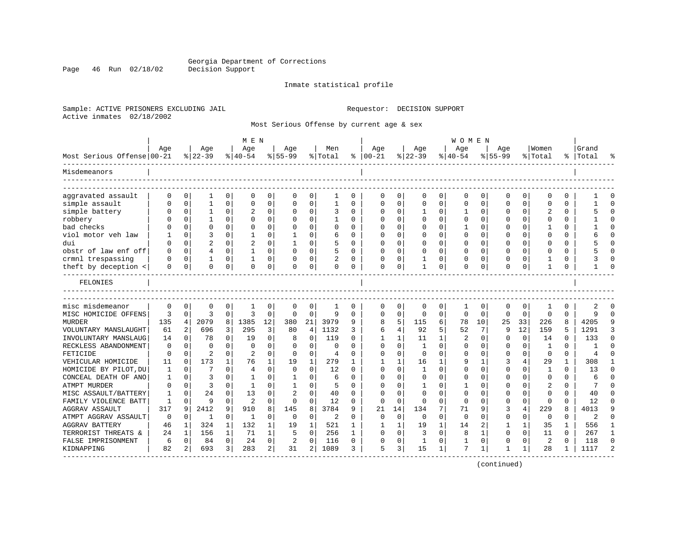Page 46 Run 02/18/02

#### Inmate statistical profile

Sample: ACTIVE PRISONERS EXCLUDING JAIL Requestor: DECISION SUPPORT Active inmates 02/18/2002

Most Serious Offense by current age & sex

| Age                          |                             | Age            |              |                |                |                |                |                |              |              |          |              |             |           |                 |             |          |                |              |            |              |
|------------------------------|-----------------------------|----------------|--------------|----------------|----------------|----------------|----------------|----------------|--------------|--------------|----------|--------------|-------------|-----------|-----------------|-------------|----------|----------------|--------------|------------|--------------|
|                              |                             |                |              | Age            |                | Age            |                | Men            |              | Age          |          | Age          |             | Age       |                 | Age         |          | Women          |              | Grand      |              |
| Most Serious Offense 00-21   |                             | $8 22-39$      |              | $8 40-54$      |                | $8155 - 99$    |                | %   Total      | ႜ            | $ 00-21$     |          | $ 22-39$     |             | $8 40-54$ |                 | $8155 - 99$ |          | % Total        |              | %   Total  |              |
| Misdemeanors                 |                             |                |              |                |                |                |                |                |              |              |          |              |             |           |                 |             |          |                |              |            |              |
| aggravated assault           | $\Omega$<br>0               | 1              | 0            | 0              | 0              | O              | 0              | 1              | 0            | ∩            | 0        | U            | 0           | $\Omega$  | 0               | O           | 0        | $\Omega$       | 0            |            |              |
| simple assault               | 0<br>$\Omega$               | 1              | 0            | $\mathbf 0$    | 0              | $\Omega$       | 0              | $\mathbf{1}$   | $\Omega$     | $\Omega$     | 0        | 0            | $\mathbf 0$ | $\Omega$  | 0               | $\Omega$    | 0        | $\Omega$       | 0            |            | $\Omega$     |
| simple battery               | $\mathbf 0$                 | 1              | 0            |                | $\Omega$       |                | 0              | 3              | O            | <sup>0</sup> | 0        | $\mathbf{1}$ | O           | 1         | $\mathbf 0$     | $\Omega$    | $\Omega$ |                | $\Omega$     |            | $\cap$       |
| robbery                      | $\Omega$                    | 1              | $\Omega$     | $\Omega$       | $\Omega$       | O              | $\Omega$       | $\mathbf{1}$   | 0            | <sup>0</sup> | $\Omega$ | $\Omega$     | $\Omega$    | $\Omega$  | $\Omega$        | $\Omega$    | $\Omega$ | $\Omega$       | $\Omega$     |            | $\cap$       |
| bad checks                   | $\Omega$                    | $\Omega$       | $\Omega$     | $\Omega$       | $\Omega$       | O              | $\Omega$       | O              | $\Omega$     | O            | 0        | $\Omega$     | $\Omega$    |           | $\Omega$        | O           | $\Omega$ | -1             | 0            |            |              |
| viol motor veh law           | $\mathbf 0$                 | 3              | 0            |                | 0              |                | $\mathbf 0$    | 6              | O            | <sup>0</sup> | $\Omega$ | $\Omega$     | 0           | 0         | 0               | 0           | $\Omega$ | $\mathbf 0$    | $\Omega$     |            |              |
| dui                          | 0                           | $\overline{c}$ | $\Omega$     | $\overline{2}$ | 0              |                | 0              | 5              | $\Omega$     | ∩            | 0        | $\Omega$     | $\Omega$    | $\Omega$  | 0               | O           | $\Omega$ | <sup>0</sup>   | $\Omega$     |            | $\cap$       |
| obstr of law enf off         | $\Omega$<br>$\mathbf 0$     | 4              | $\Omega$     | 1              | 0              | $\Omega$       | 0              | 5              | 0            | $\Omega$     | $\Omega$ | $\Omega$     | $\Omega$    | $\Omega$  | 0               | $\Omega$    | $\Omega$ | $\Omega$       | 0            |            |              |
| crmnl trespassing            | $\mathbf 0$                 | 1              | 0            |                | 0              |                | 0              |                | 0            | $\Omega$     | 0        | $\mathbf{1}$ | 0           | $\Omega$  | 0               | $\Omega$    | O        |                | $\Omega$     |            |              |
| theft by deception <         | $\Omega$<br>$\Omega$        | $\Omega$       | 0            | $\Omega$       | 0              | $\Omega$       | 0              | $\Omega$       | 0            | $\mathbf 0$  | 0        | $\mathbf{1}$ | 0           | $\Omega$  | 0               | $\Omega$    | 0        | $\mathbf{1}$   | 0            |            |              |
| FELONIES                     |                             |                |              |                |                |                |                |                |              |              |          |              |             |           |                 |             |          |                |              |            |              |
| misc misdemeanor             | $\Omega$<br>$\mathbf 0$     | $\Omega$       | 0            | -1             | $\Omega$       | $\Omega$       | 0              |                | 0            | $\Omega$     | 0        | $\Omega$     | $\Omega$    | 1         | 0               | $\Omega$    | 0        |                | $\Omega$     |            |              |
| MISC HOMICIDE OFFENS         | 3<br>$\mathbf 0$            | 3              | $\Omega$     | 3              | $\Omega$       | $\Omega$       | $\Omega$       | 9              | $\Omega$     | $\Omega$     | $\Omega$ | $\Omega$     | $\Omega$    | $\Omega$  | $\Omega$        | $\Omega$    | $\Omega$ | $\Omega$       | $\Omega$     | 9          | $\cap$       |
| <b>MURDER</b><br>135         | 4                           | 2079           | 8            | 1385           | 12             | 380            | 21             | 3979           | 9            | 8            | 5        | 115          | 6           | 78        | 10 <sup>°</sup> | 25          | 33       | 226            | 8            | 4205       |              |
| VOLUNTARY MANSLAUGHT         | 61                          | 2<br>696       | 3            | 295            | 3              | 80             | $\overline{4}$ | 1132           | 3            | 6            | 4        | 92           | 5           | 52        | 7               | 9           | 12       | 159            | 5            | 1291       | 3            |
| INVOLUNTARY MANSLAUG         | 14<br>0                     | 78             | $\Omega$     | 19             | 0              | 8              | 0              | 119            | $\Omega$     |              | 1        | 11           | 1           | 2         | 0               | $\Omega$    | $\Omega$ | 14             | $\Omega$     | 133        | $\cap$       |
| RECKLESS ABANDONMENT         | $\mathbf 0$<br>0            | $\Omega$       | $\Omega$     | $\Omega$       | $\Omega$       | $\Omega$       | $\Omega$       | $\Omega$       | U            | $\cap$       | $\Omega$ | $\mathbf{1}$ | $\Omega$    | $\Omega$  | 0               | $\Omega$    | $\Omega$ | $\mathbf{1}$   | $\Omega$     |            | $\Omega$     |
| FETICIDE                     | $\mathbf 0$<br>0            | $\overline{a}$ | O            | $\overline{2}$ | $\Omega$       | $\Omega$       | 0              | $\overline{4}$ | O            | <sup>0</sup> | $\Omega$ | $\Omega$     | $\Omega$    | $\Omega$  | 0               | $\Omega$    | $\Omega$ | $\Omega$       | $\Omega$     |            |              |
| VEHICULAR HOMICIDE           | 11<br>$\Omega$              | 173            | $\mathbf{1}$ | 76             | 1              | 19             | 1              | 279            | 1            |              | 1        | 16           | 1           | 9         | 1               | ζ           | 4        | 29             | $\mathbf{1}$ | 308        | -1           |
| HOMICIDE BY PILOT, DU        | 0<br>1                      | 7              | $\Omega$     | $\overline{4}$ | $\Omega$       | 0              | $\Omega$       | 12             | $\Omega$     | <sup>0</sup> | 0        | 1            | 0           | $\Omega$  | 0               | $\Omega$    | $\Omega$ | 1              | $\Omega$     | 13         | ∩            |
| CONCEAL DEATH OF ANO         | $\mathbf 0$<br>1            | 3              | 0            | 1              | $\Omega$       | 1              | 0              | 6              | $\Omega$     | <sup>0</sup> | $\Omega$ | 0            | 0           | $\Omega$  | $\mathbf 0$     | $\Omega$    | $\Omega$ | $\mathbf 0$    | $\Omega$     | $\sqrt{2}$ | $\Omega$     |
| <b>ATMPT MURDER</b>          | $\Omega$<br>$\Omega$        | 3              | $\Omega$     | $\mathbf{1}$   | $\Omega$       | 1              | $\Omega$       | 5              | $\Omega$     | $\cap$       | $\Omega$ | 1            | 0           | 1         | $\Omega$        | $\Omega$    | $\Omega$ | $\overline{c}$ | $\Omega$     | 7          | $\cap$       |
| MISC ASSAULT/BATTERY         | $\Omega$<br>1               | 24             | $\Omega$     | 13             | $\Omega$       |                | $\Omega$       | 40             | $\Omega$     | $\cap$       | $\Omega$ | $\Omega$     | $\Omega$    | $\Omega$  | $\Omega$        | $\Omega$    | $\Omega$ | $\Omega$       | 0            | 40         | ∩            |
| FAMILY VIOLENCE BATT         | $\mathbf{1}$<br>$\mathbf 0$ | 9              | 0            | $\overline{2}$ | $\Omega$       | $\Omega$       | 0              | 12             | O            | $\Omega$     | $\Omega$ | $\Omega$     | 0           | $\Omega$  | 0               | $\Omega$    | $\Omega$ | $\Omega$       | O            | 12         |              |
| 317<br><b>AGGRAV ASSAULT</b> | 9                           | 2412           | 9            | 910            | 8              | 145            | 8              | 3784           | q            | 21           | 14       | 134          | 7           | 71        | 9               | 3           | 4        | 229            | 8            | 4013       | q            |
| ATMPT AGGRAV ASSAULT         | 0<br>0                      | 1              | 0            | 1              | $\Omega$       | 0              | $\mathbf 0$    | 2              | 0            | $\Omega$     | $\Omega$ | 0            | $\Omega$    | $\Omega$  | 0               | 0           | 0        | 0              | 0            | 2          | ∩            |
| <b>AGGRAV BATTERY</b>        | 46<br>1                     | 324            | $\mathbf{1}$ | 132            | 1              | 19             | 1              | 521            | 1            | 1            | 1        | 19           | 1           | 14        | 2               | 1           | 1        | 35             | 1            | 556        | -1           |
| TERRORIST THREATS &          | 24<br>1                     | 156            | $\mathbf{1}$ | 71             | $\mathbf{1}$   | 5              | $\Omega$       | 256            | $\mathbf{1}$ | $\Omega$     | $\Omega$ | 3            | $\Omega$    | 8         | 1               | $\Omega$    | $\Omega$ | 11             | $\Omega$     | 267        | $\mathbf{1}$ |
| FALSE IMPRISONMENT           | 6<br>$\Omega$               | 84             | $\Omega$     | 24             | $\Omega$       | $\overline{c}$ | $\mathbf 0$    | 116            | 0            | <sup>0</sup> | 0        | 1            | 0           | -1        | 0               | O           | $\Omega$ | 2              | $\Omega$     | 118        | $\Omega$     |
| KIDNAPPING                   | 82                          | 693            | 3            | 283            | $\overline{a}$ | 31             | 2              | 1089           | 3            | 5            | 3        | 15           | 1           | 7         | 1               |             | 1        | 28             | 1            | 1117       |              |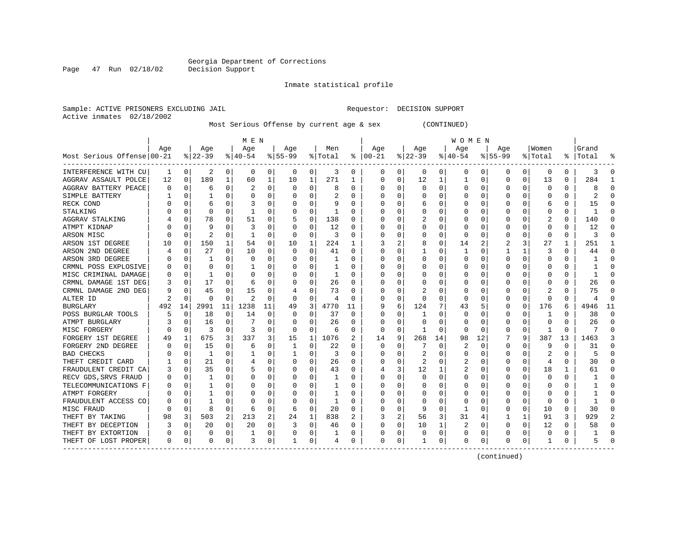Inmate statistical profile

Sample: ACTIVE PRISONERS EXCLUDING JAIL Requestor: DECISION SUPPORT Active inmates 02/18/2002

Most Serious Offense by current age & sex (CONTINUED)

|                            | M E N    |             |           |          |           |    |           |             |         |          | W O M E N |          |          |          |                  |              |             |              |          |               |       |          |
|----------------------------|----------|-------------|-----------|----------|-----------|----|-----------|-------------|---------|----------|-----------|----------|----------|----------|------------------|--------------|-------------|--------------|----------|---------------|-------|----------|
|                            | Age      |             | Age       |          | Age       |    | Age       |             | Men     |          | Age       |          | Age      |          | Age              |              | Aqe         |              | Women    |               | Grand |          |
| Most Serious Offense 00-21 |          |             | $ 22-39 $ |          | $8 40-54$ |    | $8 55-99$ |             | % Total | ႜ        | $ 00-21$  |          | $ 22-39$ |          | $ 40-54$         |              | $8155 - 99$ |              | % Total  | $\frac{8}{6}$ | Total |          |
| INTERFERENCE WITH CU       | 1        | 0           | 2         | 0        | 0         | 0  | 0         | 0           | 3       | 0        | 0         | 0        | 0        | 0        | 0                | 0            | 0           | 0            | 0        | 0             | 3     | -0       |
| AGGRAV ASSAULT POLCE       | 12       | 0           | 189       | 1        | 60        | 1  | 10        | 1           | 271     | -1       | $\Omega$  | 0        | 12       | 1        | $\mathbf{1}$     | $\Omega$     | $\Omega$    | 0            | 13       | 0             | 284   |          |
| AGGRAV BATTERY PEACE       | O        | 0           | 6         | O        | 2         | 0  | 0         | 0           | 8       | 0        | 0         | 0        | $\Omega$ | 0        | 0                | $\Omega$     | O           | 0            | $\Omega$ | 0             | 8     |          |
| SIMPLE BATTERY             |          | $\Omega$    |           | O        | 0         | 0  |           | $\Omega$    | 2       | U        | 0         | 0        | O        | 0        | Ω                | $\Omega$     | O           | 0            | 0        | 0             | 2     |          |
| RECK COND                  |          | 0           | 6         |          |           | 0  |           | 0           | 9       | U        |           | 0        | 6        | 0        |                  | 0            |             | 0            | 6        | 0             | 15    |          |
| STALKING                   |          | 0           | $\Omega$  | O        |           | O  |           | 0           |         | U        |           | 0        | O        | O        |                  | $\Omega$     | O           | 0            | 0        | 0             |       | n        |
| AGGRAV STALKING            |          | 0           | 78        | O        | 51        | 0  |           | 0           | 138     | U        |           | 0        |          | 0        | Ω                | 0            | O           | 0            | 2        | 0             | 140   | $\Omega$ |
| ATMPT KIDNAP               |          | 0           | 9         | O        | 3         | 0  | U         | 0           | 12      | 0        |           | 0        | 0        | 0        | 0                | 0            | O           | 0            | 0        | 0             | 12    | -C       |
| ARSON MISC                 |          | 0           | 2         | 0        |           | 0  | O         | 0           | 3       | 0        | 0         | 0        | 0        | 0        | 0                | 0            | 0           | 0            | 0        | 0             | 3     | $\cap$   |
| ARSON 1ST DEGREE           | 10       | 0           | 150       | 1        | 54        | 0  | 10        | 1           | 224     |          |           | 2        | 8        | 0        | 14               |              |             | 3            | 27       |               | 251   |          |
| ARSON 2ND DEGREE           |          | 0           | 27        | 0        | 10        | 0  | O         | O           | 41      | U        | O         | 0        |          | 0        |                  | <sup>0</sup> |             |              | 3        | 0             | 44    | C        |
| ARSON 3RD DEGREE           |          | $\Omega$    |           | O        | n         | 0  |           | 0           |         | U        |           | 0        | O        | O        | 0                | <sup>0</sup> | $\Omega$    | <sup>0</sup> | 0        | 0             |       | n        |
| CRMNL POSS EXPLOSIVE       |          | $\mathbf 0$ | 0         | 0        |           | 0  |           | 0           |         | U        |           | 0        | 0        | 0        | $\left( \right)$ | 0            | O           | 0            | 0        | 0             |       |          |
| MISC CRIMINAL DAMAGE       |          | 0           | 1         | O        | C         | 0  |           | 0           | 1       | U        |           | O        |          | O        |                  | 0            |             | 0            | ſ        | U             |       |          |
| CRMNL DAMAGE 1ST DEG       |          | 0           | 17        | O        | 6         | 0  |           | 0           | 26      | U        |           | $\Omega$ | O        | O        | Ω                | $\Omega$     | $\Omega$    | 0            | O        | 0             | 26    | $\cap$   |
| CRMNL DAMAGE 2ND DEG       | q        | 0           | 45        | 0        | 15        | 0  |           | 0           | 73      | U        |           | 0        |          | 0        | 0                | 0            | O           | 0            | 2        | 0             | 75    | -C       |
| ALTER ID                   |          | 0           | $\Omega$  | 0        | 2         | 0  | O         | 0           | 4       | 0        | 0         | 0        | 0        | 0        | 0                | 0            | O           | 0            | 0        | O             | 4     | $\cap$   |
| BURGLARY                   | 492      | 14          | 2991      | 11       | 1238      | 11 | 49        | 3           | 4770    | 11       | q         | 6        | 124      |          | 43               | 5            | 0           | 0            | 176      | 6             | 4946  | 11       |
| POSS BURGLAR TOOLS         |          | $\Omega$    | 18        | 0        | 14        | 0  | O         | O           | 37      | $\Omega$ | O         | 0        |          | O        | 0                | C            | O           | O            |          | O             | 38    | $\cap$   |
| ATMPT BURGLARY             |          | 0           | 16        | 0        |           | 0  | O         | O           | 26      | U        | 0         | 0        | O        | 0        | 0                | O            | O           | 0            | O        | O             | 26    | n        |
| MISC FORGERY               |          | 0           | 3         | $\Omega$ | 3         | 0  | O         | 0           | 6       | 0        | 0         | 0        | -1       | 0        | 0                | <sup>0</sup> | O           | $\Omega$     |          | U             |       | n        |
| FORGERY 1ST DEGREE         | 49       | 1           | 675       | 3        | 337       | 3  | 15        | 1           | 1076    | 2        | 14        | 9        | 268      | 14       | 98               | 12           |             | 9            | 387      | 13            | 1463  |          |
| FORGERY 2ND DEGREE         |          | $\mathbf 0$ | 15        | 0        | 6         | 0  |           | 0           | 22      | 0        | O         | 0        |          | $\Omega$ | 2                | $\Omega$     | $\Omega$    | 0            | 9        | O             | 31    | n        |
| <b>BAD CHECKS</b>          |          | 0           | 1         | 0        |           | 0  |           | 0           | 3       | U        |           | 0        | 2        | O        | Ω                | 0            | $\Omega$    | 0            | 2        | 0             |       | $\Omega$ |
| THEFT CREDIT CARD          |          | 0           | 21        | 0        | 4         | 0  | O         | 0           | 26      | 0        |           | 0        |          | 0        |                  | 0            | 0           | 0            | 4        | 0             | 30    | $\Omega$ |
| FRAUDULENT CREDIT CA       |          | 0           | 35        | O        | 5         | 0  | O         | 0           | 43      | 0        |           | 3        | 12       |          | 2                | 0            | 0           | 0            | 18       |               | 61    | -C       |
| RECV GDS, SRVS FRAUD       |          | 0           |           | O        | C         | 0  |           | 0           |         | U        |           | 0        | 0        | O        | 0                | 0            | O           |              | 0        | 0             |       |          |
| TELECOMMUNICATIONS F       |          | $\Omega$    |           | U        | C         | U  |           | O           |         | U        |           | O        | O        | O        | Ω                | C            |             | <sup>0</sup> | ſ        | 0             |       |          |
| ATMPT FORGERY              |          | 0           |           | O        | C         | 0  |           | O           |         | U        |           | 0        | O        | 0        | 0                | $\Omega$     |             | 0            | O        | O             |       |          |
| FRAUDULENT ACCESS CO       |          | $\Omega$    | 1         | O        | C         | U  |           | 0           | 1       | 0        |           | 0        | O        | 0        | 0                | 0            |             | $\Omega$     | n        | O             |       |          |
| MISC FRAUD                 |          | $\mathbf 0$ | 8         | $\Omega$ | 6         | 0  | 6         | $\mathbf 0$ | 20      | 0        |           | 0        | 9        | $\Omega$ | 1                | 0            |             | 0            | 10       | 0             | 30    |          |
| THEFT BY TAKING            | 98       | 3           | 503       | 2        | 213       | 2  | 24        | 1           | 838     |          | 3         | 2        | 56       | 3        | 31               | 4            |             | 1            | 91       | 3             | 929   |          |
| THEFT BY DECEPTION         |          | $\Omega$    | 20        | $\Omega$ | 20        | 0  |           | $\Omega$    | 46      | 0        | O         | $\Omega$ | 10       | 1        | 2                | $\Omega$     | $\Omega$    | 0            | 12       | 0             | 58    | $\Omega$ |
| THEFT BY EXTORTION         |          | 0           | $\Omega$  | 0        |           | 0  |           | 0           |         | 0        | O         | 0        | $\Omega$ | 0        | 0                | 0            | $\Omega$    | 0            | 0        | 0             |       | $\cap$   |
| THEFT OF LOST PROPER       | $\Omega$ | 0           | $\Omega$  | 0        | 3         | 0  |           | 0           | 4       | 0        | $\Omega$  | 0        | 1        | 0        | 0                | 0            | $\Omega$    | 0            |          | 0             |       |          |

(continued)

Page 47 Run 02/18/02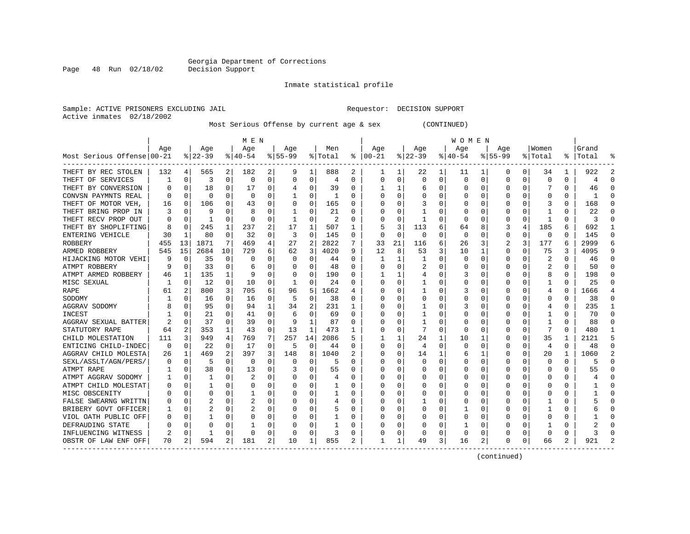Inmate statistical profile

Active inmates 02/18/2002

Sample: ACTIVE PRISONERS EXCLUDING JAIL Requestor: DECISION SUPPORT

Most Serious Offense by current age & sex (CONTINUED)

|                            | M E N    |             |           |             |           |   |           |             |         |          | <b>WOMEN</b>  |             |           |          |              |              |             |          |                |          |           |          |
|----------------------------|----------|-------------|-----------|-------------|-----------|---|-----------|-------------|---------|----------|---------------|-------------|-----------|----------|--------------|--------------|-------------|----------|----------------|----------|-----------|----------|
|                            | Age      |             | Age       |             | Age       |   | Age       |             | Men     |          | Age           |             | Age       |          | Age          |              | Age         |          | Women          |          | Grand     |          |
| Most Serious Offense 00-21 |          |             | $8 22-39$ |             | $8 40-54$ |   | $8 55-99$ |             | % Total |          | $8   00 - 21$ |             | $ 22-39 $ |          | $ 40-54$     |              | $8155 - 99$ |          | % Total        |          | %   Total |          |
| THEFT BY REC STOLEN        | 132      | 4           | 565       | 2           | 182       | 2 | 9         | 1           | 888     | 2        | 1             | 1           | 22        | 1        | 11           | ı            | 0           | 0        | 34             | 1        | 922       | 2        |
| THEFT OF SERVICES          | 1        | $\Omega$    | 3         | 0           | 0         | 0 |           | 0           | 4       | 0        | 0             | 0           | $\Omega$  | $\Omega$ | 0            | 0            | 0           | 0        | $\Omega$       | 0        | 4         | ∩        |
| THEFT BY CONVERSION        | O        | n           | 18        | $\Omega$    | 17        | 0 |           | $\Omega$    | 39      | O        |               |             | 6         | 0        | O            | $\Omega$     | O           | O        |                | $\Omega$ | 46        |          |
| CONVSN PAYMNTS REAL        | O        | $\Omega$    | $\Omega$  | $\Omega$    | $\Omega$  | 0 |           | $\Omega$    | -1      | O        | C             | 0           | O         | O        | O            | $\Omega$     | O           | O        | $\Omega$       | 0        |           |          |
| THEFT OF MOTOR VEH,        | 16       | 0           | 106       | $\Omega$    | 43        | 0 | $\Omega$  | 0           | 165     | 0        |               | 0           |           | 0        |              | n            | O           | O        | 3              | 0        | 168       |          |
| THEFT BRING PROP IN        | 3        | 0           | 9         | $\Omega$    | 8         | 0 |           | 0           | 21      | 0        | O             | $\Omega$    |           | 0        | C            | 0            |             | O        |                | U        | 22        |          |
| THEFT RECV PROP OUT        | $\Omega$ | $\Omega$    | 1         | $\Omega$    | C         | 0 |           | $\Omega$    | 2       | $\Omega$ |               | $\Omega$    | 1         | $\Omega$ | <sup>0</sup> | 0            | O           | $\Omega$ | $\mathbf{1}$   | $\Omega$ | 3         | $\Omega$ |
| THEFT BY SHOPLIFTING       | 8        | $\Omega$    | 245       | 1           | 237       | 2 | 17        | 1           | 507     | 1        |               | 3           | 113       | 6        | 64           | 8            | 3           | 4        | 185            | 6        | 692       | -1       |
| ENTERING VEHICLE           | 30       | -1          | 80        | $\Omega$    | 32        | 0 | 3         | $\Omega$    | 145     | 0        | <sup>0</sup>  | $\mathbf 0$ | 0         | 0        | 0            | 0            | 0           | 0        | 0              | 0        | 145       | $\Omega$ |
| ROBBERY                    | 455      | 13          | 1871      | 7           | 469       | 4 | 27        | 2           | 2822    | 7        | 33            | 21          | 116       | 6        | 26           | 3            |             | 3        | 177            | 6        | 2999      | 6        |
| ARMED ROBBERY              | 545      | 15          | 2684      | 10          | 729       | 6 | 62        | 3           | 4020    | 9        | 12            | 8           | 53        | 3        | 10           |              | 0           | 0        | 75             | 3        | 4095      | 9        |
| HIJACKING MOTOR VEHI       | 9        | $\Omega$    | 35        | 0           | C         | 0 |           | $\Omega$    | 44      | U        |               | 1           |           | O        | O            | -0           | O           | U        |                | 0        | 46        | ∩        |
| ATMPT ROBBERY              | q        | n           | 33        | $\Omega$    | 6         | 0 |           | $\Omega$    | 48      | 0        | O             | $\Omega$    |           | 0        | O            | n            | O           | U        | 2              | 0        | 50        |          |
| ATMPT ARMED ROBBERY        | 46       | 1           | 135       | 1           | 9         | 0 |           | 0           | 190     | 0        |               | 1           | 4         | 0        | 3            | 0            | O           | 0        | 8              | 0        | 198       |          |
| MISC SEXUAL                | 1        | $\mathbf 0$ | 12        | $\mathbf 0$ | 10        | 0 |           | $\mathbf 0$ | 24      | 0        | C             | 0           | 1         | 0        |              | 0            | 0           | 0        | 1              | O        | 25        |          |
| RAPE                       | 61       | 2           | 800       | 3           | 705       | 6 | 96        | 5           | 1662    | 4        |               | 0           |           | 0        | 3            | 0            | 0           | 0        | 4              | 0        | 1666      |          |
| SODOMY                     |          | 0           | 16        | $\Omega$    | 16        | 0 | 5         | 0           | 38      | O        |               | 0           | 0         | 0        | 0            | 0            | O           | O        | $\Omega$       | $\Omega$ | 38        | ∩        |
| AGGRAV SODOMY              | 8        | 0           | 95        | 0           | 94        | 1 | 34        | 2           | 231     | 1        | 0             | 0           |           | 0        | 3            | 0            | 0           | 0        | 4              | 0        | 235       | -1       |
| INCEST                     |          | 0           | 21        | 0           | 41        | 0 |           | 0           | 69      | 0        | 0             | 0           |           | 0        | 0            | 0            | 0           | 0        |                | 0        | 70        | ∩        |
| AGGRAV SEXUAL BATTER       | 2        | 0           | 37        |             | 39        | 0 | 9         | 1           | 87      | 0        |               | 0           | 1         | 0        | 0            | -0           | O           | U        |                | U        | 88        |          |
| STATUTORY RAPE             | 64       | 2           | 353       | 1           | 43        | 0 | 13        | 1           | 473     |          | 0             | $\Omega$    | 7         | 0        | <sup>0</sup> | 0            | O           | O        | 7              | 0        | 480       |          |
| CHILD MOLESTATION          | 111      | 3           | 949       | 4           | 769       | 7 | 257       | 14          | 2086    | 5        |               | 1           | 24        | 1        | 10           | 1            | 0           | O        | 35             | 1        | 2121      |          |
| ENTICING CHILD-INDEC       | 0        | 0           | 22        | $\Omega$    | 17        | 0 | 5         | 0           | 44      | 0        | 0             | 0           | 4         | 0        | 0            | 0            | 0           | 0        | $\overline{4}$ | $\Omega$ | 48        | ∩        |
| AGGRAV CHILD MOLESTA       | 26       | 1           | 469       | 2           | 397       | 3 | 148       | 8           | 1040    | 2        | C             | 0           | 14        | 1        | 6            | 1            | 0           | 0        | 20             |          | 1060      |          |
| SEXL/ASSLT/AGN/PERS/       | 0        | $\Omega$    | 5         | $\Omega$    | 0         | 0 |           | 0           | 5       | O        | O             | O           | 0         | 0        | Ω            | $\Omega$     | 0           | O        | $\Omega$       | 0        |           | ∩        |
| ATMPT RAPE                 |          | 0           | 38        | $\Omega$    | 13        | 0 |           | $\Omega$    | 55      | 0        | C             | 0           | 0         | 0        | 0            | 0            | 0           | O        | $\Omega$       | 0        | 55        | ∩        |
| ATMPT AGGRAV SODOMY        |          | 0           |           | $\Omega$    |           | 0 |           | 0           | 4       | 0        | 0             | 0           | 0         | 0        | 0            | 0            | 0           | O        | $\Omega$       | 0        |           | $\Omega$ |
| ATMPT CHILD MOLESTAT       | $\left($ | 0           |           | O           | C         | 0 |           | 0           |         | O        | 0             | 0           | 0         | 0        | 0            | 0            | O           | 0        | 0              | 0        |           |          |
| MISC OBSCENITY             |          | n           |           |             |           | U |           | $\Omega$    |         | $\left($ |               | 0           | 0         | 0        | 0            | 0            | O           | O        |                | U        |           |          |
| FALSE SWEARNG WRITTN       |          | $\Omega$    |           | $\Omega$    |           | U |           | $\Omega$    | 4       | O        | O             | O           |           | O        | O            | $\mathsf{C}$ | O           |          |                | 0        |           |          |
| BRIBERY GOVT OFFICER       |          | $\Omega$    |           | $\Omega$    |           | U |           | $\Omega$    | 5       | O        | C             | 0           | $\Omega$  | O        |              | $\Omega$     | O           | 0        |                | 0        |           |          |
| VIOL OATH PUBLIC OFF       | $\left($ | $\Omega$    |           | $\Omega$    | C         | 0 |           | 0           |         | 0        |               | $\Omega$    | O         | $\Omega$ | O            | 0            | O           | $\Omega$ | $\cap$         | U        |           |          |
| DEFRAUDING STATE           |          | $\Omega$    |           | $\Omega$    |           | 0 |           | 0           |         | 0        |               | 0           | 0         | 0        |              | 0            | O           | 0        |                | U        |           |          |
| INFLUENCING WITNESS        |          | 0           |           | $\Omega$    | C         | 0 |           | 0           | 3       | 0        |               | $\Omega$    | 0         | $\Omega$ | 0            | 0            | O           | 0        | $\cap$         | 0        |           |          |
| OBSTR OF LAW ENF OFF       | 70       | 2           | 594       | 2           | 181       | 2 | 10        | 1           | 855     | 2.       | 1             | 1           | 49        | 3        | 16           | 2            | O           | 0        | 66             | 2        | 921       |          |

(continued)

Page 48 Run 02/18/02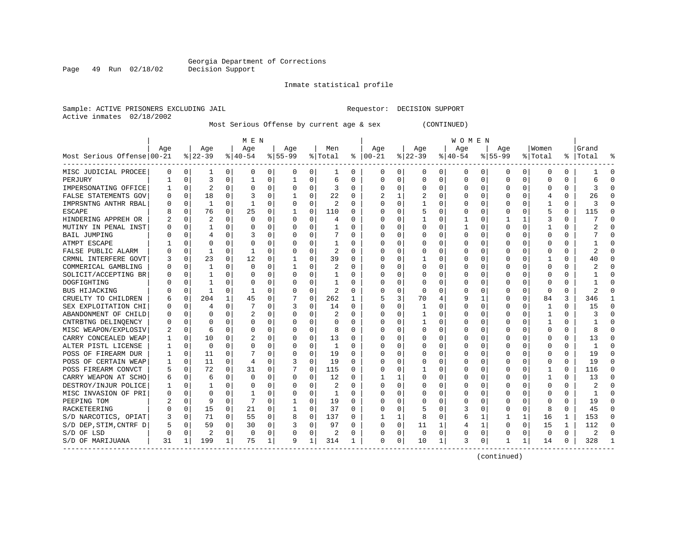Inmate statistical profile

Sample: ACTIVE PRISONERS EXCLUDING JAIL Requestor: DECISION SUPPORT Active inmates 02/18/2002

Page 49 Run 02/18/02

Most Serious Offense by current age & sex (CONTINUED)

|                            | M E N |          |                |          |           |              |           |             |                |          | WOMEN    |             |              |             |          |          |           |              |          |          |           |              |
|----------------------------|-------|----------|----------------|----------|-----------|--------------|-----------|-------------|----------------|----------|----------|-------------|--------------|-------------|----------|----------|-----------|--------------|----------|----------|-----------|--------------|
|                            | Age   |          | Age            |          | Age       |              | Age       |             | Men            |          | Age      |             | Age          |             | Age      |          | Age       |              | Women    |          | Grand     |              |
| Most Serious Offense 00-21 |       |          | $ 22-39$       |          | $8 40-54$ |              | $8 55-99$ |             | % Total        | ႜ        | $ 00-21$ |             | $8$   22-39  |             | $ 40-54$ |          | $8 55-99$ |              | % Total  |          | %   Total |              |
| MISC JUDICIAL PROCEE       | 0     | 0        | -1             | 0        | 0         | 0            | 0         | 0           | 1              | $\Omega$ | 0        | 0           | 0            | 0           | 0        | 0        | 0         | 0            | 0        | 0        |           | 0            |
| PERJURY                    |       | 0        | 3              | 0        | 1         | 0            | 1         | $\Omega$    | 6              | U        | C        | $\Omega$    | <sup>0</sup> | $\Omega$    | 0        | 0        | $\Omega$  | $\Omega$     | 0        | 0        | 6         | ſ            |
| IMPERSONATING OFFICE       |       | $\Omega$ | 2              | $\Omega$ | $\Omega$  | 0            | 0         | 0           | 3              | $\Omega$ | C        | $\Omega$    | <sup>0</sup> | $\Omega$    | U        | $\Omega$ |           | $\Omega$     | U        | $\Omega$ | ζ         |              |
| FALSE STATEMENTS GOV       | U     | 0        | 18             | $\Omega$ |           | $\Omega$     |           | $\Omega$    | 22             | O        |          | 1           |              | $\Omega$    | O        | 0        |           | $\Omega$     | 4        | 0        | 26        |              |
| IMPRSNTNG ANTHR RBAL       |       | 0        | 1              | $\Omega$ |           | 0            | 0         | 0           | $\overline{2}$ | O        | C        | 0           |              | O           |          | O        |           | $\Omega$     |          | 0        | 3         | ſ            |
| <b>ESCAPE</b>              |       | O        | 76             | $\Omega$ | 25        | 0            |           | $\mathbf 0$ | 110            | O        |          | 0           |              | $\Omega$    | 0        | O        |           | U            | 5        | 0        | 115       | ſ            |
| HINDERING APPREH OR        |       | O        | 2              | 0        | $\Omega$  | 0            | U         | 0           | 4              | 0        | C        | 0           |              | O           |          | O        |           | 1            | 3        | 0        |           | ∩            |
| MUTINY IN PENAL INST       | Ω     | O        |                | 0        | 0         | 0            | O         | 0           | 1              | $\Omega$ | C        | 0           |              | O           |          | O        | $\Omega$  | 0            |          | 0        |           | ∩            |
| BAIL JUMPING               |       | 0        | $\overline{4}$ | O        | 3         | 0            | U         | $\Omega$    |                | U        | C        | 0           |              | $\Omega$    | 0        | O        | O         | 0            | 0        | 0        |           | <sup>0</sup> |
| ATMPT ESCAPE               |       |          |                |          | 0         | 0            |           | 0           | 1              | 0        | C        | 0           |              |             | 0        | 0        |           |              | C        | 0        |           |              |
| FALSE PUBLIC ALARM         |       | 0        |                | O        |           | 0            |           | $\Omega$    | 2              | U        | C        | O           |              | $\Omega$    | 0        | O        |           |              | Ω        | 0        |           |              |
| CRMNL INTERFERE GOVT       |       | 0        | 23             | 0        | 12        | 0            |           | $\Omega$    | 39             | U        | C        | 0           |              | $\Omega$    | 0        | O        |           | <sup>0</sup> |          | 0        | 40        |              |
| COMMERICAL GAMBLING        | U     | O        | -1             | 0        | $\Omega$  | $\Omega$     |           | $\Omega$    | 2              | U        | C        | $\Omega$    | O            | $\Omega$    | O        | O        |           | <sup>0</sup> | U        | O        |           |              |
| SOLICIT/ACCEPTING BR       |       | O        |                | 0        | O         | 0            |           | 0           | 1              | U        | $\Box$   | 0           |              | $\Omega$    | O        | O        |           | <sup>0</sup> | Ω        | 0        |           | ſ            |
| DOGFIGHTING                |       | O        |                | 0        |           | O            |           | 0           | $\mathbf{1}$   | O        |          | $\Omega$    |              | $\Omega$    | U        | O        |           | $\Omega$     | O        | $\Omega$ |           | ſ            |
| BUS HIJACKING              |       | 0        | $\mathbf{1}$   | $\Omega$ | -1        | 0            |           | 0           | $\overline{2}$ | O        |          | 0           | <sup>0</sup> | $\Omega$    | U        | O        |           | $\Omega$     | U        | $\Omega$ | 2         | ſ            |
| CRUELTY TO CHILDREN        | 6     | 0        | 204            | 1        | 45        | 0            |           | 0           | 262            | 1        |          | 3           | 70           | 4           | 9        | -1       | ∩         | 0            | 84       | 3        | 346       |              |
| SEX EXPLOITATION CHI       | U     | 0        | 4              | O        |           | 0            | 3         | 0           | 14             | 0        | C        | 0           |              | $\Omega$    | 0        | O        | O         | 0            | 1        | 0        | 15        | ∩            |
| ABANDONMENT OF CHILD       | 0     | 0        |                |          | 2         | 0            |           | 0           | 2              | U        | C        | 0           |              | $\Omega$    | 0        | O        |           | O            |          | 0        | 3         | C            |
| CNTRBTNG DELINQENCY        | U     | O        |                |          | 0         | 0            | U         | 0           | $\Omega$       | U        | C        | O           |              | $\Omega$    | O        | O        |           | U            |          | 0        |           |              |
| MISC WEAPON/EXPLOSIV       |       | O        | 6              | 0        | O         | 0            | U         | $\Omega$    | 8              | 0        | C        | 0           | <sup>0</sup> | $\Omega$    | 0        | O        |           | 0            | U        | 0        | 8         |              |
| CARRY CONCEALED WEAP       |       | O        | 10             | 0        | 2         | 0            |           | $\Omega$    | 13             | $\Omega$ | C        | $\Omega$    |              | $\Omega$    | O        | O        |           | $\Omega$     | U        | 0        | 13        |              |
| ALTER PISTL LICENSE        |       | $\Omega$ | $\Omega$       | $\Omega$ | U         | 0            |           | 0           | 1              | O        | $\Box$   | $\Omega$    |              | $\Omega$    |          | O        |           | $\Omega$     | O        | O        |           | C            |
| POSS OF FIREARM DUR        |       | $\Omega$ | 11             | $\Omega$ |           | 0            |           | 0           | 19             | O        |          | 0           |              | $\Omega$    |          | 0        |           | $\Omega$     | 0        | 0        | 19        | ſ            |
| POSS OF CERTAIN WEAP       |       | O        | 11             | $\Omega$ | 4         | 0            |           | 0           | 19             | $\Omega$ |          | $\Omega$    |              | $\Omega$    | Ω        | U        |           | U            | 0        | $\Omega$ | 19        | $\Omega$     |
| POSS FIREARM CONVCT        |       | O        | 72             | $\Omega$ | 31        | 0            |           | 0           | 115            | $\Omega$ | C        | 0           |              | O           | 0        | 0        | n         | 0            |          | 0        | 116       | ∩            |
| CARRY WEAPON AT SCHO       | 6     | O        | -6             | O        | 0         | 0            | O         | 0           | 12             | U        |          |             |              | O           | 0        | O        |           | 0            |          | 0        | 13        | $\Omega$     |
| DESTROY/INJUR POLICE       |       | 0        |                | O        | 0         | 0            |           | 0           | 2              | U        | C        | 0           |              |             | 0        | O        |           | O            | 0        | 0        | 2         | O            |
| MISC INVASION OF PRI       | N     |          | $\Omega$       |          | -1        | 0            | O         | $\Omega$    | 1              | U        |          | 0           |              |             | 0        |          |           |              | Ω        | 0        |           |              |
| PEEPING TOM                |       | O        |                | O        | 7         | U            |           | $\Omega$    | 19             | U        | C        | O           |              | $\Omega$    | U        | O        |           | <sup>0</sup> |          | U        | 19        |              |
| RACKETEERING               | 0     | 0        | 15             | $\Omega$ | 21        | $\Omega$     | 1         | 0           | 37             | $\Omega$ | C        | $\Omega$    |              | $\Omega$    | 3        | O        |           | $\Omega$     | 8        | 0        | 45        | C            |
| S/D NARCOTICS, OPIAT       | 3     | 0        | 71             | 0        | 55        | 0            | 8         | 0           | 137            | U        |          | 1           | 8            | 0           | 6        | 1        |           | 1            | 16       | 1        | 153       | <sup>0</sup> |
| S/D DEP, STIM, CNTRF D     | 5     | 0        | 59             | $\Omega$ | 30        | 0            | 3         | 0           | 97             | O        | 0        | $\mathbf 0$ | 11           | 1           |          | 1        | O         | $\mathbf 0$  | 15       | 1        | 112       | <sup>0</sup> |
| S/D OF LSD                 | O     | 0        |                | 0        | $\Omega$  | 0            |           | 0           | 2              | O        | C        | 0           | 0            | $\mathbf 0$ | 0        | 0        |           | 0            | $\Omega$ | 0        | 2         | $\sqrt{ }$   |
| S/D OF MARIJUANA           | 31    | 1        | 199            | 1        | 75        | $\mathbf{1}$ | 9         | 1           | 314            | 1        | $\Omega$ | 0           | 10           | 1           | 3        | 0        | 1         | 1            | 14       | 0        | 328       |              |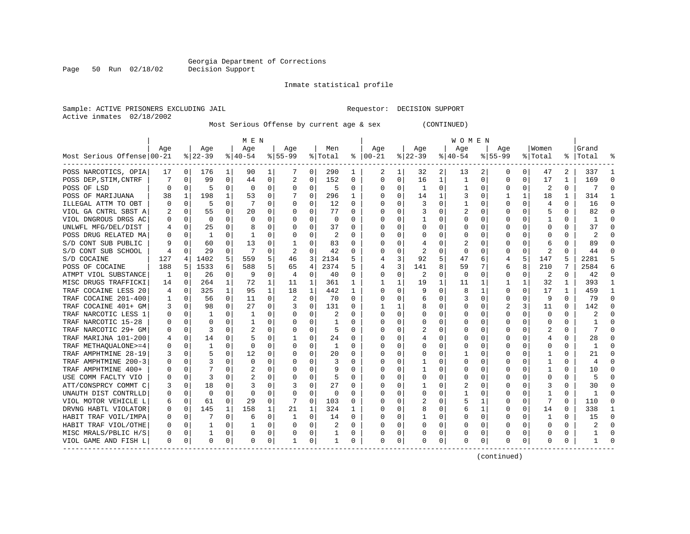Inmate statistical profile

Sample: ACTIVE PRISONERS EXCLUDING JAIL Requestor: DECISION SUPPORT Active inmates 02/18/2002

Most Serious Offense by current age & sex (CONTINUED)

|                            | M E N |             |           |              |              |          |              |             |          |              | W O M E N     |             |              |              |             |             |             |              |                         |              |              |              |
|----------------------------|-------|-------------|-----------|--------------|--------------|----------|--------------|-------------|----------|--------------|---------------|-------------|--------------|--------------|-------------|-------------|-------------|--------------|-------------------------|--------------|--------------|--------------|
|                            | Age   |             | Age       |              | Aqe          |          | Aqe          |             | Men      |              | Aqe           |             | Age          |              | Age         |             | Age         |              | Women                   |              | Grand        |              |
| Most Serious Offense 00-21 |       |             | $8 22-39$ |              | $8 40-54$    |          | $8 55-99$    |             | % Total  |              | $8   00 - 21$ |             | $ 22-39 $    |              | $ 40-54 $   |             | $8155 - 99$ |              | % Total                 |              | %   Total    |              |
| POSS NARCOTICS, OPIA       | 17    | 0           | 176       |              | 90           | 1        |              | 0           | 290      | 1            | 2             | 1           | 32           | 2            | 13          | 2           | 0           | 0            | 47                      | 2            | 337          |              |
| POSS DEP, STIM, CNTRF      |       | 0           | 99        | 0            | 44           | 0        | 2            | 0           | 152      | 0            | $\mathbf 0$   | 0           | 16           | 1            | 1           | 0           | $\Omega$    | $\Omega$     | 17                      | 1            | 169          | $\Omega$     |
| POSS OF LSD                | O     | $\Omega$    | 5         | 0            | 0            | 0        | $\Omega$     | 0           | 5        | 0            | $\Omega$      | 0           | 1            | 0            | 1           | 0           | 0           | $\Omega$     | 2                       | $\Omega$     | 7            | $\cap$       |
| POSS OF MARIJUANA          | 38    | 1           | 198       | $\mathbf{1}$ | 53           | 0        | 7            | $\Omega$    | 296      | 1            | 0             | $\Omega$    | 14           | $\mathbf{1}$ | 3           | $\mathbf 0$ | 1           | $\mathbf{1}$ | 18                      | 1            | 314          |              |
| ILLEGAL ATTM TO OBT        | O     | $\mathbf 0$ | 5         | $\Omega$     | -7           | O        | $\Omega$     | $\mathbf 0$ | 12       | 0            | $\Omega$      | $\mathbf 0$ | 3            | $\mathbf 0$  | 1           | 0           | $\Omega$    | $\Omega$     | 4                       | 0            | 16           | $\Omega$     |
| VIOL GA CNTRL SBST A       |       | $\mathbf 0$ | 55        | $\Omega$     | 20           | $\Omega$ | $\Omega$     | $\Omega$    | 77       | 0            | $\Omega$      | 0           | 3            | 0            |             | 0           | $\Omega$    | $\Omega$     | 5                       | $\Omega$     | 82           | $\Omega$     |
| VIOL DNGROUS DRGS AC       | 0     | 0           | 0         | 0            | $\Omega$     | 0        | $\Omega$     | 0           | 0        | 0            | $\Omega$      | 0           | -1           | 0            | $\Omega$    | 0           | O           | 0            | -1                      | 0            | 1            | $\Omega$     |
| UNLWFL MFG/DEL/DIST        |       | 0           | 25        | 0            | 8            | 0        | O            | 0           | 37       | 0            | 0             | 0           | 0            | 0            | 0           | 0           | 0           | $\Omega$     | 0                       | 0            | 37           | ∩            |
| POSS DRUG RELATED MA       | 0     | 0           | 1         | 0            |              | 0        | O            | 0           | 2        | 0            | $\Omega$      | 0           | 0            | 0            | 0           | 0           | 0           | 0            | 0                       | O            | 2            | ∩            |
| S/D CONT SUB PUBLIC        | 9     | 0           | 60        | 0            | 13           | 0        |              | $\Omega$    | 83       | 0            |               | 0           | 4            | 0            | 2           | 0           | 0           | O            | 6                       |              | 89           |              |
| S/D CONT SUB SCHOOL        | 4     | $\cap$      | 29        | 0            |              | O        |              | $\Omega$    | 42       | 0            | $\Omega$      | $\Omega$    | 2            | $\Omega$     | $\Omega$    | $\Omega$    | U           | U            | $\overline{\mathbf{c}}$ | <sup>n</sup> | 44           |              |
| S/D COCAINE                | 127   | 4           | 1402      | 5            | 559          | 5        | 46           | 3           | 2134     | 5            |               | 3           | 92           | 5            | 47          | 6           | 4           | 5            | 147                     | 5            | 2281         |              |
| POSS OF COCAINE            | 188   | 5           | 1533      | 6            | 588          | 5        | 65           | 4           | 2374     | 5            | 4             | 3           | 141          | 8            | 59          | 7           | 6           | 8            | 210                     |              | 2584         | 6            |
| ATMPT VIOL SUBSTANCE       | 1     | $\mathbf 0$ | 26        | 0            | -9           | O        | 4            | 0           | 40       | 0            | $\mathbf 0$   | 0           | 2            | 0            | $\mathbf 0$ | 0           | $\Omega$    | 0            | 2                       | $\Omega$     | 42           | $\Omega$     |
| MISC DRUGS TRAFFICKI       | 14    | 0           | 264       | 1            | 72           | 1        | 11           | 1           | 361      | 1            | $\mathbf{1}$  | $\mathbf 1$ | 19           | 1            | 11          | $\mathbf 1$ | 1           | 1            | 32                      | 1            | 393          | $\mathbf{1}$ |
| TRAF COCAINE LESS 20       | 4     | $\mathbf 0$ | 325       | $\mathbf{1}$ | 95           | 1        | 18           | 1           | 442      | 1            | $\Omega$      | 0           | 9            | $\Omega$     | 8           | 1           | O           | $\Omega$     | 17                      | 1            | 459          | -1           |
| TRAF COCAINE 201-400       | 1     | $\mathbf 0$ | 56        | $\Omega$     | 11           | $\Omega$ | 2            | $\Omega$    | 70       | 0            | $\Omega$      | 0           | 6            | 0            | 3           | 0           | $\Omega$    | $\Omega$     | 9                       | $\Omega$     | 79           | $\Omega$     |
| TRAF COCAINE 401+ GM       | 3     | 0           | 98        | 0            | 27           | 0        |              | $\Omega$    | 131      | U            |               | 1           | 8            | 0            | U           | 0           | 2           | 3            | 11                      | O            | 142          |              |
| TRAF NARCOTIC LESS 1       | U     | $\Omega$    |           | $\Omega$     | $\mathbf{1}$ | O        | $\Omega$     | $\Omega$    | 2        | U            | $\bigcap$     | $\Omega$    | $\Omega$     | 0            | $\Omega$    | $\Omega$    | $\Omega$    | O            | $\Omega$                | O            |              |              |
| TRAF NARCOTIC 15-28        | O     | $\Omega$    | $\Omega$  | 0            | -1           | O        | $\Omega$     | $\Omega$    | 1        | 0            | $\Omega$      | $\Omega$    | $\Omega$     | $\Omega$     | $\Omega$    | $\Omega$    | O           | 0            | $\Omega$                | 0            |              |              |
| TRAF NARCOTIC 29+ GM       | 0     | $\Omega$    | 3         | 0            | 2            | 0        | $\Omega$     | $\Omega$    | 5        | 0            | $\Omega$      | $\Omega$    |              | $\Omega$     | 0           | $\Omega$    | 0           | 0            | 2                       | 0            |              |              |
| TRAF MARIJNA 101-200       | 4     | $\mathbf 0$ | 14        | $\Omega$     | 5            | U        |              | $\Omega$    | 24       | 0            | O             | $\Omega$    | 4            | $\Omega$     | O           | 0           | O           | $\Omega$     | 4                       | 0            | 28           |              |
| TRAF METHAOUALONE>=4       | U     | $\mathbf 0$ | 1         | $\Omega$     | $\Omega$     | O        |              | 0           | 1        | U            | $\Omega$      | 0           | $\Omega$     | 0            |             | $\mathbf 0$ | $\Omega$    | $\Omega$     | $\Omega$                | $\Omega$     | $\mathbf{1}$ | $\Omega$     |
| TRAF AMPHTMINE 28-19       |       | $\Omega$    | 5         | $\Omega$     | 12           | $\Omega$ | $\Omega$     | $\Omega$    | 20       | 0            | $\Omega$      | $\Omega$    | $\Omega$     | $\Omega$     | 1           | $\Omega$    | $\Omega$    | $\Omega$     | $\mathbf{1}$            | 0            | 2.1          | $\Omega$     |
| TRAF AMPHTMINE 200-3       | 0     | $\Omega$    | 3         | 0            | $\Omega$     | 0        | $\Omega$     | 0           | 3        | 0            | $\Omega$      | 0           | -1           | 0            | $\Omega$    | 0           | 0           | 0            | 1                       | 0            | 4            | $\Omega$     |
| TRAF AMPHTMINE 400+        | U     | 0           |           |              | 2            | 0        | $\Omega$     | 0           | 9        | 0            | O             | 0           | -1           | $\Omega$     | $\Omega$    | 0           | 0           | 0            |                         | 0            | 10           |              |
| USE COMM FACLTY VIO        | 0     | $\Omega$    | 3         | 0            |              | 0        | $\Omega$     | 0           | 5        | 0            | O             | 0           | $\Omega$     | 0            | $\Omega$    | 0           | 0           | O            | $\Omega$                | N            |              |              |
| ATT/CONSPRCY COMMT C       | 3     | $\Omega$    | 18        | 0            | 3            | 0        | 3            | $\Omega$    | 27       | <sup>0</sup> | C             | $\Omega$    | $\mathbf{1}$ | $\Omega$     |             | $\Omega$    | O           | U            | 3                       | 0            | 30           | $\Omega$     |
| UNAUTH DIST CONTRLLD       | 0     | $\Omega$    | $\Omega$  | 0            | $\Omega$     | 0        | $\Omega$     | 0           | $\Omega$ | 0            | $\Omega$      | $\Omega$    | $\Omega$     | $\Omega$     | 1           | $\Omega$    | O           | 0            | -1                      | 0            | -1           | $\cap$       |
| VIOL MOTOR VEHICLE L       | 6     | $\Omega$    | 61        | $\Omega$     | 29           | $\Omega$ | 7            | $\Omega$    | 103      | 0            | $\Omega$      | $\Omega$    | 2            | $\Omega$     | 5           | 1           | 0           | $\Omega$     | 7                       | 0            | 110          | $\Omega$     |
| DRVNG HABTL VIOLATOR       | 0     | 0           | 145       | 1            | 158          | 1        | 21           | 1           | 324      | 1            | O             | $\mathbf 0$ | 8            | 0            | 6           | 1           | 0           | $\Omega$     | 14                      | 0            | 338          |              |
| HABIT TRAF VOIL/IMPA       | 0     | 0           |           | $\Omega$     | 6            | $\Omega$ | $\mathbf{1}$ | $\Omega$    | 14       | $\Omega$     | $\Omega$      | 0           | $\mathbf{1}$ | 0            | $\Omega$    | 0           | 0           | $\Omega$     | 1                       | 0            | 15           | $\Omega$     |
| HABIT TRAF VIOL/OTHE       | 0     | $\Omega$    | 1         | 0            | 1            | 0        | $\Omega$     | $\Omega$    | 2        | 0            | $\Omega$      | 0           | 0            | $\Omega$     | $\Omega$    | 0           | 0           | $\Omega$     | $\Omega$                | $\Omega$     |              | ∩            |
| MISC MRALS/PBLIC H/S       | 0     | 0           | 1         | 0            | 0            | 0        | $\Omega$     | 0           | -1       | 0            | $\Omega$      | 0           | $\Omega$     | 0            | $\Omega$    | 0           | 0           | $\Omega$     | 0                       | 0            | 1            | ∩            |
| VIOL GAME AND FISH L       | 0     | 0           | 0         | 0            | $\Omega$     | 0        |              | 0           | 1        | 0            | $\Omega$      | 0           | $\Omega$     | 0            | $\Omega$    | 0           | 0           | 0            | $\Omega$                | 0            |              |              |

(continued)

Page 50 Run 02/18/02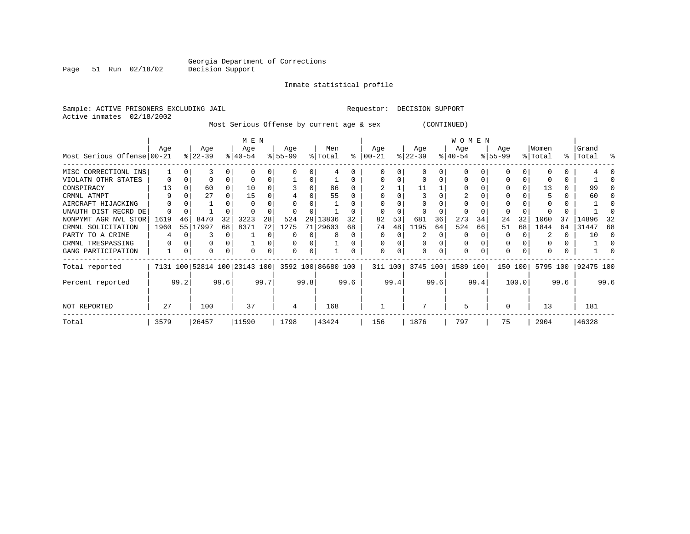Inmate statistical profile

Active inmates 02/18/2002

Sample: ACTIVE PRISONERS EXCLUDING JAIL Requestor: DECISION SUPPORT

Most Serious Offense by current age & sex (CONTINUED)

|                            |               |              |                  | M E N |                                                 |      |                 |          | W O M E N      |    |                   |    |                  |    |                  |       |                 |    |                  |    |                |    |
|----------------------------|---------------|--------------|------------------|-------|-------------------------------------------------|------|-----------------|----------|----------------|----|-------------------|----|------------------|----|------------------|-------|-----------------|----|------------------|----|----------------|----|
| Most Serious Offense 00-21 | Age           |              | Age<br>$ 22-39 $ |       | Age<br>$ 40-54 $                                |      | Age<br>$ 55-99$ |          | Men<br>% Total | ႜ  | Age<br>$ 00 - 21$ |    | Age<br>$ 22-39 $ |    | Age<br>$ 40-54 $ |       | Age<br>$ 55-99$ |    | Women<br>% Total | ႜႂ | Grand<br>Total | ႜ  |
|                            |               |              |                  |       |                                                 |      |                 |          |                |    |                   |    |                  |    |                  |       |                 |    |                  |    |                |    |
| MISC CORRECTIONL INS       |               |              |                  |       |                                                 | 0    |                 |          |                |    |                   |    |                  |    |                  |       |                 |    |                  | 0  |                |    |
| VIOLATN OTHR STATES        | 0             |              |                  |       |                                                 | 0    |                 |          |                |    |                   |    |                  |    |                  |       |                 |    |                  | 0  |                |    |
| CONSPIRACY                 | 13            |              | 60               |       | 10                                              |      |                 |          | 86             |    |                   |    | 11               |    |                  |       |                 |    | 13               | 0  | 99             |    |
| CRMNL ATMPT                |               |              | 27               |       | 15                                              |      |                 |          | 55             |    |                   |    |                  |    |                  |       |                 |    |                  |    | 60             |    |
| AIRCRAFT HIJACKING         |               |              |                  |       |                                                 |      |                 |          |                |    |                   |    |                  |    |                  |       |                 |    |                  |    |                |    |
| UNAUTH DIST RECRD DE       |               |              |                  |       |                                                 |      |                 |          |                |    |                   |    |                  |    |                  |       |                 |    |                  |    |                |    |
| NONPYMT AGR NVL STOR       | 1619          | 46           | 8470             | 32    | 3223                                            | 28   | 524             | 29       | 13836          | 32 | 82                | 53 | 681              | 36 | 273              | 34    | 24              | 32 | 1060             | 37 | 14896          |    |
| CRMNL SOLICITATION         | 1960          | 55           | 17997            | 68    | 8371                                            | 72   | 1275            |          | 71 29603       | 68 | 74                | 48 | 1195             | 64 | 524              | 66    | 51              | 68 | 1844             | 64 | 31447          | 68 |
| PARTY TO A CRIME           | 4             |              |                  |       |                                                 |      |                 |          | 8              |    | $\Omega$          |    |                  | O  |                  |       | O               |    |                  | 0  | 10             |    |
| CRMNL TRESPASSING          | 0             |              |                  |       |                                                 |      |                 |          |                |    | $\Omega$          |    |                  |    | 0                |       | 0               |    |                  | 0  |                |    |
| GANG PARTICIPATION         |               | $\Omega$     | O                |       |                                                 | 0    |                 | $\Omega$ |                |    | $\Omega$          | 0  |                  |    | 0                |       | 0               |    |                  | 0  |                |    |
| Total reported             |               |              |                  |       | 7131 100 52814 100 23143 100 3592 100 86680 100 |      |                 |          |                |    | 311 100           |    | 3745 100         |    | 1589 100         |       | 150 100         |    | 5795 100         |    | 92475 100      |    |
| Percent reported           |               | 99.2<br>99.6 |                  |       | 99.7                                            | 99.8 |                 |          | 99.6           |    | 99.4              |    | 99.6             |    | 99.4             | 100.0 |                 |    | 99.6             |    | 99.6           |    |
| NOT REPORTED               | 27            |              | 100              |       | 37                                              |      | 4               |          | 168            |    |                   |    |                  |    | 5                |       | $\Omega$        |    | 13               |    | 181            |    |
| Total                      | 3579<br>26457 |              | 11590            |       | 1798                                            |      | 43424           |          | 156            |    | 1876              |    | 797              |    | 75               |       | 2904            |    | 46328            |    |                |    |

Page 51 Run 02/18/02